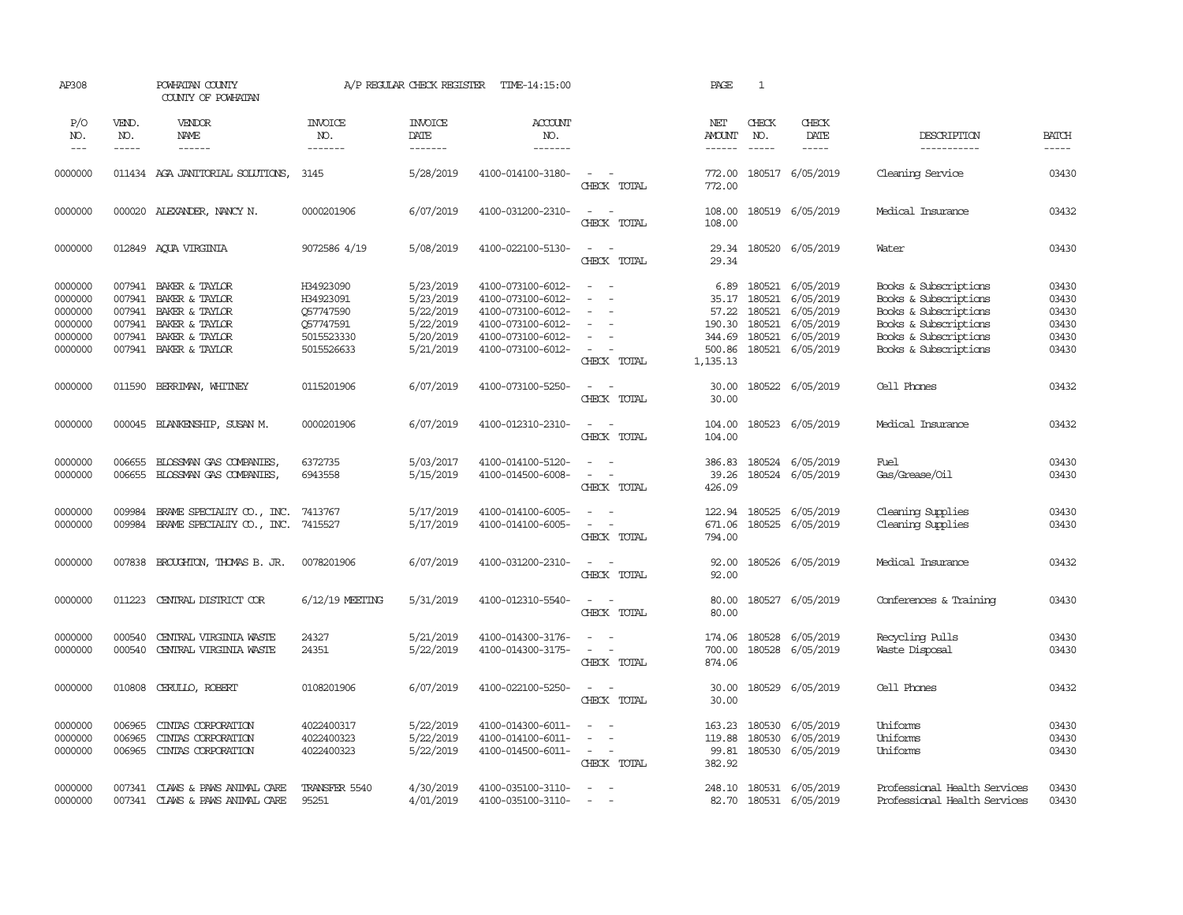| AP308                                                          |                                      | POWHATAN COUNTY<br>COUNTY OF POWHATAN                                                                                  |                                                                              | A/P REGULAR CHECK REGISTER                                                 | TIME-14:15:00                                                                                                              |                                                                                                                   | PAGE                                                             | 1                |                                                                                                               |                                                                                                                                                    |                                                    |
|----------------------------------------------------------------|--------------------------------------|------------------------------------------------------------------------------------------------------------------------|------------------------------------------------------------------------------|----------------------------------------------------------------------------|----------------------------------------------------------------------------------------------------------------------------|-------------------------------------------------------------------------------------------------------------------|------------------------------------------------------------------|------------------|---------------------------------------------------------------------------------------------------------------|----------------------------------------------------------------------------------------------------------------------------------------------------|----------------------------------------------------|
| P/O<br>NO.<br>$\frac{1}{2}$                                    | VEND.<br>NO.<br>-----                | VENDOR<br>NAME                                                                                                         | <b>INVOICE</b><br>NO.<br>-------                                             | <b>INVOICE</b><br>DATE<br>-------                                          | <b>ACCOUNT</b><br>NO.<br>-------                                                                                           |                                                                                                                   | NET<br><b>AMOUNT</b>                                             | CHECK<br>NO.     | CHECK<br>DATE<br>$\cdots\cdots\cdots$                                                                         | DESCRIPTION<br>-----------                                                                                                                         | <b>BATCH</b><br>-----                              |
| 0000000                                                        |                                      | 011434 AGA JANITORIAL SOLUTIONS, 3145                                                                                  |                                                                              | 5/28/2019                                                                  | 4100-014100-3180-                                                                                                          | $\sim$ $\sim$<br>CHECK TOTAL                                                                                      | 772.00<br>772.00                                                 |                  | 180517 6/05/2019                                                                                              | Cleaning Service                                                                                                                                   | 03430                                              |
| 0000000                                                        |                                      | 000020 ALEXANDER, NANCY N.                                                                                             | 0000201906                                                                   | 6/07/2019                                                                  | 4100-031200-2310-                                                                                                          | $\sim$ $ \sim$<br>CHECK TOTAL                                                                                     | 108.00<br>108.00                                                 |                  | 180519 6/05/2019                                                                                              | Medical Insurance                                                                                                                                  | 03432                                              |
| 0000000                                                        |                                      | 012849 AQUA VIRGINIA                                                                                                   | 9072586 4/19                                                                 | 5/08/2019                                                                  | 4100-022100-5130-                                                                                                          | $\sim$<br>$\sim$ $-$<br>CHECK TOTAL                                                                               | 29.34<br>29.34                                                   |                  | 180520 6/05/2019                                                                                              | Water                                                                                                                                              | 03430                                              |
| 0000000<br>0000000<br>0000000<br>0000000<br>0000000<br>0000000 | 007941<br>007941<br>007941<br>007941 | 007941 BAKER & TAYLOR<br>BAKER & TAYLOR<br>BAKER & TAYLOR<br>BAKER & TAYLOR<br>BAKER & TAYLOR<br>007941 BAKER & TAYLOR | H34923090<br>H34923091<br>Q57747590<br>Q57747591<br>5015523330<br>5015526633 | 5/23/2019<br>5/23/2019<br>5/22/2019<br>5/22/2019<br>5/20/2019<br>5/21/2019 | 4100-073100-6012-<br>4100-073100-6012-<br>4100-073100-6012-<br>4100-073100-6012-<br>4100-073100-6012-<br>4100-073100-6012- | $\sim$<br>- 11<br>$\overline{\phantom{a}}$<br>$\sim$<br>$\sim$<br>$\equiv$<br>$\sim$<br>$\sim 100$<br>CHECK TOTAL | 6.89<br>35.17<br>57.22<br>190.30<br>344.69<br>500.86<br>1,135.13 | 180521           | 180521 6/05/2019<br>180521 6/05/2019<br>180521 6/05/2019<br>6/05/2019<br>180521 6/05/2019<br>180521 6/05/2019 | Books & Subscriptions<br>Books & Subscriptions<br>Books & Subscriptions<br>Books & Subscriptions<br>Books & Subscriptions<br>Books & Subscriptions | 03430<br>03430<br>03430<br>03430<br>03430<br>03430 |
| 0000000                                                        |                                      | 011590 BERRIMAN, WHITNEY                                                                                               | 0115201906                                                                   | 6/07/2019                                                                  | 4100-073100-5250-                                                                                                          | $\sim$<br>$\sim$<br>CHECK TOTAL                                                                                   | 30.00<br>30.00                                                   |                  | 180522 6/05/2019                                                                                              | Cell Phones                                                                                                                                        | 03432                                              |
| 0000000                                                        |                                      | 000045 BLANKENSHIP, SUSAN M.                                                                                           | 0000201906                                                                   | 6/07/2019                                                                  | 4100-012310-2310-                                                                                                          | $\sim$ $ \sim$<br>CHECK TOTAL                                                                                     | 104.00<br>104.00                                                 |                  | 180523 6/05/2019                                                                                              | Medical Insurance                                                                                                                                  | 03432                                              |
| 0000000<br>0000000                                             | 006655<br>006655                     | BLOSSMAN GAS COMPANIES,<br>BLOSSMAN GAS COMPANIES,                                                                     | 6372735<br>6943558                                                           | 5/03/2017<br>5/15/2019                                                     | 4100-014100-5120-<br>4100-014500-6008-                                                                                     | $\sim$<br>$\sim$<br>$\sim$<br>$\sim$ $-$<br>CHECK TOTAL                                                           | 386.83<br>39.26<br>426.09                                        |                  | 180524 6/05/2019<br>180524 6/05/2019                                                                          | Fuel<br>Gas/Grease/Oil                                                                                                                             | 03430<br>03430                                     |
| 0000000<br>0000000                                             | 009984<br>009984                     | BRAME SPECIALITY CO., INC.<br>BRAME SPECIALITY CO., INC.                                                               | 7413767<br>7415527                                                           | 5/17/2019<br>5/17/2019                                                     | 4100-014100-6005-<br>4100-014100-6005-                                                                                     | $\sim$ $ \sim$<br>$\sim$ $ -$<br>CHECK TOTAL                                                                      | 122.94<br>671.06<br>794.00                                       | 180525<br>180525 | 6/05/2019<br>6/05/2019                                                                                        | Cleaning Supplies<br>Cleaning Supplies                                                                                                             | 03430<br>03430                                     |
| 0000000                                                        | 007838                               | BROUGHTON, THOMAS B. JR.                                                                                               | 0078201906                                                                   | 6/07/2019                                                                  | 4100-031200-2310-                                                                                                          | $\sim$ $ \sim$<br>CHECK TOTAL                                                                                     | 92.00<br>92.00                                                   |                  | 180526 6/05/2019                                                                                              | Medical Insurance                                                                                                                                  | 03432                                              |
| 0000000                                                        |                                      | 011223 CENTRAL DISTRICT COR                                                                                            | 6/12/19 MEETING                                                              | 5/31/2019                                                                  | 4100-012310-5540-                                                                                                          | $\sim$ $ \sim$<br>CHECK TOTAL                                                                                     | 80.00<br>80.00                                                   |                  | 180527 6/05/2019                                                                                              | Conferences & Training                                                                                                                             | 03430                                              |
| 0000000<br>0000000                                             | 000540<br>000540                     | CENTRAL VIRGINIA WASTE<br>CENTRAL VIRGINIA WASTE                                                                       | 24327<br>24351                                                               | 5/21/2019<br>5/22/2019                                                     | 4100-014300-3176-<br>4100-014300-3175-                                                                                     | $\sim$ 10 $\sim$ 10 $\sim$<br>$\sim$ $ \sim$<br>CHECK TOTAL                                                       | 700.00<br>874.06                                                 |                  | 174.06 180528 6/05/2019<br>180528 6/05/2019                                                                   | Recycling Pulls<br>Waste Disposal                                                                                                                  | 03430<br>03430                                     |
| 0000000                                                        | 010808                               | CERULLO, ROBERT                                                                                                        | 0108201906                                                                   | 6/07/2019                                                                  | 4100-022100-5250-                                                                                                          | $\sim$ $ \sim$<br>CHECK TOTAL                                                                                     | 30.00<br>30.00                                                   |                  | 180529 6/05/2019                                                                                              | Cell Phones                                                                                                                                        | 03432                                              |
| 0000000<br>0000000<br>0000000                                  | 006965<br>006965<br>006965           | CINIAS CORPORATION<br>CINIAS CORPORATION<br>CINIAS CORPORATION                                                         | 4022400317<br>4022400323<br>4022400323                                       | 5/22/2019<br>5/22/2019<br>5/22/2019                                        | 4100-014300-6011-<br>4100-014100-6011-<br>4100-014500-6011-                                                                | $\sim$ $ \sim$<br>$\sim$ $\sim$<br>$\sim$ $ -$<br>CHECK TOTAL                                                     | 163.23<br>119.88<br>99.81<br>382.92                              |                  | 180530 6/05/2019<br>180530 6/05/2019<br>180530 6/05/2019                                                      | Uniforms<br>Uniforms<br>Uniforms                                                                                                                   | 03430<br>03430<br>03430                            |
| 0000000<br>0000000                                             |                                      | 007341 CLAWS & PAWS ANIMAL CARE<br>007341 CLAWS & PAWS ANIMAL CARE                                                     | TRANSFER 5540<br>95251                                                       | 4/30/2019<br>4/01/2019                                                     | 4100-035100-3110-<br>4100-035100-3110-                                                                                     | $\sim$<br>$\sim$                                                                                                  |                                                                  |                  | 248.10 180531 6/05/2019<br>82.70 180531 6/05/2019                                                             | Professional Health Services<br>Professional Health Services                                                                                       | 03430<br>03430                                     |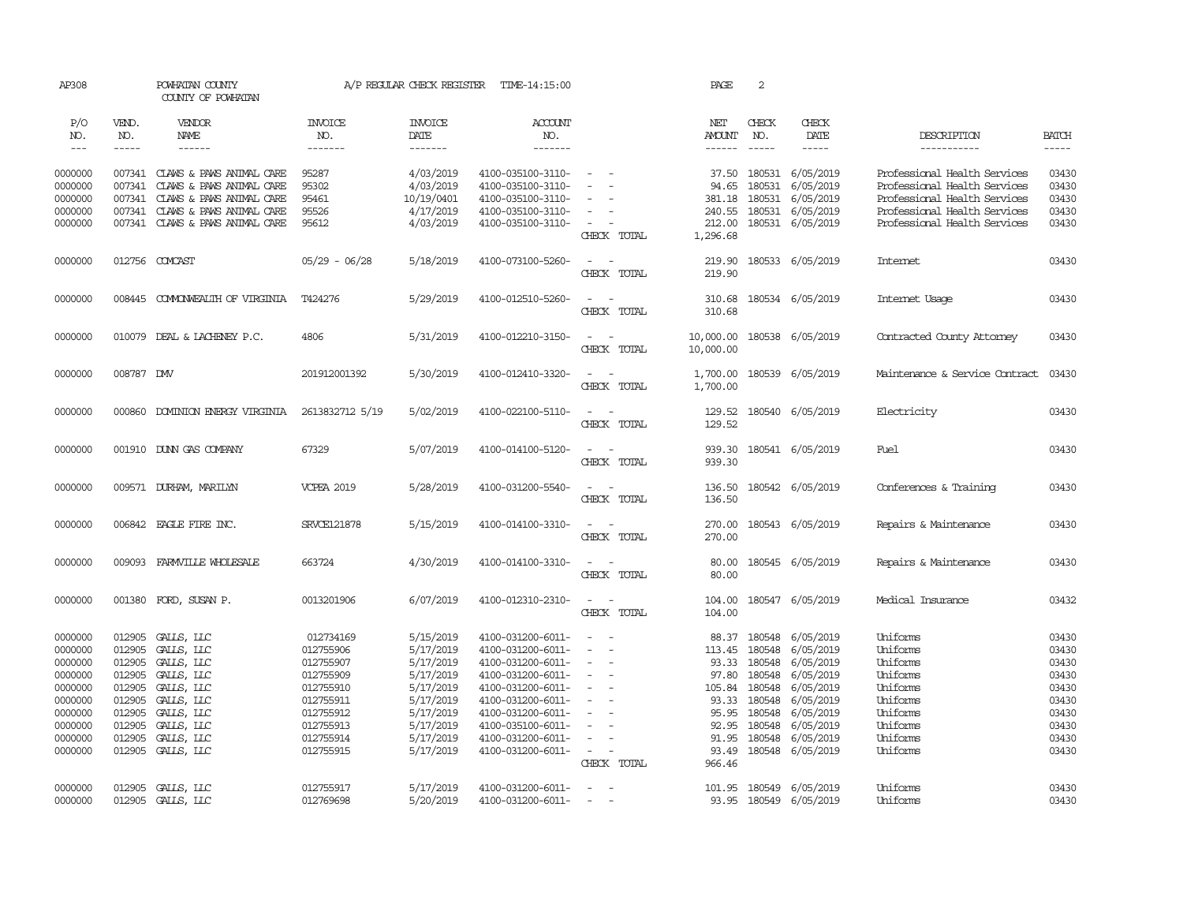| AP308        |                    | POWHATAN COUNTY<br>COUNTY OF POWHATAN |                   | A/P REGULAR CHECK REGISTER | TIME-14:15:00          |                                                                                                                                          | PAGE                    | 2                    |                         |                                |                             |
|--------------|--------------------|---------------------------------------|-------------------|----------------------------|------------------------|------------------------------------------------------------------------------------------------------------------------------------------|-------------------------|----------------------|-------------------------|--------------------------------|-----------------------------|
| P/O          | VEND.              | VENDOR                                | <b>INVOICE</b>    | <b>INVOICE</b>             | <b>ACCOUNT</b>         |                                                                                                                                          | NET                     | CHECK                | CHECK                   |                                |                             |
| NO.<br>$---$ | NO.<br>$- - - - -$ | NAME<br>$- - - - - -$                 | NO.<br>-------    | DATE<br>$- - - - - - -$    | NO.<br>$- - - - - - -$ |                                                                                                                                          | <b>AMOUNT</b><br>------ | NO.<br>$\frac{1}{2}$ | DATE<br>$- - - - -$     | DESCRIPTION<br>-----------     | <b>BATCH</b><br>$- - - - -$ |
|              |                    |                                       |                   |                            |                        |                                                                                                                                          |                         |                      |                         |                                |                             |
| 0000000      |                    | 007341 CLAWS & PAWS ANIMAL CARE       | 95287             | 4/03/2019                  | 4100-035100-3110-      | $\sim$                                                                                                                                   | 37.50                   | 180531               | 6/05/2019               | Professional Health Services   | 03430                       |
| 0000000      | 007341             | CLAWS & PAWS ANIMAL CARE              | 95302             | 4/03/2019                  | 4100-035100-3110-      |                                                                                                                                          | 94.65                   | 180531               | 6/05/2019               | Professional Health Services   | 03430                       |
| 0000000      |                    | 007341 CLAWS & PAWS ANIMAL CARE       | 95461             | 10/19/0401                 | 4100-035100-3110-      |                                                                                                                                          | 381.18                  | 180531               | 6/05/2019               | Professional Health Services   | 03430                       |
| 0000000      |                    | 007341 CLAWS & PAWS ANIMAL CARE       | 95526             | 4/17/2019                  | 4100-035100-3110-      | $\sim$                                                                                                                                   | 240.55                  | 180531               | 6/05/2019               | Professional Health Services   | 03430                       |
| 0000000      |                    | 007341 CLAWS & PAWS ANIMAL CARE       | 95612             | 4/03/2019                  | 4100-035100-3110-      | $\sim$                                                                                                                                   | 212.00                  |                      | 180531 6/05/2019        | Professional Health Services   | 03430                       |
|              |                    |                                       |                   |                            |                        | CHECK TOTAL                                                                                                                              | 1,296.68                |                      |                         |                                |                             |
| 0000000      |                    | 012756 COMCAST                        | $05/29 - 06/28$   | 5/18/2019                  | 4100-073100-5260-      | $\sim$<br>$\sim$                                                                                                                         | 219.90                  |                      | 180533 6/05/2019        | Internet                       | 03430                       |
|              |                    |                                       |                   |                            |                        | CHECK TOTAL                                                                                                                              | 219.90                  |                      |                         |                                |                             |
|              |                    |                                       |                   |                            |                        |                                                                                                                                          |                         |                      |                         |                                |                             |
| 0000000      |                    | 008445 COMONWEALTH OF VIRGINIA        | T424276           | 5/29/2019                  | 4100-012510-5260-      | $\frac{1}{2} \left( \frac{1}{2} \right) \left( \frac{1}{2} \right) = \frac{1}{2} \left( \frac{1}{2} \right)$                             | 310.68                  |                      | 180534 6/05/2019        | Internet Usage                 | 03430                       |
|              |                    |                                       |                   |                            |                        | CHECK TOTAL                                                                                                                              | 310.68                  |                      |                         |                                |                             |
| 0000000      |                    | 010079 DEAL & LACHENEY P.C.           | 4806              | 5/31/2019                  | 4100-012210-3150-      | $\omega_{\rm{max}}$ and $\omega_{\rm{max}}$                                                                                              | 10,000.00               |                      | 180538 6/05/2019        | Contracted County Attorney     | 03430                       |
|              |                    |                                       |                   |                            |                        | CHECK TOTAL                                                                                                                              | 10,000.00               |                      |                         |                                |                             |
|              |                    |                                       |                   |                            |                        |                                                                                                                                          |                         |                      |                         |                                |                             |
| 0000000      | 008787 DW          |                                       | 201912001392      | 5/30/2019                  | 4100-012410-3320-      | $\frac{1}{2} \left( \frac{1}{2} \right) \left( \frac{1}{2} \right) \left( \frac{1}{2} \right) \left( \frac{1}{2} \right)$<br>CHECK TOTAL | 1,700.00<br>1,700.00    |                      | 180539 6/05/2019        | Maintenance & Service Contract | 03430                       |
|              |                    |                                       |                   |                            |                        |                                                                                                                                          |                         |                      |                         |                                |                             |
| 0000000      | 000860             | DOMINION ENERGY VIRGINIA              | 2613832712 5/19   | 5/02/2019                  | 4100-022100-5110-      | $\sim$ $ \sim$                                                                                                                           | 129.52                  |                      | 180540 6/05/2019        | Electricity                    | 03430                       |
|              |                    |                                       |                   |                            |                        | CHECK TOTAL                                                                                                                              | 129.52                  |                      |                         |                                |                             |
|              |                    |                                       |                   |                            |                        |                                                                                                                                          |                         |                      |                         |                                |                             |
| 0000000      |                    | 001910 DUNN GAS COMPANY               | 67329             | 5/07/2019                  | 4100-014100-5120-      | $\sim$ $ \sim$                                                                                                                           | 939.30                  |                      | 180541 6/05/2019        | Fuel                           | 03430                       |
|              |                    |                                       |                   |                            |                        | CHECK TOTAL                                                                                                                              | 939.30                  |                      |                         |                                |                             |
| 0000000      |                    | 009571 DURHAM, MARILYN                | <b>VCPEA 2019</b> | 5/28/2019                  | 4100-031200-5540-      | $\sim$                                                                                                                                   | 136.50                  |                      | 180542 6/05/2019        | Conferences & Training         | 03430                       |
|              |                    |                                       |                   |                            |                        | CHECK TOTAL                                                                                                                              | 136.50                  |                      |                         |                                |                             |
|              |                    |                                       |                   |                            |                        |                                                                                                                                          |                         |                      |                         |                                |                             |
| 0000000      |                    | 006842 EAGLE FIRE INC.                | SRVCE121878       | 5/15/2019                  | 4100-014100-3310-      | $\overline{\phantom{a}}$<br>$\sim$                                                                                                       | 270.00                  |                      | 180543 6/05/2019        | Repairs & Maintenance          | 03430                       |
|              |                    |                                       |                   |                            |                        | CHECK TOTAL                                                                                                                              | 270.00                  |                      |                         |                                |                             |
| 0000000      | 009093             | FARMVILLE WHOLESALE                   | 663724            | 4/30/2019                  | 4100-014100-3310-      | $\sim$<br>$\sim$                                                                                                                         | 80.00                   |                      | 180545 6/05/2019        | Repairs & Maintenance          | 03430                       |
|              |                    |                                       |                   |                            |                        | CHECK TOTAL                                                                                                                              | 80.00                   |                      |                         |                                |                             |
|              |                    |                                       |                   |                            |                        |                                                                                                                                          |                         |                      |                         |                                |                             |
| 0000000      |                    | 001380 FORD, SUSAN P.                 | 0013201906        | 6/07/2019                  | 4100-012310-2310-      | $\sim$<br>$\sim$<br>CHECK TOTAL                                                                                                          | 104.00<br>104.00        |                      | 180547 6/05/2019        | Medical Insurance              | 03432                       |
|              |                    |                                       |                   |                            |                        |                                                                                                                                          |                         |                      |                         |                                |                             |
| 0000000      |                    | 012905 GALLS, LLC                     | 012734169         | 5/15/2019                  | 4100-031200-6011-      | $\sim$<br>$\sim$ $-$                                                                                                                     |                         |                      | 88.37 180548 6/05/2019  | Uniforms                       | 03430                       |
| 0000000      | 012905             | GALLS, LLC                            | 012755906         | 5/17/2019                  | 4100-031200-6011-      | $\equiv$                                                                                                                                 | 113.45                  | 180548               | 6/05/2019               | Uniforms                       | 03430                       |
| 0000000      | 012905             | GALLS, LLC                            | 012755907         | 5/17/2019                  | 4100-031200-6011-      | $\sim$                                                                                                                                   | 93.33                   | 180548               | 6/05/2019               | Uniforms                       | 03430                       |
| 0000000      | 012905             | GALLS, LLC                            | 012755909         | 5/17/2019                  | 4100-031200-6011-      | $\overline{\phantom{a}}$                                                                                                                 | 97.80                   | 180548               | 6/05/2019               | Uniforms                       | 03430                       |
| 0000000      | 012905             | GALLS, LLC                            | 012755910         | 5/17/2019                  | 4100-031200-6011-      | $\sim$                                                                                                                                   | 105.84                  | 180548               | 6/05/2019               | Uniforms                       | 03430                       |
| 0000000      | 012905             | GALLS, LLC                            | 012755911         | 5/17/2019                  | 4100-031200-6011-      |                                                                                                                                          | 93.33                   | 180548               | 6/05/2019               | Uniforms                       | 03430                       |
| 0000000      | 012905             | GALLS, LLC                            | 012755912         | 5/17/2019                  | 4100-031200-6011-      |                                                                                                                                          | 95.95                   | 180548               | 6/05/2019               | Uniforms                       | 03430                       |
| 0000000      | 012905             | GALLS, LLC                            | 012755913         | 5/17/2019                  | 4100-035100-6011-      | $\sim$                                                                                                                                   | 92.95                   | 180548               | 6/05/2019               | Uniforms                       | 03430                       |
| 0000000      | 012905             | GALLS, LLC                            | 012755914         | 5/17/2019                  | 4100-031200-6011-      | $\sim$                                                                                                                                   | 91.95                   | 180548               | 6/05/2019               | Uniforms                       | 03430                       |
| 0000000      |                    | 012905 GALLS, LLC                     | 012755915         | 5/17/2019                  | 4100-031200-6011-      | $\sim$<br>$\sim$                                                                                                                         | 93.49                   |                      | 180548 6/05/2019        | Uniforms                       | 03430                       |
|              |                    |                                       |                   |                            |                        | CHECK TOTAL                                                                                                                              | 966.46                  |                      |                         |                                |                             |
| 0000000      |                    | 012905 GALLS, LLC                     | 012755917         | 5/17/2019                  | 4100-031200-6011-      | $\sim$<br>$\sim$                                                                                                                         |                         |                      | 101.95 180549 6/05/2019 | Uniforms                       | 03430                       |
| 0000000      |                    | 012905 GALLS, LLC                     | 012769698         | 5/20/2019                  | 4100-031200-6011-      | $\sim$                                                                                                                                   |                         |                      | 93.95 180549 6/05/2019  | Uniforms                       | 03430                       |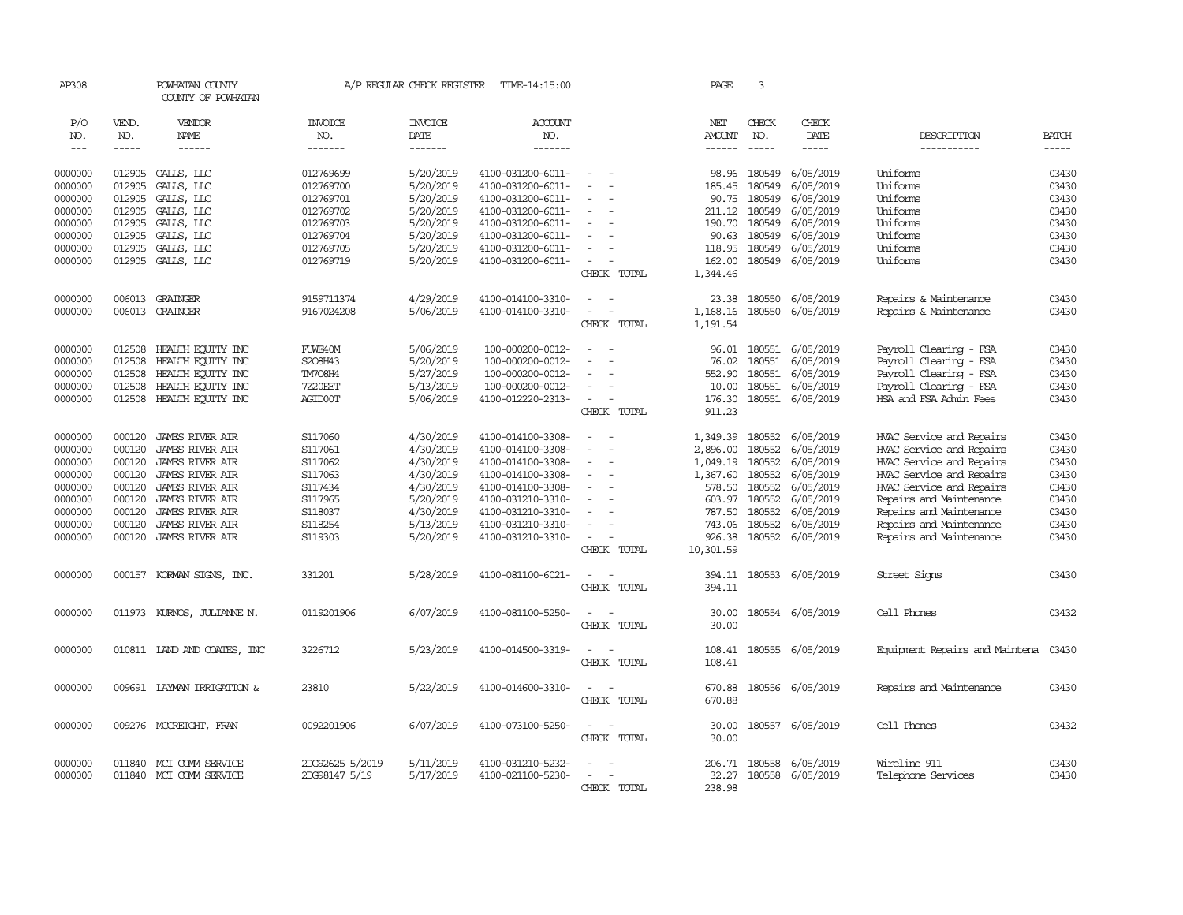| AP308   |        | POWHATAN COUNTY<br>COUNTY OF POWHATAN |                 | A/P REGULAR CHECK REGISTER | TIME-14:15:00     |                                      | PAGE           | 3             |                  |                                |              |
|---------|--------|---------------------------------------|-----------------|----------------------------|-------------------|--------------------------------------|----------------|---------------|------------------|--------------------------------|--------------|
| P/O     | VEND.  | VENDOR                                | <b>INVOICE</b>  | <b>INVOICE</b>             | ACCOUNT           |                                      | NET            | CHECK         | CHECK            |                                |              |
| NO.     | NO.    | NAME                                  | NO.             | DATE                       | NO.               |                                      | <b>AMOUNT</b>  | NO.           | DATE             | DESCRIPTION                    | <b>BATCH</b> |
| $---$   | -----  | $- - - - - -$                         | -------         | -------                    | -------           |                                      | ------         | $\frac{1}{2}$ | -----            | -----------                    | $- - - - -$  |
| 0000000 | 012905 | GALLS, LLC                            | 012769699       | 5/20/2019                  | 4100-031200-6011- | $\equiv$                             | 98.96          | 180549        | 6/05/2019        | Uniforms                       | 03430        |
| 0000000 | 012905 | GALLS, LLC                            | 012769700       | 5/20/2019                  | 4100-031200-6011- | $\equiv$                             | 185.45         | 180549        | 6/05/2019        | Uniforms                       | 03430        |
| 0000000 | 012905 | GALLS, LLC                            | 012769701       | 5/20/2019                  | 4100-031200-6011- |                                      | 90.75          | 180549        | 6/05/2019        | Uniforms                       | 03430        |
| 0000000 | 012905 | GALLS, LLC                            | 012769702       | 5/20/2019                  | 4100-031200-6011- | $\equiv$                             | 211.12         | 180549        | 6/05/2019        | Uniforms                       | 03430        |
| 0000000 | 012905 | GALLS, LLC                            | 012769703       | 5/20/2019                  | 4100-031200-6011- |                                      | 190.70         | 180549        | 6/05/2019        | Uniforms                       | 03430        |
| 0000000 | 012905 | GALLS, LLC                            | 012769704       | 5/20/2019                  | 4100-031200-6011- |                                      | 90.63          | 180549        | 6/05/2019        | Uniforms                       | 03430        |
| 0000000 | 012905 | GALLS, LLC                            | 012769705       | 5/20/2019                  | 4100-031200-6011- | $\equiv$                             | 118.95         | 180549        | 6/05/2019        | Uniforms                       | 03430        |
| 0000000 | 012905 | GALLS, LLC                            | 012769719       | 5/20/2019                  | 4100-031200-6011- | $\overline{\phantom{a}}$             | 162.00         | 180549        | 6/05/2019        | Uniforms                       | 03430        |
|         |        |                                       |                 |                            |                   | CHECK TOTAL                          | 1,344.46       |               |                  |                                |              |
| 0000000 | 006013 | GRAINGER                              | 9159711374      | 4/29/2019                  | 4100-014100-3310- | $\sim$                               | 23.38          | 180550        | 6/05/2019        | Repairs & Maintenance          | 03430        |
| 0000000 |        | 006013 GRAINGER                       | 9167024208      | 5/06/2019                  | 4100-014100-3310- | $\equiv$<br>$\overline{\phantom{a}}$ | 1,168.16       | 180550        | 6/05/2019        | Repairs & Maintenance          | 03430        |
|         |        |                                       |                 |                            |                   | CHECK TOTAL                          | 1,191.54       |               |                  |                                |              |
| 0000000 | 012508 | HEALTH ECUTTY INC                     | FUWE40M         | 5/06/2019                  | 100-000200-0012-  | $\equiv$                             | 96.01          | 180551        | 6/05/2019        | Payroll Clearing - FSA         | 03430        |
| 0000000 | 012508 | HEALTH ECUITY INC                     | S208H43         | 5/20/2019                  | 100-000200-0012-  |                                      | 76.02          | 180551        | 6/05/2019        | Payroll Clearing - FSA         | 03430        |
| 0000000 | 012508 | HEALTH ECUTTY INC                     | TM708H4         | 5/27/2019                  | 100-000200-0012-  | $\sim$                               | 552.90         | 180551        | 6/05/2019        | Payroll Clearing - FSA         | 03430        |
| 0000000 | 012508 | HEALTH EQUITY INC                     | 7Z20EET         | 5/13/2019                  | 100-000200-0012-  | $\equiv$                             | 10.00          | 180551        | 6/05/2019        | Payroll Clearing - FSA         | 03430        |
| 0000000 | 012508 | HEALTH ECUTTY INC                     | AGID00T         | 5/06/2019                  | 4100-012220-2313- | $\sim$                               | 176.30         |               | 180551 6/05/2019 | HSA and FSA Admin Fees         | 03430        |
|         |        |                                       |                 |                            |                   | CHECK TOTAL                          | 911.23         |               |                  |                                |              |
| 0000000 | 000120 | <b>JAMES RIVER AIR</b>                | S117060         | 4/30/2019                  | 4100-014100-3308- |                                      | 1,349.39       | 180552        | 6/05/2019        | HVAC Service and Repairs       | 03430        |
| 0000000 | 000120 | <b>JAMES RIVER AIR</b>                | S117061         | 4/30/2019                  | 4100-014100-3308- | $\equiv$<br>$\overline{\phantom{a}}$ | 2,896.00       | 180552        | 6/05/2019        | HVAC Service and Repairs       | 03430        |
| 0000000 | 000120 | <b>JAMES RIVER AIR</b>                | S117062         | 4/30/2019                  | 4100-014100-3308- | $\sim$                               | 1,049.19       | 180552        | 6/05/2019        | HVAC Service and Repairs       | 03430        |
| 0000000 | 000120 | <b>JAMES RIVER AIR</b>                | S117063         | 4/30/2019                  | 4100-014100-3308- | $\equiv$                             | 1,367.60       | 180552        | 6/05/2019        | HVAC Service and Repairs       | 03430        |
| 0000000 | 000120 | <b>JAMES RIVER AIR</b>                | S117434         | 4/30/2019                  | 4100-014100-3308- | $\equiv$                             | 578.50         | 180552        | 6/05/2019        | HVAC Service and Repairs       | 03430        |
| 0000000 | 000120 | <b>JAMES RIVER AIR</b>                | S117965         | 5/20/2019                  | 4100-031210-3310- | $\sim$                               | 603.97         | 180552        | 6/05/2019        | Repairs and Maintenance        | 03430        |
| 0000000 | 000120 | <b>JAMES RIVER AIR</b>                | S118037         | 4/30/2019                  | 4100-031210-3310- | $\equiv$                             | 787.50         | 180552        | 6/05/2019        | Repairs and Maintenance        | 03430        |
| 0000000 | 000120 | <b>JAMES RIVER AIR</b>                | S118254         | 5/13/2019                  | 4100-031210-3310- | $\equiv$                             | 743.06         | 180552        | 6/05/2019        | Repairs and Maintenance        | 03430        |
| 0000000 | 000120 | <b>JAMES RIVER AIR</b>                | S119303         | 5/20/2019                  | 4100-031210-3310- | $\sim$                               | 926.38         | 180552        | 6/05/2019        | Repairs and Maintenance        | 03430        |
|         |        |                                       |                 |                            |                   | CHECK TOTAL                          | 10,301.59      |               |                  |                                |              |
| 0000000 | 000157 | KORMAN SIGNS, INC.                    | 331201          | 5/28/2019                  | 4100-081100-6021- | $\overline{\phantom{a}}$             | 394.11         |               | 180553 6/05/2019 | Street Signs                   | 03430        |
|         |        |                                       |                 |                            |                   | CHECK TOTAL                          | 394.11         |               |                  |                                |              |
| 0000000 |        | 011973 KURNOS, JULIANNE N.            | 0119201906      | 6/07/2019                  | 4100-081100-5250- | $\sim$                               | 30.00          |               | 180554 6/05/2019 | Cell Phones                    | 03432        |
|         |        |                                       |                 |                            |                   | CHECK TOTAL                          | 30.00          |               |                  |                                |              |
| 0000000 |        | 010811 LAND AND COATES, INC           | 3226712         | 5/23/2019                  | 4100-014500-3319- | $\sim$<br>$\sim$                     | 108.41         |               | 180555 6/05/2019 | Equipment Repairs and Maintena | 03430        |
|         |        |                                       |                 |                            |                   | CHECK TOTAL                          | 108.41         |               |                  |                                |              |
| 0000000 |        | 009691 LAYMAN IRRIGATION &            | 23810           | 5/22/2019                  | 4100-014600-3310- | $\sim$<br>$\sim$                     | 670.88         |               | 180556 6/05/2019 |                                | 03430        |
|         |        |                                       |                 |                            |                   | CHECK TOTAL                          | 670.88         |               |                  | Repairs and Maintenance        |              |
|         |        |                                       |                 |                            |                   |                                      |                |               |                  |                                |              |
| 0000000 |        | 009276 MCCREIGHT, FRAN                | 0092201906      | 6/07/2019                  | 4100-073100-5250- | $\sim$ $  -$<br>CHECK TOTAL          | 30.00<br>30.00 |               | 180557 6/05/2019 | Cell Phones                    | 03432        |
|         |        |                                       |                 |                            |                   |                                      |                |               |                  |                                |              |
| 0000000 | 011840 | MCI COMM SERVICE                      | 2DG92625 5/2019 | 5/11/2019                  | 4100-031210-5232- |                                      | 206.71         | 180558        | 6/05/2019        | Wireline 911                   | 03430        |
| 0000000 |        | 011840 MCI COMM SERVICE               | 2DG98147 5/19   | 5/17/2019                  | 4100-021100-5230- | $\overline{\phantom{a}}$             | 32.27          |               | 180558 6/05/2019 | Telephone Services             | 03430        |
|         |        |                                       |                 |                            |                   | CHECK TOTAL                          | 238.98         |               |                  |                                |              |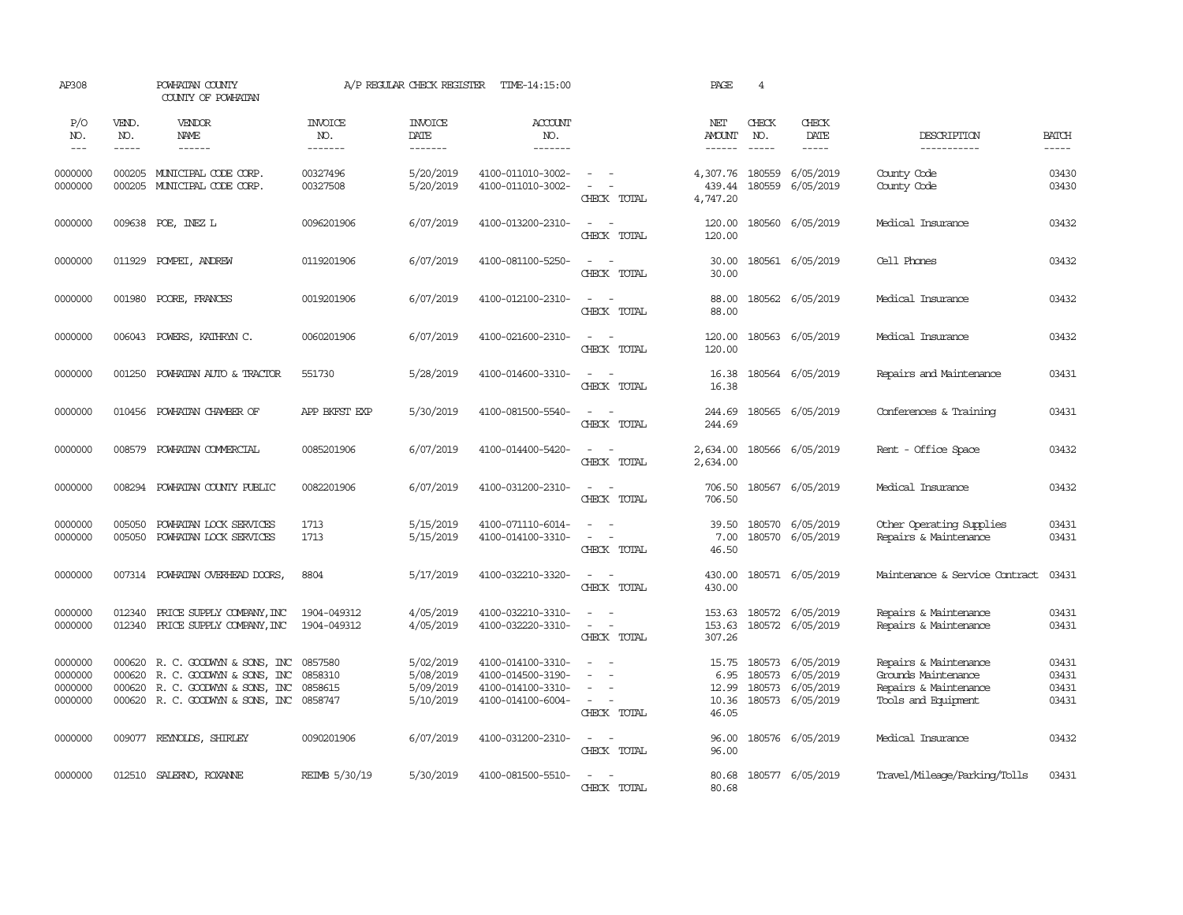| AP308                                    |                             | POWHATAN COUNTY<br>COUNTY OF POWHATAN                                                                                           |                                  | A/P REGULAR CHECK REGISTER                       | TIME-14:15:00                                                                    |                                                                       | PAGE                                     | 4                             |                                                         |                                                                                              |                                  |
|------------------------------------------|-----------------------------|---------------------------------------------------------------------------------------------------------------------------------|----------------------------------|--------------------------------------------------|----------------------------------------------------------------------------------|-----------------------------------------------------------------------|------------------------------------------|-------------------------------|---------------------------------------------------------|----------------------------------------------------------------------------------------------|----------------------------------|
| P/O<br>NO.<br>$---$                      | VEND.<br>NO.<br>$- - - - -$ | VENDOR<br>NAME<br>$- - - - - -$                                                                                                 | <b>INVOICE</b><br>NO.<br>------- | <b>INVOICE</b><br>DATE<br>--------               | <b>ACCOUNT</b><br>NO.<br>--------                                                |                                                                       | NET<br><b>AMOUNT</b><br>------           | CHECK<br>NO.<br>$\frac{1}{2}$ | CHECK<br>DATE<br>$- - - - -$                            | DESCRIPTION<br>-----------                                                                   | <b>BATCH</b><br>-----            |
| 0000000<br>0000000                       | 000205                      | 000205 MUNICIPAL CODE CORP.<br>MUNICIPAL CODE CORP.                                                                             | 00327496<br>00327508             | 5/20/2019<br>5/20/2019                           | 4100-011010-3002-<br>4100-011010-3002-                                           | $\sim$<br>$\sim$<br>$\sim$<br>$\overline{\phantom{a}}$<br>CHECK TOTAL | 4,307.76<br>439.44<br>4,747.20           | 180559<br>180559              | 6/05/2019<br>6/05/2019                                  | County Code<br>County Code                                                                   | 03430<br>03430                   |
| 0000000                                  |                             | 009638 POE, INEZ L                                                                                                              | 0096201906                       | 6/07/2019                                        | 4100-013200-2310-                                                                | $\sim$<br>$\overline{\phantom{a}}$<br>CHECK TOTAL                     | 120.00<br>120.00                         |                               | 180560 6/05/2019                                        | Medical Insurance                                                                            | 03432                            |
| 0000000                                  | 011929                      | POMPEI, ANDREW                                                                                                                  | 0119201906                       | 6/07/2019                                        | 4100-081100-5250-                                                                | $\overline{\phantom{a}}$<br>$\sim$<br>CHECK TOTAL                     | 30.00<br>30.00                           |                               | 180561 6/05/2019                                        | Cell Phones                                                                                  | 03432                            |
| 0000000                                  | 001980                      | POORE, FRANCES                                                                                                                  | 0019201906                       | 6/07/2019                                        | 4100-012100-2310-                                                                | $\sim$<br>$\sim$<br>CHECK TOTAL                                       | 88.00<br>88.00                           |                               | 180562 6/05/2019                                        | Medical Insurance                                                                            | 03432                            |
| 0000000                                  | 006043                      | POWERS, KATHRYN C.                                                                                                              | 0060201906                       | 6/07/2019                                        | 4100-021600-2310-                                                                | $\sim$<br>$\sim$<br>CHECK TOTAL                                       | 120.00<br>120.00                         |                               | 180563 6/05/2019                                        | Medical Insurance                                                                            | 03432                            |
| 0000000                                  | 001250                      | POWHATAN AUTO & TRACTOR                                                                                                         | 551730                           | 5/28/2019                                        | 4100-014600-3310-                                                                | $\sim$<br>$\sim$<br>CHECK TOTAL                                       | 16.38<br>16.38                           |                               | 180564 6/05/2019                                        | Repairs and Maintenance                                                                      | 03431                            |
| 0000000                                  |                             | 010456 POWHATAN CHAMBER OF                                                                                                      | APP BKFST EXP                    | 5/30/2019                                        | 4100-081500-5540-                                                                | $\sim$ $ \sim$<br>CHECK TOTAL                                         | 244.69<br>244.69                         |                               | 180565 6/05/2019                                        | Conferences & Training                                                                       | 03431                            |
| 0000000                                  |                             | 008579 POWHATAN COMMERCIAL                                                                                                      | 0085201906                       | 6/07/2019                                        | 4100-014400-5420-                                                                | $\sim$ $ \sim$<br>CHECK TOTAL                                         | 2,634.00<br>2,634.00                     |                               | 180566 6/05/2019                                        | Rent - Office Space                                                                          | 03432                            |
| 0000000                                  | 008294                      | POWHATAN COUNTY PUBLIC                                                                                                          | 0082201906                       | 6/07/2019                                        | 4100-031200-2310-                                                                | $\sim$<br>$\sim$<br>CHECK TOTAL                                       | 706.50<br>706.50                         |                               | 180567 6/05/2019                                        | Medical Insurance                                                                            | 03432                            |
| 0000000<br>0000000                       | 005050<br>005050            | POWHATAN LOCK SERVICES<br>POWHATAN LOCK SERVICES                                                                                | 1713<br>1713                     | 5/15/2019<br>5/15/2019                           | 4100-071110-6014-<br>4100-014100-3310-                                           | $\equiv$<br>$\sim$<br>$\sim$<br>$\sim$ $-$<br>CHECK TOTAL             | 39.50<br>7.00<br>46.50                   |                               | 180570 6/05/2019<br>180570 6/05/2019                    | Other Operating Supplies<br>Repairs & Maintenance                                            | 03431<br>03431                   |
| 0000000                                  |                             | 007314 POWHATAN OVERHEAD DOORS,                                                                                                 | 8804                             | 5/17/2019                                        | 4100-032210-3320-                                                                | $\sim$<br>$\sim$<br>CHECK TOTAL                                       | 430.00<br>430.00                         |                               | 180571 6/05/2019                                        | Maintenance & Service Contract                                                               | 03431                            |
| 0000000<br>0000000                       | 012340<br>012340            | PRICE SUPPLY COMPANY, INC<br>PRICE SUPPLY COMPANY, INC                                                                          | 1904-049312<br>1904-049312       | 4/05/2019<br>4/05/2019                           | 4100-032210-3310-<br>4100-032220-3310-                                           | $\sim$<br>$\sim$<br>$\sim$<br>$\sim$<br>CHECK TOTAL                   | 153.63<br>153.63<br>307.26               |                               | 180572 6/05/2019<br>180572 6/05/2019                    | Repairs & Maintenance<br>Repairs & Maintenance                                               | 03431<br>03431                   |
| 0000000<br>0000000<br>0000000<br>0000000 | 000620<br>000620<br>000620  | R. C. GOODWIN & SONS, INC<br>R. C. GOODWIN & SONS, INC<br>R. C. GOODWIN & SONS, INC<br>000620 R. C. GOODWIN & SONS, INC 0858747 | 0857580<br>0858310<br>0858615    | 5/02/2019<br>5/08/2019<br>5/09/2019<br>5/10/2019 | 4100-014100-3310-<br>4100-014500-3190-<br>4100-014100-3310-<br>4100-014100-6004- | $\sim$<br>- -<br>$\equiv$<br>$\sim$<br>$\sim$<br>CHECK TOTAL          | 15.75<br>6.95<br>12.99<br>10.36<br>46.05 | 180573<br>180573<br>180573    | 6/05/2019<br>6/05/2019<br>6/05/2019<br>180573 6/05/2019 | Repairs & Maintenance<br>Grounds Maintenance<br>Repairs & Maintenance<br>Tools and Equipment | 03431<br>03431<br>03431<br>03431 |
| 0000000                                  |                             | 009077 REYNOLDS, SHIRLEY                                                                                                        | 0090201906                       | 6/07/2019                                        | 4100-031200-2310-                                                                | $\sim 100$ km s $^{-1}$<br>CHECK TOTAL                                | 96.00<br>96.00                           |                               | 180576 6/05/2019                                        | Medical Insurance                                                                            | 03432                            |
| 0000000                                  |                             | 012510 SALERNO, ROXANNE                                                                                                         | REIMB 5/30/19                    | 5/30/2019                                        | 4100-081500-5510-                                                                | $\overline{\phantom{a}}$<br>$\sim$<br>CHECK TOTAL                     | 80.68<br>80.68                           |                               | 180577 6/05/2019                                        | Travel/Mileage/Parking/Tolls                                                                 | 03431                            |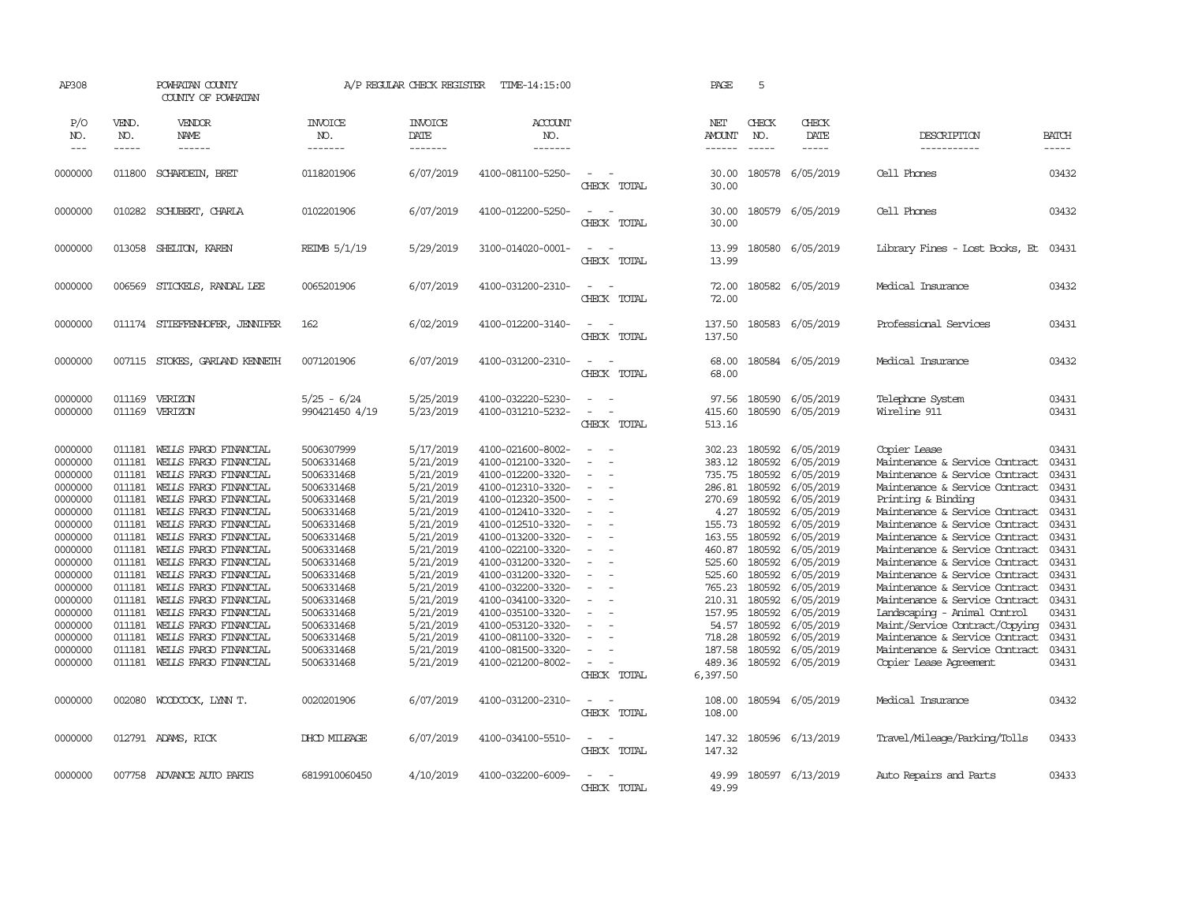| AP308                                                                                                                                                                                              |                                                                                                                                                                                  | POWHATAN COUNTY<br>COUNTY OF POWHATAN                                                                                                                                                                                                                                                                                                                                                                                                                          |                                                                                                                                                                                                                                                          | A/P REGULAR CHECK REGISTER                                                                                                                                                                                                             | TIME-14:15:00                                                                                                                                                                                                                                                                                                                                                                          |                                                                                                                            | PAGE                                                                                                                                                                                      | 5                                                                                                                                                                                                                                                                                                                                                                                                            |                                                                                                                                                                                                                                               |                                                                                                                                                                                                                                                                                                                                                                                                                                                                                                                                                                                          |                                                                                                                                                                |
|----------------------------------------------------------------------------------------------------------------------------------------------------------------------------------------------------|----------------------------------------------------------------------------------------------------------------------------------------------------------------------------------|----------------------------------------------------------------------------------------------------------------------------------------------------------------------------------------------------------------------------------------------------------------------------------------------------------------------------------------------------------------------------------------------------------------------------------------------------------------|----------------------------------------------------------------------------------------------------------------------------------------------------------------------------------------------------------------------------------------------------------|----------------------------------------------------------------------------------------------------------------------------------------------------------------------------------------------------------------------------------------|----------------------------------------------------------------------------------------------------------------------------------------------------------------------------------------------------------------------------------------------------------------------------------------------------------------------------------------------------------------------------------------|----------------------------------------------------------------------------------------------------------------------------|-------------------------------------------------------------------------------------------------------------------------------------------------------------------------------------------|--------------------------------------------------------------------------------------------------------------------------------------------------------------------------------------------------------------------------------------------------------------------------------------------------------------------------------------------------------------------------------------------------------------|-----------------------------------------------------------------------------------------------------------------------------------------------------------------------------------------------------------------------------------------------|------------------------------------------------------------------------------------------------------------------------------------------------------------------------------------------------------------------------------------------------------------------------------------------------------------------------------------------------------------------------------------------------------------------------------------------------------------------------------------------------------------------------------------------------------------------------------------------|----------------------------------------------------------------------------------------------------------------------------------------------------------------|
| P/O<br>NO.<br>$---$                                                                                                                                                                                | VEND.<br>NO.<br>$- - - - -$                                                                                                                                                      | VENDOR<br><b>NAME</b>                                                                                                                                                                                                                                                                                                                                                                                                                                          | <b>INVOICE</b><br>NO.<br>-------                                                                                                                                                                                                                         | <b>INVOICE</b><br><b>DATE</b><br>-------                                                                                                                                                                                               | ACCOUNT<br>NO.<br>-------                                                                                                                                                                                                                                                                                                                                                              |                                                                                                                            | NET<br>AMOUNT<br>------                                                                                                                                                                   | CHECK<br>NO.<br>$\frac{1}{2} \frac{1}{2} \frac{1}{2} \frac{1}{2} \frac{1}{2} \frac{1}{2} \frac{1}{2} \frac{1}{2} \frac{1}{2} \frac{1}{2} \frac{1}{2} \frac{1}{2} \frac{1}{2} \frac{1}{2} \frac{1}{2} \frac{1}{2} \frac{1}{2} \frac{1}{2} \frac{1}{2} \frac{1}{2} \frac{1}{2} \frac{1}{2} \frac{1}{2} \frac{1}{2} \frac{1}{2} \frac{1}{2} \frac{1}{2} \frac{1}{2} \frac{1}{2} \frac{1}{2} \frac{1}{2} \frac{$ | CHECK<br>DATE<br>$- - - - -$                                                                                                                                                                                                                  | DESCRIPTION<br>-----------                                                                                                                                                                                                                                                                                                                                                                                                                                                                                                                                                               | <b>BATCH</b><br>-----                                                                                                                                          |
| 0000000                                                                                                                                                                                            | 011800                                                                                                                                                                           | SCHARDEIN, BRET                                                                                                                                                                                                                                                                                                                                                                                                                                                | 0118201906                                                                                                                                                                                                                                               | 6/07/2019                                                                                                                                                                                                                              | 4100-081100-5250-                                                                                                                                                                                                                                                                                                                                                                      | $\overline{\phantom{a}}$<br>CHECK TOTAL                                                                                    | 30.00<br>30.00                                                                                                                                                                            | 180578                                                                                                                                                                                                                                                                                                                                                                                                       | 6/05/2019                                                                                                                                                                                                                                     | Cell Phones                                                                                                                                                                                                                                                                                                                                                                                                                                                                                                                                                                              | 03432                                                                                                                                                          |
| 0000000                                                                                                                                                                                            | 010282                                                                                                                                                                           | SCHUBERT, CHARLA                                                                                                                                                                                                                                                                                                                                                                                                                                               | 0102201906                                                                                                                                                                                                                                               | 6/07/2019                                                                                                                                                                                                                              | 4100-012200-5250-                                                                                                                                                                                                                                                                                                                                                                      | $\overline{\phantom{a}}$<br>CHECK TOTAL                                                                                    | 30.00<br>30.00                                                                                                                                                                            |                                                                                                                                                                                                                                                                                                                                                                                                              | 180579 6/05/2019                                                                                                                                                                                                                              | Cell Phones                                                                                                                                                                                                                                                                                                                                                                                                                                                                                                                                                                              | 03432                                                                                                                                                          |
| 0000000                                                                                                                                                                                            | 013058                                                                                                                                                                           | SHELTON, KAREN                                                                                                                                                                                                                                                                                                                                                                                                                                                 | REIMB 5/1/19                                                                                                                                                                                                                                             | 5/29/2019                                                                                                                                                                                                                              | 3100-014020-0001-                                                                                                                                                                                                                                                                                                                                                                      | $\sim$<br>. —<br>CHECK TOTAL                                                                                               | 13.99<br>13.99                                                                                                                                                                            |                                                                                                                                                                                                                                                                                                                                                                                                              | 180580 6/05/2019                                                                                                                                                                                                                              | Library Fines - Lost Books, Et                                                                                                                                                                                                                                                                                                                                                                                                                                                                                                                                                           | 03431                                                                                                                                                          |
| 0000000                                                                                                                                                                                            | 006569                                                                                                                                                                           | STICKELS, RANDAL LEE                                                                                                                                                                                                                                                                                                                                                                                                                                           | 0065201906                                                                                                                                                                                                                                               | 6/07/2019                                                                                                                                                                                                                              | 4100-031200-2310-                                                                                                                                                                                                                                                                                                                                                                      | $\overline{\phantom{a}}$<br>- -<br>CHECK TOTAL                                                                             | 72.00<br>72.00                                                                                                                                                                            |                                                                                                                                                                                                                                                                                                                                                                                                              | 180582 6/05/2019                                                                                                                                                                                                                              | Medical Insurance                                                                                                                                                                                                                                                                                                                                                                                                                                                                                                                                                                        | 03432                                                                                                                                                          |
| 0000000                                                                                                                                                                                            |                                                                                                                                                                                  | 011174 STIEFFENHOFER, JENNIFER                                                                                                                                                                                                                                                                                                                                                                                                                                 | 162                                                                                                                                                                                                                                                      | 6/02/2019                                                                                                                                                                                                                              | 4100-012200-3140-                                                                                                                                                                                                                                                                                                                                                                      | $\sim$<br>- 1<br>CHECK TOTAL                                                                                               | 137.50<br>137.50                                                                                                                                                                          | 180583                                                                                                                                                                                                                                                                                                                                                                                                       | 6/05/2019                                                                                                                                                                                                                                     | Professional Services                                                                                                                                                                                                                                                                                                                                                                                                                                                                                                                                                                    | 03431                                                                                                                                                          |
| 0000000                                                                                                                                                                                            |                                                                                                                                                                                  | 007115 STOKES, GARLAND KENNETH                                                                                                                                                                                                                                                                                                                                                                                                                                 | 0071201906                                                                                                                                                                                                                                               | 6/07/2019                                                                                                                                                                                                                              | 4100-031200-2310-                                                                                                                                                                                                                                                                                                                                                                      | $\sim$<br>$\overline{\phantom{a}}$<br>CHECK TOTAL                                                                          | 68.00<br>68.00                                                                                                                                                                            |                                                                                                                                                                                                                                                                                                                                                                                                              | 180584 6/05/2019                                                                                                                                                                                                                              | Medical Insurance                                                                                                                                                                                                                                                                                                                                                                                                                                                                                                                                                                        | 03432                                                                                                                                                          |
| 0000000<br>0000000                                                                                                                                                                                 | 011169<br>011169                                                                                                                                                                 | VERIZON<br>VERIZON                                                                                                                                                                                                                                                                                                                                                                                                                                             | 5/25 - 6/24<br>990421450 4/19                                                                                                                                                                                                                            | 5/25/2019<br>5/23/2019                                                                                                                                                                                                                 | 4100-032220-5230-<br>4100-031210-5232-                                                                                                                                                                                                                                                                                                                                                 | $\overline{\phantom{a}}$<br>$\sim$<br>$\sim$<br>CHECK TOTAL                                                                | 97.56<br>415.60<br>513.16                                                                                                                                                                 | 180590<br>180590                                                                                                                                                                                                                                                                                                                                                                                             | 6/05/2019<br>6/05/2019                                                                                                                                                                                                                        | Telephone System<br>Wireline 911                                                                                                                                                                                                                                                                                                                                                                                                                                                                                                                                                         | 03431<br>03431                                                                                                                                                 |
| 0000000<br>0000000<br>0000000<br>0000000<br>0000000<br>0000000<br>0000000<br>0000000<br>0000000<br>0000000<br>0000000<br>0000000<br>0000000<br>0000000<br>0000000<br>0000000<br>0000000<br>0000000 | 011181<br>011181<br>011181<br>011181<br>011181<br>011181<br>011181<br>011181<br>011181<br>011181<br>011181<br>011181<br>011181<br>011181<br>011181<br>011181<br>011181<br>011181 | WELLS FARGO FINANCIAL<br>WELLS FARGO FINANCIAL<br>WELLS FARGO FINANCIAL<br>WEILS FARGO FINANCIAL<br>WELLS FARGO FINANCIAL<br>WELLS FARGO FINANCIAL<br>WELLS FARGO FINANCIAL<br>WELLS FARGO FINANCIAL<br>WELLS FARGO FINANCIAL<br>WELLS FARGO FINANCIAL<br>WELLS FARGO FINANCIAL<br>WELLS FARGO FINANCIAL<br>WELLS FARGO FINANCIAL<br>WELLS FARGO FINANCIAL<br>WEILS FARGO FINANCIAL<br>WELLS FARGO FINANCIAL<br>WELLS FARGO FINANCIAL<br>WEILS FARGO FINANCIAL | 5006307999<br>5006331468<br>5006331468<br>5006331468<br>5006331468<br>5006331468<br>5006331468<br>5006331468<br>5006331468<br>5006331468<br>5006331468<br>5006331468<br>5006331468<br>5006331468<br>5006331468<br>5006331468<br>5006331468<br>5006331468 | 5/17/2019<br>5/21/2019<br>5/21/2019<br>5/21/2019<br>5/21/2019<br>5/21/2019<br>5/21/2019<br>5/21/2019<br>5/21/2019<br>5/21/2019<br>5/21/2019<br>5/21/2019<br>5/21/2019<br>5/21/2019<br>5/21/2019<br>5/21/2019<br>5/21/2019<br>5/21/2019 | 4100-021600-8002-<br>4100-012100-3320-<br>4100-012200-3320-<br>4100-012310-3320-<br>4100-012320-3500-<br>4100-012410-3320-<br>4100-012510-3320-<br>4100-013200-3320-<br>4100-022100-3320-<br>4100-031200-3320-<br>4100-031200-3320-<br>4100-032200-3320-<br>4100-034100-3320-<br>4100-035100-3320-<br>4100-053120-3320-<br>4100-081100-3320-<br>4100-081500-3320-<br>4100-021200-8002- | $\sim$<br>$\blacksquare$<br>÷<br>$\sim$<br>$\sim$<br>$\equiv$<br>$\blacksquare$<br>$\sim$<br>$\overline{a}$<br>CHECK TOTAL | 302.23<br>383.12<br>735.75<br>286.81<br>270.69<br>4.27<br>155.73<br>163.55<br>460.87<br>525.60<br>525.60<br>765.23<br>210.31<br>157.95<br>54.57<br>718.28<br>187.58<br>489.36<br>6,397.50 | 180592<br>180592<br>180592<br>180592<br>180592<br>180592<br>180592<br>180592<br>180592<br>180592<br>180592<br>180592<br>180592<br>180592<br>180592<br>180592<br>180592                                                                                                                                                                                                                                       | 6/05/2019<br>6/05/2019<br>6/05/2019<br>6/05/2019<br>6/05/2019<br>6/05/2019<br>6/05/2019<br>6/05/2019<br>6/05/2019<br>6/05/2019<br>6/05/2019<br>6/05/2019<br>6/05/2019<br>6/05/2019<br>6/05/2019<br>6/05/2019<br>6/05/2019<br>180592 6/05/2019 | Copier Lease<br>Maintenance & Service Contract<br>Maintenance & Service Contract<br>Maintenance & Service Contract<br>Printing & Binding<br>Maintenance & Service Contract<br>Maintenance & Service Contract<br>Maintenance & Service Contract<br>Maintenance & Service Contract<br>Maintenance & Service Contract<br>Maintenance & Service Contract<br>Maintenance & Service Contract<br>Maintenance & Service Contract<br>Landscaping - Animal Control<br>Maint/Service Contract/Copying<br>Maintenance & Service Contract<br>Maintenance & Service Contract<br>Copier Lease Agreement | 03431<br>03431<br>03431<br>03431<br>03431<br>03431<br>03431<br>03431<br>03431<br>03431<br>03431<br>03431<br>03431<br>03431<br>03431<br>03431<br>03431<br>03431 |
| 0000000                                                                                                                                                                                            | 002080                                                                                                                                                                           | WOODCOCK, LYNN T.                                                                                                                                                                                                                                                                                                                                                                                                                                              | 0020201906                                                                                                                                                                                                                                               | 6/07/2019                                                                                                                                                                                                                              | 4100-031200-2310-                                                                                                                                                                                                                                                                                                                                                                      | $\overline{\phantom{a}}$<br>. —<br>CHECK TOTAL                                                                             | 108.00<br>108.00                                                                                                                                                                          |                                                                                                                                                                                                                                                                                                                                                                                                              | 180594 6/05/2019                                                                                                                                                                                                                              | Medical Insurance                                                                                                                                                                                                                                                                                                                                                                                                                                                                                                                                                                        | 03432                                                                                                                                                          |
| 0000000                                                                                                                                                                                            |                                                                                                                                                                                  | 012791 ADAMS, RICK                                                                                                                                                                                                                                                                                                                                                                                                                                             | DHCD MILEAGE                                                                                                                                                                                                                                             | 6/07/2019                                                                                                                                                                                                                              | 4100-034100-5510-                                                                                                                                                                                                                                                                                                                                                                      | $\equiv$<br>$\overline{\phantom{a}}$<br>CHECK TOTAL                                                                        | 147.32<br>147.32                                                                                                                                                                          |                                                                                                                                                                                                                                                                                                                                                                                                              | 180596 6/13/2019                                                                                                                                                                                                                              | Travel/Mileage/Parking/Tolls                                                                                                                                                                                                                                                                                                                                                                                                                                                                                                                                                             | 03433                                                                                                                                                          |
| 0000000                                                                                                                                                                                            | 007758                                                                                                                                                                           | ADVANCE AUTO PARTS                                                                                                                                                                                                                                                                                                                                                                                                                                             | 6819910060450                                                                                                                                                                                                                                            | 4/10/2019                                                                                                                                                                                                                              | 4100-032200-6009-                                                                                                                                                                                                                                                                                                                                                                      | $\equiv$<br>$\overline{\phantom{a}}$<br>CHECK TOTAL                                                                        | 49.99<br>49.99                                                                                                                                                                            |                                                                                                                                                                                                                                                                                                                                                                                                              | 180597 6/13/2019                                                                                                                                                                                                                              | Auto Repairs and Parts                                                                                                                                                                                                                                                                                                                                                                                                                                                                                                                                                                   | 03433                                                                                                                                                          |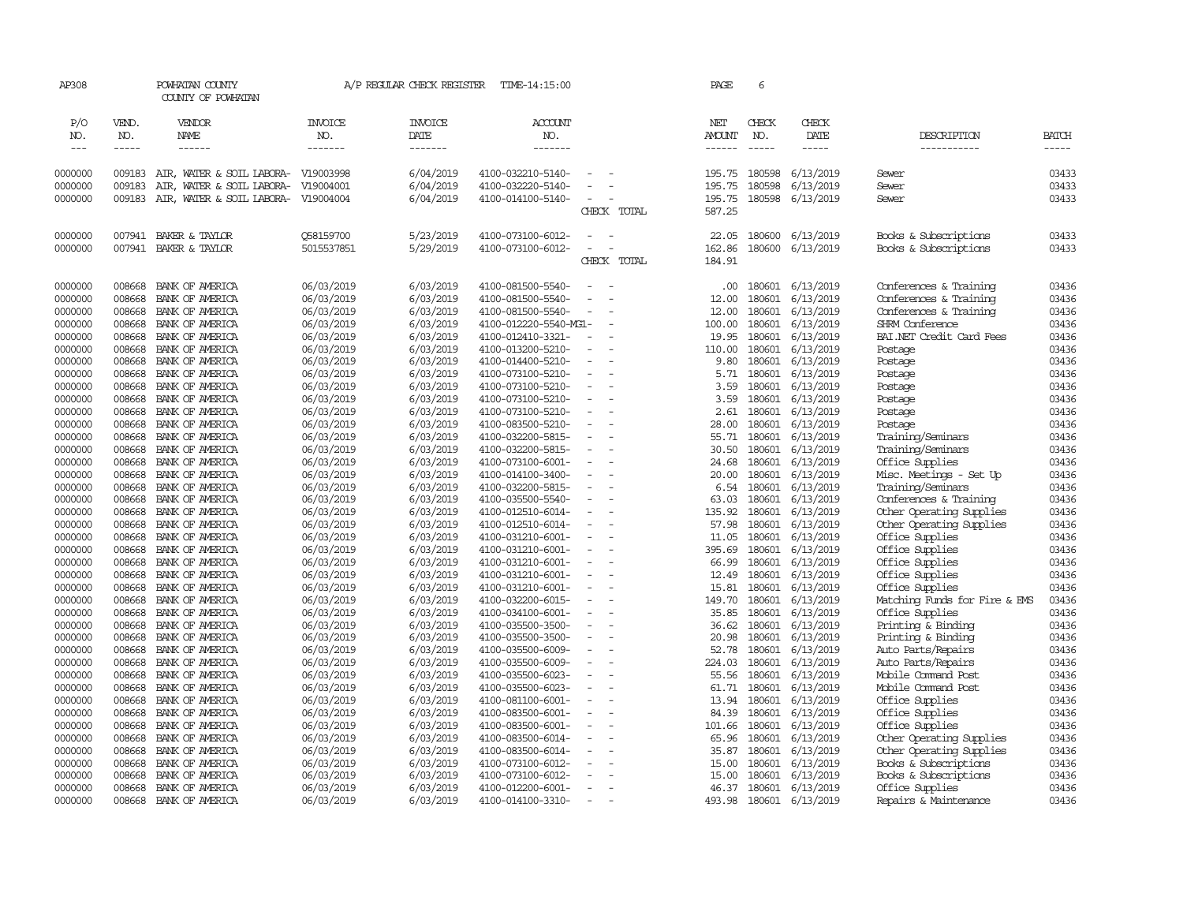| AP308                       |                       | POWHATAN COUNTY<br>COUNTY OF POWHATAN                            |                                  | A/P REGULAR CHECK REGISTER        | TIME-14:15:00                          |                          |             | PAGE                           | 6                           |                        |                               |                             |
|-----------------------------|-----------------------|------------------------------------------------------------------|----------------------------------|-----------------------------------|----------------------------------------|--------------------------|-------------|--------------------------------|-----------------------------|------------------------|-------------------------------|-----------------------------|
| P/O<br>NO.<br>$\frac{1}{2}$ | VEND.<br>NO.<br>----- | VENDOR<br>NAME<br>------                                         | <b>INVOICE</b><br>NO.<br>------- | <b>INVOICE</b><br>DATE<br>------- | <b>ACCOUNT</b><br>NO.<br>-------       |                          |             | NET<br><b>AMOUNT</b><br>------ | CHECK<br>NO.<br>$- - - - -$ | CHECK<br>DATE<br>----- | DESCRIPTION<br>-----------    | <b>BATCH</b><br>$- - - - -$ |
|                             | 009183                |                                                                  |                                  | 6/04/2019                         |                                        | $\overline{\phantom{a}}$ |             |                                | 180598                      |                        |                               | 03433                       |
| 0000000                     |                       | AIR, WATER & SOIL LABORA- V19003998                              |                                  |                                   | 4100-032210-5140-                      | $\equiv$                 |             | 195.75                         |                             | 6/13/2019              | Sewer                         | 03433                       |
| 0000000<br>0000000          | 009183<br>009183      | AIR, WATER & SOIL LABORA-<br>AIR, WATER & SOIL LABORA- V19004004 | V19004001                        | 6/04/2019<br>6/04/2019            | 4100-032220-5140-<br>4100-014100-5140- | $\overline{\phantom{a}}$ |             | 195.75<br>195.75               | 180598<br>180598            | 6/13/2019<br>6/13/2019 | Sewer<br>Sewer                | 03433                       |
|                             |                       |                                                                  |                                  |                                   |                                        |                          | CHECK TOTAL | 587.25                         |                             |                        |                               |                             |
| 0000000                     | 007941                | BAKER & TAYLOR                                                   | 058159700                        | 5/23/2019                         | 4100-073100-6012-                      | $\equiv$                 |             | 22.05                          | 180600                      | 6/13/2019              | Books & Subscriptions         | 03433                       |
| 0000000                     | 007941                | BAKER & TAYLOR                                                   | 5015537851                       | 5/29/2019                         | 4100-073100-6012-                      | $\equiv$                 |             | 162.86                         | 180600                      | 6/13/2019              | Books & Subscriptions         | 03433                       |
|                             |                       |                                                                  |                                  |                                   |                                        |                          | CHECK TOTAL | 184.91                         |                             |                        |                               |                             |
| 0000000                     | 008668                | BANK OF AMERICA                                                  | 06/03/2019                       | 6/03/2019                         | 4100-081500-5540-                      | $\equiv$                 |             | .00                            |                             | 180601 6/13/2019       | Conferences & Training        | 03436                       |
| 0000000                     | 008668                | BANK OF AMERICA                                                  | 06/03/2019                       | 6/03/2019                         | 4100-081500-5540-                      |                          |             | 12.00                          | 180601                      | 6/13/2019              | Conferences & Training        | 03436                       |
| 0000000                     | 008668                | BANK OF AMERICA                                                  | 06/03/2019                       | 6/03/2019                         | 4100-081500-5540-                      | $\sim$                   |             | 12.00                          | 180601                      | 6/13/2019              | Conferences & Training        | 03436                       |
| 0000000                     | 008668                | BANK OF AMERICA                                                  | 06/03/2019                       | 6/03/2019                         | 4100-012220-5540-MG1-                  |                          |             | 100.00                         | 180601                      | 6/13/2019              | SHRM Conference               | 03436                       |
| 0000000                     | 008668                | BANK OF AMERICA                                                  | 06/03/2019                       | 6/03/2019                         | 4100-012410-3321-                      |                          |             | 19.95                          | 180601                      | 6/13/2019              | BAI.NET Credit Card Fees      | 03436                       |
| 0000000                     | 008668                | BANK OF AMERICA                                                  | 06/03/2019                       | 6/03/2019                         | 4100-013200-5210-                      | $\equiv$                 |             | 110.00                         | 180601                      | 6/13/2019              | Postage                       | 03436                       |
| 0000000                     | 008668                | BANK OF AMERICA                                                  | 06/03/2019                       | 6/03/2019                         | 4100-014400-5210-                      | $\equiv$                 |             | 9.80                           | 180601                      | 6/13/2019              | Postage                       | 03436                       |
| 0000000                     | 008668                | BANK OF AMERICA                                                  | 06/03/2019                       | 6/03/2019                         | 4100-073100-5210-                      | $\blacksquare$           |             | 5.71                           | 180601                      | 6/13/2019              | Postage                       | 03436                       |
| 0000000                     | 008668                | BANK OF AMERICA                                                  | 06/03/2019                       | 6/03/2019                         | 4100-073100-5210-                      |                          |             | 3.59                           | 180601                      | 6/13/2019              | Postage                       | 03436                       |
| 0000000                     | 008668                | BANK OF AMERICA                                                  | 06/03/2019                       | 6/03/2019                         | 4100-073100-5210-                      | $\blacksquare$           |             | 3.59                           | 180601                      | 6/13/2019              | Postage                       | 03436                       |
| 0000000                     | 008668                | BANK OF AMERICA                                                  | 06/03/2019                       | 6/03/2019                         | 4100-073100-5210-                      | $\sim$                   |             | 2.61                           | 180601                      | 6/13/2019              | Postage                       | 03436                       |
| 0000000                     | 008668                | BANK OF AMERICA                                                  | 06/03/2019                       | 6/03/2019                         | 4100-083500-5210-                      | $\equiv$                 |             | 28.00                          | 180601                      | 6/13/2019              | Postage                       | 03436                       |
| 0000000                     | 008668                | BANK OF AMERICA                                                  | 06/03/2019                       | 6/03/2019                         | 4100-032200-5815-                      | $\sim$                   |             |                                | 55.71 180601                | 6/13/2019              | Training/Seminars             | 03436                       |
| 0000000                     | 008668                | BANK OF AMERICA                                                  | 06/03/2019                       | 6/03/2019                         | 4100-032200-5815-                      | $\overline{\phantom{a}}$ |             | 30.50                          | 180601                      | 6/13/2019              | Training/Seminars             | 03436                       |
| 0000000                     | 008668                | BANK OF AMERICA                                                  | 06/03/2019                       | 6/03/2019                         | 4100-073100-6001-                      | $\equiv$                 |             | 24.68                          | 180601                      | 6/13/2019              | Office Supplies               | 03436                       |
| 0000000                     | 008668                | BANK OF AMERICA                                                  | 06/03/2019                       | 6/03/2019                         | 4100-014100-3400-                      | $\equiv$                 |             | 20.00                          | 180601                      | 6/13/2019              | Misc. Meetings - Set Up       | 03436                       |
| 0000000                     | 008668                | BANK OF AMERICA                                                  | 06/03/2019                       | 6/03/2019                         | 4100-032200-5815-                      | $\equiv$                 |             | 6.54                           | 180601                      | 6/13/2019              | Training/Seminars             | 03436                       |
| 0000000                     | 008668                | BANK OF AMERICA                                                  | 06/03/2019                       | 6/03/2019                         | 4100-035500-5540-                      | $\blacksquare$           |             | 63.03                          | 180601                      | 6/13/2019              | Conferences & Training        | 03436                       |
| 0000000                     | 008668                | BANK OF AMERICA                                                  | 06/03/2019                       | 6/03/2019                         | 4100-012510-6014-                      | $\blacksquare$           |             | 135.92                         | 180601                      | 6/13/2019              | Other Operating Supplies      | 03436                       |
| 0000000                     | 008668                | BANK OF AMERICA                                                  | 06/03/2019                       | 6/03/2019                         | 4100-012510-6014-                      |                          |             | 57.98                          | 180601                      | 6/13/2019              | Other Operating Supplies      | 03436                       |
| 0000000                     | 008668                | BANK OF AMERICA                                                  | 06/03/2019                       | 6/03/2019                         | 4100-031210-6001-                      | $\sim$                   |             | 11.05                          | 180601                      | 6/13/2019              | Office Supplies               | 03436                       |
| 0000000                     | 008668                | BANK OF AMERICA                                                  | 06/03/2019                       | 6/03/2019                         | 4100-031210-6001-                      | $\sim$                   |             | 395.69                         | 180601                      | 6/13/2019              | Office Supplies               | 03436                       |
| 0000000                     | 008668                | BANK OF AMERICA                                                  | 06/03/2019                       | 6/03/2019                         | 4100-031210-6001-                      | $\equiv$                 |             | 66.99                          | 180601                      | 6/13/2019              | Office Supplies               | 03436                       |
| 0000000                     | 008668                | BANK OF AMERICA                                                  | 06/03/2019                       | 6/03/2019                         | 4100-031210-6001-                      | $\sim$                   |             | 12.49                          | 180601                      | 6/13/2019              | Office Supplies               | 03436                       |
| 0000000                     | 008668                | BANK OF AMERICA                                                  | 06/03/2019                       | 6/03/2019                         | 4100-031210-6001-                      | $\overline{\phantom{a}}$ |             | 15.81                          | 180601                      | 6/13/2019              | Office Supplies               | 03436                       |
| 0000000                     | 008668                | BANK OF AMERICA                                                  | 06/03/2019                       | 6/03/2019                         | 4100-032200-6015-                      | $\equiv$                 |             | 149.70                         | 180601                      | 6/13/2019              | Matching Funds for Fire & EMS | 03436                       |
| 0000000                     | 008668                | BANK OF AMERICA                                                  | 06/03/2019                       | 6/03/2019                         | 4100-034100-6001-                      |                          |             | 35.85                          | 180601                      | 6/13/2019              | Office Supplies               | 03436                       |
| 0000000                     | 008668                | BANK OF AMERICA                                                  | 06/03/2019                       | 6/03/2019                         | 4100-035500-3500-                      | $\equiv$                 |             | 36.62                          | 180601                      | 6/13/2019              | Printing & Binding            | 03436                       |
| 0000000                     | 008668                | BANK OF AMERICA                                                  | 06/03/2019                       | 6/03/2019                         | 4100-035500-3500-                      | $\sim$                   |             | 20.98                          | 180601                      | 6/13/2019              | Printing & Binding            | 03436                       |
| 0000000                     | 008668                | BANK OF AMERICA                                                  | 06/03/2019                       | 6/03/2019                         | 4100-035500-6009-                      | $\blacksquare$           |             | 52.78                          | 180601                      | 6/13/2019              | Auto Parts/Repairs            | 03436                       |
| 0000000                     | 008668                | BANK OF AMERICA                                                  | 06/03/2019                       | 6/03/2019                         | 4100-035500-6009-                      | $\blacksquare$           |             | 224.03                         | 180601                      | 6/13/2019              | Auto Parts/Repairs            | 03436                       |
| 0000000                     | 008668                | BANK OF AMERICA                                                  | 06/03/2019                       | 6/03/2019                         | 4100-035500-6023-                      | $\equiv$                 |             | 55.56                          | 180601                      | 6/13/2019              | Mobile Command Post           | 03436                       |
| 0000000                     | 008668                | BANK OF AMERICA                                                  | 06/03/2019                       | 6/03/2019                         | 4100-035500-6023-                      | $\overline{\phantom{a}}$ |             |                                | 61.71 180601                | 6/13/2019              | Mobile Command Post           | 03436                       |
| 0000000                     | 008668                | BANK OF AMERICA                                                  | 06/03/2019                       | 6/03/2019                         | 4100-081100-6001-                      | $\sim$                   |             | 13.94                          | 180601                      | 6/13/2019              | Office Supplies               | 03436                       |
| 0000000                     | 008668                | BANK OF AMERICA                                                  | 06/03/2019                       | 6/03/2019                         | 4100-083500-6001-                      | $\equiv$                 |             | 84.39                          | 180601                      | 6/13/2019              | Office Supplies               | 03436                       |
| 0000000                     | 008668                | BANK OF AMERICA                                                  | 06/03/2019                       | 6/03/2019                         | 4100-083500-6001-                      | $\equiv$                 |             | 101.66                         | 180601                      | 6/13/2019              | Office Supplies               | 03436                       |
| 0000000                     | 008668                | BANK OF AMERICA                                                  | 06/03/2019                       | 6/03/2019                         | 4100-083500-6014-                      | $\equiv$                 |             | 65.96                          | 180601                      | 6/13/2019              | Other Operating Supplies      | 03436                       |
| 0000000                     | 008668                | BANK OF AMERICA                                                  | 06/03/2019                       | 6/03/2019                         | 4100-083500-6014-                      |                          |             |                                | 35.87 180601                | 6/13/2019              | Other Operating Supplies      | 03436                       |
| 0000000                     | 008668                | BANK OF AMERICA                                                  | 06/03/2019                       | 6/03/2019                         | 4100-073100-6012-                      | $\equiv$                 |             | 15.00                          | 180601                      | 6/13/2019              | Books & Subscriptions         | 03436                       |
| 0000000                     | 008668                | BANK OF AMERICA                                                  | 06/03/2019                       | 6/03/2019                         | 4100-073100-6012-                      |                          |             | 15.00                          | 180601                      | 6/13/2019              | Books & Subscriptions         | 03436                       |
| 0000000                     | 008668                | BANK OF AMERICA                                                  | 06/03/2019                       | 6/03/2019                         | 4100-012200-6001-                      | $\overline{\phantom{a}}$ |             | 46.37                          |                             | 180601 6/13/2019       | Office Supplies               | 03436                       |
| 0000000                     | 008668                | BANK OF AMERICA                                                  |                                  | 6/03/2019                         | 4100-014100-3310-                      | $\sim$                   |             | 493.98                         | 180601                      |                        | Repairs & Maintenance         | 03436                       |
|                             |                       |                                                                  | 06/03/2019                       |                                   |                                        |                          |             |                                |                             | 6/13/2019              |                               |                             |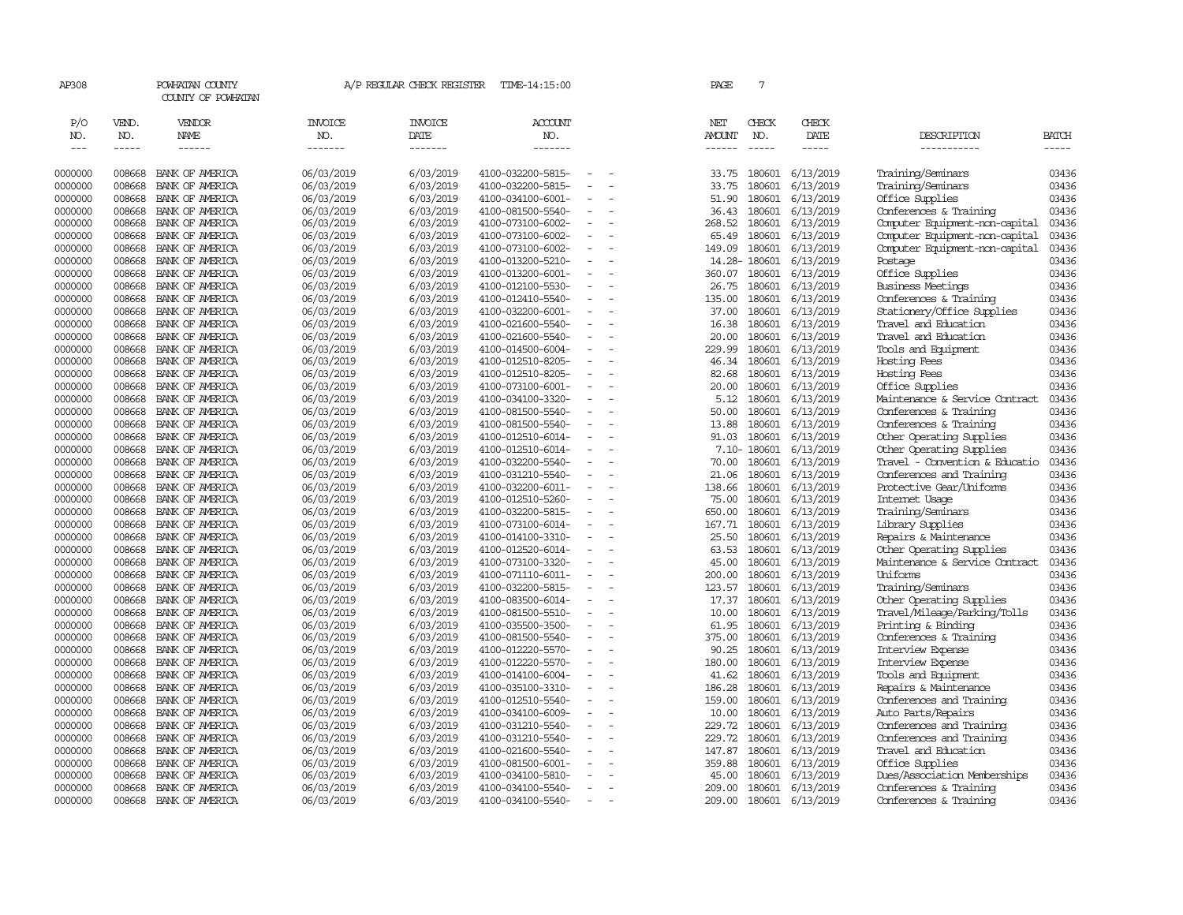| AP308                |                    | POWHATAN COUNTY<br>COUNTY OF POWHATAN |                          | A/P REGULAR CHECK REGISTER | TIME-14:15:00                          |                          |                          | PAGE                           | 7                    |                        |                                                  |                       |
|----------------------|--------------------|---------------------------------------|--------------------------|----------------------------|----------------------------------------|--------------------------|--------------------------|--------------------------------|----------------------|------------------------|--------------------------------------------------|-----------------------|
| P/O                  | VEND.              | <b>VENDOR</b>                         | <b>INVOICE</b>           | <b>INVOICE</b>             | ACCOUNT                                |                          |                          | NET                            | CHECK                | CHECK                  |                                                  |                       |
| NO.<br>$\frac{1}{2}$ | NO.<br>$- - - - -$ | NAME<br>$- - - - - -$                 | NO.<br>-------           | DATE<br>-------            | NO.<br>-------                         |                          |                          | <b>AMOUNT</b><br>$- - - - - -$ | NO.<br>$\frac{1}{2}$ | DATE<br>$- - - - -$    | DESCRIPTION<br>-----------                       | <b>BATCH</b><br>----- |
|                      |                    |                                       |                          |                            |                                        |                          |                          |                                |                      |                        |                                                  |                       |
| 0000000              | 008668             | BANK OF AMERICA                       | 06/03/2019               | 6/03/2019                  | 4100-032200-5815-                      |                          |                          | 33.75                          | 180601               | 6/13/2019              | Training/Seminars                                | 03436                 |
| 0000000              | 008668             | BANK OF AMERICA                       | 06/03/2019               | 6/03/2019                  | 4100-032200-5815-                      | $\blacksquare$           |                          | 33.75                          | 180601               | 6/13/2019              | Training/Seminars                                | 03436                 |
| 0000000              | 008668             | BANK OF AMERICA                       | 06/03/2019               | 6/03/2019                  | 4100-034100-6001-                      | $\overline{a}$           |                          | 51.90                          | 180601               | 6/13/2019              | Office Supplies                                  | 03436                 |
| 0000000              | 008668             | BANK OF AMERICA                       | 06/03/2019               | 6/03/2019                  | 4100-081500-5540-                      | $\equiv$                 |                          | 36.43                          | 180601               | 6/13/2019              | Conferences & Training                           | 03436                 |
| 0000000              | 008668             | BANK OF AMERICA                       | 06/03/2019               | 6/03/2019                  | 4100-073100-6002-                      |                          |                          | 268.52                         | 180601               | 6/13/2019              | Computer Equipment-non-capital                   | 03436                 |
| 0000000              | 008668             | BANK OF AMERICA                       | 06/03/2019               | 6/03/2019                  | 4100-073100-6002-                      | $\equiv$                 | $\overline{a}$           | 65.49                          | 180601               | 6/13/2019              | Computer Equipment-non-capital                   | 03436                 |
| 0000000              | 008668             | BANK OF AMERICA                       | 06/03/2019               | 6/03/2019                  | 4100-073100-6002-                      |                          |                          | 149.09                         | 180601               | 6/13/2019              | Computer Equipment-non-capital                   | 03436                 |
| 0000000              | 008668             | BANK OF AMERICA                       | 06/03/2019               | 6/03/2019                  | 4100-013200-5210-                      |                          |                          |                                | 14.28-180601         | 6/13/2019              | Postage                                          | 03436                 |
| 0000000              | 008668             | BANK OF AMERICA                       | 06/03/2019               | 6/03/2019                  | 4100-013200-6001-                      |                          |                          | 360.07                         | 180601               | 6/13/2019              | Office Supplies                                  | 03436                 |
| 0000000              | 008668             | BANK OF AMERICA                       | 06/03/2019               | 6/03/2019                  | 4100-012100-5530-                      | $\overline{\phantom{a}}$ |                          | 26.75                          | 180601               | 6/13/2019              | <b>Business Meetings</b>                         | 03436                 |
| 0000000              | 008668             | BANK OF AMERICA                       | 06/03/2019               | 6/03/2019                  | 4100-012410-5540-                      | $\overline{\phantom{a}}$ |                          | 135.00                         | 180601               | 6/13/2019              | Conferences & Training                           | 03436                 |
| 0000000              | 008668             | BANK OF AMERICA                       | 06/03/2019               | 6/03/2019                  | 4100-032200-6001-                      |                          |                          | 37.00                          | 180601               | 6/13/2019              | Stationery/Office Supplies                       | 03436                 |
| 0000000              | 008668             | BANK OF AMERICA                       | 06/03/2019               | 6/03/2019                  | 4100-021600-5540-                      | $\blacksquare$           |                          | 16.38                          | 180601               | 6/13/2019              | Travel and Education                             | 03436                 |
| 0000000              | 008668             | BANK OF AMERICA                       | 06/03/2019               | 6/03/2019                  | 4100-021600-5540-                      | $\overline{\phantom{a}}$ |                          | 20.00                          | 180601               | 6/13/2019              | Travel and Education                             | 03436                 |
| 0000000              | 008668             | BANK OF AMERICA                       | 06/03/2019               | 6/03/2019                  | 4100-014500-6004-                      | $\equiv$                 |                          | 229.99                         | 180601               | 6/13/2019              | Tools and Equipment                              | 03436                 |
| 0000000              | 008668             | BANK OF AMERICA                       | 06/03/2019               | 6/03/2019                  | 4100-012510-8205-                      |                          |                          | 46.34                          | 180601               | 6/13/2019              | Hosting Fees                                     | 03436                 |
| 0000000              | 008668             | BANK OF AMERICA                       | 06/03/2019               | 6/03/2019                  | 4100-012510-8205-                      | $\sim$                   |                          | 82.68                          | 180601               | 6/13/2019              | Hosting Fees                                     | 03436                 |
| 0000000              | 008668             | BANK OF AMERICA                       | 06/03/2019               | 6/03/2019                  | 4100-073100-6001-                      | $\overline{\phantom{a}}$ |                          | 20.00                          | 180601               | 6/13/2019              | Office Supplies                                  | 03436                 |
| 0000000              | 008668             | BANK OF AMERICA                       | 06/03/2019               | 6/03/2019                  | 4100-034100-3320-                      |                          |                          | 5.12                           | 180601               | 6/13/2019              | Maintenance & Service Contract                   | 03436                 |
| 0000000              | 008668             | BANK OF AMERICA                       | 06/03/2019               | 6/03/2019                  | 4100-081500-5540-                      | $\bar{\phantom{a}}$      |                          | 50.00                          | 180601               | 6/13/2019              | Conferences & Training                           | 03436                 |
| 0000000              | 008668             | BANK OF AMERICA                       | 06/03/2019               | 6/03/2019                  | 4100-081500-5540-                      |                          |                          | 13.88                          | 180601               | 6/13/2019              | Conferences & Training                           | 03436                 |
| 0000000              | 008668             | BANK OF AMERICA                       | 06/03/2019               | 6/03/2019                  | 4100-012510-6014-                      | $\equiv$                 |                          | 91.03                          | 180601               | 6/13/2019              | Other Operating Supplies                         | 03436                 |
| 0000000              | 008668             | BANK OF AMERICA                       | 06/03/2019               | 6/03/2019                  | 4100-012510-6014-                      |                          |                          |                                | 7.10-180601          | 6/13/2019              | Other Operating Supplies                         | 03436                 |
| 0000000              | 008668             | BANK OF AMERICA                       | 06/03/2019               | 6/03/2019                  | 4100-032200-5540-                      | $\sim$                   |                          | 70.00                          | 180601               | 6/13/2019              | Travel - Convention & Educatio                   | 03436                 |
| 0000000              | 008668             | BANK OF AMERICA                       | 06/03/2019               | 6/03/2019                  | 4100-031210-5540-                      | $\overline{\phantom{a}}$ |                          | 21.06                          | 180601               | 6/13/2019              | Conferences and Training                         | 03436                 |
| 0000000              | 008668             | BANK OF AMERICA                       | 06/03/2019               | 6/03/2019                  | 4100-032200-6011-                      |                          |                          | 138.66                         | 180601               | 6/13/2019              | Protective Gear/Uniforms                         | 03436                 |
| 0000000              | 008668             | BANK OF AMERICA                       | 06/03/2019               | 6/03/2019                  | 4100-012510-5260-                      | $\overline{\phantom{a}}$ |                          | 75.00                          | 180601               | 6/13/2019              | Internet Usage                                   | 03436                 |
| 0000000              | 008668             | BANK OF AMERICA                       | 06/03/2019               | 6/03/2019                  | 4100-032200-5815-                      |                          |                          | 650.00                         | 180601               | 6/13/2019              | Training/Seminars                                | 03436                 |
| 0000000              | 008668             | BANK OF AMERICA                       | 06/03/2019               | 6/03/2019                  | 4100-073100-6014-                      |                          |                          | 167.71                         | 180601               | 6/13/2019              | Library Supplies                                 | 03436                 |
| 0000000              | 008668             | BANK OF AMERICA                       | 06/03/2019               | 6/03/2019                  | 4100-014100-3310-                      |                          |                          | 25.50                          | 180601               | 6/13/2019              | Repairs & Maintenance                            | 03436                 |
| 0000000              | 008668             | BANK OF AMERICA                       | 06/03/2019               | 6/03/2019                  | 4100-012520-6014-                      | $\sim$                   | $\overline{\phantom{a}}$ | 63.53                          | 180601               | 6/13/2019              | Other Operating Supplies                         | 03436                 |
| 0000000              | 008668             | BANK OF AMERICA                       | 06/03/2019               | 6/03/2019                  | 4100-073100-3320-                      | $\equiv$                 |                          | 45.00                          | 180601               | 6/13/2019              | Maintenance & Service Contract                   | 03436                 |
| 0000000              | 008668             | BANK OF AMERICA                       | 06/03/2019               | 6/03/2019                  | 4100-071110-6011-                      | ÷                        |                          | 200.00                         | 180601               | 6/13/2019              | Uniforms                                         | 03436                 |
| 0000000              | 008668             | BANK OF AMERICA                       | 06/03/2019               | 6/03/2019                  | 4100-032200-5815-                      |                          |                          | 123.57                         | 180601               | 6/13/2019              | Training/Seminars                                | 03436                 |
| 0000000              | 008668             | BANK OF AMERICA                       | 06/03/2019               | 6/03/2019                  | 4100-083500-6014-                      | $\overline{\phantom{a}}$ |                          | 17.37                          | 180601               | 6/13/2019              | Other Operating Supplies                         | 03436                 |
| 0000000              | 008668             | BANK OF AMERICA                       | 06/03/2019               | 6/03/2019                  | 4100-081500-5510-                      | $\overline{\phantom{a}}$ |                          | 10.00                          | 180601               | 6/13/2019              | Travel/Mileage/Parking/Tolls                     | 03436                 |
| 0000000              | 008668             | BANK OF AMERICA                       | 06/03/2019               | 6/03/2019                  | 4100-035500-3500-                      |                          |                          | 61.95                          | 180601               | 6/13/2019              | Printing & Binding                               | 03436                 |
| 0000000              | 008668             | BANK OF AMERICA                       | 06/03/2019               | 6/03/2019                  | 4100-081500-5540-                      | $\overline{\phantom{a}}$ | $\overline{a}$           | 375.00                         | 180601               | 6/13/2019              | Conferences & Training                           | 03436                 |
| 0000000              | 008668             | BANK OF AMERICA                       | 06/03/2019               | 6/03/2019                  | 4100-012220-5570-                      |                          |                          | 90.25                          | 180601               | 6/13/2019              | Interview Expense                                | 03436                 |
| 0000000              | 008668             | BANK OF AMERICA                       | 06/03/2019               | 6/03/2019                  | 4100-012220-5570-                      | $\overline{\phantom{a}}$ |                          | 180.00                         | 180601               | 6/13/2019              | Interview Expense                                | 03436                 |
| 0000000              | 008668             | BANK OF AMERICA                       | 06/03/2019               | 6/03/2019                  | 4100-014100-6004-                      | ÷                        |                          | 41.62                          | 180601               | 6/13/2019              | Tools and Equipment                              | 03436                 |
| 0000000              | 008668             | BANK OF AMERICA                       | 06/03/2019               | 6/03/2019                  | 4100-035100-3310-                      |                          |                          | 186.28                         | 180601               | 6/13/2019              | Repairs & Maintenance                            | 03436                 |
| 0000000              | 008668<br>008668   | BANK OF AMERICA                       | 06/03/2019               | 6/03/2019                  | 4100-012510-5540-                      |                          |                          | 159.00<br>10.00                | 180601<br>180601     | 6/13/2019              | Conferences and Training                         | 03436<br>03436        |
| 0000000              | 008668             | BANK OF AMERICA                       | 06/03/2019               | 6/03/2019                  | 4100-034100-6009-                      | $\overline{\phantom{a}}$ |                          | 229.72                         | 180601               | 6/13/2019              | Auto Parts/Repairs                               | 03436                 |
| 0000000              |                    | BANK OF AMERICA                       | 06/03/2019               | 6/03/2019                  | 4100-031210-5540-                      |                          |                          |                                |                      | 6/13/2019              | Conferences and Training                         |                       |
| 0000000              | 008668<br>008668   | BANK OF AMERICA<br>BANK OF AMERICA    | 06/03/2019               | 6/03/2019                  | 4100-031210-5540-<br>4100-021600-5540- | $\blacksquare$           |                          | 229.72<br>147.87               | 180601<br>180601     | 6/13/2019              | Conferences and Training<br>Travel and Education | 03436<br>03436        |
| 0000000<br>0000000   | 008668             | BANK OF AMERICA                       | 06/03/2019               | 6/03/2019                  | 4100-081500-6001-                      |                          |                          | 359.88                         | 180601               | 6/13/2019              |                                                  | 03436                 |
| 0000000              | 008668             | BANK OF AMERICA                       | 06/03/2019<br>06/03/2019 | 6/03/2019<br>6/03/2019     | 4100-034100-5810-                      | $\overline{\phantom{a}}$ |                          | 45.00                          | 180601               | 6/13/2019<br>6/13/2019 | Office Supplies<br>Dues/Association Memberships  | 03436                 |
| 0000000              | 008668             | BANK OF AMERICA                       | 06/03/2019               | 6/03/2019                  | 4100-034100-5540-                      |                          |                          | 209.00                         | 180601               | 6/13/2019              | Conferences & Training                           | 03436                 |
| 0000000              | 008668             | BANK OF AMERICA                       | 06/03/2019               | 6/03/2019                  | 4100-034100-5540-                      | $\overline{\phantom{a}}$ |                          | 209.00                         | 180601               | 6/13/2019              | Conferences & Training                           | 03436                 |
|                      |                    |                                       |                          |                            |                                        |                          |                          |                                |                      |                        |                                                  |                       |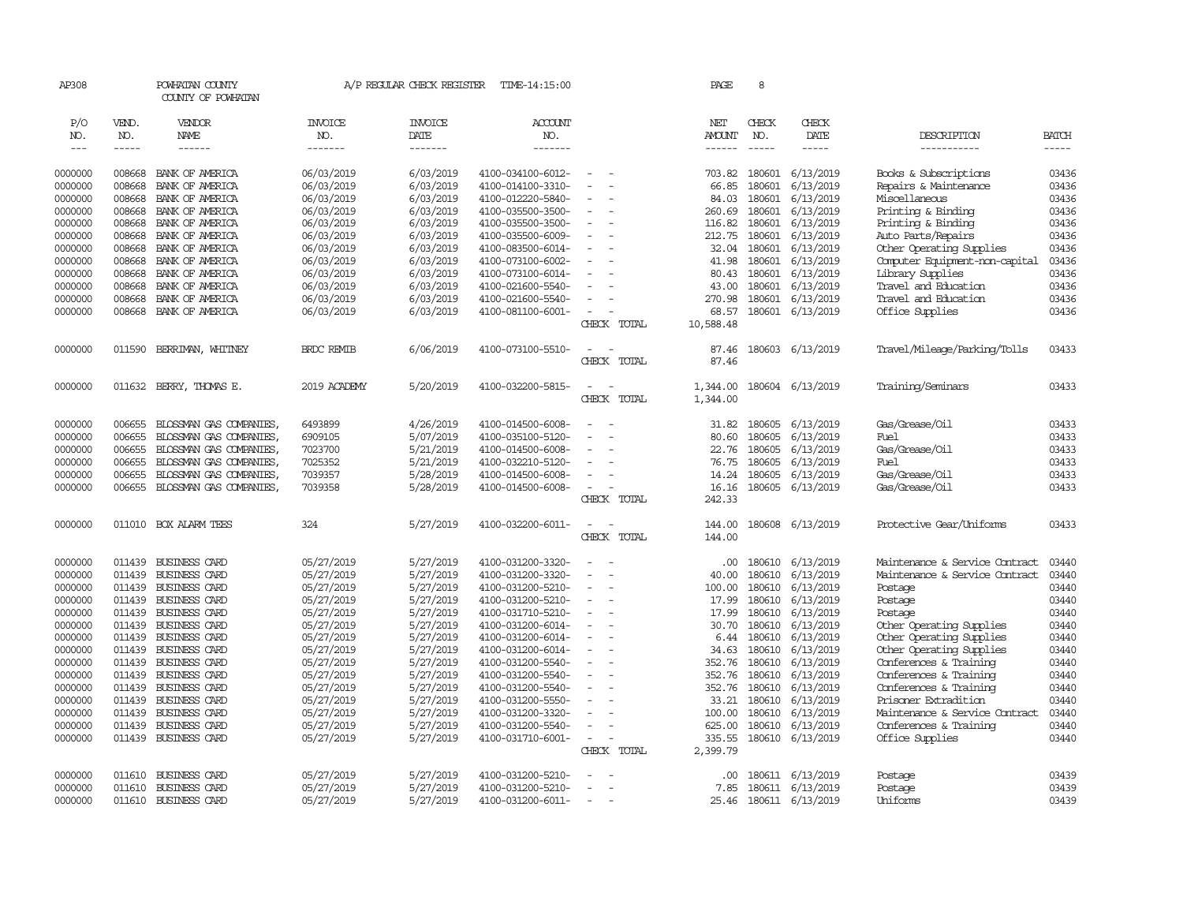| AP308         |        | POWHATAN COUNTY         |                   | A/P REGULAR CHECK REGISTER | TIME-14:15:00     |                                                      |             | PAGE          | 8           |                  |                                |              |
|---------------|--------|-------------------------|-------------------|----------------------------|-------------------|------------------------------------------------------|-------------|---------------|-------------|------------------|--------------------------------|--------------|
|               |        | COUNTY OF POWHATAN      |                   |                            |                   |                                                      |             |               |             |                  |                                |              |
| P/O           | VEND.  | VENDOR                  | <b>INVOICE</b>    | <b>INVOICE</b>             | ACCOUNT           |                                                      |             | NET           | CHECK       | CHECK            |                                |              |
| NO.           | NO.    | <b>NAME</b>             | NO.               | DATE                       | NO.               |                                                      |             | <b>AMOUNT</b> | NO.         | DATE             | DESCRIPTION                    | <b>BATCH</b> |
| $\frac{1}{2}$ | -----  | ------                  | -------           | -------                    | -------           |                                                      |             | $- - - - - -$ | $- - - - -$ | -----            | -----------                    | $- - - - -$  |
| 0000000       | 008668 | BANK OF AMERICA         | 06/03/2019        | 6/03/2019                  | 4100-034100-6012- | $\equiv$                                             |             | 703.82        | 180601      | 6/13/2019        | Books & Subscriptions          | 03436        |
| 0000000       | 008668 | BANK OF AMERICA         | 06/03/2019        | 6/03/2019                  | 4100-014100-3310- | ÷                                                    |             | 66.85         | 180601      | 6/13/2019        | Repairs & Maintenance          | 03436        |
| 0000000       | 008668 | BANK OF AMERICA         | 06/03/2019        | 6/03/2019                  | 4100-012220-5840- |                                                      |             | 84.03         | 180601      | 6/13/2019        | Miscellaneous                  | 03436        |
| 0000000       | 008668 | BANK OF AMERICA         | 06/03/2019        | 6/03/2019                  | 4100-035500-3500- | $\overline{\phantom{a}}$                             |             | 260.69        | 180601      | 6/13/2019        | Printing & Binding             | 03436        |
| 0000000       | 008668 | BANK OF AMERICA         | 06/03/2019        | 6/03/2019                  | 4100-035500-3500- |                                                      |             | 116.82        | 180601      | 6/13/2019        | Printing & Binding             | 03436        |
| 0000000       | 008668 | BANK OF AMERICA         | 06/03/2019        | 6/03/2019                  | 4100-035500-6009- | $\equiv$                                             |             | 212.75        | 180601      | 6/13/2019        | Auto Parts/Repairs             | 03436        |
| 0000000       | 008668 | BANK OF AMERICA         | 06/03/2019        | 6/03/2019                  | 4100-083500-6014- |                                                      |             | 32.04         | 180601      | 6/13/2019        | Other Operating Supplies       | 03436        |
| 0000000       | 008668 | BANK OF AMERICA         | 06/03/2019        | 6/03/2019                  | 4100-073100-6002- | $\blacksquare$                                       |             | 41.98         | 180601      | 6/13/2019        | Computer Equipment-non-capital | 03436        |
| 0000000       | 008668 | BANK OF AMERICA         | 06/03/2019        | 6/03/2019                  | 4100-073100-6014- | $\blacksquare$                                       |             | 80.43         | 180601      | 6/13/2019        | Library Supplies               | 03436        |
| 0000000       | 008668 | BANK OF AMERICA         | 06/03/2019        | 6/03/2019                  | 4100-021600-5540- |                                                      |             | 43.00         | 180601      | 6/13/2019        | Travel and Education           | 03436        |
| 0000000       | 008668 | BANK OF AMERICA         | 06/03/2019        | 6/03/2019                  | 4100-021600-5540- | $\equiv$                                             |             | 270.98        | 180601      | 6/13/2019        | Travel and Education           | 03436        |
| 0000000       | 008668 | BANK OF AMERICA         | 06/03/2019        | 6/03/2019                  | 4100-081100-6001- | $\sim$                                               |             | 68.57         | 180601      | 6/13/2019        | Office Supplies                | 03436        |
|               |        |                         |                   |                            |                   |                                                      | CHECK TOTAL | 10,588.48     |             |                  |                                |              |
| 0000000       | 011590 | BERRIMAN, WHITNEY       | <b>BRDC REMIB</b> | 6/06/2019                  | 4100-073100-5510- | $\sim$                                               |             | 87.46         |             | 180603 6/13/2019 | Travel/Mileage/Parking/Tolls   | 03433        |
|               |        |                         |                   |                            |                   | <b>CHECK</b>                                         | TOTAL       | 87.46         |             |                  |                                |              |
|               |        |                         |                   |                            |                   |                                                      |             |               |             |                  |                                |              |
| 0000000       | 011632 | BERRY, THOMAS E.        | 2019 ACADEMY      | 5/20/2019                  | 4100-032200-5815- | $\overline{\phantom{a}}$<br>$\overline{\phantom{a}}$ |             | 1,344.00      |             | 180604 6/13/2019 | Training/Seminars              | 03433        |
|               |        |                         |                   |                            |                   | CHECK                                                | TOTAL       | 1,344.00      |             |                  |                                |              |
| 0000000       | 006655 | BLOSSMAN GAS COMPANIES, | 6493899           | 4/26/2019                  | 4100-014500-6008- | ÷                                                    |             | 31.82         | 180605      | 6/13/2019        | Gas/Grease/0il                 | 03433        |
| 0000000       | 006655 | BLOSSMAN GAS COMPANIES, | 6909105           | 5/07/2019                  | 4100-035100-5120- |                                                      |             | 80.60         | 180605      | 6/13/2019        | Fuel                           | 03433        |
| 0000000       | 006655 | BLOSSMAN GAS COMPANIES, | 7023700           | 5/21/2019                  | 4100-014500-6008- |                                                      |             | 22.76         | 180605      | 6/13/2019        | Gas/Grease/Oil                 | 03433        |
| 0000000       | 006655 | BLOSSMAN GAS COMPANIES, | 7025352           | 5/21/2019                  | 4100-032210-5120- |                                                      |             | 76.75         | 180605      | 6/13/2019        | Fuel                           | 03433        |
| 0000000       | 006655 | BLOSSMAN GAS COMPANIES, | 7039357           | 5/28/2019                  | 4100-014500-6008- | $\blacksquare$                                       |             | 14.24         | 180605      | 6/13/2019        | Gas/Grease/0il                 | 03433        |
| 0000000       | 006655 | BLOSSMAN GAS COMPANIES, | 7039358           | 5/28/2019                  | 4100-014500-6008- | $\equiv$                                             |             | 16.16         | 180605      | 6/13/2019        | Gas/Grease/Oil                 | 03433        |
|               |        |                         |                   |                            |                   |                                                      | CHECK TOTAL | 242.33        |             |                  |                                |              |
| 0000000       |        | 011010 BOX ALARM TEES   | 324               | 5/27/2019                  | 4100-032200-6011- | $\overline{\phantom{a}}$<br>. —                      |             | 144.00        |             | 180608 6/13/2019 | Protective Gear/Uniforms       | 03433        |
|               |        |                         |                   |                            |                   | CHECK                                                | TOTAL       | 144.00        |             |                  |                                |              |
| 0000000       | 011439 | BUSINESS CARD           | 05/27/2019        | 5/27/2019                  | 4100-031200-3320- | $\equiv$<br>$\sim$                                   |             | .00           | 180610      | 6/13/2019        | Maintenance & Service Contract | 03440        |
| 0000000       | 011439 | BUSINESS CARD           | 05/27/2019        | 5/27/2019                  | 4100-031200-3320- | ÷                                                    |             | 40.00         | 180610      | 6/13/2019        | Maintenance & Service Contract | 03440        |
| 0000000       | 011439 | BUSINESS CARD           | 05/27/2019        | 5/27/2019                  | 4100-031200-5210- | ÷                                                    |             | 100.00        | 180610      | 6/13/2019        | Postage                        | 03440        |
| 0000000       | 011439 | BUSINESS CARD           | 05/27/2019        | 5/27/2019                  | 4100-031200-5210- | $\blacksquare$                                       |             | 17.99         | 180610      | 6/13/2019        | Postage                        | 03440        |
| 0000000       | 011439 | BUSINESS CARD           | 05/27/2019        | 5/27/2019                  | 4100-031710-5210- | $\bar{\phantom{a}}$                                  |             | 17.99         | 180610      | 6/13/2019        | Postage                        | 03440        |
| 0000000       | 011439 | BUSINESS CARD           | 05/27/2019        | 5/27/2019                  | 4100-031200-6014- |                                                      |             | 30.70         | 180610      | 6/13/2019        | Other Operating Supplies       | 03440        |
| 0000000       | 011439 | BUSINESS CARD           | 05/27/2019        | 5/27/2019                  | 4100-031200-6014- |                                                      |             | 6.44          | 180610      | 6/13/2019        | Other Operating Supplies       | 03440        |
| 0000000       | 011439 | <b>BUSINESS CARD</b>    | 05/27/2019        | 5/27/2019                  | 4100-031200-6014- | $\equiv$                                             |             | 34.63         | 180610      | 6/13/2019        | Other Operating Supplies       | 03440        |
| 0000000       | 011439 | BUSINESS CARD           | 05/27/2019        | 5/27/2019                  | 4100-031200-5540- | $\blacksquare$                                       |             | 352.76        | 180610      | 6/13/2019        | Conferences & Training         | 03440        |
| 0000000       | 011439 | BUSINESS CARD           | 05/27/2019        | 5/27/2019                  | 4100-031200-5540- |                                                      |             | 352.76        | 180610      | 6/13/2019        | Conferences & Training         | 03440        |
| 0000000       | 011439 | BUSINESS CARD           | 05/27/2019        | 5/27/2019                  | 4100-031200-5540- | $\overline{\phantom{a}}$                             |             | 352.76        | 180610      | 6/13/2019        | Conferences & Training         | 03440        |
| 0000000       | 011439 | BUSINESS CARD           | 05/27/2019        | 5/27/2019                  | 4100-031200-5550- |                                                      |             | 33.21         | 180610      | 6/13/2019        | Prisoner Extradition           | 03440        |
| 0000000       | 011439 | BUSINESS CARD           | 05/27/2019        | 5/27/2019                  | 4100-031200-3320- |                                                      |             | 100.00        | 180610      | 6/13/2019        | Maintenance & Service Contract | 03440        |
| 0000000       | 011439 | BUSINESS CARD           | 05/27/2019        | 5/27/2019                  | 4100-031200-5540- | $\sim$                                               |             | 625.00        | 180610      | 6/13/2019        | Conferences & Training         | 03440        |
| 0000000       | 011439 | BUSINESS CARD           | 05/27/2019        | 5/27/2019                  | 4100-031710-6001- | $\overline{\phantom{a}}$                             |             | 335.55        |             | 180610 6/13/2019 | Office Supplies                | 03440        |
|               |        |                         |                   |                            |                   |                                                      | CHECK TOTAL | 2,399.79      |             |                  |                                |              |
| 0000000       | 011610 | BUSINESS CARD           | 05/27/2019        | 5/27/2019                  | 4100-031200-5210- | $\overline{\phantom{a}}$                             |             | .00.          |             | 180611 6/13/2019 | Postage                        | 03439        |
| 0000000       | 011610 | BUSINESS CARD           | 05/27/2019        | 5/27/2019                  | 4100-031200-5210- |                                                      |             | 7.85          |             | 180611 6/13/2019 | Postage                        | 03439        |
| 0000000       | 011610 | BUSINESS CARD           | 05/27/2019        | 5/27/2019                  | 4100-031200-6011- | $\sim$                                               |             | 25.46         |             | 180611 6/13/2019 | Uniforms                       | 03439        |
|               |        |                         |                   |                            |                   |                                                      |             |               |             |                  |                                |              |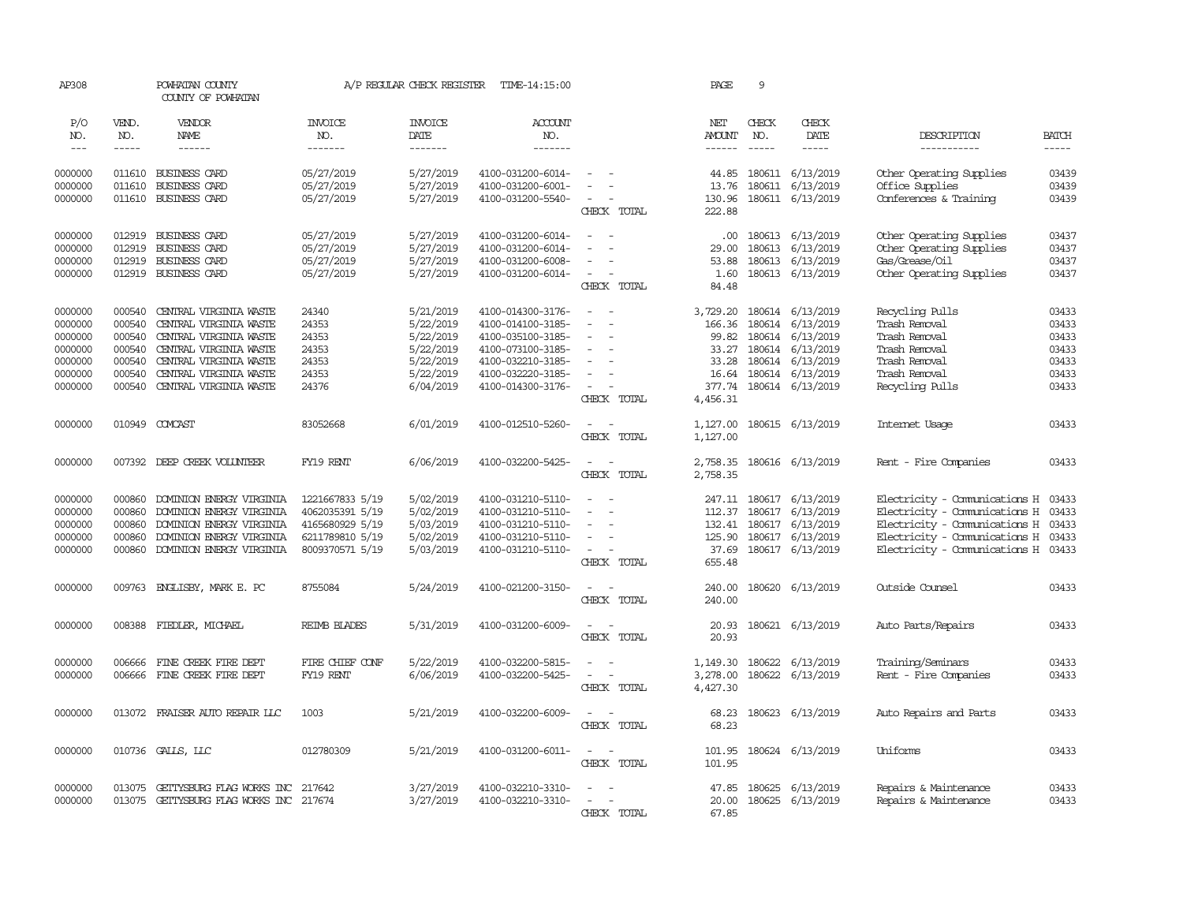| AP308      |              | POWHATAN COUNTY<br>COUNTY OF POWHATAN |                       | A/P REGULAR CHECK REGISTER | TIME-14:15:00     |                                    | PAGE          | 9            |                           |                                      |              |
|------------|--------------|---------------------------------------|-----------------------|----------------------------|-------------------|------------------------------------|---------------|--------------|---------------------------|--------------------------------------|--------------|
| P/O<br>NO. | VEND.<br>NO. | VENDOR<br>NAME                        | <b>INVOICE</b><br>NO. | <b>INVOICE</b><br>DATE     | ACCOUNT<br>NO.    |                                    | NET<br>AMOUNT | CHECK<br>NO. | CHECK<br>DATE             | DESCRIPTION                          | <b>BATCH</b> |
| $---$      | $- - - - -$  | ------                                | -------               | $- - - - - - -$            | -------           |                                    | ------        | $- - - - -$  | $- - - - -$               | -----------                          | $- - - - -$  |
| 0000000    | 011610       | BUSINESS CARD                         | 05/27/2019            | 5/27/2019                  | 4100-031200-6014- | $\equiv$                           |               |              | 44.85 180611 6/13/2019    | Other Operating Supplies             | 03439        |
| 0000000    | 011610       | BUSINESS CARD                         | 05/27/2019            | 5/27/2019                  | 4100-031200-6001- |                                    | 13.76         |              | 180611 6/13/2019          | Office Supplies                      | 03439        |
| 0000000    | 011610       | BUSINESS CARD                         | 05/27/2019            | 5/27/2019                  | 4100-031200-5540- | $\sim$                             | 130.96        |              | 180611 6/13/2019          | Conferences & Training               | 03439        |
|            |              |                                       |                       |                            |                   | CHECK TOTAL                        | 222.88        |              |                           |                                      |              |
| 0000000    | 012919       | BUSINESS CARD                         | 05/27/2019            | 5/27/2019                  | 4100-031200-6014- |                                    | $.00 \cdot$   |              | 180613 6/13/2019          | Other Operating Supplies             | 03437        |
| 0000000    | 012919       | <b>BUSINESS CARD</b>                  | 05/27/2019            | 5/27/2019                  | 4100-031200-6014- |                                    | 29.00         |              | 180613 6/13/2019          | Other Operating Supplies             | 03437        |
| 0000000    | 012919       | BUSINESS CARD                         | 05/27/2019            | 5/27/2019                  | 4100-031200-6008- | $\equiv$                           | 53.88         |              | 180613 6/13/2019          | Gas/Grease/0il                       | 03437        |
| 0000000    | 012919       | <b>BUSINESS CARD</b>                  | 05/27/2019            | 5/27/2019                  | 4100-031200-6014- | $\overline{\phantom{a}}$           | 1.60          |              | 180613 6/13/2019          | Other Operating Supplies             | 03437        |
|            |              |                                       |                       |                            |                   | CHECK TOTAL                        | 84.48         |              |                           |                                      |              |
| 0000000    | 000540       | CENTRAL VIRGINIA WASTE                | 24340                 | 5/21/2019                  | 4100-014300-3176- | $\sim$ $ \sim$                     |               |              | 3,729.20 180614 6/13/2019 | Recycling Pulls                      | 03433        |
| 0000000    | 000540       | CENTRAL VIRGINIA WASTE                | 24353                 | 5/22/2019                  | 4100-014100-3185- |                                    | 166.36        |              | 180614 6/13/2019          | Trash Removal                        | 03433        |
| 0000000    | 000540       | CENTRAL VIRGINIA WASTE                | 24353                 | 5/22/2019                  | 4100-035100-3185- |                                    |               |              | 99.82 180614 6/13/2019    | Trash Removal                        | 03433        |
| 0000000    | 000540       | CENTRAL VIRGINIA WASTE                | 24353                 | 5/22/2019                  | 4100-073100-3185- |                                    |               |              | 33.27 180614 6/13/2019    | Trash Removal                        | 03433        |
| 0000000    | 000540       | CENTRAL VIRGINIA WASTE                | 24353                 | 5/22/2019                  | 4100-032210-3185- |                                    |               |              | 33.28 180614 6/13/2019    | Trash Removal                        | 03433        |
| 0000000    | 000540       | CENTRAL VIRGINIA WASTE                | 24353                 | 5/22/2019                  | 4100-032220-3185- | $\equiv$                           |               |              | 16.64 180614 6/13/2019    | Trash Removal                        | 03433        |
| 0000000    | 000540       | CENTRAL VIRGINIA WASTE                | 24376                 | 6/04/2019                  | 4100-014300-3176- | $\sim$                             |               |              | 377.74 180614 6/13/2019   | Recycling Pulls                      | 03433        |
|            |              |                                       |                       |                            |                   | CHECK TOTAL                        | 4,456.31      |              |                           |                                      |              |
| 0000000    | 010949       | COMCAST                               | 83052668              | 6/01/2019                  | 4100-012510-5260- | $\sim$ $ \sim$                     |               |              | 1,127.00 180615 6/13/2019 | Internet Usage                       | 03433        |
|            |              |                                       |                       |                            |                   | CHECK TOTAL                        | 1,127.00      |              |                           |                                      |              |
| 0000000    | 007392       | DEEP CREEK VOLUNTEER                  | FY19 RENT             | 6/06/2019                  | 4100-032200-5425- | $\overline{\phantom{a}}$<br>$\sim$ | 2,758.35      |              | 180616 6/13/2019          | Rent - Fire Companies                | 03433        |
|            |              |                                       |                       |                            |                   | CHECK TOTAL                        | 2,758.35      |              |                           |                                      |              |
| 0000000    | 000860       | DOMINION ENERGY VIRGINIA              | 1221667833 5/19       | 5/02/2019                  | 4100-031210-5110- |                                    |               |              | 247.11 180617 6/13/2019   | Electricity - Comunications H 03433  |              |
| 0000000    | 000860       | DOMINION ENERGY VIRGINIA              | 4062035391 5/19       | 5/02/2019                  | 4100-031210-5110- |                                    |               |              | 112.37 180617 6/13/2019   | Electricity - Comunications H 03433  |              |
| 0000000    | 000860       | DOMINION ENERGY VIRGINIA              | 4165680929 5/19       | 5/03/2019                  | 4100-031210-5110- |                                    |               |              | 132.41 180617 6/13/2019   | Electricity - Comunications H 03433  |              |
| 0000000    | 000860       | DOMINION ENERGY VIRGINIA              | 6211789810 5/19       | 5/02/2019                  | 4100-031210-5110- | $\overline{\phantom{a}}$           |               |              | 125.90 180617 6/13/2019   | Electricity - Communications H 03433 |              |
| 0000000    | 000860       | DOMINION ENERGY VIRGINIA              | 8009370571 5/19       | 5/03/2019                  | 4100-031210-5110- | $\overline{a}$                     | 37.69         |              | 180617 6/13/2019          | Electricity - Comunications H 03433  |              |
|            |              |                                       |                       |                            |                   | CHECK TOTAL                        | 655.48        |              |                           |                                      |              |
| 0000000    |              | 009763 ENGLISBY, MARK E. PC           | 8755084               | 5/24/2019                  | 4100-021200-3150- | $\sim$                             | 240.00        |              | 180620 6/13/2019          | Outside Counsel                      | 03433        |
|            |              |                                       |                       |                            |                   | CHECK TOTAL                        | 240.00        |              |                           |                                      |              |
| 0000000    |              | 008388 FIEDLER, MICHAEL               | <b>REIMB BLADES</b>   | 5/31/2019                  | 4100-031200-6009- | $\sim$<br>- -                      | 20.93         |              | 180621 6/13/2019          | Auto Parts/Repairs                   | 03433        |
|            |              |                                       |                       |                            |                   | CHECK TOTAL                        | 20.93         |              |                           |                                      |              |
| 0000000    | 006666       | FINE CREEK FIRE DEPT                  | FIRE CHIEF CONF       | 5/22/2019                  | 4100-032200-5815- |                                    | 1,149.30      |              | 180622 6/13/2019          | Training/Seminars                    | 03433        |
| 0000000    | 006666       | FINE CREEK FIRE DEPT                  | FY19 RENT             | 6/06/2019                  | 4100-032200-5425- | $\overline{\phantom{a}}$           | 3,278.00      |              | 180622 6/13/2019          | Rent - Fire Companies                | 03433        |
|            |              |                                       |                       |                            |                   | CHECK TOTAL                        | 4,427.30      |              |                           |                                      |              |
| 0000000    |              | 013072 FRAISER AUTO REPAIR LLC        | 1003                  | 5/21/2019                  | 4100-032200-6009- | $\sim$<br>$\sim$                   | 68.23         |              | 180623 6/13/2019          | Auto Repairs and Parts               | 03433        |
|            |              |                                       |                       |                            |                   | CHECK TOTAL                        | 68.23         |              |                           |                                      |              |
| 0000000    |              | 010736 GALLS, LLC                     | 012780309             | 5/21/2019                  | 4100-031200-6011- |                                    |               |              | 101.95 180624 6/13/2019   | Uniforms                             | 03433        |
|            |              |                                       |                       |                            |                   | CHECK TOTAL                        | 101.95        |              |                           |                                      |              |
| 0000000    | 013075       | GETTYSBURG FLAG WORKS INC             | 217642                | 3/27/2019                  | 4100-032210-3310- |                                    |               |              | 47.85 180625 6/13/2019    | Repairs & Maintenance                | 03433        |
| 0000000    | 013075       | GETTYSBURG FLAG WORKS INC 217674      |                       | 3/27/2019                  | 4100-032210-3310- | $\sim$                             |               |              | 20.00 180625 6/13/2019    | Repairs & Maintenance                | 03433        |
|            |              |                                       |                       |                            |                   | CHRCK TOTAL                        | 67.85         |              |                           |                                      |              |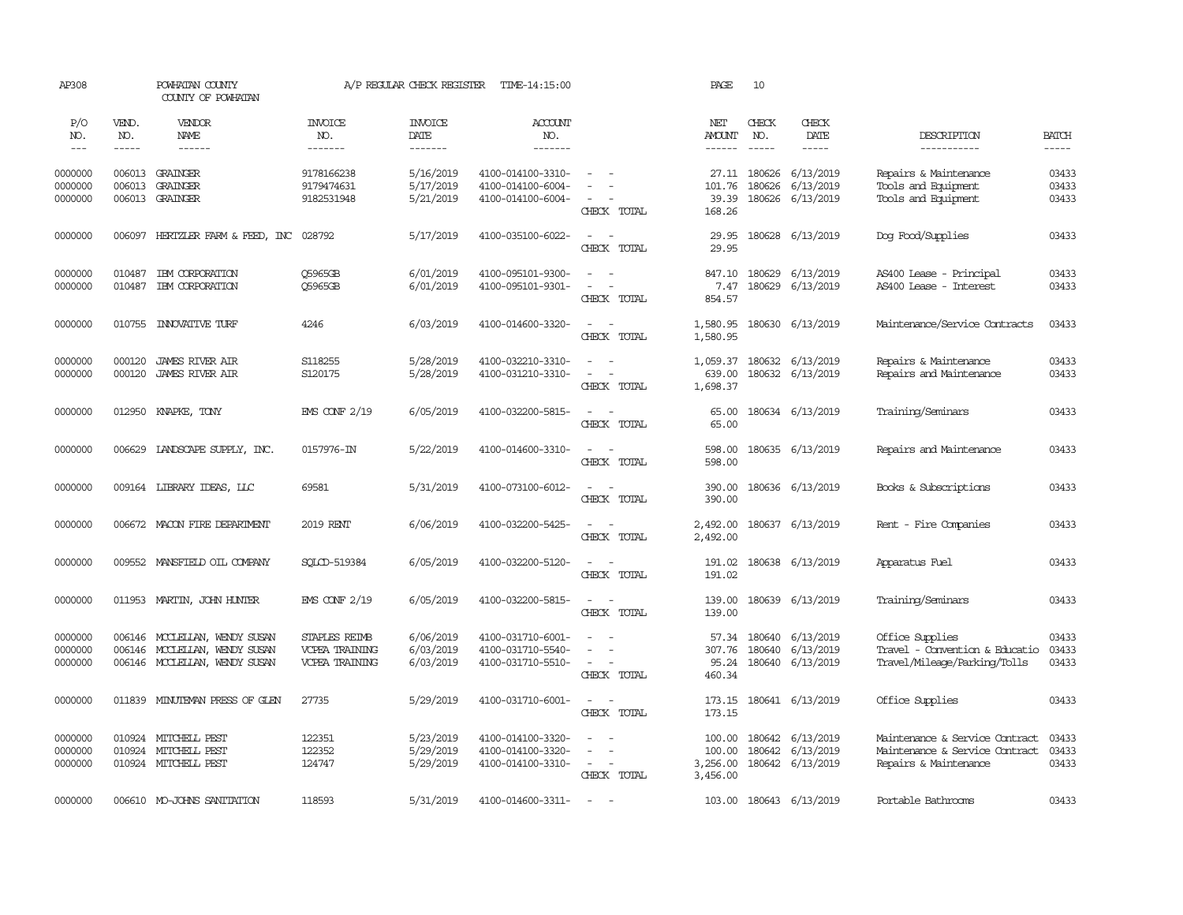| AP308                         |                                      | POWHATAN COUNTY<br>COUNTY OF POWHATAN                                                                                                                                                                                                                                                                                                                                                                                                                                                                    |                                                                 | A/P REGULAR CHECK REGISTER          | TIME-14:15:00                                               |                                                                               | PAGE                                     | 10                            |                                                         |                                                                                           |                             |
|-------------------------------|--------------------------------------|----------------------------------------------------------------------------------------------------------------------------------------------------------------------------------------------------------------------------------------------------------------------------------------------------------------------------------------------------------------------------------------------------------------------------------------------------------------------------------------------------------|-----------------------------------------------------------------|-------------------------------------|-------------------------------------------------------------|-------------------------------------------------------------------------------|------------------------------------------|-------------------------------|---------------------------------------------------------|-------------------------------------------------------------------------------------------|-----------------------------|
| P/O<br>NO.<br>$\frac{1}{2}$   | VEND.<br>NO.<br>$\cdots\cdots\cdots$ | VENDOR<br>NAME<br>$\begin{array}{cccccccccc} \multicolumn{2}{c}{} & \multicolumn{2}{c}{} & \multicolumn{2}{c}{} & \multicolumn{2}{c}{} & \multicolumn{2}{c}{} & \multicolumn{2}{c}{} & \multicolumn{2}{c}{} & \multicolumn{2}{c}{} & \multicolumn{2}{c}{} & \multicolumn{2}{c}{} & \multicolumn{2}{c}{} & \multicolumn{2}{c}{} & \multicolumn{2}{c}{} & \multicolumn{2}{c}{} & \multicolumn{2}{c}{} & \multicolumn{2}{c}{} & \multicolumn{2}{c}{} & \multicolumn{2}{c}{} & \multicolumn{2}{c}{} & \mult$ | <b>INVOICE</b><br>NO.<br>-------                                | <b>INVOICE</b><br>DATE<br>-------   | <b>ACCOUNT</b><br>NO.<br>-------                            |                                                                               | NET<br>AMOUNT                            | CHECK<br>NO.<br>$\frac{1}{2}$ | CHECK<br>DATE<br>-----                                  | DESCRIPTION<br>-----------                                                                | <b>BATCH</b><br>$- - - - -$ |
| 0000000<br>0000000<br>0000000 | 006013                               | 006013 GRAINGER<br>GRAINGER<br>006013 GRAINGER                                                                                                                                                                                                                                                                                                                                                                                                                                                           | 9178166238<br>9179474631<br>9182531948                          | 5/16/2019<br>5/17/2019<br>5/21/2019 | 4100-014100-3310-<br>4100-014100-6004-<br>4100-014100-6004- | $\sim$<br>$\overline{\phantom{a}}$<br>CHECK TOTAL                             | 101.76<br>39.39<br>168.26                | 180626                        | 27.11 180626 6/13/2019<br>6/13/2019<br>180626 6/13/2019 | Repairs & Maintenance<br>Tools and Equipment<br>Tools and Equipment                       | 03433<br>03433<br>03433     |
| 0000000                       |                                      | 006097 HERTZLER FARM & FEED, INC 028792                                                                                                                                                                                                                                                                                                                                                                                                                                                                  |                                                                 | 5/17/2019                           | 4100-035100-6022-                                           | $\sim$ $\sim$<br>CHECK TOTAL                                                  | 29.95<br>29.95                           |                               | 180628 6/13/2019                                        | Dog Food/Supplies                                                                         | 03433                       |
| 0000000<br>0000000            | 010487<br>010487                     | IEM CORPORATION<br>IEM CORPORATION                                                                                                                                                                                                                                                                                                                                                                                                                                                                       | Q5965GB<br>Q5965GB                                              | 6/01/2019<br>6/01/2019              | 4100-095101-9300-<br>4100-095101-9301-                      | $\sim$<br>$\sim$<br>$\overline{\phantom{a}}$<br>$\sim$<br>CHECK TOTAL         | 847.10<br>7.47<br>854.57                 |                               | 180629 6/13/2019<br>180629 6/13/2019                    | AS400 Lease - Principal<br>AS400 Lease - Interest                                         | 03433<br>03433              |
| 0000000                       |                                      | 010755 INNOVATIVE TURF                                                                                                                                                                                                                                                                                                                                                                                                                                                                                   | 4246                                                            | 6/03/2019                           | 4100-014600-3320-                                           | $\sim$ $ \sim$<br>CHECK TOTAL                                                 | 1,580.95<br>1,580.95                     |                               | 180630 6/13/2019                                        | Maintenance/Service Contracts                                                             | 03433                       |
| 0000000<br>0000000            | 000120<br>000120                     | JAMES RIVER AIR<br><b>JAMES RIVER AIR</b>                                                                                                                                                                                                                                                                                                                                                                                                                                                                | S118255<br>S120175                                              | 5/28/2019<br>5/28/2019              | 4100-032210-3310-<br>4100-031210-3310-                      | $\sim$<br>$\sim$<br>$\equiv$<br>CHECK TOTAL                                   | 639.00<br>1,698.37                       |                               | 1,059.37 180632 6/13/2019<br>180632 6/13/2019           | Repairs & Maintenance<br>Repairs and Maintenance                                          | 03433<br>03433              |
| 0000000                       |                                      | 012950 KNAPKE, TONY                                                                                                                                                                                                                                                                                                                                                                                                                                                                                      | <b>EMS CONF 2/19</b>                                            | 6/05/2019                           | 4100-032200-5815-                                           | $\sim$<br>$\sim$<br>CHECK TOTAL                                               | 65.00<br>65.00                           |                               | 180634 6/13/2019                                        | Training/Seminars                                                                         | 03433                       |
| 0000000                       |                                      | 006629 LANDSCAPE SUPPLY, INC.                                                                                                                                                                                                                                                                                                                                                                                                                                                                            | 0157976-IN                                                      | 5/22/2019                           | 4100-014600-3310-                                           | $\sim$<br>$\sim$<br>CHECK TOTAL                                               | 598.00<br>598.00                         |                               | 180635 6/13/2019                                        | Repairs and Maintenance                                                                   | 03433                       |
| 0000000                       |                                      | 009164 LIBRARY IDEAS, LLC                                                                                                                                                                                                                                                                                                                                                                                                                                                                                | 69581                                                           | 5/31/2019                           | 4100-073100-6012-                                           | $\sim$<br>$\sim$<br>CHECK TOTAL                                               | 390.00<br>390.00                         |                               | 180636 6/13/2019                                        | Books & Subscriptions                                                                     | 03433                       |
| 0000000                       |                                      | 006672 MACON FIRE DEPARIMENT                                                                                                                                                                                                                                                                                                                                                                                                                                                                             | 2019 RENT                                                       | 6/06/2019                           | 4100-032200-5425-                                           | $\overline{\phantom{a}}$<br>$\sim$<br>CHECK TOTAL                             | 2,492.00<br>2,492.00                     |                               | 180637 6/13/2019                                        | Rent - Fire Companies                                                                     | 03433                       |
| 0000000                       |                                      | 009552 MANSFIELD OIL COMPANY                                                                                                                                                                                                                                                                                                                                                                                                                                                                             | SQLCD-519384                                                    | 6/05/2019                           | 4100-032200-5120-                                           | $\sim$<br>$\sim$<br>CHECK TOTAL                                               | 191.02<br>191.02                         |                               | 180638 6/13/2019                                        | Apparatus Fuel                                                                            | 03433                       |
| 0000000                       |                                      | 011953 MARTIN, JOHN HUNTER                                                                                                                                                                                                                                                                                                                                                                                                                                                                               | $ENS$ CONF $2/19$                                               | 6/05/2019                           | 4100-032200-5815-                                           | $\sim$<br>$\overline{\phantom{a}}$<br>CHECK TOTAL                             | 139.00<br>139.00                         |                               | 180639 6/13/2019                                        | Training/Seminars                                                                         | 03433                       |
| 0000000<br>0000000<br>0000000 |                                      | 006146 MCCLELLAN, WENDY SUSAN<br>006146 MCCLELLAN, WENDY SUSAN<br>006146 MCCLELLAN, WENDY SUSAN                                                                                                                                                                                                                                                                                                                                                                                                          | <b>STAPLES REIMB</b><br>VCPEA TRAINING<br><b>VCPEA TRAINING</b> | 6/06/2019<br>6/03/2019<br>6/03/2019 | 4100-031710-6001-<br>4100-031710-5540-<br>4100-031710-5510- | $\sim$<br>$\equiv$<br>$\equiv$<br>$\sim$<br>$\sim$<br>CHECK TOTAL             | 57.34<br>307.76<br>95.24<br>460.34       | 180640                        | 180640 6/13/2019<br>6/13/2019<br>180640 6/13/2019       | Office Supplies<br>Travel - Convention & Educatio<br>Travel/Mileage/Parking/Tolls         | 03433<br>03433<br>03433     |
| 0000000                       | 011839                               | MINUTEMAN PRESS OF GLEN                                                                                                                                                                                                                                                                                                                                                                                                                                                                                  | 27735                                                           | 5/29/2019                           | 4100-031710-6001-                                           | $\overline{\phantom{a}}$<br>$\overline{\phantom{a}}$<br>CHECK TOTAL           | 173.15<br>173.15                         |                               | 180641 6/13/2019                                        | Office Supplies                                                                           | 03433                       |
| 0000000<br>0000000<br>0000000 | 010924                               | 010924 MITCHELL PEST<br>MITCHELL PEST<br>010924 MITCHELL PEST                                                                                                                                                                                                                                                                                                                                                                                                                                            | 122351<br>122352<br>124747                                      | 5/23/2019<br>5/29/2019<br>5/29/2019 | 4100-014100-3320-<br>4100-014100-3320-<br>4100-014100-3310- | $\overline{a}$<br>$\sim$<br>$\sim$<br>$\overline{\phantom{a}}$<br>CHECK TOTAL | 100.00<br>100.00<br>3,256.00<br>3,456.00 | 180642                        | 180642 6/13/2019<br>6/13/2019<br>180642 6/13/2019       | Maintenance & Service Contract<br>Maintenance & Service Contract<br>Repairs & Maintenance | 03433<br>03433<br>03433     |
| 0000000                       |                                      | 006610 MO-JOHNS SANITATION                                                                                                                                                                                                                                                                                                                                                                                                                                                                               | 118593                                                          | 5/31/2019                           | 4100-014600-3311-                                           | $\sim$                                                                        |                                          |                               | 103.00 180643 6/13/2019                                 | Portable Bathrooms                                                                        | 03433                       |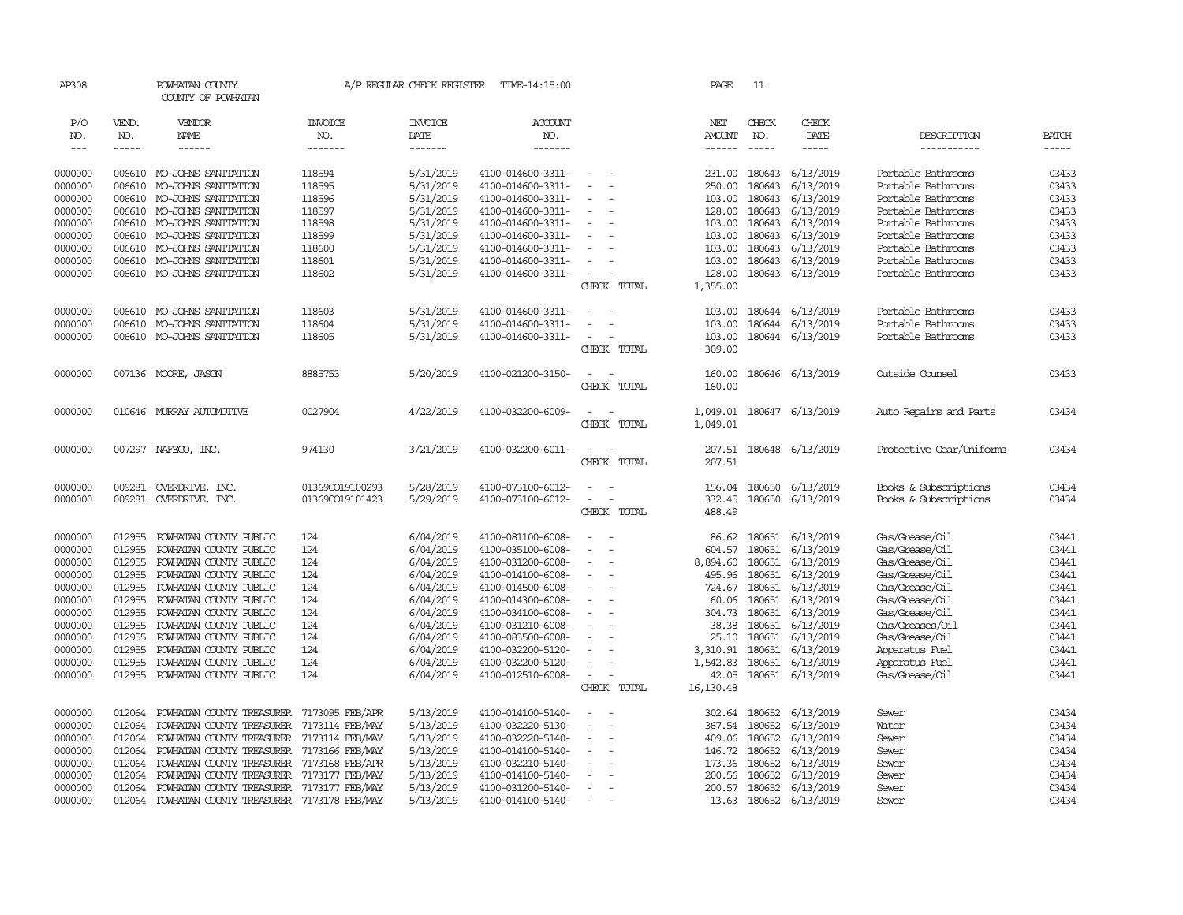| AP308              |                  | POWHATAN COUNTY<br>COUNTY OF POWHATAN                  |                                    | A/P REGULAR CHECK REGISTER | TIME-14:15:00                          |                          |             | PAGE             | 11               |                         |                          |                |
|--------------------|------------------|--------------------------------------------------------|------------------------------------|----------------------------|----------------------------------------|--------------------------|-------------|------------------|------------------|-------------------------|--------------------------|----------------|
| P/O<br>NO.         | VEND.<br>NO.     | VENDOR<br>NAME                                         | <b>INVOICE</b><br>NO.              | <b>INVOICE</b><br>DATE     | <b>ACCOUNT</b><br>NO.                  |                          |             | NET<br>AMOUNT    | CHECK<br>NO.     | CHECK<br>DATE           | DESCRIPTION              | <b>BATCH</b>   |
| $\frac{1}{2}$      | -----            | ------                                                 | -------                            | -------                    | -------                                |                          |             | ------           | $- - - - -$      | $- - - - -$             | -----------              | -----          |
|                    |                  |                                                        |                                    |                            |                                        |                          |             |                  |                  |                         |                          |                |
| 0000000            |                  | 006610 MO-JOHNS SANITATION                             | 118594                             | 5/31/2019                  | 4100-014600-3311-                      |                          |             |                  |                  | 231.00 180643 6/13/2019 | Portable Bathrooms       | 03433          |
| 0000000            | 006610           | MO-JOHNS SANITATION                                    | 118595                             | 5/31/2019                  | 4100-014600-3311-                      |                          |             | 250.00           | 180643           | 6/13/2019               | Portable Bathrooms       | 03433          |
| 0000000            | 006610           | MO-JOHNS SANITATION                                    | 118596                             | 5/31/2019                  | 4100-014600-3311-                      |                          |             | 103.00           | 180643           | 6/13/2019               | Portable Bathrooms       | 03433          |
| 0000000            |                  | 006610 MO-JOHNS SANITATION                             | 118597                             | 5/31/2019                  | 4100-014600-3311-                      |                          |             |                  | 128.00 180643    | 6/13/2019               | Portable Bathrooms       | 03433          |
| 0000000            | 006610           | MO-JOHNS SANITATION                                    | 118598                             | 5/31/2019                  | 4100-014600-3311-                      |                          |             | 103.00           | 180643           | 6/13/2019               | Portable Bathrooms       | 03433          |
| 0000000            | 006610           | MO-JOHNS SANITATION                                    | 118599                             | 5/31/2019                  | 4100-014600-3311-                      |                          |             | 103.00           |                  | 180643 6/13/2019        | Portable Bathrooms       | 03433          |
| 0000000            | 006610           | MO-JOHNS SANITATION                                    | 118600                             | 5/31/2019                  | 4100-014600-3311-                      |                          |             | 103.00           |                  | 180643 6/13/2019        | Portable Bathrooms       | 03433          |
| 0000000            |                  | 006610 MO-JOHNS SANITATION                             | 118601                             | 5/31/2019                  | 4100-014600-3311-                      |                          |             | 103.00           |                  | 180643 6/13/2019        | Portable Bathrooms       | 03433          |
| 0000000            |                  | 006610 MO-JOHNS SANITATION                             | 118602                             | 5/31/2019                  | 4100-014600-3311-                      | $\overline{\phantom{a}}$ |             | 128.00           | 180643           | 6/13/2019               | Portable Bathrooms       | 03433          |
|                    |                  |                                                        |                                    |                            |                                        |                          | CHECK TOTAL | 1,355.00         |                  |                         |                          |                |
| 0000000            |                  | 006610 MO-JOHNS SANITATION                             | 118603                             | 5/31/2019                  | 4100-014600-3311-                      |                          |             | 103.00           |                  | 180644 6/13/2019        | Portable Bathrooms       | 03433          |
| 0000000            | 006610           | MO-JOHNS SANITATION                                    | 118604                             | 5/31/2019                  | 4100-014600-3311-                      |                          |             | 103.00           |                  | 180644 6/13/2019        | Portable Bathrooms       | 03433          |
| 0000000            |                  | 006610 MO-JOHNS SANITATION                             | 118605                             | 5/31/2019                  | 4100-014600-3311-                      |                          |             | 103.00           |                  | 180644 6/13/2019        | Portable Bathrooms       | 03433          |
|                    |                  |                                                        |                                    |                            |                                        |                          | CHECK TOTAL | 309.00           |                  |                         |                          |                |
| 0000000            |                  | 007136 MOORE, JASON                                    | 8885753                            | 5/20/2019                  | 4100-021200-3150-                      |                          |             | 160.00           |                  | 180646 6/13/2019        | Outside Counsel          | 03433          |
|                    |                  |                                                        |                                    |                            |                                        |                          | CHECK TOTAL | 160.00           |                  |                         |                          |                |
|                    |                  |                                                        |                                    |                            |                                        |                          |             |                  |                  |                         |                          |                |
| 0000000            | 010646           | MURRAY AUTOMOTTVE                                      | 0027904                            | 4/22/2019                  | 4100-032200-6009-                      |                          |             | 1,049.01         |                  | 180647 6/13/2019        | Auto Repairs and Parts   | 03434          |
|                    |                  |                                                        |                                    |                            |                                        |                          | CHECK TOTAL | 1,049.01         |                  |                         |                          |                |
| 0000000            |                  | 007297 NAFECO, INC.                                    | 974130                             | 3/21/2019                  | 4100-032200-6011-                      |                          |             |                  |                  | 207.51 180648 6/13/2019 | Protective Gear/Uniforms | 03434          |
|                    |                  |                                                        |                                    |                            |                                        |                          | CHECK TOTAL | 207.51           |                  |                         |                          |                |
| 0000000            | 009281           | OVERDRIVE, INC.                                        | 01369CO19100293                    | 5/28/2019                  | 4100-073100-6012-                      | $\overline{\phantom{a}}$ |             | 156.04           |                  | 180650 6/13/2019        | Books & Subscriptions    | 03434          |
| 0000000            |                  | 009281 OVERDRIVE, INC.                                 | 01369CO19101423                    | 5/29/2019                  | 4100-073100-6012-                      |                          |             | 332.45           |                  | 180650 6/13/2019        | Books & Subscriptions    | 03434          |
|                    |                  |                                                        |                                    |                            |                                        |                          | CHECK TOTAL | 488.49           |                  |                         |                          |                |
| 0000000            | 012955           | POWHATAN COUNTY PUBLIC                                 | 124                                | 6/04/2019                  | 4100-081100-6008-                      |                          |             | 86.62            |                  | 180651 6/13/2019        | Gas/Grease/Oil           | 03441          |
| 0000000            | 012955           | POWHATAN COUNTY PUBLIC                                 | 124                                | 6/04/2019                  | 4100-035100-6008-                      |                          |             | 604.57           |                  | 180651 6/13/2019        | Gas/Grease/Oil           | 03441          |
| 0000000            | 012955           | POWHATAN COUNTY PUBLIC                                 | 124                                | 6/04/2019                  | 4100-031200-6008-                      |                          |             | 8,894.60         | 180651           | 6/13/2019               | Gas/Grease/Oil           | 03441          |
| 0000000            | 012955           | POWHATAN COUNTY PUBLIC                                 | 124                                | 6/04/2019                  | 4100-014100-6008-                      |                          |             | 495.96           | 180651           | 6/13/2019               | Gas/Grease/Oil           | 03441          |
| 0000000            | 012955           | POWHATAN COUNTY PUBLIC                                 | 124                                | 6/04/2019                  | 4100-014500-6008-                      |                          |             | 724.67           |                  | 180651 6/13/2019        | Gas/Grease/Oil           | 03441          |
| 0000000            | 012955           | POWHATAN COUNTY PUBLIC                                 | 124                                | 6/04/2019                  | 4100-014300-6008-                      | $\overline{\phantom{a}}$ |             | 60.06            |                  | 180651 6/13/2019        | Gas/Grease/Oil           | 03441          |
| 0000000            | 012955           | POWHATAN COUNTY PUBLIC                                 | 124                                | 6/04/2019                  | 4100-034100-6008-                      |                          |             | 304.73           |                  | 180651 6/13/2019        | Gas/Grease/Oil           | 03441          |
| 0000000            | 012955           | POWHATAN COUNTY PUBLIC                                 | 124                                | 6/04/2019                  | 4100-031210-6008-                      |                          |             | 38.38            |                  | 180651 6/13/2019        | Gas/Greases/Oil          | 03441          |
| 0000000            | 012955           | POWHATAN COUNTY PUBLIC                                 | 124                                | 6/04/2019                  | 4100-083500-6008-                      |                          |             | 25.10            |                  | 180651 6/13/2019        | Gas/Grease/Oil           | 03441          |
| 0000000            | 012955           | POWHATAN COUNTY PUBLIC                                 | 124                                | 6/04/2019                  | 4100-032200-5120-                      |                          |             | 3,310.91         |                  | 180651 6/13/2019        | Apparatus Fuel           | 03441          |
| 0000000            | 012955           | POWHATAN COUNTY PUBLIC                                 | 124                                | 6/04/2019                  | 4100-032200-5120-                      |                          |             | 1,542.83         |                  | 180651 6/13/2019        | Apparatus Fuel           | 03441          |
| 0000000            | 012955           | POWHATAN COUNTY PUBLIC                                 | 124                                | 6/04/2019                  | 4100-012510-6008-                      | $\sim$                   |             | 42.05            |                  | 180651 6/13/2019        | Gas/Grease/Oil           | 03441          |
|                    |                  |                                                        |                                    |                            |                                        |                          | CHECK TOTAL | 16,130.48        |                  |                         |                          |                |
|                    |                  |                                                        |                                    |                            |                                        |                          |             |                  |                  |                         |                          |                |
| 0000000            | 012064           | POWHATAN COUNTY TREASURER                              | 7173095 FEB/APR                    | 5/13/2019                  | 4100-014100-5140-                      |                          |             | 302.64           | 180652           | 6/13/2019               | Sewer                    | 03434          |
| 0000000            | 012064           | POWHATAN COUNTY TREASURER                              | 7173114 FEB/MAY                    | 5/13/2019                  | 4100-032220-5130-                      |                          |             | 367.54           |                  | 180652 6/13/2019        | Water                    | 03434          |
| 0000000<br>0000000 | 012064<br>012064 | POWHATAN COUNTY TREASURER<br>POWHATAN COUNTY TREASURER | 7173114 FEB/MAY<br>7173166 FEB/MAY | 5/13/2019<br>5/13/2019     | 4100-032220-5140-<br>4100-014100-5140- |                          |             | 409.06<br>146.72 | 180652<br>180652 | 6/13/2019<br>6/13/2019  | Sewer<br>Sewer           | 03434<br>03434 |
| 0000000            | 012064           | POWHATAN COUNTY TREASURER                              | 7173168 FEB/APR                    | 5/13/2019                  | 4100-032210-5140-                      |                          |             | 173.36           | 180652           | 6/13/2019               |                          | 03434          |
| 0000000            | 012064           | POWHATAN COUNTY TREASURER                              | 7173177 FEB/MAY                    | 5/13/2019                  | 4100-014100-5140-                      |                          |             | 200.56           | 180652           | 6/13/2019               | Sewer                    | 03434          |
| 0000000            | 012064           | POWHATAN COUNTY TREASURER                              | 7173177 FEB/MAY                    | 5/13/2019                  | 4100-031200-5140-                      |                          |             | 200.57           |                  | 180652 6/13/2019        | Sewer<br>Sewer           | 03434          |
| 0000000            | 012064           | POWHATAN COUNTY TREASURER 7173178 FEB/MAY              |                                    | 5/13/2019                  | 4100-014100-5140-                      |                          |             | 13.63            |                  | 180652 6/13/2019        | Sewer                    | 03434          |
|                    |                  |                                                        |                                    |                            |                                        |                          |             |                  |                  |                         |                          |                |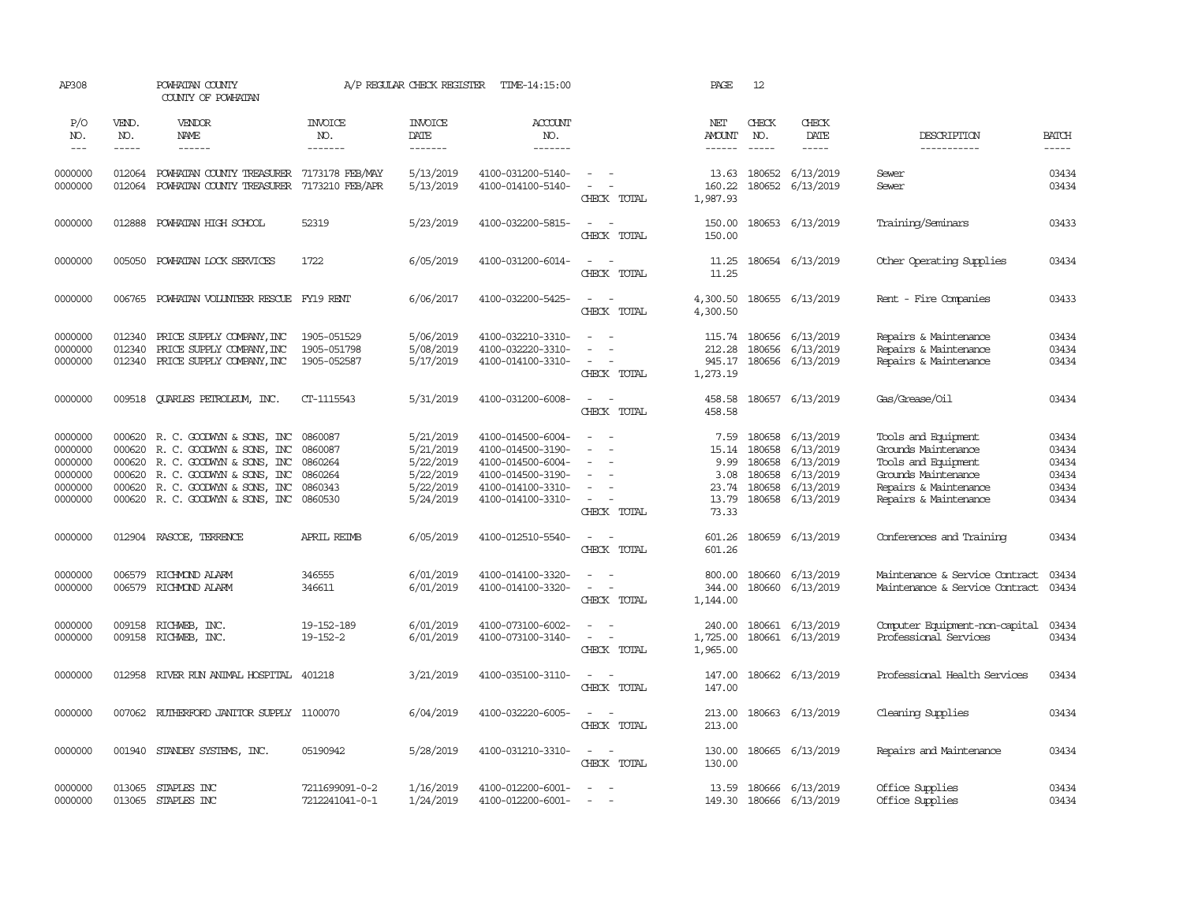| AP308                                                          |                            | POWHATAN COUNTY<br>COUNTY OF POWHATAN                                                                                                                                                        |                                                                | A/P REGULAR CHECK REGISTER                                                 | TIME-14:15:00                                                                                                              |                                                                                                                                                 | PAGE                                                     | 12                                                       |                                                                            |                                                                                                                                            |                                                    |
|----------------------------------------------------------------|----------------------------|----------------------------------------------------------------------------------------------------------------------------------------------------------------------------------------------|----------------------------------------------------------------|----------------------------------------------------------------------------|----------------------------------------------------------------------------------------------------------------------------|-------------------------------------------------------------------------------------------------------------------------------------------------|----------------------------------------------------------|----------------------------------------------------------|----------------------------------------------------------------------------|--------------------------------------------------------------------------------------------------------------------------------------------|----------------------------------------------------|
| P/O<br>NO.<br>$---$                                            | VEND.<br>NO.<br>-----      | <b>VENDOR</b><br><b>NAME</b><br>------                                                                                                                                                       | <b>INVOICE</b><br>NO.<br>-------                               | <b>INVOICE</b><br>DATE<br>-------                                          | ACCOUNT<br>NO.<br>-------                                                                                                  |                                                                                                                                                 | NET<br>AMOUNT<br>$- - - - - -$                           | CHECK<br>NO.                                             | CHECK<br>DATE<br>$- - - - -$                                               | DESCRIPTION<br>-----------                                                                                                                 | <b>BATCH</b><br>-----                              |
| 0000000<br>0000000                                             | 012064                     | 012064 POWHATAN COUNTY TREASURER<br>POWHATAN COUNTY TREASURER                                                                                                                                | 7173178 FEB/MAY<br>7173210 FEB/APR                             | 5/13/2019<br>5/13/2019                                                     | 4100-031200-5140-<br>4100-014100-5140-                                                                                     | $\equiv$<br>CHECK TOTAL                                                                                                                         | 160.22<br>1,987.93                                       | 13.63 180652<br>180652                                   | 6/13/2019<br>6/13/2019                                                     | Sewer<br>Sewer                                                                                                                             | 03434<br>03434                                     |
| 0000000                                                        | 012888                     | POWHATAN HIGH SCHOOL                                                                                                                                                                         | 52319                                                          | 5/23/2019                                                                  | 4100-032200-5815-                                                                                                          | $\sim$<br>$\sim$<br>CHECK TOTAL                                                                                                                 | 150.00<br>150.00                                         | 180653                                                   | 6/13/2019                                                                  | Training/Seminars                                                                                                                          | 03433                                              |
| 0000000                                                        |                            | 005050 POWHATAN LOCK SERVICES                                                                                                                                                                | 1722                                                           | 6/05/2019                                                                  | 4100-031200-6014-                                                                                                          | $\sim$<br>$\sim$<br>CHECK TOTAL                                                                                                                 | 11.25<br>11.25                                           |                                                          | 180654 6/13/2019                                                           | Other Operating Supplies                                                                                                                   | 03434                                              |
| 0000000                                                        | 006765                     | POWHATAN VOLUNTEER RESCUE FY19 RENT                                                                                                                                                          |                                                                | 6/06/2017                                                                  | 4100-032200-5425-                                                                                                          | $\sim$<br>$\sim$<br>CHECK TOTAL                                                                                                                 | 4,300.50<br>4,300.50                                     |                                                          | 180655 6/13/2019                                                           | Rent - Fire Companies                                                                                                                      | 03433                                              |
| 0000000<br>0000000<br>0000000                                  | 012340<br>012340<br>012340 | PRICE SUPPLY COMPANY, INC<br>PRICE SUPPLY COMPANY, INC<br>PRICE SUPPLY COMPANY, INC                                                                                                          | 1905-051529<br>1905-051798<br>1905-052587                      | 5/06/2019<br>5/08/2019<br>5/17/2019                                        | 4100-032210-3310-<br>4100-032220-3310-<br>4100-014100-3310-                                                                | $\sim$<br>$\overline{\phantom{a}}$<br>$\overline{\phantom{a}}$<br>CHECK TOTAL                                                                   | 115.74<br>212.28<br>945.17<br>1,273.19                   | 180656<br>180656<br>180656                               | 6/13/2019<br>6/13/2019<br>6/13/2019                                        | Repairs & Maintenance<br>Repairs & Maintenance<br>Repairs & Maintenance                                                                    | 03434<br>03434<br>03434                            |
| 0000000                                                        | 009518                     | QUARLES PETROLEUM, INC.                                                                                                                                                                      | CT-1115543                                                     | 5/31/2019                                                                  | 4100-031200-6008-                                                                                                          | $\sim$<br>$\overline{\phantom{a}}$<br>CHECK TOTAL                                                                                               | 458.58<br>458.58                                         |                                                          | 180657 6/13/2019                                                           | Gas/Grease/Oil                                                                                                                             | 03434                                              |
| 0000000<br>0000000<br>0000000<br>0000000<br>0000000<br>0000000 | 000620<br>000620<br>000620 | 000620 R.C. GOODWYN & SONS, INC<br>R. C. GOODWYN & SONS, INC<br>000620 R.C. GOODWYN & SONS, INC<br>000620 R.C. GOODWYN & SONS, INC<br>R. C. GOODWYN & SONS, INC<br>R. C. GOODWYN & SONS, INC | 0860087<br>0860087<br>0860264<br>0860264<br>0860343<br>0860530 | 5/21/2019<br>5/21/2019<br>5/22/2019<br>5/22/2019<br>5/22/2019<br>5/24/2019 | 4100-014500-6004-<br>4100-014500-3190-<br>4100-014500-6004-<br>4100-014500-3190-<br>4100-014100-3310-<br>4100-014100-3310- | $\blacksquare$<br>$\sim$<br>$\sim$<br>$\overline{\phantom{a}}$<br>$\sim$<br>$\overline{\phantom{a}}$<br>$\overline{\phantom{a}}$<br>CHECK TOTAL | 7.59<br>15.14<br>9.99<br>3.08<br>23.74<br>13.79<br>73.33 | 180658<br>180658<br>180658<br>180658<br>180658<br>180658 | 6/13/2019<br>6/13/2019<br>6/13/2019<br>6/13/2019<br>6/13/2019<br>6/13/2019 | Tools and Equipment<br>Grounds Maintenance<br>Tools and Equipment<br>Grounds Maintenance<br>Repairs & Maintenance<br>Repairs & Maintenance | 03434<br>03434<br>03434<br>03434<br>03434<br>03434 |
| 0000000                                                        |                            | 012904 RASCOE, TERRENCE                                                                                                                                                                      | APRIL REIMB                                                    | 6/05/2019                                                                  | 4100-012510-5540-                                                                                                          | $\sim$<br>$\overline{\phantom{a}}$<br>CHECK TOTAL                                                                                               | 601.26<br>601.26                                         |                                                          | 180659 6/13/2019                                                           | Conferences and Training                                                                                                                   | 03434                                              |
| 0000000<br>0000000                                             | 006579<br>006579           | RICHMOND ALARM<br>RICHMOND ALARM                                                                                                                                                             | 346555<br>346611                                               | 6/01/2019<br>6/01/2019                                                     | 4100-014100-3320-<br>4100-014100-3320-                                                                                     | $\equiv$<br>$\sim$<br>CHECK TOTAL                                                                                                               | 800.00<br>344.00<br>1,144.00                             | 180660<br>180660                                         | 6/13/2019<br>6/13/2019                                                     | Maintenance & Service Contract<br>Maintenance & Service Contract                                                                           | 03434<br>03434                                     |
| 0000000<br>0000000                                             | 009158<br>009158           | RICHWEB, INC.<br>RICHWEB, INC.                                                                                                                                                               | 19-152-189<br>19-152-2                                         | 6/01/2019<br>6/01/2019                                                     | 4100-073100-6002-<br>4100-073100-3140-                                                                                     | $\equiv$<br>$\sim$<br>$\sim$<br>$\overline{\phantom{a}}$<br>CHECK TOTAL                                                                         | 240.00<br>1,725.00<br>1,965.00                           |                                                          | 180661 6/13/2019<br>180661 6/13/2019                                       | Computer Equipment-non-capital<br>Professional Services                                                                                    | 03434<br>03434                                     |
| 0000000                                                        | 012958                     | RIVER RUN ANIMAL HOSPITAL                                                                                                                                                                    | 401218                                                         | 3/21/2019                                                                  | 4100-035100-3110-                                                                                                          | $\overline{\phantom{a}}$<br>$\sim$<br>CHECK TOTAL                                                                                               | 147.00<br>147.00                                         |                                                          | 180662 6/13/2019                                                           | Professional Health Services                                                                                                               | 03434                                              |
| 0000000                                                        |                            | 007062 RUIHERFORD JANITOR SUPPLY 1100070                                                                                                                                                     |                                                                | 6/04/2019                                                                  | 4100-032220-6005-                                                                                                          | $\sim$<br>$\sim$<br>CHECK TOTAL                                                                                                                 | 213.00<br>213.00                                         |                                                          | 180663 6/13/2019                                                           | Cleaning Supplies                                                                                                                          | 03434                                              |
| 0000000                                                        | 001940                     | STANDBY SYSTEMS, INC.                                                                                                                                                                        | 05190942                                                       | 5/28/2019                                                                  | 4100-031210-3310-                                                                                                          | $\sim$ $ \sim$<br>CHECK TOTAL                                                                                                                   | 130.00<br>130.00                                         |                                                          | 180665 6/13/2019                                                           | Repairs and Maintenance                                                                                                                    | 03434                                              |
| 0000000<br>0000000                                             | 013065                     | STAPLES INC<br>013065 STAPLES INC                                                                                                                                                            | 7211699091-0-2<br>7212241041-0-1                               | 1/16/2019<br>1/24/2019                                                     | 4100-012200-6001-<br>4100-012200-6001-                                                                                     | $\overline{\phantom{a}}$<br>$\sim$                                                                                                              | 13.59                                                    | 180666                                                   | 6/13/2019<br>149.30 180666 6/13/2019                                       | Office Supplies<br>Office Supplies                                                                                                         | 03434<br>03434                                     |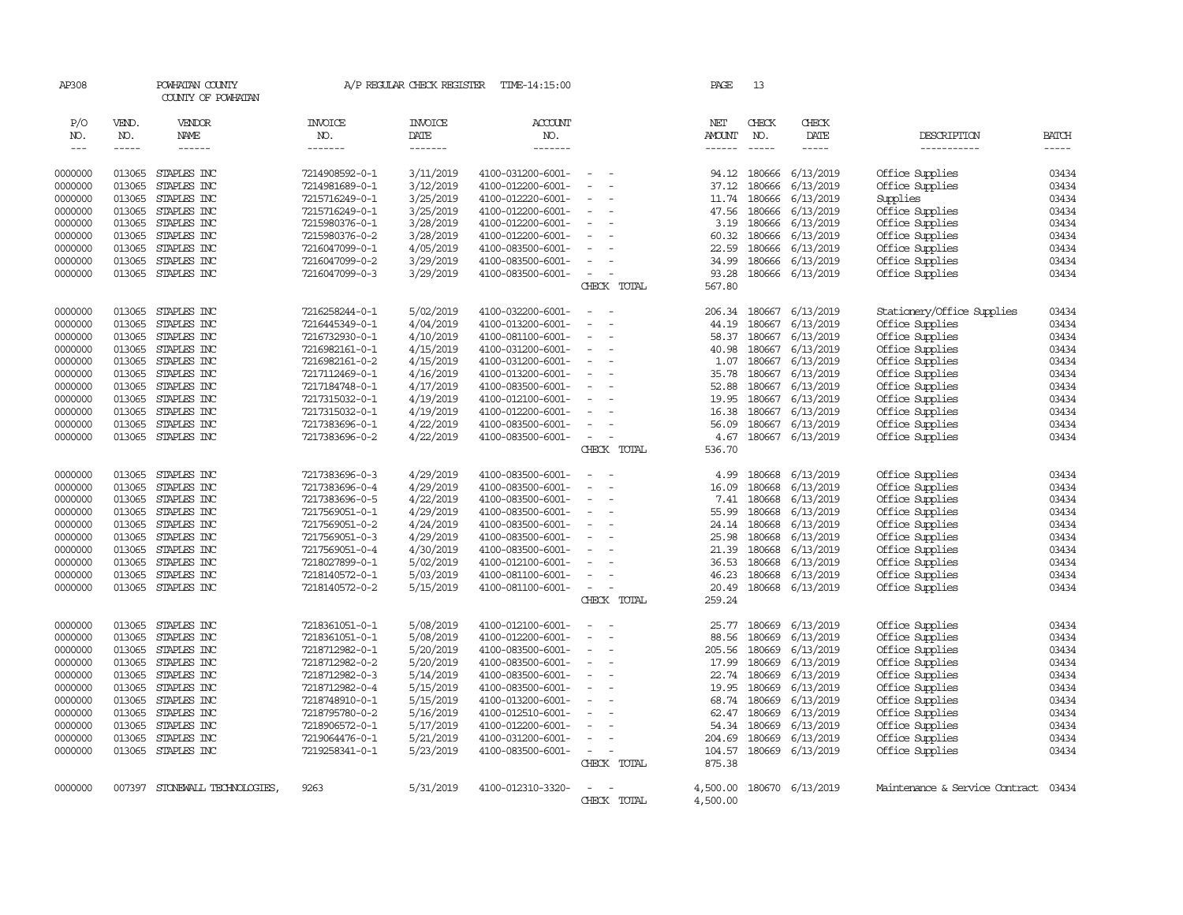| AP308                             |                             | POWHATAN COUNTY<br>COUNTY OF POWHATAN |                                  | A/P REGULAR CHECK REGISTER        | TIME-14:15:00                          |                                    | PAGE           | 13                          |                        |                                    |                             |
|-----------------------------------|-----------------------------|---------------------------------------|----------------------------------|-----------------------------------|----------------------------------------|------------------------------------|----------------|-----------------------------|------------------------|------------------------------------|-----------------------------|
| P/O<br>NO.<br>$\qquad \qquad - -$ | VEND.<br>NO.<br>$- - - - -$ | VENDOR<br>NAME                        | <b>INVOICE</b><br>NO.<br>------- | <b>INVOICE</b><br>DATE<br>------- | <b>ACCOUNT</b><br>NO.<br>-------       |                                    | NET<br>AMOUNT  | CHECK<br>NO.<br>$- - - - -$ | CHECK<br>DATE<br>----- | DESCRIPTION<br>-----------         | <b>BATCH</b><br>$- - - - -$ |
| 0000000                           | 013065                      | STAPLES INC                           | 7214908592-0-1                   | 3/11/2019                         | 4100-031200-6001-                      | $\sim$<br>$\sim$                   | 94.12          | 180666                      | 6/13/2019              | Office Supplies                    | 03434                       |
| 0000000                           | 013065                      | STAPLES INC                           | 7214981689-0-1                   | 3/12/2019                         | 4100-012200-6001-                      | $\overline{a}$                     | 37.12          | 180666                      | 6/13/2019              | Office Supplies                    | 03434                       |
| 0000000                           | 013065                      | STAPLES INC                           | 7215716249-0-1                   | 3/25/2019                         | 4100-012220-6001-                      |                                    | 11.74          | 180666                      | 6/13/2019              | Supplies                           | 03434                       |
| 0000000                           | 013065                      | STAPLES INC                           | 7215716249-0-1                   | 3/25/2019                         | 4100-012200-6001-                      |                                    | 47.56          | 180666                      | 6/13/2019              | Office Supplies                    | 03434                       |
| 0000000                           | 013065                      | STAPLES INC                           | 7215980376-0-1                   | 3/28/2019                         | 4100-012200-6001-                      | $\sim$                             | 3.19           | 180666                      | 6/13/2019              | Office Supplies                    | 03434                       |
| 0000000                           | 013065                      | STAPLES INC                           | 7215980376-0-2                   | 3/28/2019                         | 4100-012200-6001-                      |                                    | 60.32          | 180666                      | 6/13/2019              | Office Supplies                    | 03434                       |
| 0000000                           | 013065                      | STAPLES INC                           | 7216047099-0-1                   | 4/05/2019                         | 4100-083500-6001-                      |                                    | 22.59          | 180666                      | 6/13/2019              | Office Supplies                    | 03434                       |
| 0000000                           | 013065                      | STAPLES INC                           | 7216047099-0-2                   | 3/29/2019                         | 4100-083500-6001-                      | $\overline{\phantom{a}}$           | 34.99          | 180666                      | 6/13/2019              | Office Supplies                    | 03434                       |
| 0000000                           | 013065                      | STAPLES INC                           | 7216047099-0-3                   | 3/29/2019                         | 4100-083500-6001-                      | $\sim$                             | 93.28          | 180666                      | 6/13/2019              | Office Supplies                    | 03434                       |
|                                   |                             |                                       |                                  |                                   |                                        | CHECK TOTAL                        | 567.80         |                             |                        |                                    |                             |
| 0000000                           | 013065                      | STAPLES INC                           | 7216258244-0-1                   | 5/02/2019                         | 4100-032200-6001-                      | $\sim$                             | 206.34         | 180667                      | 6/13/2019              | Stationery/Office Supplies         | 03434                       |
| 0000000                           | 013065                      | STAPLES INC                           | 7216445349-0-1                   | 4/04/2019                         | 4100-013200-6001-                      | $\equiv$                           | 44.19          | 180667                      | 6/13/2019              | Office Supplies                    | 03434                       |
| 0000000                           | 013065                      | STAPLES INC                           | 7216732930-0-1                   | 4/10/2019                         | 4100-081100-6001-                      | $\equiv$                           | 58.37          | 180667                      | 6/13/2019              | Office Supplies                    | 03434                       |
| 0000000                           | 013065                      | STAPLES INC                           | 7216982161-0-1                   | 4/15/2019                         | 4100-031200-6001-                      |                                    | 40.98          | 180667                      | 6/13/2019              | Office Supplies                    | 03434                       |
| 0000000                           | 013065                      | STAPLES INC                           | 7216982161-0-2                   | 4/15/2019                         | 4100-031200-6001-                      | $\sim$<br>÷,                       | 1.07           | 180667                      | 6/13/2019              | Office Supplies                    | 03434                       |
| 0000000                           | 013065                      | STAPLES INC                           | 7217112469-0-1                   | 4/16/2019                         | 4100-013200-6001-                      |                                    | 35.78          | 180667                      | 6/13/2019              | Office Supplies                    | 03434                       |
| 0000000                           | 013065                      | STAPLES INC                           | 7217184748-0-1                   | 4/17/2019                         | 4100-083500-6001-                      | $\sim$                             | 52.88          | 180667                      | 6/13/2019              | Office Supplies                    | 03434                       |
| 0000000                           | 013065                      | STAPLES INC                           | 7217315032-0-1                   | 4/19/2019                         | 4100-012100-6001-                      |                                    | 19.95          | 180667                      | 6/13/2019              | Office Supplies                    | 03434                       |
| 0000000                           | 013065                      | STAPLES INC                           | 7217315032-0-1                   | 4/19/2019                         | 4100-012200-6001-                      | $\equiv$                           | 16.38          | 180667                      | 6/13/2019              | Office Supplies                    | 03434                       |
| 0000000                           | 013065                      | STAPLES INC                           | 7217383696-0-1                   | 4/22/2019                         | 4100-083500-6001-                      | $\sim$                             | 56.09          | 180667                      | 6/13/2019              | Office Supplies                    | 03434                       |
| 0000000                           |                             | 013065 STAPLES INC                    | 7217383696-0-2                   | 4/22/2019                         | 4100-083500-6001-                      | $\sim$<br>÷,<br>CHECK TOTAL        | 4.67<br>536.70 |                             | 180667 6/13/2019       | Office Supplies                    | 03434                       |
|                                   |                             |                                       |                                  |                                   |                                        |                                    |                |                             |                        |                                    |                             |
| 0000000                           | 013065                      | STAPLES INC                           | 7217383696-0-3                   | 4/29/2019                         | 4100-083500-6001-                      | $\overline{\phantom{a}}$           | 4.99           | 180668                      | 6/13/2019              | Office Supplies                    | 03434                       |
| 0000000                           | 013065                      | STAPLES INC                           | 7217383696-0-4                   | 4/29/2019                         | 4100-083500-6001-                      |                                    | 16.09          | 180668                      | 6/13/2019              | Office Supplies                    | 03434                       |
| 0000000                           | 013065                      | STAPLES INC                           | 7217383696-0-5                   | 4/22/2019                         | 4100-083500-6001-                      | $\sim$                             | 7.41           | 180668                      | 6/13/2019              | Office Supplies                    | 03434                       |
| 0000000                           | 013065                      | STAPLES INC                           | 7217569051-0-1                   | 4/29/2019                         | 4100-083500-6001-                      | $\overline{\phantom{a}}$           | 55.99          | 180668                      | 6/13/2019              | Office Supplies                    | 03434                       |
| 0000000                           | 013065                      | STAPLES INC                           | 7217569051-0-2                   | 4/24/2019                         | 4100-083500-6001-                      | $\overline{\phantom{a}}$           | 24.14          | 180668                      | 6/13/2019              | Office Supplies                    | 03434                       |
| 0000000                           | 013065                      | STAPLES INC                           | 7217569051-0-3                   | 4/29/2019                         | 4100-083500-6001-                      |                                    | 25.98          | 180668                      | 6/13/2019              | Office Supplies                    | 03434                       |
| 0000000                           | 013065<br>013065            | STAPLES INC                           | 7217569051-0-4                   | 4/30/2019                         | 4100-083500-6001-                      |                                    | 21.39          | 180668<br>180668            | 6/13/2019              | Office Supplies                    | 03434<br>03434              |
| 0000000                           | 013065                      | STAPLES INC<br>STAPLES INC            | 7218027899-0-1<br>7218140572-0-1 | 5/02/2019<br>5/03/2019            | 4100-012100-6001-<br>4100-081100-6001- | $\equiv$                           | 36.53<br>46.23 | 180668                      | 6/13/2019              | Office Supplies                    | 03434                       |
| 0000000<br>0000000                | 013065                      | STAPLES INC                           | 7218140572-0-2                   | 5/15/2019                         | 4100-081100-6001-                      |                                    | 20.49          | 180668                      | 6/13/2019<br>6/13/2019 | Office Supplies<br>Office Supplies | 03434                       |
|                                   |                             |                                       |                                  |                                   |                                        | CHECK TOTAL                        | 259.24         |                             |                        |                                    |                             |
| 0000000                           | 013065                      | STAPLES INC                           | 7218361051-0-1                   |                                   | 4100-012100-6001-                      |                                    | 25.77          | 180669                      |                        |                                    | 03434                       |
| 0000000                           | 013065                      | STAPLES INC                           | 7218361051-0-1                   | 5/08/2019<br>5/08/2019            | 4100-012200-6001-                      | $\equiv$                           | 88.56          | 180669                      | 6/13/2019<br>6/13/2019 | Office Supplies<br>Office Supplies | 03434                       |
| 0000000                           | 013065                      | STAPLES INC                           | 7218712982-0-1                   | 5/20/2019                         | 4100-083500-6001-                      | $\sim$<br>$\overline{\phantom{a}}$ | 205.56         | 180669                      | 6/13/2019              | Office Supplies                    | 03434                       |
| 0000000                           | 013065                      | STAPLES INC                           | 7218712982-0-2                   | 5/20/2019                         | 4100-083500-6001-                      |                                    | 17.99          | 180669                      | 6/13/2019              | Office Supplies                    | 03434                       |
| 0000000                           | 013065                      | STAPLES INC                           | 7218712982-0-3                   | 5/14/2019                         | 4100-083500-6001-                      |                                    | 22.74          | 180669                      | 6/13/2019              | Office Supplies                    | 03434                       |
| 0000000                           | 013065                      | STAPLES INC                           | 7218712982-0-4                   | 5/15/2019                         | 4100-083500-6001-                      |                                    | 19.95          | 180669                      | 6/13/2019              | Office Supplies                    | 03434                       |
| 0000000                           | 013065                      | STAPLES INC                           | 7218748910-0-1                   | 5/15/2019                         | 4100-013200-6001-                      |                                    | 68.74          | 180669                      | 6/13/2019              | Office Supplies                    | 03434                       |
| 0000000                           | 013065                      | STAPLES INC                           | 7218795780-0-2                   | 5/16/2019                         | 4100-012510-6001-                      |                                    | 62.47          | 180669                      | 6/13/2019              | Office Supplies                    | 03434                       |
| 0000000                           | 013065                      | STAPLES INC                           | 7218906572-0-1                   | 5/17/2019                         | 4100-012200-6001-                      |                                    | 54.34          | 180669                      | 6/13/2019              | Office Supplies                    | 03434                       |
| 0000000                           | 013065                      | STAPLES INC                           | 7219064476-0-1                   | 5/21/2019                         | 4100-031200-6001-                      |                                    | 204.69         | 180669                      | 6/13/2019              | Office Supplies                    | 03434                       |
| 0000000                           | 013065                      | STAPLES INC                           | 7219258341-0-1                   | 5/23/2019                         | 4100-083500-6001-                      | $\sim$                             | 104.57         | 180669                      | 6/13/2019              | Office Supplies                    | 03434                       |
|                                   |                             |                                       |                                  |                                   |                                        | CHECK TOTAL                        | 875.38         |                             |                        |                                    |                             |
| 0000000                           |                             | 007397 STONEWALL TECHNOLOGIES,        | 9263                             | 5/31/2019                         | 4100-012310-3320-                      | $\overline{\phantom{a}}$<br>$\sim$ | 4,500.00       |                             | 180670 6/13/2019       | Maintenance & Service Contract     | 03434                       |
|                                   |                             |                                       |                                  |                                   |                                        | CHECK TOTAL                        | 4,500.00       |                             |                        |                                    |                             |
|                                   |                             |                                       |                                  |                                   |                                        |                                    |                |                             |                        |                                    |                             |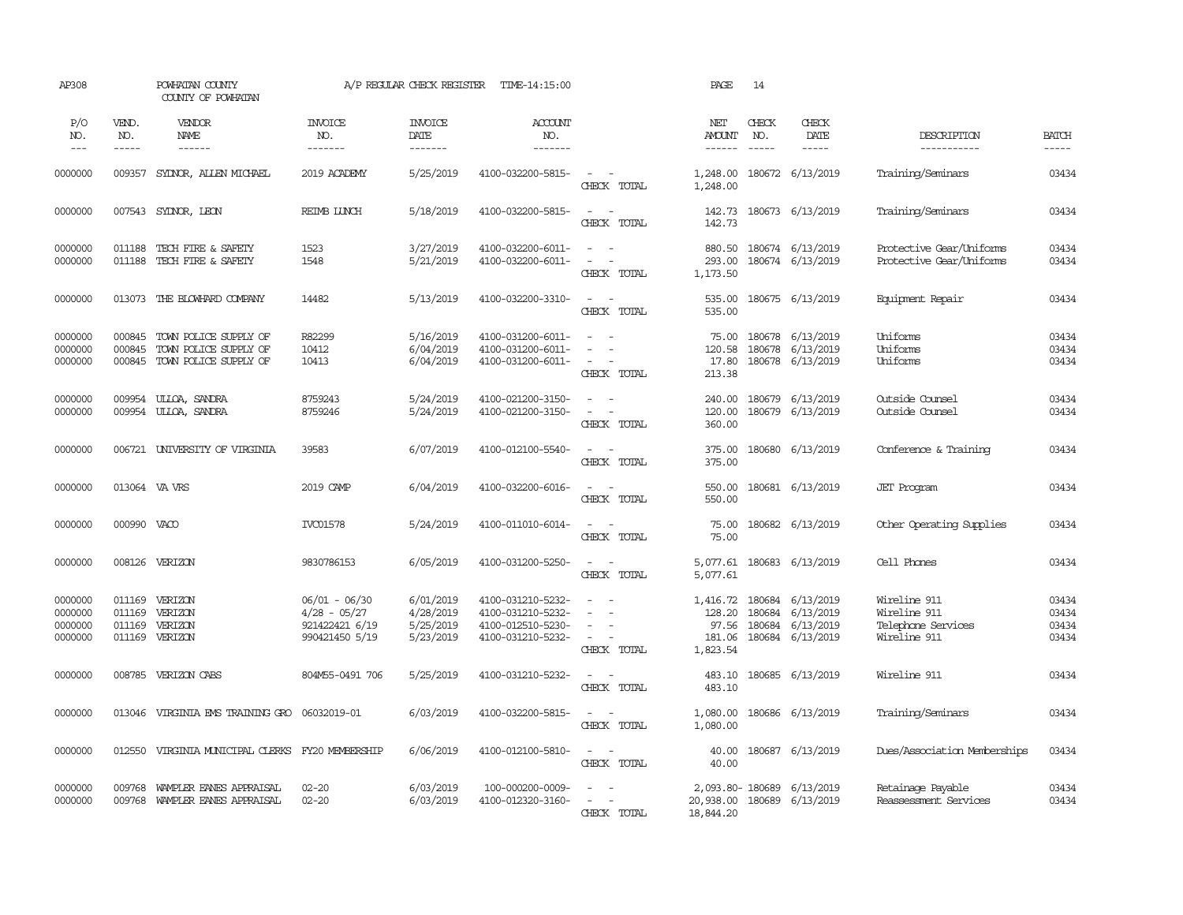| AP308                                    |                                      | POWHATAN COUNTY<br>COUNTY OF POWHATAN                                   |                                                                     | A/P REGULAR CHECK REGISTER                       | TIME-14:15:00                                                                    |                                                                 | PAGE                                              | 14                         |                                                         |                                                                    |                                  |
|------------------------------------------|--------------------------------------|-------------------------------------------------------------------------|---------------------------------------------------------------------|--------------------------------------------------|----------------------------------------------------------------------------------|-----------------------------------------------------------------|---------------------------------------------------|----------------------------|---------------------------------------------------------|--------------------------------------------------------------------|----------------------------------|
| P/O<br>NO.<br>$\qquad \qquad - -$        | VEND.<br>NO.<br>$\cdots$             | VENDOR<br>NAME                                                          | <b>INVOICE</b><br>NO.<br>-------                                    | <b>INVOICE</b><br>DATE<br>-------                | ACCOUNT<br>NO.<br>-------                                                        |                                                                 | NET<br><b>AMOUNT</b><br>------                    | CHECK<br>NO.               | CHECK<br>DATE<br>-----                                  | DESCRIPTION<br>__________                                          | <b>BATCH</b><br>-----            |
| 0000000                                  |                                      | 009357 SYDNOR, ALLEN MICHAEL                                            | 2019 ACADEMY                                                        | 5/25/2019                                        | 4100-032200-5815-                                                                | $\sim$<br>$\sim$<br>CHECK TOTAL                                 | 1,248.00<br>1,248.00                              |                            | 180672 6/13/2019                                        | Training/Seminars                                                  | 03434                            |
| 0000000                                  |                                      | 007543 SYDNOR, LEON                                                     | <b>REIMB LUNCH</b>                                                  | 5/18/2019                                        | 4100-032200-5815-                                                                | $\sim$<br>$\sim$<br>CHECK TOTAL                                 | 142.73<br>142.73                                  |                            | 180673 6/13/2019                                        | Training/Seminars                                                  | 03434                            |
| 0000000<br>0000000                       | 011188<br>011188                     | TECH FIRE & SAFETY<br>TECH FIRE & SAFETY                                | 1523<br>1548                                                        | 3/27/2019<br>5/21/2019                           | 4100-032200-6011-<br>4100-032200-6011-                                           | $\sim$<br>$\sim$<br>$\sim$<br>CHECK TOTAL                       | 880.50<br>293.00<br>1,173.50                      |                            | 180674 6/13/2019<br>180674 6/13/2019                    | Protective Gear/Uniforms<br>Protective Gear/Uniforms               | 03434<br>03434                   |
| 0000000                                  | 013073                               | THE BLOWHARD COMPANY                                                    | 14482                                                               | 5/13/2019                                        | 4100-032200-3310-                                                                | $\sim$<br>$\sim$<br>CHECK TOTAL                                 | 535.00<br>535.00                                  |                            | 180675 6/13/2019                                        | Equipment Repair                                                   | 03434                            |
| 0000000<br>0000000<br>0000000            | 000845<br>000845<br>000845           | TOWN POLICE SUPPLY OF<br>TOWN POLICE SUPPLY OF<br>TOWN POLICE SUPPLY OF | R82299<br>10412<br>10413                                            | 5/16/2019<br>6/04/2019<br>6/04/2019              | 4100-031200-6011-<br>4100-031200-6011-<br>4100-031200-6011-                      | $\sim$<br>$\sim$<br>$\equiv$<br>$\equiv$<br>CHECK TOTAL         | 75.00<br>120.58<br>17.80<br>213.38                | 180678                     | 180678 6/13/2019<br>6/13/2019<br>180678 6/13/2019       | Uniforms<br>Uniforms<br>Uniforms                                   | 03434<br>03434<br>03434          |
| 0000000<br>0000000                       | 009954<br>009954                     | ULLOA, SANDRA<br>ULLOA, SANDRA                                          | 8759243<br>8759246                                                  | 5/24/2019<br>5/24/2019                           | 4100-021200-3150-<br>4100-021200-3150-                                           | $\sim$<br>$\sim$<br>$\sim$ $ \sim$<br>CHECK TOTAL               | 240.00<br>120.00<br>360.00                        |                            | 180679 6/13/2019<br>180679 6/13/2019                    | Outside Counsel<br>Outside Counsel                                 | 03434<br>03434                   |
| 0000000                                  |                                      | 006721 UNIVERSITY OF VIRGINIA                                           | 39583                                                               | 6/07/2019                                        | 4100-012100-5540-                                                                | $\sim$<br>$\sim$<br>CHECK TOTAL                                 | 375.00<br>375.00                                  |                            | 180680 6/13/2019                                        | Conference & Training                                              | 03434                            |
| 0000000                                  | 013064 VA VRS                        |                                                                         | 2019 CAMP                                                           | 6/04/2019                                        | 4100-032200-6016-                                                                | $\sim$<br>$\sim$<br>CHECK TOTAL                                 | 550.00<br>550.00                                  |                            | 180681 6/13/2019                                        | <b>JET</b> Program                                                 | 03434                            |
| 0000000                                  | 000990                               | VACO                                                                    | <b>IVC01578</b>                                                     | 5/24/2019                                        | 4100-011010-6014-                                                                | $\sim$<br>$\sim$<br>CHECK TOTAL                                 | 75.00<br>75.00                                    |                            | 180682 6/13/2019                                        | Other Operating Supplies                                           | 03434                            |
| 0000000                                  | 008126                               | VERIZON                                                                 | 9830786153                                                          | 6/05/2019                                        | 4100-031200-5250-                                                                | $\sim$<br>$\sim$<br>CHECK TOTAL                                 | 5,077.61<br>5,077.61                              |                            | 180683 6/13/2019                                        | Cell Phones                                                        | 03434                            |
| 0000000<br>0000000<br>0000000<br>0000000 | 011169<br>011169<br>011169<br>011169 | VERIZON<br>VERIZON<br>VERIZON<br>VERIZON                                | 06/01 - 06/30<br>$4/28 - 05/27$<br>921422421 6/19<br>990421450 5/19 | 6/01/2019<br>4/28/2019<br>5/25/2019<br>5/23/2019 | 4100-031210-5232-<br>4100-031210-5232-<br>4100-012510-5230-<br>4100-031210-5232- | $\sim$<br>$\sim$<br>$\sim$<br>$\equiv$<br>$\sim$<br>CHECK TOTAL | 1,416.72<br>128.20<br>97.56<br>181.06<br>1,823.54 | 180684<br>180684<br>180684 | 180684 6/13/2019<br>6/13/2019<br>6/13/2019<br>6/13/2019 | Wireline 911<br>Wireline 911<br>Telephone Services<br>Wireline 911 | 03434<br>03434<br>03434<br>03434 |
| 0000000                                  | 008785                               | VERIZON CABS                                                            | 804M55-0491 706                                                     | 5/25/2019                                        | 4100-031210-5232-                                                                | $\overline{\phantom{a}}$<br>$\sim$<br>CHECK TOTAL               | 483.10<br>483.10                                  |                            | 180685 6/13/2019                                        | Wireline 911                                                       | 03434                            |
| 0000000                                  | 013046                               | VIRGINIA EMS TRAINING GRO                                               | 06032019-01                                                         | 6/03/2019                                        | 4100-032200-5815-                                                                | $\sim$<br>$\sim$<br>CHECK TOTAL                                 | 1,080.00<br>1,080.00                              |                            | 180686 6/13/2019                                        | Training/Seminars                                                  | 03434                            |
| 0000000                                  | 012550                               | VIRGINIA MUNICIPAL CLERKS FY20 MEMBERSHIP                               |                                                                     | 6/06/2019                                        | 4100-012100-5810-                                                                | $\sim$<br>$\sim$<br>CHECK TOTAL                                 | 40.00<br>40.00                                    |                            | 180687 6/13/2019                                        | Dues/Association Memberships                                       | 03434                            |
| 0000000<br>0000000                       | 009768<br>009768                     | WAMPLER EANES APPRAISAL<br>WAMPLER EANES APPRAISAL                      | $02 - 20$<br>$02 - 20$                                              | 6/03/2019<br>6/03/2019                           | 100-000200-0009-<br>4100-012320-3160-                                            | CHECK TOTAL                                                     | 20,938.00<br>18,844.20                            |                            | 2,093.80-180689 6/13/2019<br>180689 6/13/2019           | Retainage Payable<br>Reassessment Services                         | 03434<br>03434                   |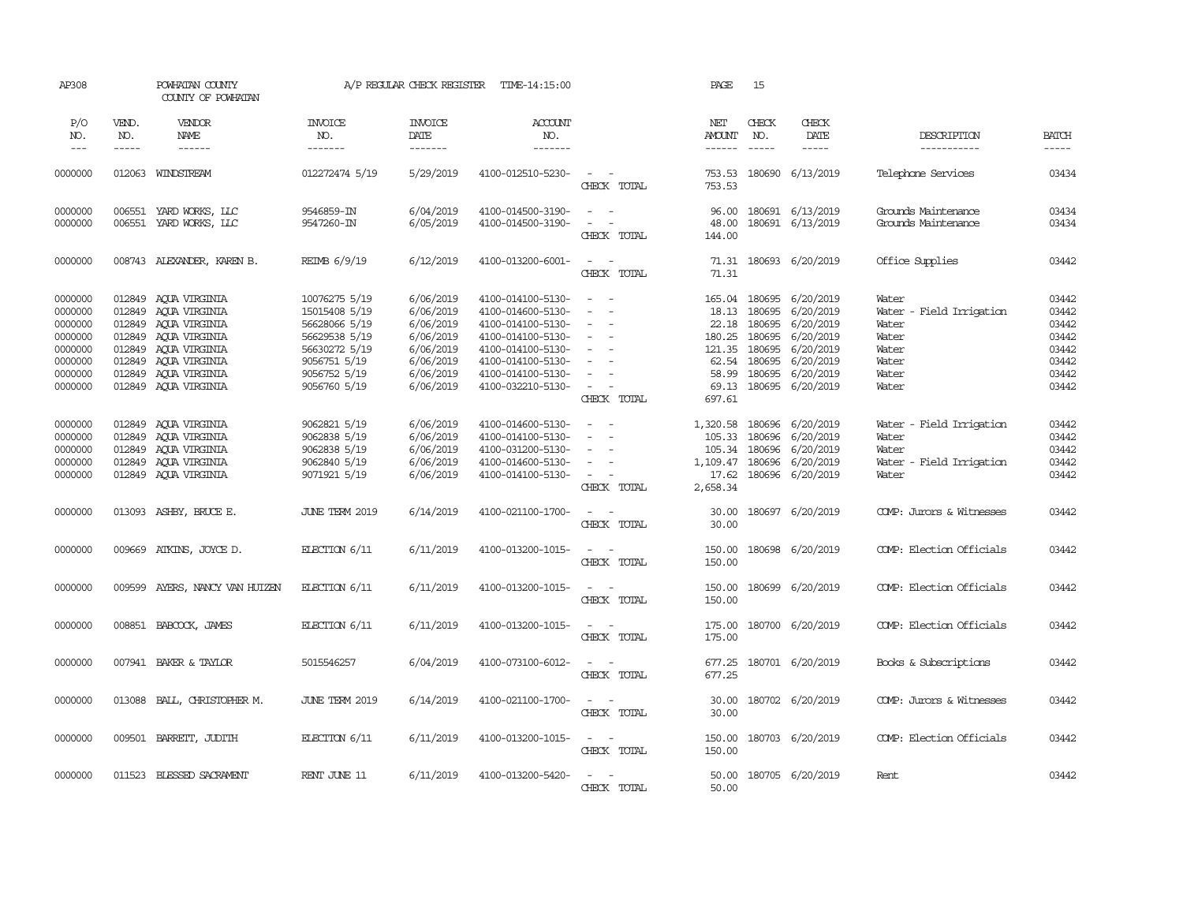| AP308                                                                                |                                                | POWHATAN COUNTY<br>COUNTY OF POWHATAN                                                                                                                     |                                                                                                                                   | A/P REGULAR CHECK REGISTER                                                                           | TIME-14:15:00                                                                                                                                                        |                                                                                               | PAGE                                                                     | 15                                                                                                                                                                                                                                                                                                                                                                                                                                                                                                   |                                                                                                                                                                                                                                                                                                                                                                                                                                                                          |                                                                                         |                                                                      |
|--------------------------------------------------------------------------------------|------------------------------------------------|-----------------------------------------------------------------------------------------------------------------------------------------------------------|-----------------------------------------------------------------------------------------------------------------------------------|------------------------------------------------------------------------------------------------------|----------------------------------------------------------------------------------------------------------------------------------------------------------------------|-----------------------------------------------------------------------------------------------|--------------------------------------------------------------------------|------------------------------------------------------------------------------------------------------------------------------------------------------------------------------------------------------------------------------------------------------------------------------------------------------------------------------------------------------------------------------------------------------------------------------------------------------------------------------------------------------|--------------------------------------------------------------------------------------------------------------------------------------------------------------------------------------------------------------------------------------------------------------------------------------------------------------------------------------------------------------------------------------------------------------------------------------------------------------------------|-----------------------------------------------------------------------------------------|----------------------------------------------------------------------|
| P/O<br>NO.<br>$\frac{1}{2}$                                                          | VEND.<br>NO.<br>-----                          | VENDOR<br>NAME                                                                                                                                            | <b>INVOICE</b><br>NO.<br>$- - - - - - -$                                                                                          | <b>INVOICE</b><br>DATE<br>-------                                                                    | ACCOUNT<br>NO.<br>$- - - - - - -$                                                                                                                                    |                                                                                               | NET<br><b>AMOUNT</b>                                                     | CHECK<br>NO.<br>$\begin{tabular}{cccccc} \multicolumn{2}{c}{} & \multicolumn{2}{c}{} & \multicolumn{2}{c}{} & \multicolumn{2}{c}{} & \multicolumn{2}{c}{} & \multicolumn{2}{c}{} & \multicolumn{2}{c}{} & \multicolumn{2}{c}{} & \multicolumn{2}{c}{} & \multicolumn{2}{c}{} & \multicolumn{2}{c}{} & \multicolumn{2}{c}{} & \multicolumn{2}{c}{} & \multicolumn{2}{c}{} & \multicolumn{2}{c}{} & \multicolumn{2}{c}{} & \multicolumn{2}{c}{} & \multicolumn{2}{c}{} & \multicolumn{2}{c}{} & \mult$ | CHECK<br>DATE<br>$\begin{tabular}{ccccc} \multicolumn{2}{c }{\multicolumn{2}{c }{\multicolumn{2}{c }{\multicolumn{2}{c}}{\hspace{-2.2cm}}}} \multicolumn{2}{c }{\multicolumn{2}{c }{\hspace{-2.2cm}}\hline} \multicolumn{2}{c }{\hspace{-2.2cm}}\hline \multicolumn{2}{c }{\hspace{-2.2cm}}\hline \multicolumn{2}{c }{\hspace{-2.2cm}}\hline \multicolumn{2}{c }{\hspace{-2.2cm}}\hline \multicolumn{2}{c }{\hspace{-2.2cm}}\hline \multicolumn{2}{c }{\hspace{-2.2cm}}$ | DESCRIPTION<br>-----------                                                              | <b>BATCH</b><br>-----                                                |
| 0000000                                                                              |                                                | 012063 WINDSTREAM                                                                                                                                         | 012272474 5/19                                                                                                                    | 5/29/2019                                                                                            | 4100-012510-5230-                                                                                                                                                    | $\sim$ $ \sim$<br>CHECK TOTAL                                                                 | 753.53<br>753.53                                                         |                                                                                                                                                                                                                                                                                                                                                                                                                                                                                                      | 180690 6/13/2019                                                                                                                                                                                                                                                                                                                                                                                                                                                         | Telephone Services                                                                      | 03434                                                                |
| 0000000<br>0000000                                                                   |                                                | 006551 YARD WORKS, LLC<br>006551 YARD WORKS, LLC                                                                                                          | 9546859-IN<br>9547260-IN                                                                                                          | 6/04/2019<br>6/05/2019                                                                               | 4100-014500-3190-<br>4100-014500-3190-                                                                                                                               | $\sim$ $ -$<br>$\sim$ $ -$<br>CHECK TOTAL                                                     | 96.00<br>48.00<br>144.00                                                 |                                                                                                                                                                                                                                                                                                                                                                                                                                                                                                      | 180691 6/13/2019<br>180691 6/13/2019                                                                                                                                                                                                                                                                                                                                                                                                                                     | Grounds Maintenance<br>Grounds Maintenance                                              | 03434<br>03434                                                       |
| 0000000                                                                              |                                                | 008743 ALEXANDER, KAREN B.                                                                                                                                | REIMB 6/9/19                                                                                                                      | 6/12/2019                                                                                            | 4100-013200-6001-                                                                                                                                                    | $\sim$ $ \sim$<br>CHECK TOTAL                                                                 | 71.31                                                                    |                                                                                                                                                                                                                                                                                                                                                                                                                                                                                                      | 71.31 180693 6/20/2019                                                                                                                                                                                                                                                                                                                                                                                                                                                   | Office Supplies                                                                         | 03442                                                                |
| 0000000<br>0000000<br>0000000<br>0000000<br>0000000<br>0000000<br>0000000<br>0000000 | 012849<br>012849<br>012849<br>012849<br>012849 | 012849 AQUA VIRGINIA<br>AQUA VIRGINIA<br>012849 ACUA VIRGINIA<br>AQUA VIRGINIA<br>AQUA VIRGINIA<br>AQUA VIRGINIA<br>AOUA VIRGINIA<br>012849 ACUA VIRGINIA | 10076275 5/19<br>15015408 5/19<br>56628066 5/19<br>56629538 5/19<br>56630272 5/19<br>9056751 5/19<br>9056752 5/19<br>9056760 5/19 | 6/06/2019<br>6/06/2019<br>6/06/2019<br>6/06/2019<br>6/06/2019<br>6/06/2019<br>6/06/2019<br>6/06/2019 | 4100-014100-5130-<br>4100-014600-5130-<br>4100-014100-5130-<br>4100-014100-5130-<br>4100-014100-5130-<br>4100-014100-5130-<br>4100-014100-5130-<br>4100-032210-5130- | $\sim$<br>$\sim$<br>$\equiv$<br>$\sim$<br>$\sim$<br>$\sim$<br>$\sim$<br>$\sim$<br>CHECK TOTAL | 165.04<br>18.13<br>22.18<br>180.25<br>121.35<br>62.54<br>58.99<br>697.61 | 180695<br>180695<br>180695<br>180695<br>180695                                                                                                                                                                                                                                                                                                                                                                                                                                                       | 180695 6/20/2019<br>6/20/2019<br>6/20/2019<br>6/20/2019<br>6/20/2019<br>6/20/2019<br>180695 6/20/2019<br>69.13 180695 6/20/2019                                                                                                                                                                                                                                                                                                                                          | Water<br>Water - Field Irrigation<br>Water<br>Water<br>Water<br>Water<br>Water<br>Water | 03442<br>03442<br>03442<br>03442<br>03442<br>03442<br>03442<br>03442 |
| 0000000<br>0000000<br>0000000<br>0000000<br>0000000                                  | 012849<br>012849<br>012849                     | 012849 AQUA VIRGINIA<br>AOUA VIRGINIA<br>AOUA VIRGINIA<br>AQUA VIRGINIA<br>012849 AQUA VIRGINIA                                                           | 9062821 5/19<br>9062838 5/19<br>9062838 5/19<br>9062840 5/19<br>9071921 5/19                                                      | 6/06/2019<br>6/06/2019<br>6/06/2019<br>6/06/2019<br>6/06/2019                                        | 4100-014600-5130-<br>4100-014100-5130-<br>4100-031200-5130-<br>4100-014600-5130-<br>4100-014100-5130-                                                                | $\sim$ $ \sim$<br>$ -$<br>$\equiv$<br>$\sim$<br>$\sim$<br>$\sim$<br>CHECK TOTAL               | 1,320.58<br>105.33<br>105.34<br>1,109.47<br>17.62<br>2,658.34            | 180696<br>180696<br>180696                                                                                                                                                                                                                                                                                                                                                                                                                                                                           | 180696 6/20/2019<br>6/20/2019<br>6/20/2019<br>6/20/2019<br>180696 6/20/2019                                                                                                                                                                                                                                                                                                                                                                                              | Water - Field Irrigation<br>Water<br>Water<br>Water - Field Irrigation<br>Water         | 03442<br>03442<br>03442<br>03442<br>03442                            |
| 0000000                                                                              |                                                | 013093 ASHBY, BRUCE E.                                                                                                                                    | JUNE TERM 2019                                                                                                                    | 6/14/2019                                                                                            | 4100-021100-1700-                                                                                                                                                    | $\sim$ 100 $\sim$<br>CHECK TOTAL                                                              | 30.00<br>30.00                                                           |                                                                                                                                                                                                                                                                                                                                                                                                                                                                                                      | 180697 6/20/2019                                                                                                                                                                                                                                                                                                                                                                                                                                                         | COMP: Jurors & Witnesses                                                                | 03442                                                                |
| 0000000                                                                              | 009669                                         | ATKINS, JOYCE D.                                                                                                                                          | ELECTION $6/11$                                                                                                                   | 6/11/2019                                                                                            | 4100-013200-1015-                                                                                                                                                    | $\sim$ $  -$<br>CHECK TOTAL                                                                   | 150.00<br>150.00                                                         |                                                                                                                                                                                                                                                                                                                                                                                                                                                                                                      | 180698 6/20/2019                                                                                                                                                                                                                                                                                                                                                                                                                                                         | COMP: Election Officials                                                                | 03442                                                                |
| 0000000                                                                              | 009599                                         | AYERS, NANCY VAN HUIZEN                                                                                                                                   | ELECTION 6/11                                                                                                                     | 6/11/2019                                                                                            | 4100-013200-1015-                                                                                                                                                    | $\sim$<br>$\sim$ $-$<br>CHECK TOTAL                                                           | 150.00<br>150.00                                                         |                                                                                                                                                                                                                                                                                                                                                                                                                                                                                                      | 180699 6/20/2019                                                                                                                                                                                                                                                                                                                                                                                                                                                         | COMP: Election Officials                                                                | 03442                                                                |
| 0000000                                                                              |                                                | 008851 BABCOCK, JAMES                                                                                                                                     | ELECTION 6/11                                                                                                                     | 6/11/2019                                                                                            | 4100-013200-1015-                                                                                                                                                    | $\sim$ $ \sim$<br>CHECK TOTAL                                                                 | 175.00<br>175.00                                                         |                                                                                                                                                                                                                                                                                                                                                                                                                                                                                                      | 180700 6/20/2019                                                                                                                                                                                                                                                                                                                                                                                                                                                         | COMP: Election Officials                                                                | 03442                                                                |
| 0000000                                                                              |                                                | 007941 BAKER & TAYLOR                                                                                                                                     | 5015546257                                                                                                                        | 6/04/2019                                                                                            | 4100-073100-6012-                                                                                                                                                    | $\sim$ $  -$<br>CHECK TOTAL                                                                   | 677.25<br>677.25                                                         |                                                                                                                                                                                                                                                                                                                                                                                                                                                                                                      | 180701 6/20/2019                                                                                                                                                                                                                                                                                                                                                                                                                                                         | Books & Subscriptions                                                                   | 03442                                                                |
| 0000000                                                                              | 013088                                         | BALL, CHRISTOPHER M.                                                                                                                                      | JUNE TERM 2019                                                                                                                    | 6/14/2019                                                                                            | 4100-021100-1700-                                                                                                                                                    | $\sim$ $ -$<br>CHECK TOTAL                                                                    | 30.00<br>30.00                                                           |                                                                                                                                                                                                                                                                                                                                                                                                                                                                                                      | 180702 6/20/2019                                                                                                                                                                                                                                                                                                                                                                                                                                                         | COMP: Jurors & Witnesses                                                                | 03442                                                                |
| 0000000                                                                              |                                                | 009501 BARRETT, JUDITH                                                                                                                                    | ELECTION 6/11                                                                                                                     | 6/11/2019                                                                                            | 4100-013200-1015-                                                                                                                                                    | $\sim$ $ \sim$ $-$<br>CHECK TOTAL                                                             | 150.00<br>150.00                                                         |                                                                                                                                                                                                                                                                                                                                                                                                                                                                                                      | 180703 6/20/2019                                                                                                                                                                                                                                                                                                                                                                                                                                                         | COMP: Election Officials                                                                | 03442                                                                |
| 0000000                                                                              |                                                | 011523 BLESSED SACRAMENT                                                                                                                                  | RENT JUNE 11                                                                                                                      | 6/11/2019                                                                                            | 4100-013200-5420-                                                                                                                                                    | $\sim$ $ \sim$<br>CHECK TOTAL                                                                 | 50.00                                                                    |                                                                                                                                                                                                                                                                                                                                                                                                                                                                                                      | 50.00 180705 6/20/2019                                                                                                                                                                                                                                                                                                                                                                                                                                                   | Rent                                                                                    | 03442                                                                |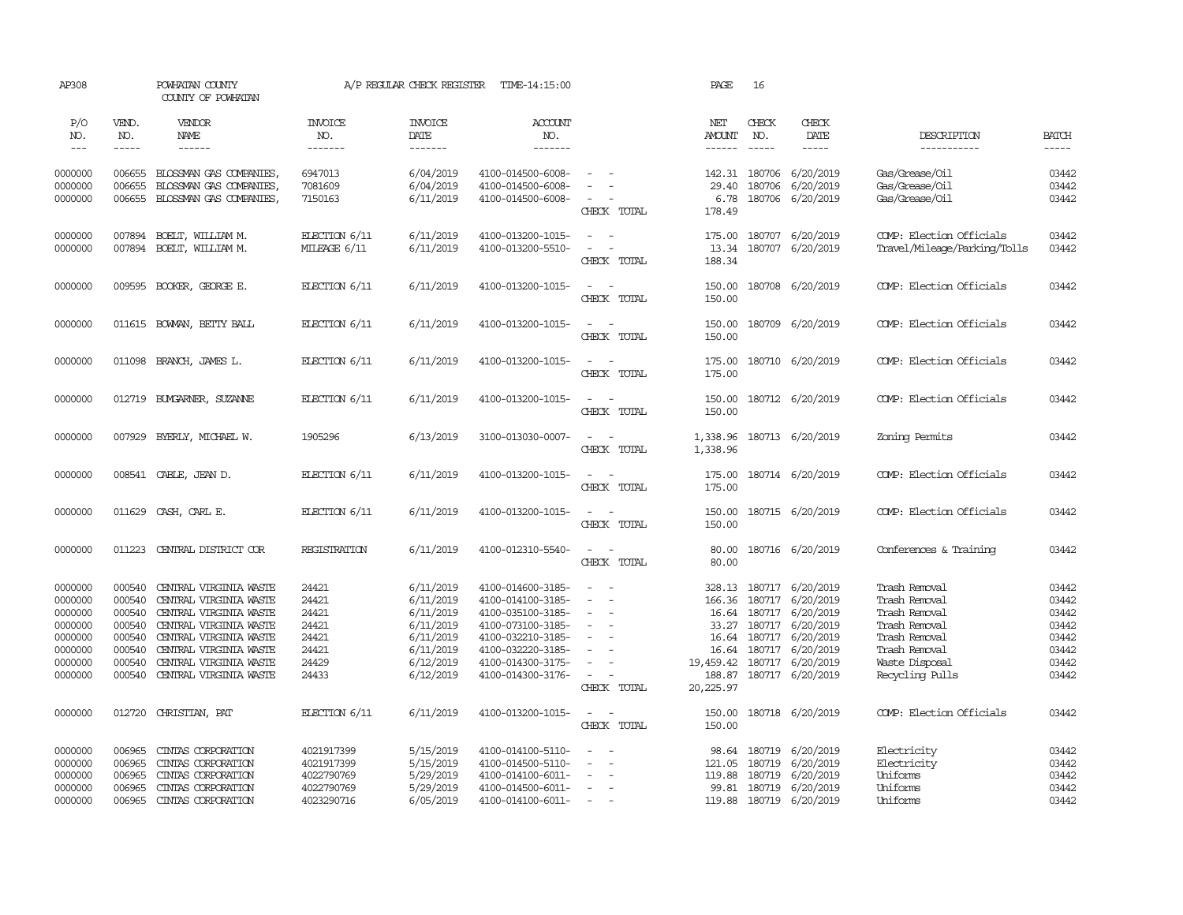| AP308                       |                       | POWHATAN COUNTY<br>COUNTY OF POWHATAN            |                                  | A/P REGULAR CHECK REGISTER        | TIME-14:15:00                          |                                    | PAGE                 | 16                            |                         |                                 |                             |
|-----------------------------|-----------------------|--------------------------------------------------|----------------------------------|-----------------------------------|----------------------------------------|------------------------------------|----------------------|-------------------------------|-------------------------|---------------------------------|-----------------------------|
| P/O<br>NO.<br>$\frac{1}{2}$ | VEND.<br>NO.<br>----- | VENDOR<br>NAME<br>$- - - - - -$                  | <b>INVOICE</b><br>NO.<br>------- | <b>INVOICE</b><br>DATE<br>------- | ACCOUNT<br>NO.<br>-------              |                                    | NET<br><b>AMOUNT</b> | CHECK<br>NO.<br>$\frac{1}{2}$ | CHECK<br>DATE<br>-----  | DESCRIPTION<br>-----------      | <b>BATCH</b><br>$- - - - -$ |
| 0000000                     | 006655                | BLOSSMAN GAS COMPANIES                           | 6947013                          | 6/04/2019                         | 4100-014500-6008-                      | $\overline{\phantom{a}}$           |                      | 142.31 180706                 | 6/20/2019               | Gas/Grease/Oil                  | 03442                       |
| 0000000                     | 006655                | BLOSSMAN GAS COMPANIES,                          | 7081609                          | 6/04/2019                         | 4100-014500-6008-                      |                                    | 29.40                | 180706                        | 6/20/2019               | Gas/Grease/Oil                  | 03442                       |
| 0000000                     | 006655                | BLOSSMAN GAS COMPANIES,                          | 7150163                          | 6/11/2019                         | 4100-014500-6008-                      |                                    | 6.78                 |                               | 180706 6/20/2019        | Gas/Grease/Oil                  | 03442                       |
|                             |                       |                                                  |                                  |                                   |                                        | CHECK TOTAL                        | 178.49               |                               |                         |                                 |                             |
| 0000000                     | 007894                | BOELT, WILLIAM M.                                | ELECTION 6/11                    | 6/11/2019                         | 4100-013200-1015-                      | $\sim$<br>$\sim$                   | 175.00               | 180707                        | 6/20/2019               | COMP: Election Officials        | 03442                       |
| 0000000                     | 007894                | BOELT, WILLIAM M.                                | MILEAGE 6/11                     | 6/11/2019                         | 4100-013200-5510-                      | $\sim$<br>$\sim$                   | 13.34                |                               | 180707 6/20/2019        | Travel/Mileage/Parking/Tolls    | 03442                       |
|                             |                       |                                                  |                                  |                                   |                                        | CHECK TOTAL                        | 188.34               |                               |                         |                                 |                             |
| 0000000                     |                       | 009595 BOOKER, GEORGE E.                         | ELECTION 6/11                    | 6/11/2019                         | 4100-013200-1015-                      | $\sim$ $-$                         | 150.00               |                               | 180708 6/20/2019        | COMP: Election Officials        | 03442                       |
|                             |                       |                                                  |                                  |                                   |                                        | CHECK TOTAL                        | 150.00               |                               |                         |                                 |                             |
| 0000000                     |                       | 011615 BOWAN, BETTY BALL                         | ELECTION 6/11                    | 6/11/2019                         | 4100-013200-1015-                      | $\overline{a}$<br>$\sim$           | 150.00               |                               | 180709 6/20/2019        | COMP: Election Officials        | 03442                       |
|                             |                       |                                                  |                                  |                                   |                                        | CHECK TOTAL                        | 150.00               |                               |                         |                                 |                             |
| 0000000                     |                       | 011098 BRANCH, JAMES L.                          | ELECTION 6/11                    | 6/11/2019                         | 4100-013200-1015-                      | $\sim$                             | 175.00               |                               | 180710 6/20/2019        | COMP: Election Officials        | 03442                       |
|                             |                       |                                                  |                                  |                                   |                                        | CHECK TOTAL                        | 175.00               |                               |                         |                                 |                             |
| 0000000                     | 012719                | BUYGARNER, SUZANNE                               | ELECTION 6/11                    | 6/11/2019                         | 4100-013200-1015-                      | $\overline{\phantom{a}}$<br>$\sim$ | 150.00               |                               | 180712 6/20/2019        | COMP: Election Officials        | 03442                       |
|                             |                       |                                                  |                                  |                                   |                                        | CHECK TOTAL                        | 150.00               |                               |                         |                                 |                             |
| 0000000                     | 007929                | BYERLY, MICHAEL W.                               | 1905296                          | 6/13/2019                         | 3100-013030-0007-                      | $\sim$                             | 1,338.96             |                               | 180713 6/20/2019        | Zoning Permits                  | 03442                       |
|                             |                       |                                                  |                                  |                                   |                                        | CHECK TOTAL                        | 1,338.96             |                               |                         |                                 |                             |
| 0000000                     |                       | 008541 CABLE, JEAN D.                            | ELECTION 6/11                    | 6/11/2019                         | 4100-013200-1015-                      | $\overline{\phantom{a}}$<br>$\sim$ | 175.00               |                               | 180714 6/20/2019        | COMP: Election Officials        | 03442                       |
|                             |                       |                                                  |                                  |                                   |                                        | CHECK TOTAL                        | 175.00               |                               |                         |                                 |                             |
| 0000000                     | 011629                | CASH, CARL E.                                    | ELECTION 6/11                    | 6/11/2019                         | 4100-013200-1015-                      | $\sim$<br>$\sim$                   | 150.00               |                               | 180715 6/20/2019        | COMP: Election Officials        | 03442                       |
|                             |                       |                                                  |                                  |                                   |                                        | CHECK TOTAL                        | 150.00               |                               |                         |                                 |                             |
| 0000000                     | 011223                | CENTRAL DISTRICT COR                             | REGISTRATION                     | 6/11/2019                         | 4100-012310-5540-                      | $\sim$ $ -$                        | 80.00                |                               | 180716 6/20/2019        | Conferences & Training          | 03442                       |
|                             |                       |                                                  |                                  |                                   |                                        | CHECK TOTAL                        | 80.00                |                               |                         |                                 |                             |
| 0000000                     | 000540                | CENTRAL VIRGINIA WASTE                           | 24421                            | 6/11/2019                         | 4100-014600-3185-                      |                                    | 328.13               |                               | 180717 6/20/2019        | Trash Removal                   | 03442                       |
| 0000000                     | 000540                | CENTRAL VIRGINIA WASTE                           | 24421                            | 6/11/2019                         | 4100-014100-3185-                      | $\sim$                             | 166.36               |                               | 180717 6/20/2019        | Trash Removal                   | 03442                       |
| 0000000                     | 000540                | CENTRAL VIRGINIA WASTE                           | 24421                            | 6/11/2019                         | 4100-035100-3185-                      | $\equiv$                           | 16.64                |                               | 180717 6/20/2019        | Trash Removal                   | 03442                       |
| 0000000                     | 000540                | CENTRAL VIRGINIA WASTE                           | 24421                            | 6/11/2019                         | 4100-073100-3185-                      | $\equiv$                           |                      |                               | 33.27 180717 6/20/2019  | Trash Removal                   | 03442                       |
| 0000000                     | 000540                | CENTRAL VIRGINIA WASTE                           | 24421                            | 6/11/2019                         | 4100-032210-3185-                      | $\sim$<br>$\sim$                   | 16.64                | 180717                        | 6/20/2019               | Trash Removal                   | 03442                       |
| 0000000<br>0000000          | 000540<br>000540      | CENTRAL VIRGINIA WASTE<br>CENTRAL VIRGINIA WASTE | 24421<br>24429                   | 6/11/2019<br>6/12/2019            | 4100-032220-3185-<br>4100-014300-3175- | $\equiv$                           | 16.64<br>19,459.42   | 180717<br>180717              | 6/20/2019<br>6/20/2019  | Trash Removal<br>Waste Disposal | 03442<br>03442              |
| 0000000                     | 000540                | CENTRAL VIRGINIA WASTE                           | 24433                            | 6/12/2019                         | 4100-014300-3176-                      | $\sim$                             | 188.87               |                               | 180717 6/20/2019        | Recycling Pulls                 | 03442                       |
|                             |                       |                                                  |                                  |                                   |                                        | CHECK TOTAL                        | 20,225.97            |                               |                         |                                 |                             |
| 0000000                     | 012720                | CHRISTIAN, PAT                                   | ELECTION 6/11                    | 6/11/2019                         | 4100-013200-1015-                      | $\sim$<br>$\sim$                   | 150.00               |                               | 180718 6/20/2019        | COMP: Election Officials        | 03442                       |
|                             |                       |                                                  |                                  |                                   |                                        | CHECK TOTAL                        | 150.00               |                               |                         |                                 |                             |
| 0000000                     | 006965                | CINIAS CORPORATION                               | 4021917399                       | 5/15/2019                         | 4100-014100-5110-                      |                                    | 98.64                |                               | 180719 6/20/2019        | Electricity                     | 03442                       |
| 0000000                     | 006965                | CINIAS CORPORATION                               | 4021917399                       | 5/15/2019                         | 4100-014500-5110-                      |                                    | 121.05               | 180719                        | 6/20/2019               | Electricity                     | 03442                       |
| 0000000                     | 006965                | CINIAS CORPORATION                               | 4022790769                       | 5/29/2019                         | 4100-014100-6011-                      | $\equiv$                           | 119.88               |                               | 180719 6/20/2019        | Uniforms                        | 03442                       |
| 0000000                     | 006965                | CINIAS CORPORATION                               | 4022790769                       | 5/29/2019                         | 4100-014500-6011-                      |                                    |                      |                               | 99.81 180719 6/20/2019  | Uniforms                        | 03442                       |
| 0000000                     | 006965                | CINIAS CORPORATION                               | 4023290716                       | 6/05/2019                         | 4100-014100-6011-                      | $\sim$                             |                      |                               | 119.88 180719 6/20/2019 | Uniforms                        | 03442                       |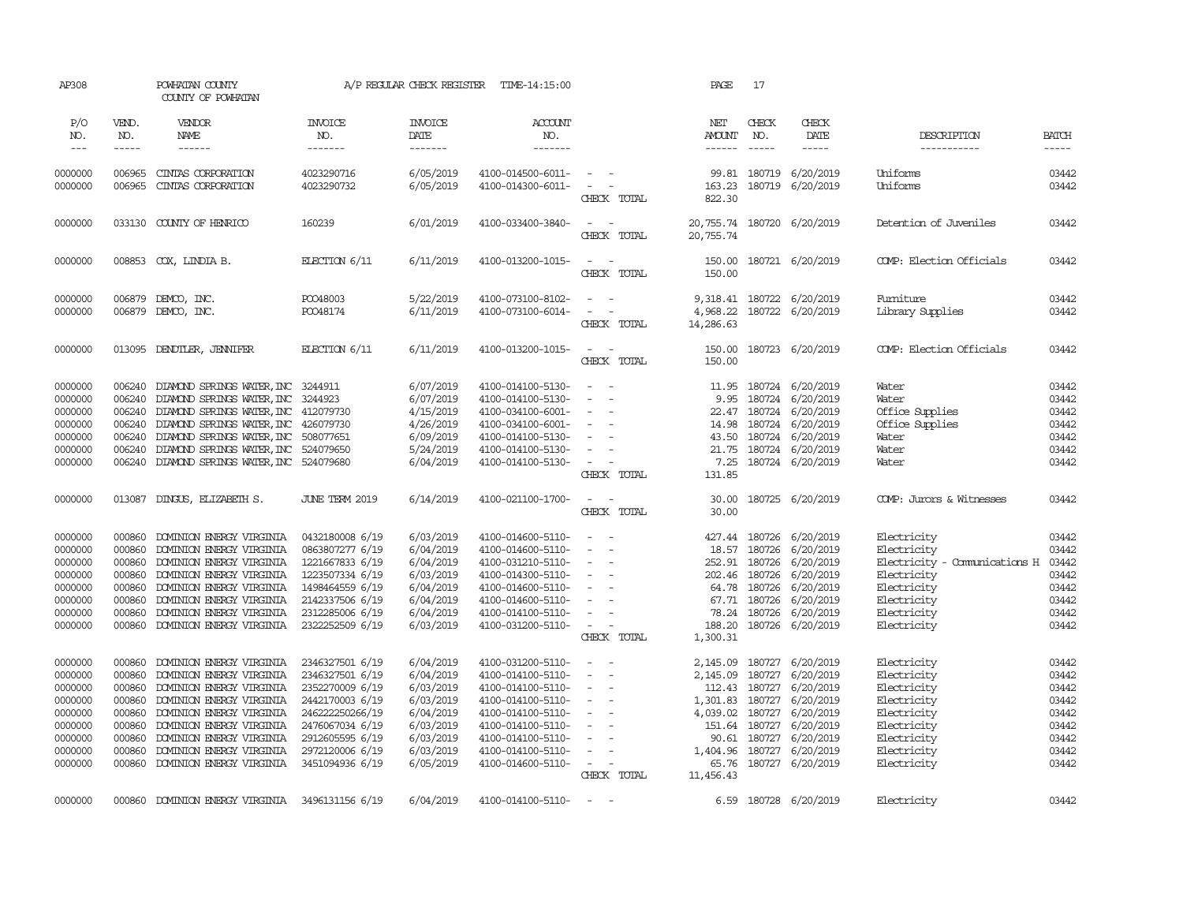| AP308                                                                                           |                                                                                        | POWHATAN COUNTY<br>COUNTY OF POWHATAN                                                                                                                                                                                                                    |                                                                                                                                                                         | A/P REGULAR CHECK REGISTER                                                                                        | TIME-14:15:00                                                                                                                                                                             |                                                                                                                | PAGE                                                                                              | 17                                                                |                                                                                                                                                             |                                                                                                                                        |                                                                               |
|-------------------------------------------------------------------------------------------------|----------------------------------------------------------------------------------------|----------------------------------------------------------------------------------------------------------------------------------------------------------------------------------------------------------------------------------------------------------|-------------------------------------------------------------------------------------------------------------------------------------------------------------------------|-------------------------------------------------------------------------------------------------------------------|-------------------------------------------------------------------------------------------------------------------------------------------------------------------------------------------|----------------------------------------------------------------------------------------------------------------|---------------------------------------------------------------------------------------------------|-------------------------------------------------------------------|-------------------------------------------------------------------------------------------------------------------------------------------------------------|----------------------------------------------------------------------------------------------------------------------------------------|-------------------------------------------------------------------------------|
| P/O<br>NO.                                                                                      | VEND.<br>NO.                                                                           | VENDOR<br>NAME                                                                                                                                                                                                                                           | <b>INVOICE</b><br>NO.                                                                                                                                                   | <b>INVOICE</b><br>DATE                                                                                            | <b>ACCOUNT</b><br>NO.                                                                                                                                                                     |                                                                                                                | NET<br><b>AMOUNT</b>                                                                              | CHECK<br>NO.                                                      | CHECK<br>DATE                                                                                                                                               | DESCRIPTION                                                                                                                            | <b>BATCH</b>                                                                  |
| $  -$                                                                                           | $- - - - -$                                                                            | $- - - - - -$                                                                                                                                                                                                                                            | -------                                                                                                                                                                 | -------                                                                                                           | $- - - - - - -$                                                                                                                                                                           |                                                                                                                | $- - - - - -$                                                                                     | $\frac{1}{2}$                                                     | $- - - - -$                                                                                                                                                 | -----------                                                                                                                            | $- - - - -$                                                                   |
| 0000000<br>0000000                                                                              | 006965<br>006965                                                                       | CINIAS CORPORATION<br>CINIAS CORPORATION                                                                                                                                                                                                                 | 4023290716<br>4023290732                                                                                                                                                | 6/05/2019<br>6/05/2019                                                                                            | 4100-014500-6011-<br>4100-014300-6011-                                                                                                                                                    | $\sim$<br>$\sim$<br>CHECK TOTAL                                                                                | 163.23<br>822.30                                                                                  |                                                                   | 99.81 180719 6/20/2019<br>180719 6/20/2019                                                                                                                  | Uniforms<br>Uniforms                                                                                                                   | 03442<br>03442                                                                |
| 0000000                                                                                         | 033130                                                                                 | COUNTY OF HENRICO                                                                                                                                                                                                                                        | 160239                                                                                                                                                                  | 6/01/2019                                                                                                         | 4100-033400-3840-                                                                                                                                                                         | $\sim$<br>CHECK TOTAL                                                                                          | 20,755.74<br>20,755.74                                                                            |                                                                   | 180720 6/20/2019                                                                                                                                            | Detention of Juveniles                                                                                                                 | 03442                                                                         |
| 0000000                                                                                         |                                                                                        | 008853 COX, LINDIA B.                                                                                                                                                                                                                                    | ELECTION 6/11                                                                                                                                                           | 6/11/2019                                                                                                         | 4100-013200-1015-                                                                                                                                                                         | $\sim$<br>$\sim$<br>CHECK TOTAL                                                                                | 150.00<br>150.00                                                                                  |                                                                   | 180721 6/20/2019                                                                                                                                            | COMP: Election Officials                                                                                                               | 03442                                                                         |
| 0000000<br>0000000                                                                              | 006879<br>006879                                                                       | DEMCO, INC.<br>DEMCO, INC.                                                                                                                                                                                                                               | PO048003<br>PO048174                                                                                                                                                    | 5/22/2019<br>6/11/2019                                                                                            | 4100-073100-8102-<br>4100-073100-6014-                                                                                                                                                    | $\sim$<br>$\sim$<br>$\sim$<br>$\sim$<br>CHECK TOTAL                                                            | 4,968.22<br>14,286.63                                                                             |                                                                   | 9,318.41 180722 6/20/2019<br>180722 6/20/2019                                                                                                               | Fumiture<br>Library Supplies                                                                                                           | 03442<br>03442                                                                |
| 0000000                                                                                         | 013095                                                                                 | DENDTLER, JENNIFER                                                                                                                                                                                                                                       | ELECTION $6/11$                                                                                                                                                         | 6/11/2019                                                                                                         | 4100-013200-1015-                                                                                                                                                                         | $\sim$<br>$\sim$ $-$<br>CHECK TOTAL                                                                            | 150.00<br>150.00                                                                                  |                                                                   | 180723 6/20/2019                                                                                                                                            | COMP: Election Officials                                                                                                               | 03442                                                                         |
| 0000000<br>0000000<br>0000000<br>0000000<br>0000000                                             | 006240<br>006240<br>006240<br>006240<br>006240                                         | DIAMOND SPRINGS WATER, INC 3244911<br>DIAMOND SPRINGS WATER, INC 3244923<br>DIAMOND SPRINGS WATER, INC 412079730<br>DIAMOND SPRINGS WATER, INC 426079730<br>DIAMOND SPRINGS WATER, INC 508077651                                                         |                                                                                                                                                                         | 6/07/2019<br>6/07/2019<br>4/15/2019<br>4/26/2019<br>6/09/2019                                                     | 4100-014100-5130-<br>4100-014100-5130-<br>4100-034100-6001-<br>4100-034100-6001-<br>4100-014100-5130-                                                                                     | $\equiv$<br>$\overline{\phantom{a}}$<br>$\overline{a}$<br>$\overline{\phantom{a}}$                             | 11.95<br>9.95<br>14.98<br>43.50                                                                   | 180724<br>180724                                                  | 180724 6/20/2019<br>180724 6/20/2019<br>22.47 180724 6/20/2019<br>6/20/2019<br>6/20/2019                                                                    | Water<br>Water<br>Office Supplies<br>Office Supplies<br>Water                                                                          | 03442<br>03442<br>03442<br>03442<br>03442                                     |
| 0000000<br>0000000                                                                              | 006240<br>006240                                                                       | DIAMOND SPRINGS WATER, INC 524079650<br>DIAMOND SPRINGS WATER, INC 524079680                                                                                                                                                                             |                                                                                                                                                                         | 5/24/2019<br>6/04/2019                                                                                            | 4100-014100-5130-<br>4100-014100-5130-                                                                                                                                                    | $\sim$<br>$\sim$<br>CHECK TOTAL                                                                                | 21.75<br>7.25<br>131.85                                                                           |                                                                   | 180724 6/20/2019<br>180724 6/20/2019                                                                                                                        | Water<br>Water                                                                                                                         | 03442<br>03442                                                                |
| 0000000                                                                                         | 013087                                                                                 | DINGUS, ELIZABETH S.                                                                                                                                                                                                                                     | <b>JUNE TERM 2019</b>                                                                                                                                                   | 6/14/2019                                                                                                         | 4100-021100-1700-                                                                                                                                                                         | $\sim$<br>$\sim$<br>CHECK TOTAL                                                                                | 30.00<br>30.00                                                                                    |                                                                   | 180725 6/20/2019                                                                                                                                            | COMP: Jurors & Witnesses                                                                                                               | 03442                                                                         |
| 0000000<br>0000000<br>0000000<br>0000000<br>0000000<br>0000000<br>0000000<br>0000000            | 000860<br>000860<br>000860<br>000860<br>000860<br>000860<br>000860<br>000860           | DOMINION ENERGY VIRGINIA<br>DOMINION ENERGY VIRGINIA<br>DOMINION ENERGY VIRGINIA<br>DOMINION ENERGY VIRGINIA<br>DOMINION ENERGY VIRGINIA<br>DOMINION ENERGY VIRGINIA<br>DOMINION ENERGY VIRGINIA<br>DOMINION ENERGY VIRGINIA                             | 0432180008 6/19<br>0863807277 6/19<br>1221667833 6/19<br>1223507334 6/19<br>1498464559 6/19<br>2142337506 6/19<br>2312285006 6/19<br>2322252509 6/19                    | 6/03/2019<br>6/04/2019<br>6/04/2019<br>6/03/2019<br>6/04/2019<br>6/04/2019<br>6/04/2019<br>6/03/2019              | 4100-014600-5110-<br>4100-014600-5110-<br>4100-031210-5110-<br>4100-014300-5110-<br>4100-014600-5110-<br>4100-014600-5110-<br>4100-014100-5110-<br>4100-031200-5110-                      | $\equiv$<br>$\equiv$<br>$\equiv$<br>$\sim$<br>$\equiv$<br>$\sim$<br>$\sim$<br>$\sim$<br>CHECK TOTAL            | 427.44<br>18.57<br>252.91<br>78.24<br>188.20<br>1,300.31                                          | 180726<br>180726<br>202.46 180726<br>64.78 180726<br>67.71 180726 | 180726 6/20/2019<br>6/20/2019<br>6/20/2019<br>6/20/2019<br>6/20/2019<br>6/20/2019<br>180726 6/20/2019<br>180726 6/20/2019                                   | Electricity<br>Electricity<br>Electricity - Comunications H<br>Electricity<br>Electricity<br>Electricity<br>Electricity<br>Electricity | 03442<br>03442<br>03442<br>03442<br>03442<br>03442<br>03442<br>03442          |
| 0000000<br>0000000<br>0000000<br>0000000<br>0000000<br>0000000<br>0000000<br>0000000<br>0000000 | 000860<br>000860<br>000860<br>000860<br>000860<br>000860<br>000860<br>000860<br>000860 | DOMINION ENERGY VIRGINIA<br>DOMINION ENERGY VIRGINIA<br>DOMINION ENERGY VIRGINIA<br>DOMINION ENERGY VIRGINIA<br>DOMINION ENERGY VIRGINIA<br>DOMINION ENERGY VIRGINIA<br>DOMINION ENERGY VIRGINIA<br>DOMINION ENERGY VIRGINIA<br>DOMINION ENERGY VIRGINIA | 2346327501 6/19<br>2346327501 6/19<br>2352270009 6/19<br>2442170003 6/19<br>246222250266/19<br>2476067034 6/19<br>2912605595 6/19<br>2972120006 6/19<br>3451094936 6/19 | 6/04/2019<br>6/04/2019<br>6/03/2019<br>6/03/2019<br>6/04/2019<br>6/03/2019<br>6/03/2019<br>6/03/2019<br>6/05/2019 | 4100-031200-5110-<br>4100-014100-5110-<br>4100-014100-5110-<br>4100-014100-5110-<br>4100-014100-5110-<br>4100-014100-5110-<br>4100-014100-5110-<br>4100-014100-5110-<br>4100-014600-5110- | $\overline{\phantom{a}}$<br>. —<br>$\sim$<br>$\equiv$<br>$\sim$<br>$\sim$<br>$\sim$<br>$\equiv$<br>CHECK TOTAL | 2,145.09<br>2,145.09<br>112.43<br>1,301.83<br>4,039.02<br>90.61<br>1,404.96<br>65.76<br>11,456.43 | 180727<br>180727<br>180727<br>180727                              | 180727 6/20/2019<br>6/20/2019<br>6/20/2019<br>6/20/2019<br>180727 6/20/2019<br>151.64 180727 6/20/2019<br>180727 6/20/2019<br>6/20/2019<br>180727 6/20/2019 | Electricity<br>Electricity<br>Electricity<br>Electricity<br>Electricity<br>Electricity<br>Electricity<br>Electricity<br>Electricity    | 03442<br>03442<br>03442<br>03442<br>03442<br>03442<br>03442<br>03442<br>03442 |
| 0000000                                                                                         | 000860                                                                                 | DOMINION ENERGY VIRGINIA 3496131156 6/19                                                                                                                                                                                                                 |                                                                                                                                                                         | 6/04/2019                                                                                                         | 4100-014100-5110-                                                                                                                                                                         | $\sim$<br>$\sim$                                                                                               |                                                                                                   |                                                                   | 6.59 180728 6/20/2019                                                                                                                                       | Electricity                                                                                                                            | 03442                                                                         |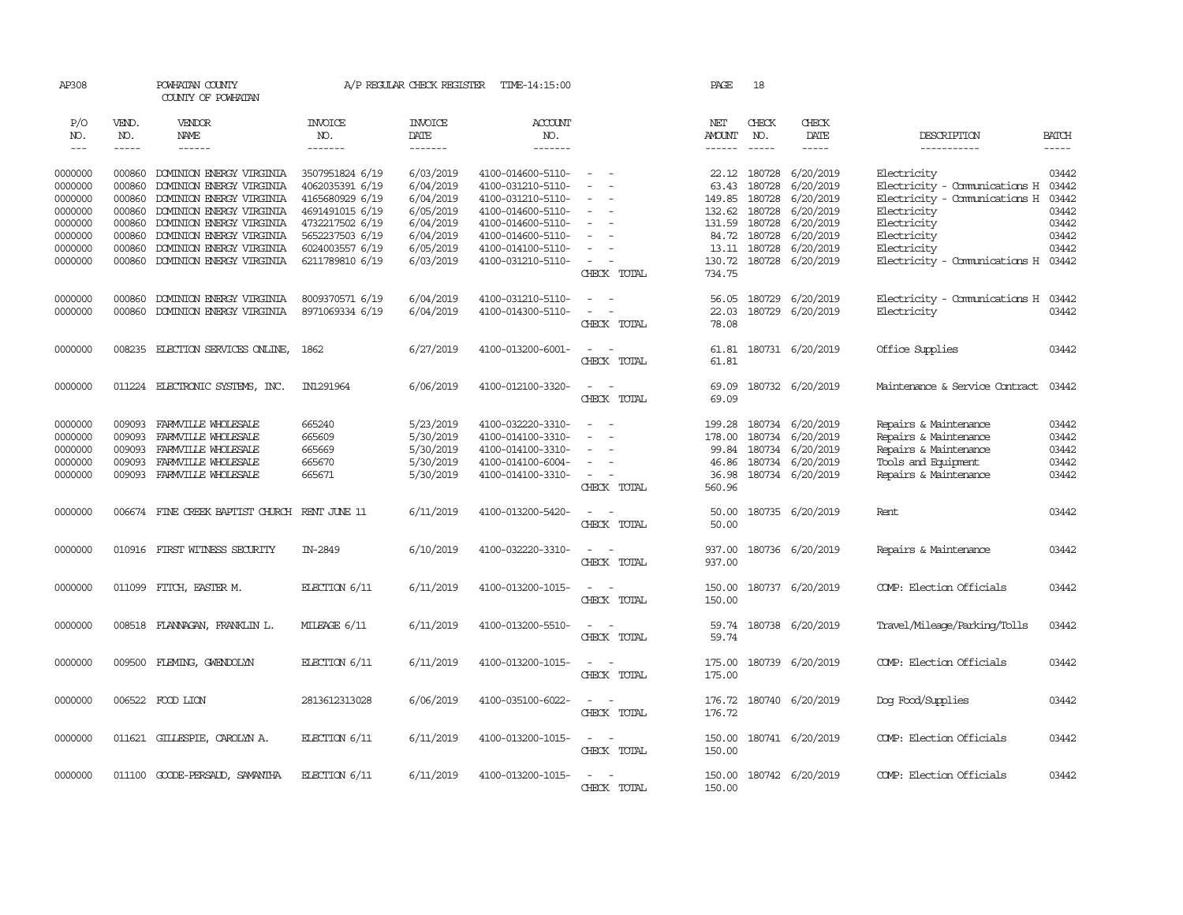| AP308                                               |                                                | POWHATAN COUNTY<br>COUNTY OF POWHATAN                                                                           |                                                                          | A/P REGULAR CHECK REGISTER                                    | TIME-14:15:00                                                                                         |                                                                     | PAGE                                                  | 18                                               |                                                                                           |                                                                                                                         |                                           |
|-----------------------------------------------------|------------------------------------------------|-----------------------------------------------------------------------------------------------------------------|--------------------------------------------------------------------------|---------------------------------------------------------------|-------------------------------------------------------------------------------------------------------|---------------------------------------------------------------------|-------------------------------------------------------|--------------------------------------------------|-------------------------------------------------------------------------------------------|-------------------------------------------------------------------------------------------------------------------------|-------------------------------------------|
| P/O<br>NO.<br>$\frac{1}{2}$                         | VEND.<br>NO.<br>$- - - - -$                    | VENDOR<br>NAME<br>$- - - - - -$                                                                                 | <b>INVOICE</b><br>NO.<br>-------                                         | <b>INVOICE</b><br>DATE<br>-------                             | <b>ACCOUNT</b><br>NO.<br>-------                                                                      |                                                                     | NET<br><b>AMOUNT</b><br>------                        | CHECK<br>NO.<br>$\frac{1}{2}$                    | CHECK<br>DATE<br>-----                                                                    | DESCRIPTION<br>-----------                                                                                              | <b>BATCH</b><br>$- - - - -$               |
| 0000000<br>0000000<br>0000000                       | 000860<br>000860<br>000860                     | DOMINION ENERGY VIRGINIA<br>DOMINION ENERGY VIRGINIA<br>DOMINION ENERGY VIRGINIA                                | 3507951824 6/19<br>4062035391 6/19<br>4165680929 6/19                    | 6/03/2019<br>6/04/2019<br>6/04/2019                           | 4100-014600-5110-<br>4100-031210-5110-<br>4100-031210-5110-                                           | $\sim$<br>$\sim$<br>$\equiv$                                        | 63.43<br>149.85                                       | 22.12 180728<br>180728<br>180728                 | 6/20/2019<br>6/20/2019<br>6/20/2019                                                       | Electricity<br>Electricity - Comunications H<br>Electricity - Comunications H                                           | 03442<br>03442<br>03442                   |
| 0000000<br>0000000<br>0000000<br>0000000            | 000860<br>000860<br>000860<br>000860           | DOMINION ENERGY VIRGINIA<br>DOMINION ENERGY VIRGINIA<br>DOMINION ENERGY VIRGINIA<br>DOMINION ENERGY VIRGINIA    | 4691491015 6/19<br>4732217502 6/19<br>5652237503 6/19<br>6024003557 6/19 | 6/05/2019<br>6/04/2019<br>6/04/2019<br>6/05/2019              | 4100-014600-5110-<br>4100-014600-5110-<br>4100-014600-5110-<br>4100-014100-5110-                      | $\equiv$<br>$\sim$                                                  | 132.62<br>131.59                                      | 180728<br>180728<br>84.72 180728<br>13.11 180728 | 6/20/2019<br>6/20/2019<br>6/20/2019<br>6/20/2019                                          | Electricity<br>Electricity<br>Electricity<br>Electricity                                                                | 03442<br>03442<br>03442<br>03442          |
| 0000000                                             | 000860                                         | DOMINION ENERGY VIRGINIA                                                                                        | 6211789810 6/19                                                          | 6/03/2019                                                     | 4100-031210-5110-                                                                                     | $\sim$<br>CHECK TOTAL                                               | 130.72<br>734.75                                      |                                                  | 180728 6/20/2019                                                                          | Electricity - Comunications H 03442                                                                                     |                                           |
| 0000000<br>0000000                                  | 000860<br>000860                               | DOMINION ENERGY VIRGINIA<br>DOMINION ENERGY VIRGINIA                                                            | 8009370571 6/19<br>8971069334 6/19                                       | 6/04/2019<br>6/04/2019                                        | 4100-031210-5110-<br>4100-014300-5110-                                                                | $\sim$<br>$\sim$<br>$\sim$<br>CHECK TOTAL                           | 56.05<br>22.03<br>78.08                               | 180729                                           | 6/20/2019<br>180729 6/20/2019                                                             | Electricity - Comunications H<br>Electricity                                                                            | 03442<br>03442                            |
| 0000000                                             |                                                | 008235 ELECTION SERVICES ONLINE,                                                                                | 1862                                                                     | 6/27/2019                                                     | 4100-013200-6001-                                                                                     | $\sim$<br>$\sim$<br>CHECK TOTAL                                     | 61.81<br>61.81                                        |                                                  | 180731 6/20/2019                                                                          | Office Supplies                                                                                                         | 03442                                     |
| 0000000                                             |                                                | 011224 ELECTRONIC SYSTEMS, INC.                                                                                 | IN1291964                                                                | 6/06/2019                                                     | 4100-012100-3320-                                                                                     | $\sim$<br>$\sim$<br>CHECK TOTAL                                     | 69.09<br>69.09                                        |                                                  | 180732 6/20/2019                                                                          | Maintenance & Service Contract                                                                                          | 03442                                     |
| 0000000<br>0000000<br>0000000<br>0000000<br>0000000 | 009093<br>009093<br>009093<br>009093<br>009093 | FARMVILLE WHOLESALE<br>FARMVILLE WHOLESALE<br>FARMVILLE WHOLESALE<br>FARMVILLE WHOLESALE<br>FARMVILLE WHOLESALE | 665240<br>665609<br>665669<br>665670<br>665671                           | 5/23/2019<br>5/30/2019<br>5/30/2019<br>5/30/2019<br>5/30/2019 | 4100-032220-3310-<br>4100-014100-3310-<br>4100-014100-3310-<br>4100-014100-6004-<br>4100-014100-3310- | $\sim$<br>$\overline{\phantom{a}}$<br>$\sim$ $ \sim$<br>CHECK TOTAL | 199.28<br>178.00<br>99.84<br>46.86<br>36.98<br>560.96 | 180734                                           | 180734 6/20/2019<br>6/20/2019<br>180734 6/20/2019<br>180734 6/20/2019<br>180734 6/20/2019 | Repairs & Maintenance<br>Repairs & Maintenance<br>Repairs & Maintenance<br>Tools and Equipment<br>Repairs & Maintenance | 03442<br>03442<br>03442<br>03442<br>03442 |
| 0000000                                             |                                                | 006674 FINE CREEK BAPTIST CHURCH RENT JUNE 11                                                                   |                                                                          | 6/11/2019                                                     | 4100-013200-5420-                                                                                     | $\sim$ $\sim$<br>CHECK TOTAL                                        | 50.00<br>50.00                                        |                                                  | 180735 6/20/2019                                                                          | Rent                                                                                                                    | 03442                                     |
| 0000000                                             |                                                | 010916 FIRST WITNESS SECURITY                                                                                   | IN-2849                                                                  | 6/10/2019                                                     | 4100-032220-3310-                                                                                     | $\sim$<br>$\sim$<br>CHECK TOTAL                                     | 937.00<br>937.00                                      |                                                  | 180736 6/20/2019                                                                          | Repairs & Maintenance                                                                                                   | 03442                                     |
| 0000000                                             | 011099                                         | FITCH, EASTER M.                                                                                                | EECTION 6/11                                                             | 6/11/2019                                                     | 4100-013200-1015-                                                                                     | $\overline{\phantom{0}}$<br>$\sim$<br>CHECK TOTAL                   | 150.00<br>150.00                                      |                                                  | 180737 6/20/2019                                                                          | COMP: Election Officials                                                                                                | 03442                                     |
| 0000000                                             |                                                | 008518 FLANNAGAN, FRANKLIN L.                                                                                   | MILEAGE 6/11                                                             | 6/11/2019                                                     | 4100-013200-5510-                                                                                     | $\sim$<br>$\sim$<br>CHECK TOTAL                                     | 59.74<br>59.74                                        |                                                  | 180738 6/20/2019                                                                          | Travel/Mileage/Parking/Tolls                                                                                            | 03442                                     |
| 0000000                                             |                                                | 009500 FLEMING, GWENDOLYN                                                                                       | ELECTION 6/11                                                            | 6/11/2019                                                     | 4100-013200-1015-                                                                                     | $\sim$<br>$\sim$<br>CHECK TOTAL                                     | 175.00<br>175.00                                      |                                                  | 180739 6/20/2019                                                                          | COMP: Election Officials                                                                                                | 03442                                     |
| 0000000                                             |                                                | 006522 FOOD LION                                                                                                | 2813612313028                                                            | 6/06/2019                                                     | 4100-035100-6022-                                                                                     | $\sim$ $ \sim$<br>CHECK TOTAL                                       | 176.72<br>176.72                                      |                                                  | 180740 6/20/2019                                                                          | Dog Food/Supplies                                                                                                       | 03442                                     |
| 0000000                                             |                                                | 011621 GILLESPIE, CAROLYN A.                                                                                    | ELECTION 6/11                                                            | 6/11/2019                                                     | 4100-013200-1015-                                                                                     | $\sim$ $  -$<br>CHECK TOTAL                                         | 150.00                                                |                                                  | 150.00 180741 6/20/2019                                                                   | COMP: Election Officials                                                                                                | 03442                                     |
| 0000000                                             |                                                | 011100 GOODE-PERSAUD, SAMANTHA                                                                                  | ELECTION 6/11                                                            | 6/11/2019                                                     | 4100-013200-1015-                                                                                     | $\sim$<br>CHECK TOTAL                                               | 150.00                                                |                                                  | 150.00 180742 6/20/2019                                                                   | COMP: Election Officials                                                                                                | 03442                                     |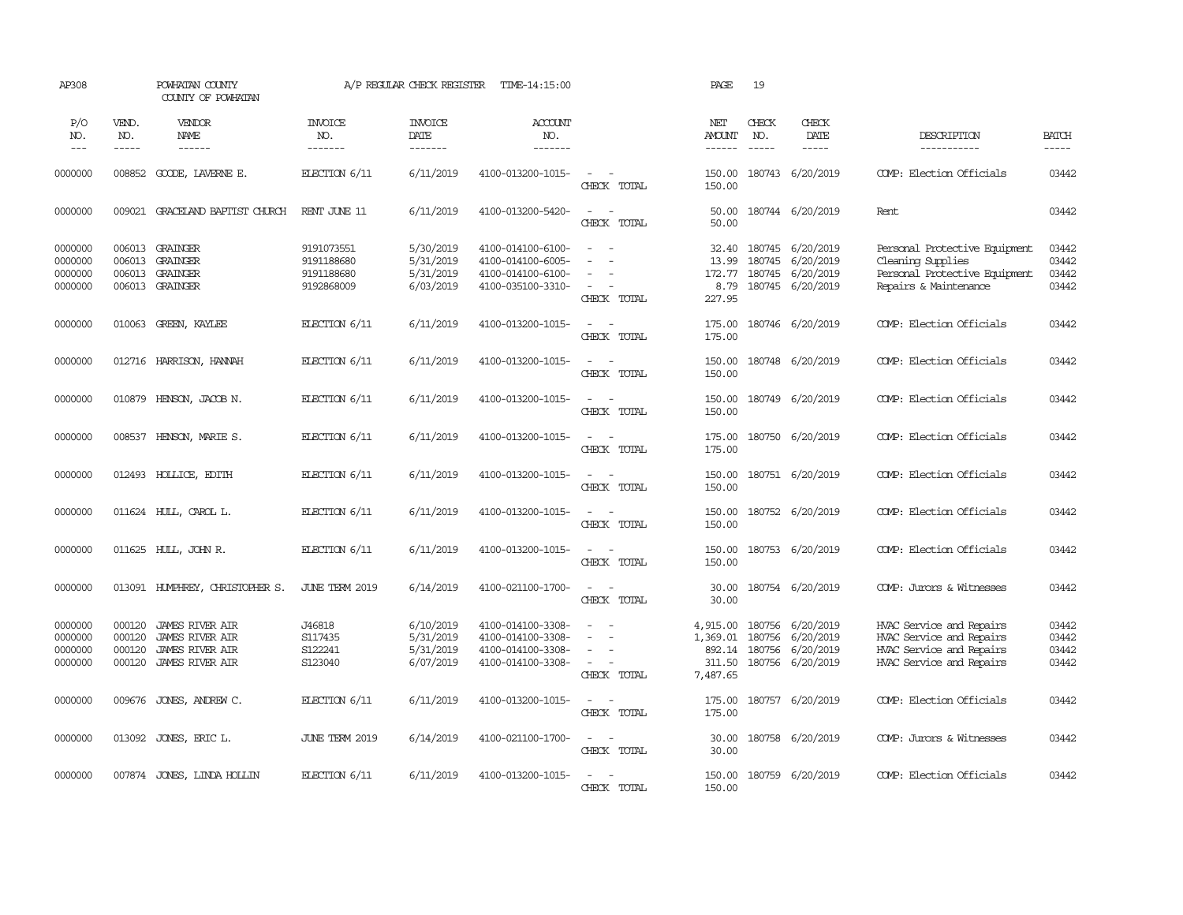| AP308                                    |                                      | POWHATAN COUNTY<br>COUNTY OF POWHATAN                                                                |                                                      | A/P REGULAR CHECK REGISTER                       | TIME-14:15:00                                                                    |                                                            | PAGE                                                 | 19           |                                                                              |                                                                                                              |                                  |
|------------------------------------------|--------------------------------------|------------------------------------------------------------------------------------------------------|------------------------------------------------------|--------------------------------------------------|----------------------------------------------------------------------------------|------------------------------------------------------------|------------------------------------------------------|--------------|------------------------------------------------------------------------------|--------------------------------------------------------------------------------------------------------------|----------------------------------|
| P/O<br>NO.<br>$\sim$ $\sim$ $\sim$       | VEND.<br>NO.<br>$- - - - -$          | VENDOR<br>NAME<br>$- - - - - -$                                                                      | <b>INVOICE</b><br>NO.<br>-------                     | <b>INVOICE</b><br>DATE<br>-------                | ACCOUNT<br>NO.<br>$- - - - - - -$                                                |                                                            | NET<br><b>AMOUNT</b><br>$- - - - - -$                | CHECK<br>NO. | CHECK<br>DATE<br>$- - - - -$                                                 | DESCRIPTION<br>-----------                                                                                   | <b>BATCH</b><br>$- - - - -$      |
| 0000000                                  | 008852                               | GOODE, LAVERNE E.                                                                                    | ELECTION 6/11                                        | 6/11/2019                                        | 4100-013200-1015-                                                                | CHECK TOTAL                                                | 150.00<br>150.00                                     |              | 180743 6/20/2019                                                             | COMP: Election Officials                                                                                     | 03442                            |
| 0000000                                  | 009021                               | GRACELAND BAPTIST CHURCH                                                                             | RENT JUNE 11                                         | 6/11/2019                                        | 4100-013200-5420-                                                                | $\sim$<br>$\sim$<br>CHECK TOTAL                            | 50.00<br>50.00                                       |              | 180744 6/20/2019                                                             | Rent                                                                                                         | 03442                            |
| 0000000<br>0000000<br>0000000<br>0000000 | 006013<br>006013                     | 006013 GRAINGER<br>GRAINGER<br>GRAINGER<br>006013 GRAINGER                                           | 9191073551<br>9191188680<br>9191188680<br>9192868009 | 5/30/2019<br>5/31/2019<br>5/31/2019<br>6/03/2019 | 4100-014100-6100-<br>4100-014100-6005-<br>4100-014100-6100-<br>4100-035100-3310- | $\sim$<br>$\sim$<br>$\sim$<br>CHECK TOTAL                  | 32.40<br>13.99<br>8.79<br>227.95                     | 180745       | 180745 6/20/2019<br>6/20/2019<br>172.77 180745 6/20/2019<br>180745 6/20/2019 | Personal Protective Equipment<br>Cleaning Supplies<br>Personal Protective Equipment<br>Repairs & Maintenance | 03442<br>03442<br>03442<br>03442 |
| 0000000                                  |                                      | 010063 GREEN, KAYLEE                                                                                 | ELECTION 6/11                                        | 6/11/2019                                        | 4100-013200-1015-                                                                | $\sim$ $ \sim$<br>CHECK TOTAL                              | 175.00<br>175.00                                     |              | 180746 6/20/2019                                                             | COMP: Election Officials                                                                                     | 03442                            |
| 0000000                                  |                                      | 012716 HARRISON, HANNAH                                                                              | ELECTION 6/11                                        | 6/11/2019                                        | 4100-013200-1015-                                                                | $\sim$<br>$\sim$<br>CHECK TOTAL                            | 150.00<br>150.00                                     |              | 180748 6/20/2019                                                             | COMP: Election Officials                                                                                     | 03442                            |
| 0000000                                  | 010879                               | HENSON, JACOB N.                                                                                     | ELECTION 6/11                                        | 6/11/2019                                        | 4100-013200-1015-                                                                | $\sim$ $ \sim$<br>CHECK TOTAL                              | 150.00<br>150.00                                     |              | 180749 6/20/2019                                                             | COMP: Election Officials                                                                                     | 03442                            |
| 0000000                                  | 008537                               | HENSON, MARIE S.                                                                                     | ELECTION 6/11                                        | 6/11/2019                                        | 4100-013200-1015-                                                                | $\omega_{\rm{max}}$ and $\omega_{\rm{max}}$<br>CHECK TOTAL | 175.00<br>175.00                                     |              | 180750 6/20/2019                                                             | COMP: Election Officials                                                                                     | 03442                            |
| 0000000                                  |                                      | 012493 HOLLICE, EDITH                                                                                | ELECTION 6/11                                        | 6/11/2019                                        | 4100-013200-1015-                                                                | $\sim$ $\sim$<br>CHECK TOTAL                               | 150.00<br>150.00                                     |              | 180751 6/20/2019                                                             | COMP: Election Officials                                                                                     | 03442                            |
| 0000000                                  |                                      | 011624 HULL, CAROL L.                                                                                | ELECTION 6/11                                        | 6/11/2019                                        | 4100-013200-1015-                                                                | $\sim$ $ \sim$<br>CHECK TOTAL                              | 150.00<br>150.00                                     |              | 180752 6/20/2019                                                             | COMP: Election Officials                                                                                     | 03442                            |
| 0000000                                  |                                      | 011625 HULL, JOHN R.                                                                                 | ELECTION 6/11                                        | 6/11/2019                                        | 4100-013200-1015-                                                                | $\sim$<br>$\sim$<br>CHECK TOTAL                            | 150.00<br>150.00                                     |              | 180753 6/20/2019                                                             | COMP: Election Officials                                                                                     | 03442                            |
| 0000000                                  |                                      | 013091 HUMPHREY, CHRISTOPHER S.                                                                      | JUNE TERM 2019                                       | 6/14/2019                                        | 4100-021100-1700-                                                                | $\sim$<br>$\sim$<br>CHECK TOTAL                            | 30.00<br>30.00                                       |              | 180754 6/20/2019                                                             | COMP: Jurors & Witnesses                                                                                     | 03442                            |
| 0000000<br>0000000<br>0000000<br>0000000 | 000120<br>000120<br>000120<br>000120 | <b>JAMES RIVER AIR</b><br><b>JAMES RIVER AIR</b><br><b>JAMES RIVER AIR</b><br><b>JAMES RIVER AIR</b> | J46818<br>S117435<br>S122241<br>S123040              | 6/10/2019<br>5/31/2019<br>5/31/2019<br>6/07/2019 | 4100-014100-3308-<br>4100-014100-3308-<br>4100-014100-3308-<br>4100-014100-3308- | $\sim$<br>$\equiv$<br>$\sim$<br>CHECK TOTAL                | 4,915.00<br>1,369.01<br>892.14<br>311.50<br>7,487.65 | 180756       | 180756 6/20/2019<br>6/20/2019<br>180756 6/20/2019<br>180756 6/20/2019        | HVAC Service and Repairs<br>HVAC Service and Repairs<br>HVAC Service and Repairs<br>HVAC Service and Repairs | 03442<br>03442<br>03442<br>03442 |
| 0000000                                  | 009676                               | JONES, ANDREW C.                                                                                     | ELECTION 6/11                                        | 6/11/2019                                        | 4100-013200-1015-                                                                | $\sim$ $ -$<br>CHECK TOTAL                                 | 175.00<br>175.00                                     |              | 180757 6/20/2019                                                             | COMP: Election Officials                                                                                     | 03442                            |
| 0000000                                  | 013092                               | JONES, ERIC L.                                                                                       | JUNE TERM 2019                                       | 6/14/2019                                        | 4100-021100-1700-                                                                | $\sim$ $ \sim$<br>CHECK TOTAL                              | 30.00<br>30.00                                       |              | 180758 6/20/2019                                                             | COMP: Jurors & Witnesses                                                                                     | 03442                            |
| 0000000                                  |                                      | 007874 JONES, LINDA HOLLIN                                                                           | ELECTION $6/11$                                      | 6/11/2019                                        | 4100-013200-1015-                                                                | $\sim$<br>$\sim$<br>CHECK TOTAL                            | 150.00<br>150.00                                     |              | 180759 6/20/2019                                                             | COMP: Election Officials                                                                                     | 03442                            |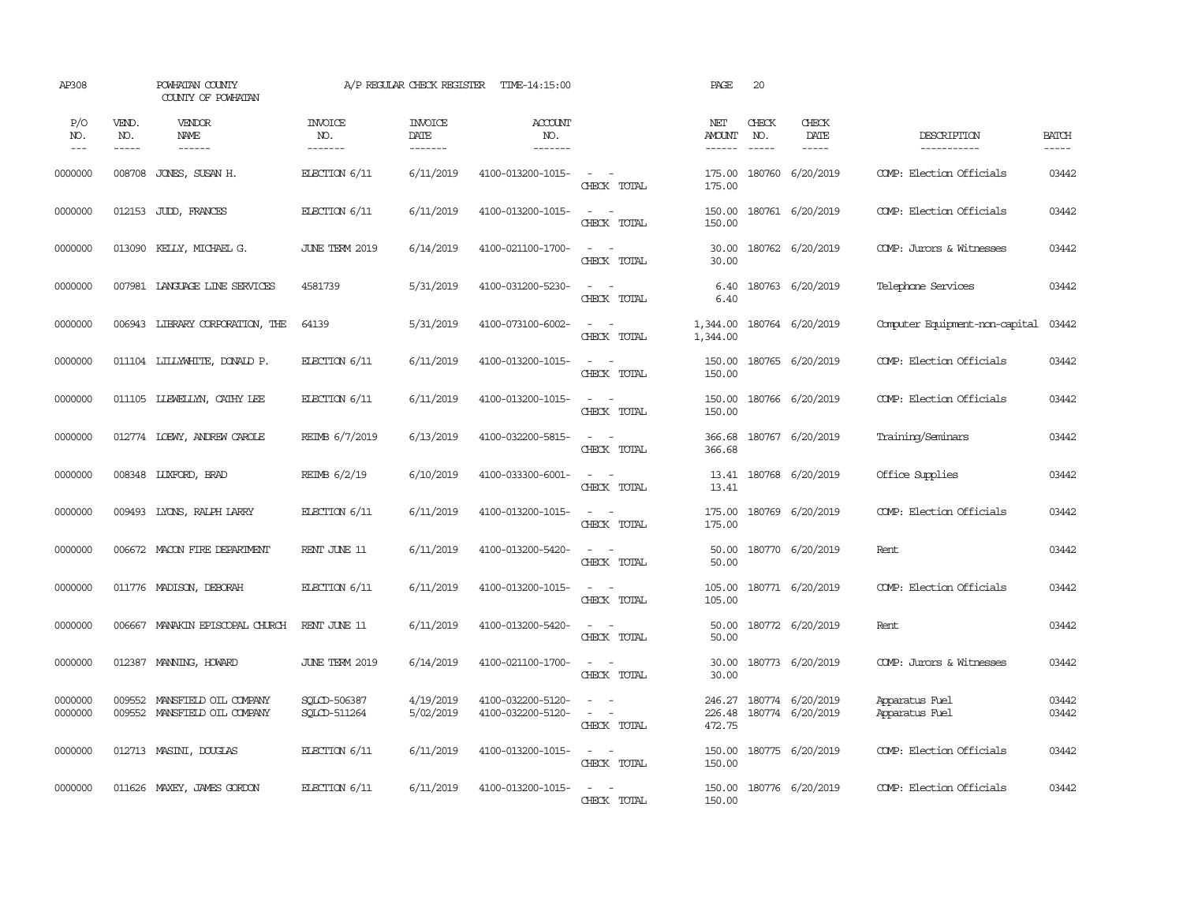| AP308              |                       | POWHATAN COUNTY<br>COUNTY OF POWHATAN          |                                  | A/P REGULAR CHECK REGISTER        | TIME-14:15:00                          |                                                                                                                             | PAGE                                  | 20                       |                                      |                                  |                             |
|--------------------|-----------------------|------------------------------------------------|----------------------------------|-----------------------------------|----------------------------------------|-----------------------------------------------------------------------------------------------------------------------------|---------------------------------------|--------------------------|--------------------------------------|----------------------------------|-----------------------------|
| P/O<br>NO.<br>$--$ | VEND.<br>NO.<br>----- | VENDOR<br><b>NAME</b><br>$- - - - - -$         | <b>INVOICE</b><br>NO.<br>------- | <b>INVOICE</b><br>DATE<br>------- | ACCOUNT<br>NO.<br>-------              |                                                                                                                             | NET<br><b>AMOUNT</b><br>$- - - - - -$ | CHECK<br>NO.<br>$\cdots$ | CHECK<br>DATE<br>$- - - - -$         | DESCRIPTION<br>-----------       | <b>BATCH</b><br>$- - - - -$ |
| 0000000            | 008708                | JONES, SUSAN H.                                | ELECTION 6/11                    | 6/11/2019                         | 4100-013200-1015-                      | $\sim$ $ \sim$<br>CHECK TOTAL                                                                                               | 175.00<br>175.00                      |                          | 180760 6/20/2019                     | COMP: Election Officials         | 03442                       |
| 0000000            |                       | 012153 JUDD, FRANCES                           | ELECTION 6/11                    | 6/11/2019                         | 4100-013200-1015-                      | $\sim$ $-$<br>$\sim$<br>CHECK TOTAL                                                                                         | 150.00<br>150.00                      |                          | 180761 6/20/2019                     | COMP: Election Officials         | 03442                       |
| 0000000            |                       | 013090 KELLY, MICHAEL G.                       | <b>JUNE TERM 2019</b>            | 6/14/2019                         | 4100-021100-1700-                      | $\sim$<br>$\sim$<br>CHECK TOTAL                                                                                             | 30.00<br>30.00                        |                          | 180762 6/20/2019                     | COMP: Jurors & Witnesses         | 03442                       |
| 0000000            |                       | 007981 LANGUAGE LINE SERVICES                  | 4581739                          | 5/31/2019                         | 4100-031200-5230-                      | $\sim$ $ \sim$<br>CHECK TOTAL                                                                                               | 6.40<br>6.40                          |                          | 180763 6/20/2019                     | Telephone Services               | 03442                       |
| 0000000            |                       | 006943 LIBRARY CORPORATION, THE                | 64139                            | 5/31/2019                         | 4100-073100-6002-                      | $\sim$ $ \sim$<br>CHECK TOTAL                                                                                               | 1,344.00<br>1,344.00                  |                          | 180764 6/20/2019                     | Computer Equipment-non-capital   | 03442                       |
| 0000000            |                       | 011104 LILLYWHITE, DONALD P.                   | ELECTION 6/11                    | 6/11/2019                         | 4100-013200-1015-                      | $\frac{1}{2} \left( \frac{1}{2} \right) \left( \frac{1}{2} \right) = \frac{1}{2} \left( \frac{1}{2} \right)$<br>CHECK TOTAL | 150.00<br>150.00                      |                          | 180765 6/20/2019                     | COMP: Election Officials         | 03442                       |
| 0000000            |                       | 011105 LLEWELLYN, CATHY LEE                    | ELECTION 6/11                    | 6/11/2019                         | 4100-013200-1015-                      | $\sim$<br>$\sim$<br>CHECK TOTAL                                                                                             | 150.00<br>150.00                      |                          | 180766 6/20/2019                     | COMP: Election Officials         | 03442                       |
| 0000000            |                       | 012774 LOEWY, ANDREW CAROLE                    | REIMB 6/7/2019                   | 6/13/2019                         | 4100-032200-5815-                      | $\overline{\phantom{a}}$<br>$\sim$<br>CHECK TOTAL                                                                           | 366.68<br>366.68                      |                          | 180767 6/20/2019                     | Training/Seminars                | 03442                       |
| 0000000            |                       | 008348 LUXFORD, BRAD                           | REIMB 6/2/19                     | 6/10/2019                         | 4100-033300-6001-                      | $\sim$ $ \sim$<br>CHECK TOTAL                                                                                               | 13.41<br>13.41                        |                          | 180768 6/20/2019                     | Office Supplies                  | 03442                       |
| 0000000            | 009493                | LYONS, RALPH LARRY                             | ELECTION 6/11                    | 6/11/2019                         | 4100-013200-1015-                      | $\sim$<br>$\sim$ $-$<br>CHECK TOTAL                                                                                         | 175.00<br>175.00                      |                          | 180769 6/20/2019                     | COMP: Election Officials         | 03442                       |
| 0000000            |                       | 006672 MACON FIRE DEPARIMENT                   | RENT JUNE 11                     | 6/11/2019                         | 4100-013200-5420-                      | $\sim$ $ \sim$<br>CHECK TOTAL                                                                                               | 50.00<br>50.00                        |                          | 180770 6/20/2019                     | Rent                             | 03442                       |
| 0000000            |                       | 011776 MADISON, DEBORAH                        | ELECTION 6/11                    | 6/11/2019                         | 4100-013200-1015-                      | $\sim$<br>$\sim$ $-$<br>CHECK TOTAL                                                                                         | 105.00<br>105.00                      |                          | 180771 6/20/2019                     | COMP: Election Officials         | 03442                       |
| 0000000            | 006667                | MANAKIN EPISCOPAL CHURCH                       | RENT JUNE 11                     | 6/11/2019                         | 4100-013200-5420-                      | $\sim$ $ \sim$<br>CHECK TOTAL                                                                                               | 50.00<br>50.00                        |                          | 180772 6/20/2019                     | Rent.                            | 03442                       |
| 0000000            | 012387                | MANNING, HOWARD                                | JUNE TERM 2019                   | 6/14/2019                         | 4100-021100-1700-                      | $\frac{1}{2} \left( \frac{1}{2} \right) \left( \frac{1}{2} \right) = \frac{1}{2} \left( \frac{1}{2} \right)$<br>CHECK TOTAL | 30.00<br>30.00                        |                          | 180773 6/20/2019                     | COMP: Jurors & Witnesses         | 03442                       |
| 0000000<br>0000000 | 009552<br>009552      | MANSFIELD OIL COMPANY<br>MANSFIELD OIL COMPANY | SOLCD-506387<br>SOLCD-511264     | 4/19/2019<br>5/02/2019            | 4100-032200-5120-<br>4100-032200-5120- | $\sim$<br>$\sim$ $ \sim$<br>CHECK TOTAL                                                                                     | 246.27<br>226.48<br>472.75            |                          | 180774 6/20/2019<br>180774 6/20/2019 | Apparatus Fuel<br>Apparatus Fuel | 03442<br>03442              |
| 0000000            |                       | 012713 MASINI, DOUGLAS                         | ELECTION $6/11$                  | 6/11/2019                         | 4100-013200-1015-                      | $\sim$ $\sim$<br>CHECK TOTAL                                                                                                | 150.00<br>150.00                      |                          | 180775 6/20/2019                     | COMP: Election Officials         | 03442                       |
| 0000000            |                       | 011626 MAXEY, JAMES GORDON                     | ELECTION 6/11                    | 6/11/2019                         | 4100-013200-1015-                      | $\overline{a}$<br>$\sim$<br>CHECK TOTAL                                                                                     | 150.00                                |                          | 150.00 180776 6/20/2019              | COMP: Election Officials         | 03442                       |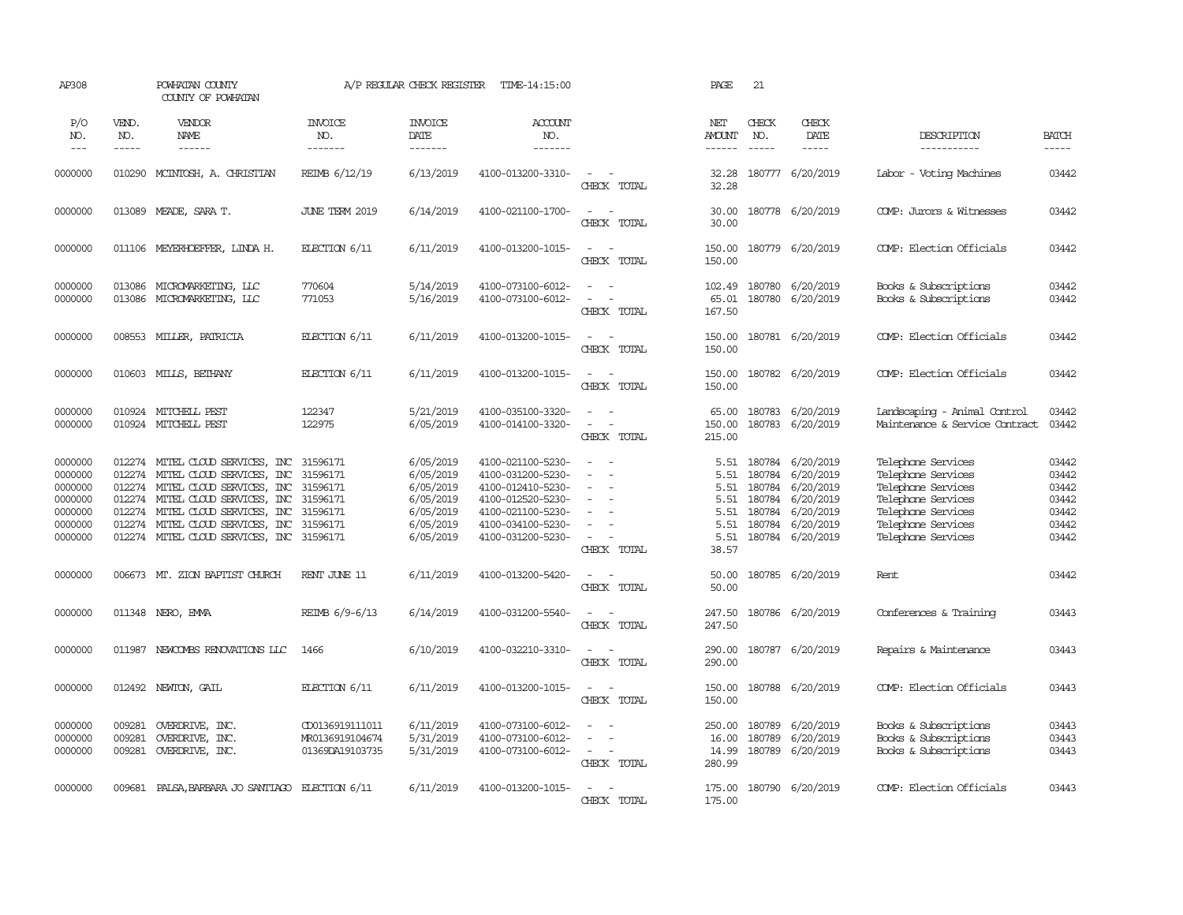| AP308                                                                     |                               | POWHATAN COUNTY<br>COUNTY OF POWHATAN                                                                                                                                                                                                                                                                                                                                                                                                                                                                    |                                                       | A/P REGULAR CHECK REGISTER                                                              | TIME-14:15:00                                                                                                                                   |                                                                                                         | PAGE                                          | 21                            |                                                                                                                               |                                                                                                                                                        |                                                             |
|---------------------------------------------------------------------------|-------------------------------|----------------------------------------------------------------------------------------------------------------------------------------------------------------------------------------------------------------------------------------------------------------------------------------------------------------------------------------------------------------------------------------------------------------------------------------------------------------------------------------------------------|-------------------------------------------------------|-----------------------------------------------------------------------------------------|-------------------------------------------------------------------------------------------------------------------------------------------------|---------------------------------------------------------------------------------------------------------|-----------------------------------------------|-------------------------------|-------------------------------------------------------------------------------------------------------------------------------|--------------------------------------------------------------------------------------------------------------------------------------------------------|-------------------------------------------------------------|
| P/O<br>NO.<br>$---$                                                       | VEND.<br>NO.<br>$\frac{1}{2}$ | VENDOR<br>NAME<br>$\begin{array}{cccccccccc} \multicolumn{2}{c}{} & \multicolumn{2}{c}{} & \multicolumn{2}{c}{} & \multicolumn{2}{c}{} & \multicolumn{2}{c}{} & \multicolumn{2}{c}{} & \multicolumn{2}{c}{} & \multicolumn{2}{c}{} & \multicolumn{2}{c}{} & \multicolumn{2}{c}{} & \multicolumn{2}{c}{} & \multicolumn{2}{c}{} & \multicolumn{2}{c}{} & \multicolumn{2}{c}{} & \multicolumn{2}{c}{} & \multicolumn{2}{c}{} & \multicolumn{2}{c}{} & \multicolumn{2}{c}{} & \multicolumn{2}{c}{} & \mult$ | <b>INVOICE</b><br>NO.<br>-------                      | <b>INVOICE</b><br>DATE<br>-------                                                       | <b>ACCOUNT</b><br>NO.<br>$- - - - - - -$                                                                                                        |                                                                                                         | NET<br><b>AMOUNT</b><br>$- - - - - -$         | CHECK<br>NO.<br>$\frac{1}{2}$ | CHECK<br>DATE<br>-----                                                                                                        | DESCRIPTION<br>-----------                                                                                                                             | <b>BATCH</b><br>$\frac{1}{2}$                               |
| 0000000                                                                   |                               | 010290 MCINTOSH, A. CHRISTIAN                                                                                                                                                                                                                                                                                                                                                                                                                                                                            | REIMB 6/12/19                                         | 6/13/2019                                                                               | 4100-013200-3310-                                                                                                                               | $\overline{\phantom{a}}$<br>CHECK TOTAL                                                                 | 32.28<br>32.28                                |                               | 180777 6/20/2019                                                                                                              | Labor - Voting Machines                                                                                                                                | 03442                                                       |
| 0000000                                                                   |                               | 013089 MEADE, SARA T.                                                                                                                                                                                                                                                                                                                                                                                                                                                                                    | <b>JUNE TERM 2019</b>                                 | 6/14/2019                                                                               | 4100-021100-1700-                                                                                                                               | $\overline{\phantom{a}}$<br>$\sim$<br>CHECK TOTAL                                                       | 30.00<br>30.00                                |                               | 180778 6/20/2019                                                                                                              | COMP: Jurors & Witnesses                                                                                                                               | 03442                                                       |
| 0000000                                                                   |                               | 011106 MEYERHOEFFER, LINDA H.                                                                                                                                                                                                                                                                                                                                                                                                                                                                            | ELECTION 6/11                                         | 6/11/2019                                                                               | 4100-013200-1015-                                                                                                                               | $\sim$<br>$\overline{\phantom{a}}$<br>CHECK TOTAL                                                       | 150.00<br>150.00                              |                               | 180779 6/20/2019                                                                                                              | COMP: Election Officials                                                                                                                               | 03442                                                       |
| 0000000<br>0000000                                                        | 013086<br>013086              | MICROMARKETING, LLC<br>MICROMARKETING, LLC                                                                                                                                                                                                                                                                                                                                                                                                                                                               | 770604<br>771053                                      | 5/14/2019<br>5/16/2019                                                                  | 4100-073100-6012-<br>4100-073100-6012-                                                                                                          | $\sim$<br>$\sim$ $\sim$<br>$\sim$<br>$\sim$<br>CHECK TOTAL                                              | 102.49<br>65.01<br>167.50                     |                               | 180780 6/20/2019<br>180780 6/20/2019                                                                                          | Books & Subscriptions<br>Books & Subscriptions                                                                                                         | 03442<br>03442                                              |
| 0000000                                                                   |                               | 008553 MILLER, PATRICIA                                                                                                                                                                                                                                                                                                                                                                                                                                                                                  | ELECTION 6/11                                         | 6/11/2019                                                                               | 4100-013200-1015-                                                                                                                               | $\sim$<br>$\sim$<br>CHECK TOTAL                                                                         | 150.00<br>150.00                              |                               | 180781 6/20/2019                                                                                                              | COMP: Election Officials                                                                                                                               | 03442                                                       |
| 0000000                                                                   | 010603                        | MILLS, BETHANY                                                                                                                                                                                                                                                                                                                                                                                                                                                                                           | ELECTION 6/11                                         | 6/11/2019                                                                               | 4100-013200-1015-                                                                                                                               | $\sim$<br>$\sim$<br>CHECK TOTAL                                                                         | 150.00<br>150.00                              |                               | 180782 6/20/2019                                                                                                              | COMP: Election Officials                                                                                                                               | 03442                                                       |
| 0000000<br>0000000                                                        | 010924                        | MITCHELL PEST<br>010924 MITCHELL PEST                                                                                                                                                                                                                                                                                                                                                                                                                                                                    | 122347<br>122975                                      | 5/21/2019<br>6/05/2019                                                                  | 4100-035100-3320-<br>4100-014100-3320-                                                                                                          | $\sim$<br>$\sim$<br>$\sim$ $-$<br>CHECK TOTAL                                                           | 65.00<br>150.00<br>215.00                     |                               | 180783 6/20/2019<br>180783 6/20/2019                                                                                          | Landscaping - Animal Control<br>Maintenance & Service Contract                                                                                         | 03442<br>03442                                              |
| 0000000<br>0000000<br>0000000<br>0000000<br>0000000<br>0000000<br>0000000 | 012274<br>012274              | 012274 MITEL CLOUD SERVICES, INC 31596171<br>012274 MITEL CLOUD SERVICES, INC 31596171<br>012274 MITEL CLOUD SERVICES, INC 31596171<br>012274 MITEL CLOUD SERVICES, INC 31596171<br>MITEL CLOUD SERVICES, INC 31596171<br>MITEL CLOUD SERVICES, INC 31596171<br>012274 MITEL CLOUD SERVICES, INC 31596171                                                                                                                                                                                                |                                                       | 6/05/2019<br>6/05/2019<br>6/05/2019<br>6/05/2019<br>6/05/2019<br>6/05/2019<br>6/05/2019 | 4100-021100-5230-<br>4100-031200-5230-<br>4100-012410-5230-<br>4100-012520-5230-<br>4100-021100-5230-<br>4100-034100-5230-<br>4100-031200-5230- | $\sim$<br>$\sim$<br>$\equiv$<br>$\equiv$<br>$\sim$<br>$\overline{\phantom{a}}$<br>$\sim$<br>CHECK TOTAL | 5.51<br>5.51<br>5.51<br>5.51<br>5.51<br>38.57 | 180784<br>180784<br>180784    | 5.51 180784 6/20/2019<br>180784 6/20/2019<br>180784 6/20/2019<br>6/20/2019<br>6/20/2019<br>6/20/2019<br>5.51 180784 6/20/2019 | Telephone Services<br>Telephone Services<br>Telephone Services<br>Telephone Services<br>Telephone Services<br>Telephone Services<br>Telephone Services | 03442<br>03442<br>03442<br>03442<br>03442<br>03442<br>03442 |
| 0000000                                                                   |                               | 006673 MT. ZION BAPTIST CHURCH                                                                                                                                                                                                                                                                                                                                                                                                                                                                           | RENT JUNE 11                                          | 6/11/2019                                                                               | 4100-013200-5420-                                                                                                                               | $\sim$<br>$\sim$<br>CHECK TOTAL                                                                         | 50.00<br>50.00                                |                               | 180785 6/20/2019                                                                                                              | Rent                                                                                                                                                   | 03442                                                       |
| 0000000                                                                   |                               | 011348 NERO, EMMA                                                                                                                                                                                                                                                                                                                                                                                                                                                                                        | REIMB 6/9-6/13                                        | 6/14/2019                                                                               | 4100-031200-5540-                                                                                                                               | $\sim$<br>$\sim$<br>CHECK TOTAL                                                                         | 247.50<br>247.50                              |                               | 180786 6/20/2019                                                                                                              | Conferences & Training                                                                                                                                 | 03443                                                       |
| 0000000                                                                   | 011987                        | NEWCOMBS RENOVATIONS LLC                                                                                                                                                                                                                                                                                                                                                                                                                                                                                 | 1466                                                  | 6/10/2019                                                                               | 4100-032210-3310-                                                                                                                               | $\sim$<br>$\sim$<br>CHECK TOTAL                                                                         | 290.00<br>290.00                              |                               | 180787 6/20/2019                                                                                                              | Repairs & Maintenance                                                                                                                                  | 03443                                                       |
| 0000000                                                                   |                               | 012492 NEWTON, GAIL                                                                                                                                                                                                                                                                                                                                                                                                                                                                                      | ELECTION 6/11                                         | 6/11/2019                                                                               | 4100-013200-1015-                                                                                                                               | $\sim$<br>$\sim$ $-$<br>CHECK TOTAL                                                                     | 150.00<br>150.00                              |                               | 180788 6/20/2019                                                                                                              | COMP: Election Officials                                                                                                                               | 03443                                                       |
| 0000000<br>0000000<br>0000000                                             | 009281<br>009281<br>009281    | OVERDRIVE, INC.<br>OVERDRIVE, INC.<br>OVERDRIVE, INC.                                                                                                                                                                                                                                                                                                                                                                                                                                                    | CD0136919111011<br>MR0136919104674<br>01369DA19103735 | 6/11/2019<br>5/31/2019<br>5/31/2019                                                     | 4100-073100-6012-<br>4100-073100-6012-<br>4100-073100-6012-                                                                                     | $\sim$<br>$\sim$<br>$\equiv$<br>$\sim$ $ \sim$<br>CHECK TOTAL                                           | 250.00<br>16.00<br>14.99<br>280.99            | 180789                        | 6/20/2019<br>180789 6/20/2019<br>180789 6/20/2019                                                                             | Books & Subscriptions<br>Books & Subscriptions<br>Books & Subscriptions                                                                                | 03443<br>03443<br>03443                                     |
| 0000000                                                                   |                               | 009681 PALSA, BARBARA JO SANTIAGO ELECTION 6/11                                                                                                                                                                                                                                                                                                                                                                                                                                                          |                                                       | 6/11/2019                                                                               | 4100-013200-1015-                                                                                                                               | $\sim$<br>$\sim$<br>CHECK TOTAL                                                                         | 175.00<br>175.00                              |                               | 180790 6/20/2019                                                                                                              | COMP: Election Officials                                                                                                                               | 03443                                                       |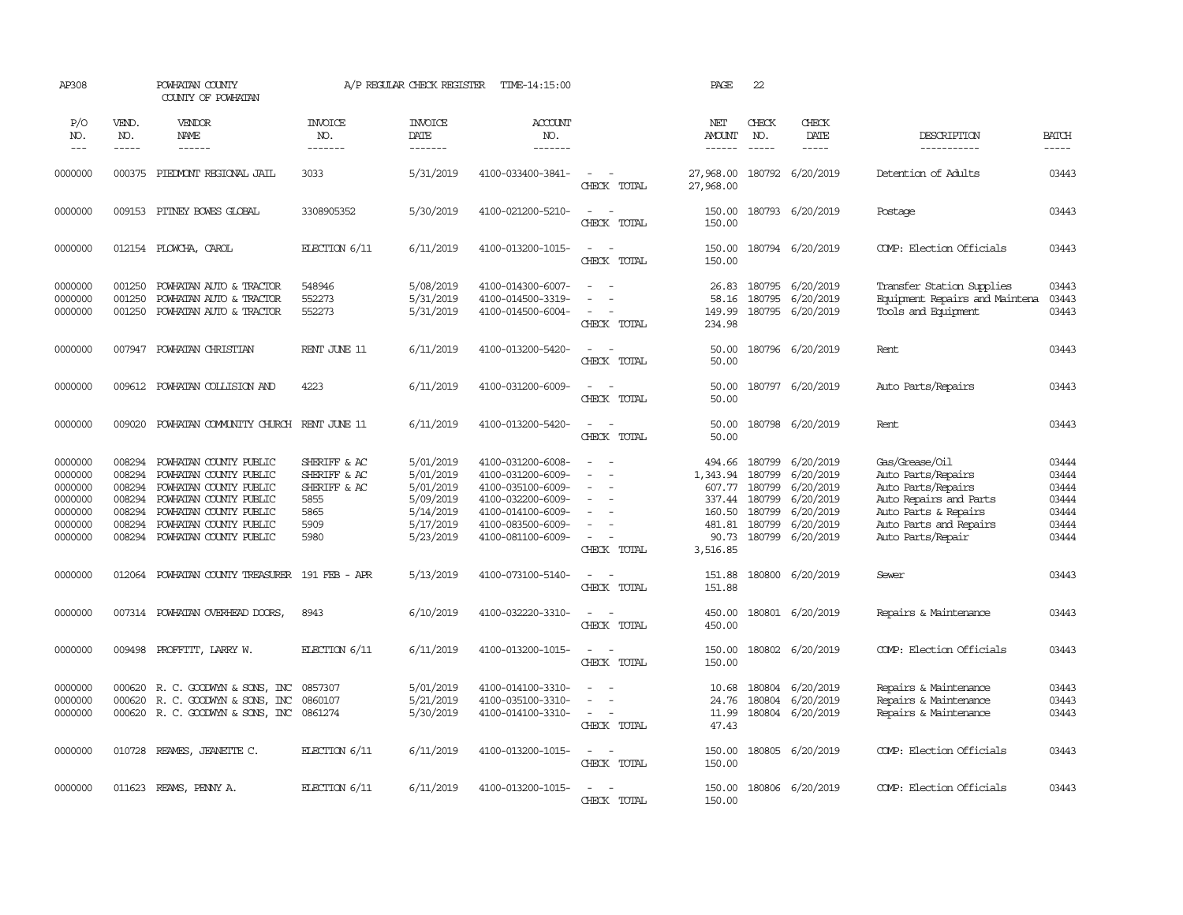| AP308                                                                     |                                                                    | POWHATAN COUNTY<br>COUNTY OF POWHATAN                                                                                                                                              |                                                                              | A/P REGULAR CHECK REGISTER                                                              | TIME-14:15:00                                                                                                                                   |                                                                               | PAGE                                                                  | 22                                                                        |                                                                                         |                                                                                                                                                             |                                                             |
|---------------------------------------------------------------------------|--------------------------------------------------------------------|------------------------------------------------------------------------------------------------------------------------------------------------------------------------------------|------------------------------------------------------------------------------|-----------------------------------------------------------------------------------------|-------------------------------------------------------------------------------------------------------------------------------------------------|-------------------------------------------------------------------------------|-----------------------------------------------------------------------|---------------------------------------------------------------------------|-----------------------------------------------------------------------------------------|-------------------------------------------------------------------------------------------------------------------------------------------------------------|-------------------------------------------------------------|
| P/O<br>NO.<br>$\frac{1}{2}$                                               | VEND.<br>NO.<br>-----                                              | VENDOR<br>NAME<br>$- - - - - -$                                                                                                                                                    | <b>INVOICE</b><br>NO.<br>-------                                             | <b>INVOICE</b><br>DATE<br>-------                                                       | ACCOUNT<br>NO.<br>$- - - - - - -$                                                                                                               |                                                                               | NET<br><b>AMOUNT</b><br>------                                        | CHECK<br>NO.<br>$\frac{1}{2}$                                             | CHECK<br>DATE<br>-----                                                                  | DESCRIPTION<br>-----------                                                                                                                                  | <b>BATCH</b><br>$- - - - -$                                 |
| 0000000                                                                   |                                                                    | 000375 PIEDMONT REGIONAL JAIL                                                                                                                                                      | 3033                                                                         | 5/31/2019                                                                               | 4100-033400-3841-                                                                                                                               | $\sim$<br>$\sim$<br>CHECK TOTAL                                               | 27,968.00<br>27,968.00                                                |                                                                           | 180792 6/20/2019                                                                        | Detention of Adults                                                                                                                                         | 03443                                                       |
| 0000000                                                                   |                                                                    | 009153 PITNEY BOWES GLOBAL                                                                                                                                                         | 3308905352                                                                   | 5/30/2019                                                                               | 4100-021200-5210-                                                                                                                               | $\sim$<br>$\sim$<br>CHECK TOTAL                                               | 150.00<br>150.00                                                      |                                                                           | 180793 6/20/2019                                                                        | Postage                                                                                                                                                     | 03443                                                       |
| 0000000                                                                   |                                                                    | 012154 PLOWCHA, CAROL                                                                                                                                                              | ELECTION 6/11                                                                | 6/11/2019                                                                               | 4100-013200-1015-                                                                                                                               | $\sim$<br>$\sim$<br>CHECK TOTAL                                               | 150.00<br>150.00                                                      |                                                                           | 180794 6/20/2019                                                                        | COMP: Election Officials                                                                                                                                    | 03443                                                       |
| 0000000<br>0000000<br>0000000                                             | 001250<br>001250<br>001250                                         | POWHATAN AUTO & TRACTOR<br>POWHATAN AUTO & TRACTOR<br>POWHATAN AUTO & TRACTOR                                                                                                      | 548946<br>552273<br>552273                                                   | 5/08/2019<br>5/31/2019<br>5/31/2019                                                     | 4100-014300-6007-<br>4100-014500-3319-<br>4100-014500-6004-                                                                                     | $\equiv$<br>$\equiv$<br>$\sim$<br>$\sim$<br>CHECK TOTAL                       | 26.83<br>58.16<br>149.99<br>234.98                                    |                                                                           | 180795 6/20/2019<br>180795 6/20/2019<br>180795 6/20/2019                                | Transfer Station Supplies<br>Equipment Repairs and Maintena<br>Tools and Equipment                                                                          | 03443<br>03443<br>03443                                     |
| 0000000                                                                   |                                                                    | 007947 POWHATAN CHRISTIAN                                                                                                                                                          | RENT JUNE 11                                                                 | 6/11/2019                                                                               | 4100-013200-5420-                                                                                                                               | $\sim$<br>$\sim$<br>CHECK TOTAL                                               | 50.00<br>50.00                                                        |                                                                           | 180796 6/20/2019                                                                        | Rent                                                                                                                                                        | 03443                                                       |
| 0000000                                                                   |                                                                    | 009612 POWHATAN COLLISION AND                                                                                                                                                      | 4223                                                                         | 6/11/2019                                                                               | 4100-031200-6009-                                                                                                                               | $\sim$<br>$\sim$<br>CHECK TOTAL                                               | 50.00<br>50.00                                                        |                                                                           | 180797 6/20/2019                                                                        | Auto Parts/Repairs                                                                                                                                          | 03443                                                       |
| 0000000                                                                   | 009020                                                             | POWHATAN COMMUNITY CHURCH RENT JUNE 11                                                                                                                                             |                                                                              | 6/11/2019                                                                               | 4100-013200-5420-                                                                                                                               | $\sim$ $\sim$<br>CHECK TOTAL                                                  | 50.00<br>50.00                                                        |                                                                           | 180798 6/20/2019                                                                        | Rent                                                                                                                                                        | 03443                                                       |
| 0000000<br>0000000<br>0000000<br>0000000<br>0000000<br>0000000<br>0000000 | 008294<br>008294<br>008294<br>008294<br>008294<br>008294<br>008294 | POWHATAN COUNTY PUBLIC<br>POWHATAN COUNTY PUBLIC<br>POWHATAN COUNTY PUBLIC<br>POWHATAN COUNTY PUBLIC<br>POWHATAN COUNTY PUBLIC<br>POWHATAN COUNTY PUBLIC<br>POWHATAN COUNTY PUBLIC | SHERIFF & AC<br>SHERIFF & AC<br>SHERIFF & AC<br>5855<br>5865<br>5909<br>5980 | 5/01/2019<br>5/01/2019<br>5/01/2019<br>5/09/2019<br>5/14/2019<br>5/17/2019<br>5/23/2019 | 4100-031200-6008-<br>4100-031200-6009-<br>4100-035100-6009-<br>4100-032200-6009-<br>4100-014100-6009-<br>4100-083500-6009-<br>4100-081100-6009- | $\sim$<br>$\equiv$<br>$\equiv$<br>$\equiv$<br>$\sim$<br>$\sim$<br>CHECK TOTAL | 494.66<br>1,343.94<br>337.44<br>160.50<br>481.81<br>90.73<br>3,516.85 | 180799<br>180799<br>607.77 180799<br>180799<br>180799<br>180799<br>180799 | 6/20/2019<br>6/20/2019<br>6/20/2019<br>6/20/2019<br>6/20/2019<br>6/20/2019<br>6/20/2019 | Gas/Grease/0il<br>Auto Parts/Repairs<br>Auto Parts/Repairs<br>Auto Repairs and Parts<br>Auto Parts & Repairs<br>Auto Parts and Repairs<br>Auto Parts/Repair | 03444<br>03444<br>03444<br>03444<br>03444<br>03444<br>03444 |
| 0000000                                                                   |                                                                    | 012064 POWHATAN COUNTY TREASURER 191 FEB - APR                                                                                                                                     |                                                                              | 5/13/2019                                                                               | 4100-073100-5140-                                                                                                                               | $\sim$<br>$\sim$<br>CHECK TOTAL                                               | 151.88<br>151.88                                                      |                                                                           | 180800 6/20/2019                                                                        | Sewer                                                                                                                                                       | 03443                                                       |
| 0000000                                                                   |                                                                    | 007314 POWHATAN OVERHEAD DOORS,                                                                                                                                                    | 8943                                                                         | 6/10/2019                                                                               | 4100-032220-3310-                                                                                                                               | $\sim$<br>$\sim$<br>CHECK TOTAL                                               | 450.00<br>450.00                                                      |                                                                           | 180801 6/20/2019                                                                        | Repairs & Maintenance                                                                                                                                       | 03443                                                       |
| 0000000                                                                   | 009498                                                             | PROFFITT, LARRY W.                                                                                                                                                                 | ELECTION 6/11                                                                | 6/11/2019                                                                               | 4100-013200-1015-                                                                                                                               | $\sim$<br>$\sim$ $-$<br>CHECK TOTAL                                           | 150.00<br>150.00                                                      |                                                                           | 180802 6/20/2019                                                                        | COMP: Election Officials                                                                                                                                    | 03443                                                       |
| 0000000<br>0000000<br>0000000                                             | 000620<br>000620<br>000620                                         | R. C. GOODWYN & SONS, INC<br>R. C. GOODWIN & SONS, INC<br>R. C. GOODWYN & SONS, INC                                                                                                | 0857307<br>0860107<br>0861274                                                | 5/01/2019<br>5/21/2019<br>5/30/2019                                                     | 4100-014100-3310-<br>4100-035100-3310-<br>4100-014100-3310-                                                                                     | $\omega_{\rm{max}}$ and $\omega_{\rm{max}}$<br>$\sim$ $\sim$<br>CHECK TOTAL   | 10.68<br>24.76<br>11.99<br>47.43                                      | 180804<br>180804                                                          | 6/20/2019<br>6/20/2019<br>180804 6/20/2019                                              | Repairs & Maintenance<br>Repairs & Maintenance<br>Repairs & Maintenance                                                                                     | 03443<br>03443<br>03443                                     |
| 0000000                                                                   | 010728                                                             | REAMES, JEANETTE C.                                                                                                                                                                | ELECTION 6/11                                                                | 6/11/2019                                                                               | 4100-013200-1015-                                                                                                                               | $\sim$ $ -$<br>CHECK TOTAL                                                    | 150.00<br>150.00                                                      |                                                                           | 180805 6/20/2019                                                                        | COMP: Election Officials                                                                                                                                    | 03443                                                       |
| 0000000                                                                   |                                                                    | 011623 REAMS, PENNY A.                                                                                                                                                             | ELECTION $6/11$                                                              | 6/11/2019                                                                               | 4100-013200-1015-                                                                                                                               | $\sim$<br>$\sim$<br>CHECK TOTAL                                               | 150.00<br>150.00                                                      |                                                                           | 180806 6/20/2019                                                                        | COMP: Election Officials                                                                                                                                    | 03443                                                       |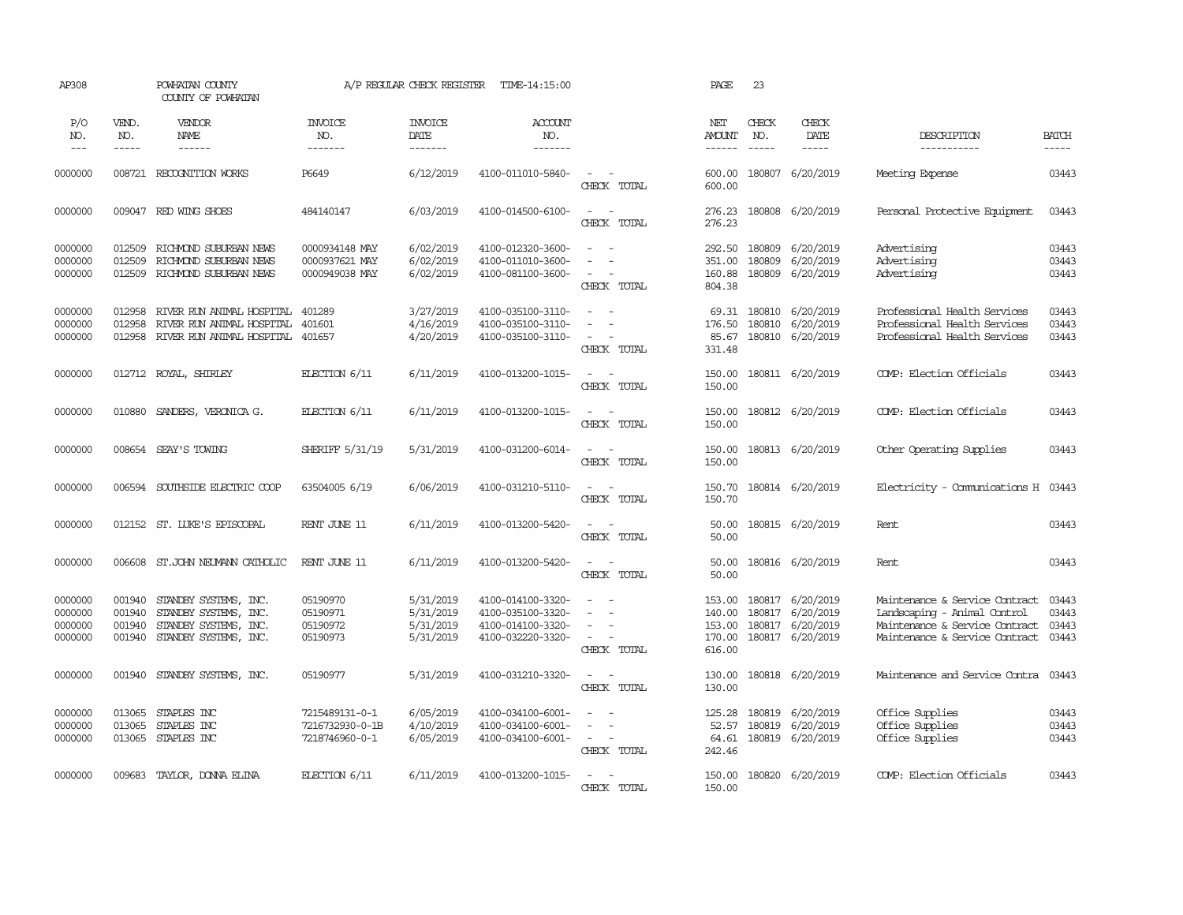| AP308                                    |                                      | POWHATAN COUNTY<br>COUNTY OF POWHATAN                                                            |                                                     | A/P REGULAR CHECK REGISTER                       | TIME-14:15:00                                                                    |                                                                         | PAGE                                           | 23                                                                                                                                                                                                                                                                                                                                                                                                                                                                                            |                                                                |                                                                                                                                    |                                  |
|------------------------------------------|--------------------------------------|--------------------------------------------------------------------------------------------------|-----------------------------------------------------|--------------------------------------------------|----------------------------------------------------------------------------------|-------------------------------------------------------------------------|------------------------------------------------|-----------------------------------------------------------------------------------------------------------------------------------------------------------------------------------------------------------------------------------------------------------------------------------------------------------------------------------------------------------------------------------------------------------------------------------------------------------------------------------------------|----------------------------------------------------------------|------------------------------------------------------------------------------------------------------------------------------------|----------------------------------|
| P/O<br>NO.<br>$\qquad \qquad -$          | VEND.<br>NO.<br>-----                | VENDOR<br>NAME<br>------                                                                         | <b>INVOICE</b><br>NO.<br>-------                    | <b>INVOICE</b><br>DATE<br>-------                | ACCOUNT<br>NO.<br>-------                                                        |                                                                         | NET<br>AMOUNT                                  | CHECK<br>NO.<br>$\begin{tabular}{ccccc} \multicolumn{2}{c }{\multicolumn{2}{c }{\multicolumn{2}{c }{\multicolumn{2}{c}}}{\multicolumn{2}{c }{\multicolumn{2}{c}}}\end{tabular} \end{tabular} \begin{tabular}{c c }{\multicolumn{2}{c }{\multicolumn{2}{c }{\multicolumn{2}{c}}}{\multicolumn{2}{c }{\multicolumn{2}{c}}}{\multicolumn{2}{c }{\multicolumn{2}{c}}}{\multicolumn{2}{c }{\multicolumn{2}{c}}}{\end{tabular} \begin{tabular}{c c }{\multicolumn{2}{c }{\multicolumn{2}{c }{\mult$ | CHECK<br>DATE<br>-----                                         | DESCRIPTION<br>-----------                                                                                                         | <b>BATCH</b><br>$- - - - -$      |
| 0000000                                  |                                      | 008721 RECOGNITION WORKS                                                                         | P6649                                               | 6/12/2019                                        | 4100-011010-5840-                                                                | $\sim$<br>$\sim$<br>CHECK TOTAL                                         | 600.00<br>600.00                               |                                                                                                                                                                                                                                                                                                                                                                                                                                                                                               | 180807 6/20/2019                                               | Meeting Expense                                                                                                                    | 03443                            |
| 0000000                                  |                                      | 009047 RED WING SHOES                                                                            | 484140147                                           | 6/03/2019                                        | 4100-014500-6100-                                                                | $\sim$<br>$\sim$<br>CHECK TOTAL                                         | 276.23<br>276.23                               |                                                                                                                                                                                                                                                                                                                                                                                                                                                                                               | 180808 6/20/2019                                               | Personal Protective Equipment                                                                                                      | 03443                            |
| 0000000<br>0000000<br>0000000            | 012509<br>012509<br>012509           | RICHMOND SUBURBAN NEWS<br>RICHMOND SUBURBAN NEWS<br>RICHMOND SUBURBAN NEWS                       | 0000934148 MAY<br>0000937621 MAY<br>0000949038 MAY  | 6/02/2019<br>6/02/2019<br>6/02/2019              | 4100-012320-3600-<br>4100-011010-3600-<br>4100-081100-3600-                      | $\sim$<br>CHECK TOTAL                                                   | 292.50<br>351.00<br>160.88<br>804.38           | 180809<br>180809<br>180809                                                                                                                                                                                                                                                                                                                                                                                                                                                                    | 6/20/2019<br>6/20/2019<br>6/20/2019                            | Advertising<br>Advertising<br>Advertising                                                                                          | 03443<br>03443<br>03443          |
| 0000000<br>0000000<br>0000000            | 012958<br>012958<br>012958           | RIVER RUN ANIMAL HOSPITAL<br>RIVER RUN ANIMAL HOSPITAL<br>RIVER RUN ANIMAL HOSPITAL              | 401289<br>401601<br>401657                          | 3/27/2019<br>4/16/2019<br>4/20/2019              | 4100-035100-3110-<br>4100-035100-3110-<br>4100-035100-3110-                      | $\sim$<br>$\sim$<br>$\sim$<br>$\sim$<br>$\sim$<br>$\sim$<br>CHECK TOTAL | 69.31<br>176.50<br>85.67<br>331.48             | 180810<br>180810                                                                                                                                                                                                                                                                                                                                                                                                                                                                              | 6/20/2019<br>6/20/2019<br>180810 6/20/2019                     | Professional Health Services<br>Professional Health Services<br>Professional Health Services                                       | 03443<br>03443<br>03443          |
| 0000000                                  |                                      | 012712 ROYAL, SHIRLEY                                                                            | ELECTION 6/11                                       | 6/11/2019                                        | 4100-013200-1015-                                                                | $\sim$<br>$\sim$<br>CHECK TOTAL                                         | 150.00<br>150.00                               |                                                                                                                                                                                                                                                                                                                                                                                                                                                                                               | 180811 6/20/2019                                               | COMP: Election Officials                                                                                                           | 03443                            |
| 0000000                                  | 010880                               | SANDERS, VERONICA G.                                                                             | ELECTION 6/11                                       | 6/11/2019                                        | 4100-013200-1015-                                                                | $\sim$<br>$\sim$<br>CHECK TOTAL                                         | 150.00<br>150.00                               |                                                                                                                                                                                                                                                                                                                                                                                                                                                                                               | 180812 6/20/2019                                               | COMP: Election Officials                                                                                                           | 03443                            |
| 0000000                                  | 008654                               | SEAY'S TOWING                                                                                    | SHERIFF 5/31/19                                     | 5/31/2019                                        | 4100-031200-6014-                                                                | $\sim$<br>$\sim$<br>CHECK TOTAL                                         | 150.00<br>150.00                               |                                                                                                                                                                                                                                                                                                                                                                                                                                                                                               | 180813 6/20/2019                                               | Other Operating Supplies                                                                                                           | 03443                            |
| 0000000                                  | 006594                               | SOUTHSIDE ELECTRIC COOP                                                                          | 63504005 6/19                                       | 6/06/2019                                        | 4100-031210-5110-                                                                | $\sim$<br>$\sim$<br>CHECK TOTAL                                         | 150.70<br>150.70                               |                                                                                                                                                                                                                                                                                                                                                                                                                                                                                               | 180814 6/20/2019                                               | Electricity - Comunications H                                                                                                      | 03443                            |
| 0000000                                  |                                      | 012152 ST. LUKE'S EPISCOPAL                                                                      | RENT JUNE 11                                        | 6/11/2019                                        | 4100-013200-5420-                                                                | $\overline{\phantom{a}}$<br>$\sim$<br>CHECK TOTAL                       | 50.00<br>50.00                                 |                                                                                                                                                                                                                                                                                                                                                                                                                                                                                               | 180815 6/20/2019                                               | Rent                                                                                                                               | 03443                            |
| 0000000                                  | 006608                               | ST. JOHN NEUMANN CATHOLIC                                                                        | RENT JUNE 11                                        | 6/11/2019                                        | 4100-013200-5420-                                                                | $\sim$<br>$\sim$<br>CHECK TOTAL                                         | 50.00<br>50.00                                 |                                                                                                                                                                                                                                                                                                                                                                                                                                                                                               | 180816 6/20/2019                                               | Rent                                                                                                                               | 03443                            |
| 0000000<br>0000000<br>0000000<br>0000000 | 001940<br>001940<br>001940<br>001940 | STANDBY SYSTEMS, INC.<br>STANDBY SYSTEMS, INC.<br>STANDBY SYSTEMS, INC.<br>STANDBY SYSTEMS, INC. | 05190970<br>05190971<br>05190972<br>05190973        | 5/31/2019<br>5/31/2019<br>5/31/2019<br>5/31/2019 | 4100-014100-3320-<br>4100-035100-3320-<br>4100-014100-3320-<br>4100-032220-3320- | $\sim$<br>$\sim$<br>$\sim$<br>CHECK TOTAL                               | 153.00<br>140.00<br>153.00<br>170.00<br>616.00 | 180817<br>180817                                                                                                                                                                                                                                                                                                                                                                                                                                                                              | 6/20/2019<br>6/20/2019<br>180817 6/20/2019<br>180817 6/20/2019 | Maintenance & Service Contract<br>Landscaping - Animal Control<br>Maintenance & Service Contract<br>Maintenance & Service Contract | 03443<br>03443<br>03443<br>03443 |
| 0000000                                  | 001940                               | STANDBY SYSTEMS, INC.                                                                            | 05190977                                            | 5/31/2019                                        | 4100-031210-3320-                                                                | $\sim$<br>$\sim$<br>CHECK TOTAL                                         | 130.00<br>130.00                               |                                                                                                                                                                                                                                                                                                                                                                                                                                                                                               | 180818 6/20/2019                                               | Maintenance and Service Contra                                                                                                     | 03443                            |
| 0000000<br>0000000<br>0000000            | 013065<br>013065<br>013065           | STAPLES INC<br>STAPLES INC<br>STAPLES INC                                                        | 7215489131-0-1<br>7216732930-0-1B<br>7218746960-0-1 | 6/05/2019<br>4/10/2019<br>6/05/2019              | 4100-034100-6001-<br>4100-034100-6001-<br>4100-034100-6001-                      | $\sim$<br>$\sim$<br>$\equiv$<br>$\sim$<br>$\sim$<br>CHECK TOTAL         | 125.28<br>52.57<br>64.61<br>242.46             | 180819<br>180819                                                                                                                                                                                                                                                                                                                                                                                                                                                                              | 6/20/2019<br>6/20/2019<br>180819 6/20/2019                     | Office Supplies<br>Office Supplies<br>Office Supplies                                                                              | 03443<br>03443<br>03443          |
| 0000000                                  | 009683                               | TAYLOR, DONNA ELINA                                                                              | ELECTION 6/11                                       | 6/11/2019                                        | 4100-013200-1015-                                                                | $\overline{\phantom{a}}$<br>$\sim$<br>CHECK TOTAL                       | 150.00<br>150.00                               |                                                                                                                                                                                                                                                                                                                                                                                                                                                                                               | 180820 6/20/2019                                               | COMP: Election Officials                                                                                                           | 03443                            |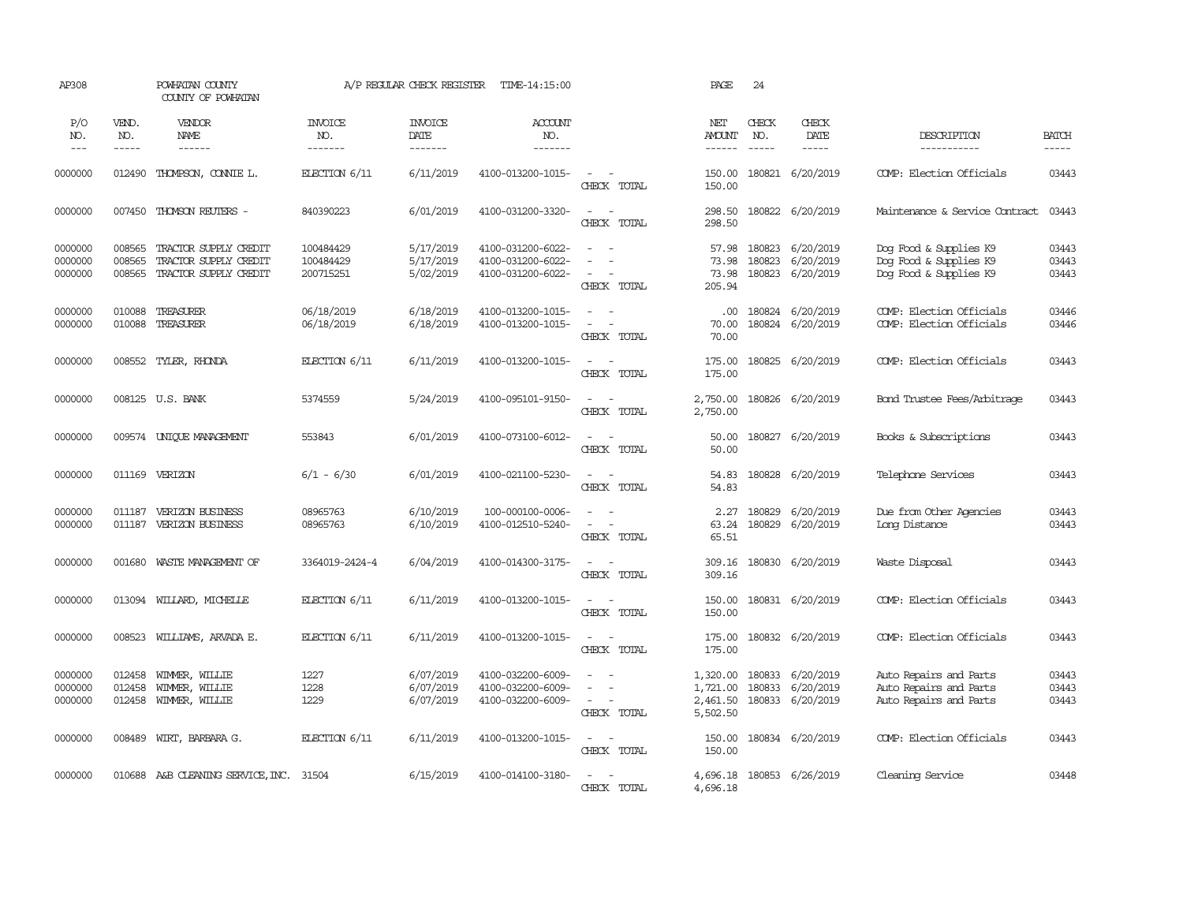| AP308                         |                            | POWHATAN COUNTY<br>COUNTY OF POWHATAN                                   |                                     | A/P REGULAR CHECK REGISTER          | TIME-14:15:00                                               |                                                                                                                             | PAGE                                         | 24                                                                                                                                                                                                                                                                                                                                                                                                           |                                            |                                                                            |                             |
|-------------------------------|----------------------------|-------------------------------------------------------------------------|-------------------------------------|-------------------------------------|-------------------------------------------------------------|-----------------------------------------------------------------------------------------------------------------------------|----------------------------------------------|--------------------------------------------------------------------------------------------------------------------------------------------------------------------------------------------------------------------------------------------------------------------------------------------------------------------------------------------------------------------------------------------------------------|--------------------------------------------|----------------------------------------------------------------------------|-----------------------------|
| P/O<br>NO.<br>$\frac{1}{2}$   | VEND.<br>NO.<br>-----      | VENDOR<br>NAME<br>------                                                | <b>INVOICE</b><br>NO.<br>-------    | <b>INVOICE</b><br>DATE<br>-------   | ACCOUNT<br>NO.<br>-------                                   |                                                                                                                             | NET<br><b>AMOUNT</b>                         | CHECK<br>NO.<br>$\frac{1}{2} \frac{1}{2} \frac{1}{2} \frac{1}{2} \frac{1}{2} \frac{1}{2} \frac{1}{2} \frac{1}{2} \frac{1}{2} \frac{1}{2} \frac{1}{2} \frac{1}{2} \frac{1}{2} \frac{1}{2} \frac{1}{2} \frac{1}{2} \frac{1}{2} \frac{1}{2} \frac{1}{2} \frac{1}{2} \frac{1}{2} \frac{1}{2} \frac{1}{2} \frac{1}{2} \frac{1}{2} \frac{1}{2} \frac{1}{2} \frac{1}{2} \frac{1}{2} \frac{1}{2} \frac{1}{2} \frac{$ | CHECK<br>DATE<br>$\cdots\cdots\cdots$      | DESCRIPTION<br>-----------                                                 | <b>BATCH</b><br>$- - - - -$ |
| 0000000                       | 012490                     | THOMPSON, CONNIE L.                                                     | ELECTION 6/11                       | 6/11/2019                           | 4100-013200-1015-                                           | $\equiv$<br>CHECK TOTAL                                                                                                     | 150.00<br>150.00                             |                                                                                                                                                                                                                                                                                                                                                                                                              | 180821 6/20/2019                           | COMP: Election Officials                                                   | 03443                       |
| 0000000                       | 007450                     | THOMSON REUTERS -                                                       | 840390223                           | 6/01/2019                           | 4100-031200-3320-                                           | $\sim$<br>$\sim$<br>CHECK TOTAL                                                                                             | 298.50<br>298.50                             |                                                                                                                                                                                                                                                                                                                                                                                                              | 180822 6/20/2019                           | Maintenance & Service Contract                                             | 03443                       |
| 0000000<br>0000000<br>0000000 | 008565<br>008565<br>008565 | TRACTOR SUPPLY CREDIT<br>TRACTOR SUPPLY CREDIT<br>TRACTOR SUPPLY CREDIT | 100484429<br>100484429<br>200715251 | 5/17/2019<br>5/17/2019<br>5/02/2019 | 4100-031200-6022-<br>4100-031200-6022-<br>4100-031200-6022- | $\sim$<br>$\overline{\phantom{a}}$<br>CHECK TOTAL                                                                           | 57.98<br>73.98<br>73.98<br>205.94            | 180823<br>180823                                                                                                                                                                                                                                                                                                                                                                                             | 6/20/2019<br>6/20/2019<br>180823 6/20/2019 | Dog Food & Supplies K9<br>Dog Food & Supplies K9<br>Dog Food & Supplies K9 | 03443<br>03443<br>03443     |
| 0000000<br>0000000            | 010088<br>010088           | TREASURER<br>TREASURER                                                  | 06/18/2019<br>06/18/2019            | 6/18/2019<br>6/18/2019              | 4100-013200-1015-<br>4100-013200-1015-                      | $\sim$<br>$\sim$ $-$<br>$\sim$<br>CHECK TOTAL                                                                               | .00.<br>70.00<br>70.00                       |                                                                                                                                                                                                                                                                                                                                                                                                              | 180824 6/20/2019<br>180824 6/20/2019       | COMP: Election Officials<br>COMP: Election Officials                       | 03446<br>03446              |
| 0000000                       |                            | 008552 TYLER, RHONDA                                                    | ELECTION 6/11                       | 6/11/2019                           | 4100-013200-1015-                                           | $\sim$<br>$\sim$<br>CHECK TOTAL                                                                                             | 175.00<br>175.00                             |                                                                                                                                                                                                                                                                                                                                                                                                              | 180825 6/20/2019                           | COMP: Election Officials                                                   | 03443                       |
| 0000000                       |                            | 008125 U.S. BANK                                                        | 5374559                             | 5/24/2019                           | 4100-095101-9150-                                           | $\sim$<br>$\sim$<br>CHECK TOTAL                                                                                             | 2,750.00<br>2,750.00                         |                                                                                                                                                                                                                                                                                                                                                                                                              | 180826 6/20/2019                           | Band Trustee Fees/Arbitrage                                                | 03443                       |
| 0000000                       |                            | 009574 UNIQUE MANAGEMENT                                                | 553843                              | 6/01/2019                           | 4100-073100-6012-                                           | $\sim$ $\sim$<br>CHECK TOTAL                                                                                                | 50.00<br>50.00                               |                                                                                                                                                                                                                                                                                                                                                                                                              | 180827 6/20/2019                           | Books & Subscriptions                                                      | 03443                       |
| 0000000                       | 011169                     | VERIZON                                                                 | $6/1 - 6/30$                        | 6/01/2019                           | 4100-021100-5230-                                           | $\sim$<br>$\sim$<br>CHECK TOTAL                                                                                             | 54.83<br>54.83                               |                                                                                                                                                                                                                                                                                                                                                                                                              | 180828 6/20/2019                           | Telephone Services                                                         | 03443                       |
| 0000000<br>0000000            | 011187<br>011187           | VERIZON BUSINESS<br>VERIZON BUSINESS                                    | 08965763<br>08965763                | 6/10/2019<br>6/10/2019              | 100-000100-0006-<br>4100-012510-5240-                       | $\equiv$<br>$\equiv$<br>CHECK TOTAL                                                                                         | 2.27<br>63.24<br>65.51                       | 180829                                                                                                                                                                                                                                                                                                                                                                                                       | 6/20/2019<br>180829 6/20/2019              | Due from Other Agencies<br>Long Distance                                   | 03443<br>03443              |
| 0000000                       | 001680                     | WASTE MANAGEMENT OF                                                     | 3364019-2424-4                      | 6/04/2019                           | 4100-014300-3175-                                           | $\frac{1}{2} \left( \frac{1}{2} \right) \left( \frac{1}{2} \right) = \frac{1}{2} \left( \frac{1}{2} \right)$<br>CHECK TOTAL | 309.16<br>309.16                             |                                                                                                                                                                                                                                                                                                                                                                                                              | 180830 6/20/2019                           | Waste Disposal                                                             | 03443                       |
| 0000000                       | 013094                     | WILLARD, MICHELLE                                                       | ELECTION 6/11                       | 6/11/2019                           | 4100-013200-1015-                                           | $\overline{\phantom{a}}$<br>$\sim$<br>CHECK TOTAL                                                                           | 150.00<br>150.00                             |                                                                                                                                                                                                                                                                                                                                                                                                              | 180831 6/20/2019                           | COMP: Election Officials                                                   | 03443                       |
| 0000000                       | 008523                     | WILLIAMS, ARVADA E.                                                     | ELECTION 6/11                       | 6/11/2019                           | 4100-013200-1015-                                           | $\sim$<br>$\sim$<br>CHECK TOTAL                                                                                             | 175.00<br>175.00                             |                                                                                                                                                                                                                                                                                                                                                                                                              | 180832 6/20/2019                           | COMP: Election Officials                                                   | 03443                       |
| 0000000<br>0000000<br>0000000 | 012458<br>012458<br>012458 | WIMMER, WILLIE<br>WIMMER, WILLIE<br>WIMMER, WILLIE                      | 1227<br>1228<br>1229                | 6/07/2019<br>6/07/2019<br>6/07/2019 | 4100-032200-6009-<br>4100-032200-6009-<br>4100-032200-6009- | $\equiv$<br>$\sim$<br>CHECK TOTAL                                                                                           | 1,320.00<br>1,721.00<br>2,461.50<br>5,502.50 | 180833<br>180833                                                                                                                                                                                                                                                                                                                                                                                             | 6/20/2019<br>6/20/2019<br>180833 6/20/2019 | Auto Repairs and Parts<br>Auto Repairs and Parts<br>Auto Repairs and Parts | 03443<br>03443<br>03443     |
| 0000000                       | 008489                     | WIRT, BARBARA G.                                                        | ELECTION 6/11                       | 6/11/2019                           | 4100-013200-1015-                                           | $\sim$ $ \sim$<br>CHECK TOTAL                                                                                               | 150.00<br>150.00                             |                                                                                                                                                                                                                                                                                                                                                                                                              | 180834 6/20/2019                           | COMP: Election Officials                                                   | 03443                       |
| 0000000                       |                            | 010688 A&B CLEANING SERVICE, INC. 31504                                 |                                     | 6/15/2019                           | 4100-014100-3180-                                           | $\equiv$<br>CHECK TOTAL                                                                                                     | 4,696.18<br>4,696.18                         |                                                                                                                                                                                                                                                                                                                                                                                                              | 180853 6/26/2019                           | Cleaning Service                                                           | 03448                       |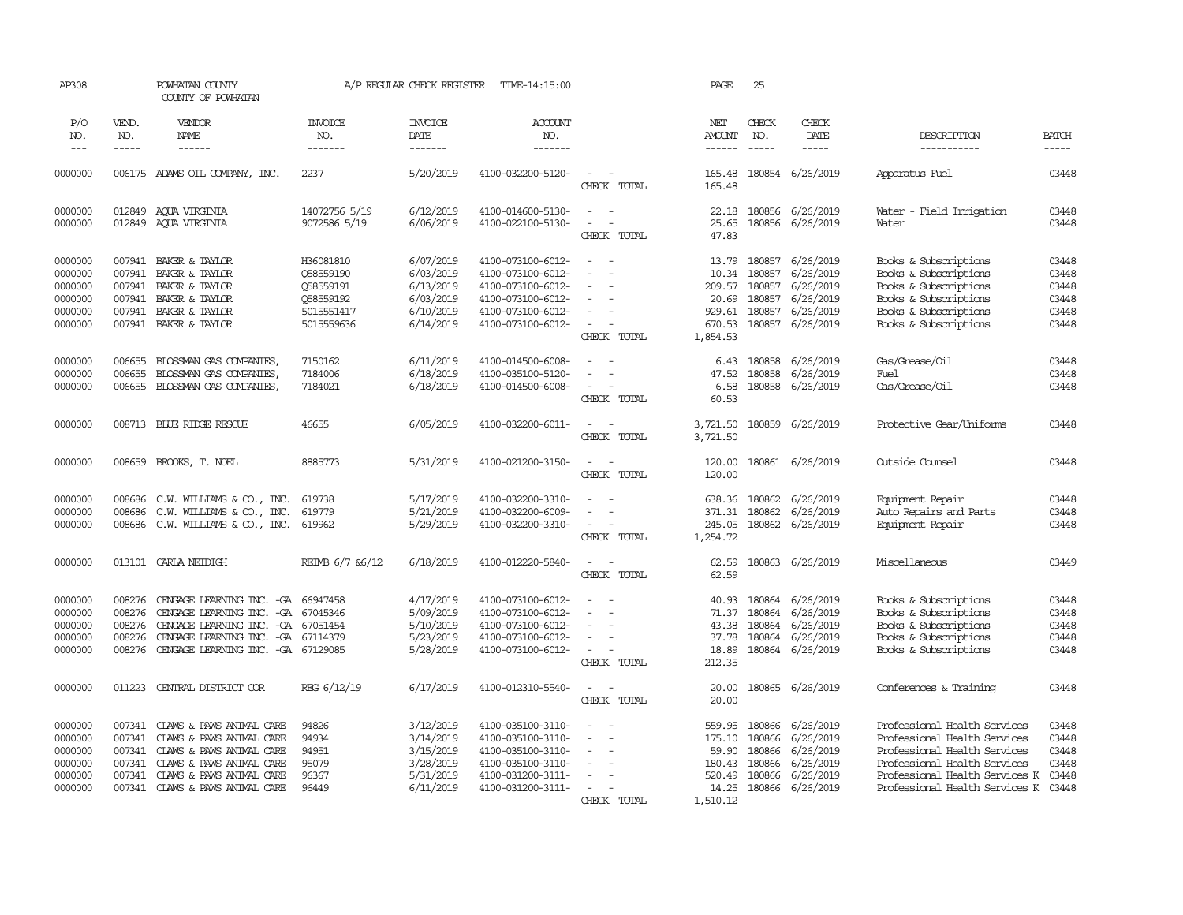| AP308                                                          |                                                | POWHATAN COUNTY<br>COUNTY OF POWHATAN                                                                                                                                                           |                                                                              | A/P REGULAR CHECK REGISTER                                                 | TIME-14:15:00                                                                                                              |                                                                                                 | PAGE                                                               | 25                                             |                                                                                   |                                                                                                                                                                                                        |                                                    |
|----------------------------------------------------------------|------------------------------------------------|-------------------------------------------------------------------------------------------------------------------------------------------------------------------------------------------------|------------------------------------------------------------------------------|----------------------------------------------------------------------------|----------------------------------------------------------------------------------------------------------------------------|-------------------------------------------------------------------------------------------------|--------------------------------------------------------------------|------------------------------------------------|-----------------------------------------------------------------------------------|--------------------------------------------------------------------------------------------------------------------------------------------------------------------------------------------------------|----------------------------------------------------|
| P/O<br>NO.<br>$\frac{1}{2}$                                    | VEND.<br>NO.<br>-----                          | VENDOR<br>NAME<br>------                                                                                                                                                                        | <b>INVOICE</b><br>NO.<br>-------                                             | <b>INVOICE</b><br>DATE<br>-------                                          | <b>ACCOUNT</b><br>NO.<br>-------                                                                                           |                                                                                                 | NET<br><b>AMOUNT</b><br>------                                     | CHECK<br>NO.                                   | CHECK<br>DATE<br>-----                                                            | DESCRIPTION<br>-----------                                                                                                                                                                             | <b>BATCH</b><br>-----                              |
| 0000000                                                        |                                                | 006175 ADAMS OIL COMPANY, INC.                                                                                                                                                                  | 2237                                                                         | 5/20/2019                                                                  | 4100-032200-5120-                                                                                                          | $\sim$<br>$\sim$<br>CHECK TOTAL                                                                 | 165.48<br>165.48                                                   |                                                | 180854 6/26/2019                                                                  | Apparatus Fuel                                                                                                                                                                                         | 03448                                              |
| 0000000<br>0000000                                             | 012849<br>012849                               | AOUA VIRGINIA<br>AQUA VIRGINIA                                                                                                                                                                  | 14072756 5/19<br>9072586 5/19                                                | 6/12/2019<br>6/06/2019                                                     | 4100-014600-5130-<br>4100-022100-5130-                                                                                     | $\sim$<br>$\sim$<br>$\blacksquare$<br>$\sim$<br>CHECK TOTAL                                     | 22.18<br>25.65<br>47.83                                            | 180856<br>180856                               | 6/26/2019<br>6/26/2019                                                            | Water - Field Irrigation<br>Water                                                                                                                                                                      | 03448<br>03448                                     |
| 0000000<br>0000000<br>0000000<br>0000000<br>0000000<br>0000000 | 007941<br>007941<br>007941<br>007941<br>007941 | BAKER & TAYLOR<br>BAKER & TAYLOR<br>BAKER & TAYLOR<br>BAKER & TAYLOR<br>BAKER & TAYLOR<br>007941 BAKER & TAYLOR                                                                                 | H36081810<br>058559190<br>Q58559191<br>Q58559192<br>5015551417<br>5015559636 | 6/07/2019<br>6/03/2019<br>6/13/2019<br>6/03/2019<br>6/10/2019<br>6/14/2019 | 4100-073100-6012-<br>4100-073100-6012-<br>4100-073100-6012-<br>4100-073100-6012-<br>4100-073100-6012-<br>4100-073100-6012- | $\equiv$<br>$\equiv$<br>$\equiv$<br>$\sim$<br>CHECK TOTAL                                       | 13.79<br>10.34<br>209.57<br>20.69<br>929.61<br>670.53<br>1,854.53  | 180857<br>180857<br>180857<br>180857<br>180857 | 6/26/2019<br>6/26/2019<br>6/26/2019<br>6/26/2019<br>6/26/2019<br>180857 6/26/2019 | Books & Subscriptions<br>Books & Subscriptions<br>Books & Subscriptions<br>Books & Subscriptions<br>Books & Subscriptions<br>Books & Subscriptions                                                     | 03448<br>03448<br>03448<br>03448<br>03448<br>03448 |
| 0000000<br>0000000<br>0000000                                  | 006655<br>006655<br>006655                     | BLOSSMAN GAS COMPANIES.<br>BLOSSMAN GAS COMPANIES,<br>BLOSSMAN GAS COMPANIES,                                                                                                                   | 7150162<br>7184006<br>7184021                                                | 6/11/2019<br>6/18/2019<br>6/18/2019                                        | 4100-014500-6008-<br>4100-035100-5120-<br>4100-014500-6008-                                                                | $\sim$<br>$\blacksquare$<br>$\overline{\phantom{a}}$<br>CHECK TOTAL                             | 6.43<br>47.52<br>6.58<br>60.53                                     | 180858<br>180858<br>180858                     | 6/26/2019<br>6/26/2019<br>6/26/2019                                               | Gas/Grease/Oil<br>Fuel<br>Gas/Grease/Oil                                                                                                                                                               | 03448<br>03448<br>03448                            |
| 0000000                                                        |                                                | 008713 BLUE RIDGE RESCUE                                                                                                                                                                        | 46655                                                                        | 6/05/2019                                                                  | 4100-032200-6011-                                                                                                          | $\sim$<br>$\sim$<br>CHECK TOTAL                                                                 | 3,721.50<br>3,721.50                                               |                                                | 180859 6/26/2019                                                                  | Protective Gear/Uniforms                                                                                                                                                                               | 03448                                              |
| 0000000                                                        |                                                | 008659 BROOKS, T. NOEL                                                                                                                                                                          | 8885773                                                                      | 5/31/2019                                                                  | 4100-021200-3150-                                                                                                          | $\sim$<br>$\sim$<br>CHECK TOTAL                                                                 | 120.00<br>120.00                                                   |                                                | 180861 6/26/2019                                                                  | Outside Counsel                                                                                                                                                                                        | 03448                                              |
| 0000000<br>0000000<br>0000000                                  | 008686<br>008686<br>008686                     | C.W. WILLIAMS & CO., INC.<br>$C.W. WILLIANS & \infty, INC.$<br>C.W. WILLIAMS & CO., INC.                                                                                                        | 619738<br>619779<br>619962                                                   | 5/17/2019<br>5/21/2019<br>5/29/2019                                        | 4100-032200-3310-<br>4100-032200-6009-<br>4100-032200-3310-                                                                | $\sim$<br>$\blacksquare$<br>$\overline{\phantom{a}}$<br>$\overline{\phantom{a}}$<br>CHECK TOTAL | 371.31<br>245.05<br>1,254.72                                       | 180862                                         | 638.36 180862 6/26/2019<br>6/26/2019<br>180862 6/26/2019                          | Equipment Repair<br>Auto Repairs and Parts<br>Equipment Repair                                                                                                                                         | 03448<br>03448<br>03448                            |
| 0000000                                                        |                                                | 013101 CARLA NEIDIGH                                                                                                                                                                            | REIMB 6/7 & 6/12                                                             | 6/18/2019                                                                  | 4100-012220-5840-                                                                                                          | $\sim$<br>$\sim$<br>CHECK TOTAL                                                                 | 62.59<br>62.59                                                     |                                                | 180863 6/26/2019                                                                  | Miscellaneous                                                                                                                                                                                          | 03449                                              |
| 0000000<br>0000000<br>0000000<br>0000000<br>0000000            | 008276<br>008276<br>008276<br>008276<br>008276 | CENGAGE LEARNING INC. - GA 66947458<br>CENGAGE LEARNING INC. - GA 67045346<br>CENGAGE LEARNING INC. - GA 67051454<br>CENGAGE LEARNING INC. - GA 67114379<br>CENGAGE LEARNING INC. - GA 67129085 |                                                                              | 4/17/2019<br>5/09/2019<br>5/10/2019<br>5/23/2019<br>5/28/2019              | 4100-073100-6012-<br>4100-073100-6012-<br>4100-073100-6012-<br>4100-073100-6012-<br>4100-073100-6012-                      | $\equiv$<br>$\sim$<br>$\sim$<br>$\sim$<br>$\overline{\phantom{a}}$<br>CHECK TOTAL               | 40.93<br>71.37<br>43.38<br>37.78<br>18.89<br>212.35                | 180864<br>180864<br>180864<br>180864<br>180864 | 6/26/2019<br>6/26/2019<br>6/26/2019<br>6/26/2019<br>6/26/2019                     | Books & Subscriptions<br>Books & Subscriptions<br>Books & Subscriptions<br>Books & Subscriptions<br>Books & Subscriptions                                                                              | 03448<br>03448<br>03448<br>03448<br>03448          |
| 0000000                                                        | 011223                                         | CENTRAL DISTRICT COR                                                                                                                                                                            | REG 6/12/19                                                                  | 6/17/2019                                                                  | 4100-012310-5540-                                                                                                          | $\overline{\phantom{a}}$<br>CHECK TOTAL                                                         | 20.00<br>20.00                                                     |                                                | 180865 6/26/2019                                                                  | Conferences & Training                                                                                                                                                                                 | 03448                                              |
| 0000000<br>0000000<br>0000000<br>0000000<br>0000000<br>0000000 | 007341<br>007341<br>007341<br>007341<br>007341 | CLAWS & PAWS ANIMAL CARE<br>CLAWS & PAWS ANIMAL CARE<br>CLAWS & PAWS ANIMAL CARE<br>CLAWS & PAWS ANIMAL CARE<br>CLAWS & PAWS ANIMAL CARE<br>007341 CLAWS & PAWS ANIMAL CARE                     | 94826<br>94934<br>94951<br>95079<br>96367<br>96449                           | 3/12/2019<br>3/14/2019<br>3/15/2019<br>3/28/2019<br>5/31/2019<br>6/11/2019 | 4100-035100-3110-<br>4100-035100-3110-<br>4100-035100-3110-<br>4100-035100-3110-<br>4100-031200-3111-<br>4100-031200-3111- | $\overline{\phantom{a}}$<br>$\equiv$<br>$\equiv$<br>$\equiv$<br>$\sim$<br>CHECK TOTAL           | 559.95<br>175.10<br>59.90<br>180.43<br>520.49<br>14.25<br>1,510.12 | 180866<br>180866<br>180866<br>180866<br>180866 | 6/26/2019<br>6/26/2019<br>6/26/2019<br>6/26/2019<br>6/26/2019<br>180866 6/26/2019 | Professional Health Services<br>Professional Health Services<br>Professional Health Services<br>Professional Health Services<br>Professional Health Services K<br>Professional Health Services K 03448 | 03448<br>03448<br>03448<br>03448<br>03448          |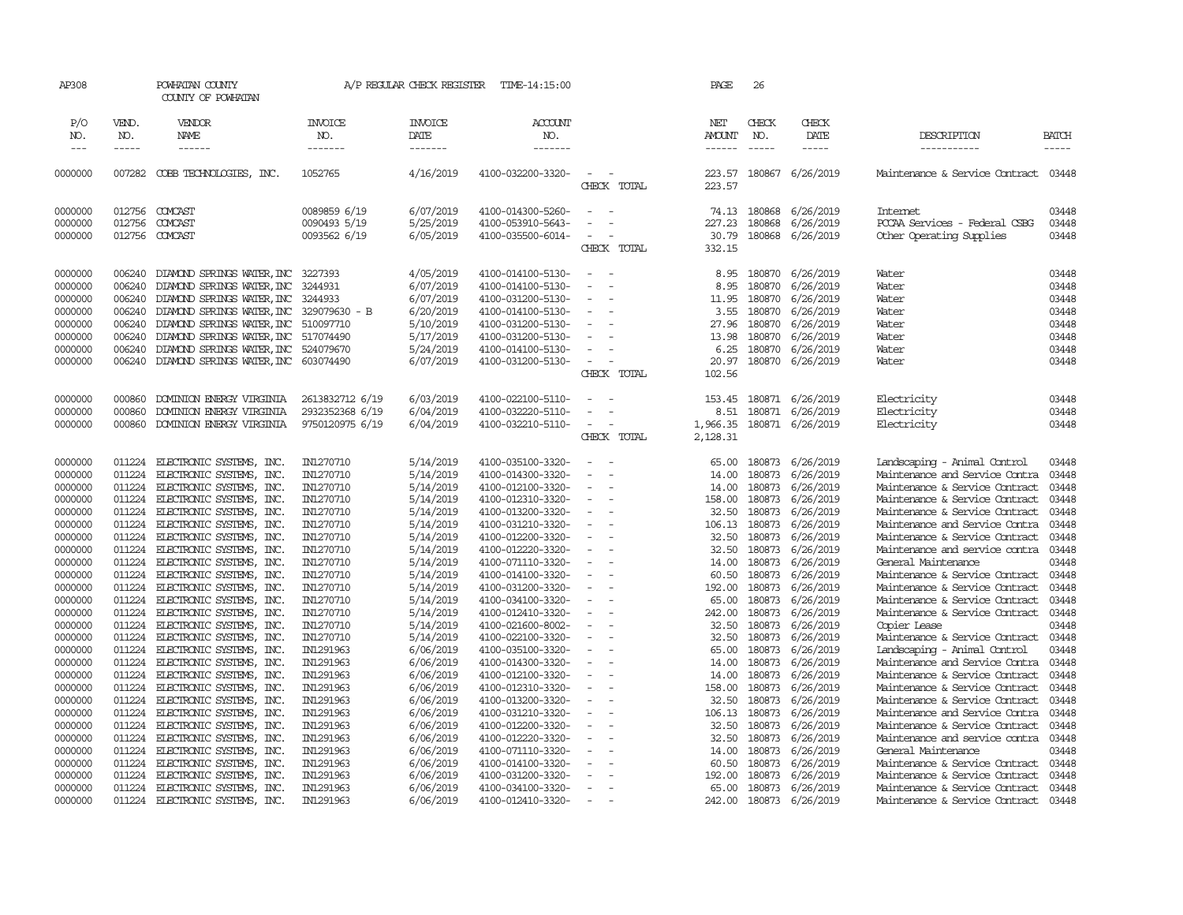| AP308                                                                                |                                                                              | POWHATAN COUNTY<br>COUNTY OF POWHATAN                                                                                                                                                                                                                                                                              |                                                               | A/P REGULAR CHECK REGISTER                                                                           | TIME-14:15:00                                                                                                                                                        |                                                                                                                                                              | PAGE                                                                       | 26                                                                 |                                                                                                             |                                                                                                                                                                        |                                                                      |
|--------------------------------------------------------------------------------------|------------------------------------------------------------------------------|--------------------------------------------------------------------------------------------------------------------------------------------------------------------------------------------------------------------------------------------------------------------------------------------------------------------|---------------------------------------------------------------|------------------------------------------------------------------------------------------------------|----------------------------------------------------------------------------------------------------------------------------------------------------------------------|--------------------------------------------------------------------------------------------------------------------------------------------------------------|----------------------------------------------------------------------------|--------------------------------------------------------------------|-------------------------------------------------------------------------------------------------------------|------------------------------------------------------------------------------------------------------------------------------------------------------------------------|----------------------------------------------------------------------|
| P/O<br>NO.<br>$\frac{1}{2}$                                                          | VEND.<br>NO.<br>-----                                                        | VENDOR<br>NAME<br>------                                                                                                                                                                                                                                                                                           | <b>INVOICE</b><br>NO.<br>-------                              | <b>INVOICE</b><br>DATE<br>-------                                                                    | ACCOUNT<br>NO.<br>-------                                                                                                                                            |                                                                                                                                                              | NET<br>AMOUNT<br>------                                                    | CHECK<br>NO.                                                       | CHECK<br>DATE<br>-----                                                                                      | DESCRIPTION<br>-----------                                                                                                                                             | <b>BATCH</b><br>-----                                                |
| 0000000                                                                              | 007282                                                                       | COBB TECHNOLOGIES, INC.                                                                                                                                                                                                                                                                                            | 1052765                                                       | 4/16/2019                                                                                            | 4100-032200-3320-                                                                                                                                                    | $\sim$<br>$\sim$<br>CHECK TOTAL                                                                                                                              | 223.57<br>223.57                                                           | 180867                                                             | 6/26/2019                                                                                                   | Maintenance & Service Contract 03448                                                                                                                                   |                                                                      |
| 0000000<br>0000000<br>0000000                                                        | 012756<br>012756<br>012756                                                   | COMCAST<br>COMCAST<br>COMCAST                                                                                                                                                                                                                                                                                      | 0089859 6/19<br>0090493 5/19<br>0093562 6/19                  | 6/07/2019<br>5/25/2019<br>6/05/2019                                                                  | 4100-014300-5260-<br>4100-053910-5643-<br>4100-035500-6014-                                                                                                          | $\overline{\phantom{a}}$<br>. —<br>$\sim$<br>CHECK TOTAL                                                                                                     | 227.23<br>30.79<br>332.15                                                  | 74.13 180868<br>180868<br>180868                                   | 6/26/2019<br>6/26/2019<br>6/26/2019                                                                         | <b>Internet</b><br>PCCAA Services - Federal CSBG<br>Other Operating Supplies                                                                                           | 03448<br>03448<br>03448                                              |
| 0000000<br>0000000<br>0000000<br>0000000<br>0000000<br>0000000<br>0000000<br>0000000 | 006240<br>006240<br>006240<br>006240<br>006240<br>006240<br>006240<br>006240 | DIAMOND SPRINGS WATER, INC 3227393<br>DIAMOND SPRINGS WATER, INC<br>DIAMOND SPRINGS WATER, INC 3244933<br>DIAMOND SPRINGS WATER, INC 329079630 - B<br>DIAMOND SPRINGS WATER, INC 510097710<br>DIAMOND SPRINGS WATER, INC 517074490<br>DIAMOND SPRINGS WATER, INC 524079670<br>DIAMOND SPRINGS WATER, INC 603074490 | 3244931                                                       | 4/05/2019<br>6/07/2019<br>6/07/2019<br>6/20/2019<br>5/10/2019<br>5/17/2019<br>5/24/2019<br>6/07/2019 | 4100-014100-5130-<br>4100-014100-5130-<br>4100-031200-5130-<br>4100-014100-5130-<br>4100-031200-5130-<br>4100-031200-5130-<br>4100-014100-5130-<br>4100-031200-5130- | $\equiv$<br>. —<br>$\sim$<br>$\sim$<br>$\overline{\phantom{a}}$<br>$\overline{\phantom{a}}$<br>$\equiv$<br>÷,<br>$\sim$<br>$\equiv$<br>$\sim$<br>CHECK TOTAL | 8.95<br>8.95<br>11.95<br>3.55<br>27.96<br>13.98<br>6.25<br>20.97<br>102.56 | 180870<br>180870<br>180870<br>180870<br>180870<br>180870<br>180870 | 6/26/2019<br>6/26/2019<br>6/26/2019<br>6/26/2019<br>6/26/2019<br>6/26/2019<br>6/26/2019<br>180870 6/26/2019 | Water<br>Water<br>Water<br>Water<br>Water<br>Water<br>Water<br>Water                                                                                                   | 03448<br>03448<br>03448<br>03448<br>03448<br>03448<br>03448<br>03448 |
| 0000000<br>0000000<br>0000000                                                        | 000860<br>000860<br>000860                                                   | DOMINION ENERGY VIRGINIA<br>DOMINION ENERGY VIRGINIA<br>DOMINION ENERGY VIRGINIA                                                                                                                                                                                                                                   | 2613832712 6/19<br>2932352368 6/19<br>9750120975 6/19         | 6/03/2019<br>6/04/2019<br>6/04/2019                                                                  | 4100-022100-5110-<br>4100-032220-5110-<br>4100-032210-5110-                                                                                                          | $\sim$<br>$\sim$<br>÷.<br>CHECK TOTAL                                                                                                                        | 153.45<br>8.51<br>1,966.35<br>2,128.31                                     | 180871<br>180871                                                   | 6/26/2019<br>6/26/2019<br>180871 6/26/2019                                                                  | Electricity<br>Electricity<br>Electricity                                                                                                                              | 03448<br>03448<br>03448                                              |
| 0000000<br>0000000                                                                   | 011224<br>011224                                                             | ELECTRONIC SYSTEMS, INC.<br>ELECTRONIC SYSTEMS, INC.                                                                                                                                                                                                                                                               | IN1270710<br>IN1270710                                        | 5/14/2019<br>5/14/2019                                                                               | 4100-035100-3320-<br>4100-014300-3320-                                                                                                                               | $\equiv$<br>$\overline{\phantom{a}}$                                                                                                                         | 65.00<br>14.00                                                             | 180873<br>180873                                                   | 6/26/2019<br>6/26/2019                                                                                      | Landscaping - Animal Control<br>Maintenance and Service Contra                                                                                                         | 03448<br>03448                                                       |
| 0000000<br>0000000<br>0000000<br>0000000<br>0000000                                  | 011224<br>011224<br>011224<br>011224<br>011224                               | ELECTRONIC SYSTEMS, INC.<br>ELECTRONIC SYSTEMS, INC.<br>ELECTRONIC SYSTEMS, INC.<br>ELECTRONIC SYSTEMS, INC.<br>ELECTRONIC SYSTEMS, INC.                                                                                                                                                                           | IN1270710<br>IN1270710<br>IN1270710<br>IN1270710<br>IN1270710 | 5/14/2019<br>5/14/2019<br>5/14/2019<br>5/14/2019<br>5/14/2019                                        | 4100-012100-3320-<br>4100-012310-3320-<br>4100-013200-3320-<br>4100-031210-3320-<br>4100-012200-3320-                                                                | $\sim$<br>÷.<br>$\sim$<br>$\equiv$<br>$\overline{\phantom{a}}$<br>$\overline{\phantom{a}}$                                                                   | 14.00<br>158.00<br>32.50<br>106.13<br>32.50                                | 180873<br>180873<br>180873<br>180873<br>180873                     | 6/26/2019<br>6/26/2019<br>6/26/2019<br>6/26/2019<br>6/26/2019                                               | Maintenance & Service Contract<br>Maintenance & Service Contract<br>Maintenance & Service Contract<br>Maintenance and Service Contra<br>Maintenance & Service Contract | 03448<br>03448<br>03448<br>03448<br>03448                            |
| 0000000<br>0000000<br>0000000<br>0000000                                             | 011224<br>011224<br>011224<br>011224                                         | ELECTRONIC SYSTEMS, INC.<br>ELECTRONIC SYSTEMS, INC.<br>ELECTRONIC SYSTEMS, INC.<br>ELECTRONIC SYSTEMS, INC.                                                                                                                                                                                                       | IN1270710<br>IN1270710<br>IN1270710<br>IN1270710              | 5/14/2019<br>5/14/2019<br>5/14/2019<br>5/14/2019                                                     | 4100-012220-3320-<br>4100-071110-3320-<br>4100-014100-3320-<br>4100-031200-3320-                                                                                     | $\overline{\phantom{a}}$<br>$\overline{\phantom{a}}$<br>$\equiv$<br>$\equiv$<br>$\sim$                                                                       | 32.50<br>14.00<br>60.50<br>192.00                                          | 180873<br>180873<br>180873<br>180873                               | 6/26/2019<br>6/26/2019<br>6/26/2019<br>6/26/2019                                                            | Maintenance and service contra<br>General Maintenance<br>Maintenance & Service Contract<br>Maintenance & Service Contract                                              | 03448<br>03448<br>03448<br>03448                                     |
| 0000000<br>0000000<br>0000000<br>0000000                                             | 011224<br>011224<br>011224<br>011224                                         | ELECTRONIC SYSTEMS, INC.<br>ELECTRONIC SYSTEMS, INC.<br>ELECTRONIC SYSTEMS, INC.<br>ELECTRONIC SYSTEMS, INC.                                                                                                                                                                                                       | IN1270710<br>IN1270710<br>IN1270710<br>IN1270710              | 5/14/2019<br>5/14/2019<br>5/14/2019<br>5/14/2019                                                     | 4100-034100-3320-<br>4100-012410-3320-<br>4100-021600-8002-<br>4100-022100-3320-                                                                                     | $\equiv$<br>$\equiv$<br>$\sim$<br>÷.                                                                                                                         | 65.00<br>242.00<br>32.50<br>32.50                                          | 180873<br>180873<br>180873<br>180873                               | 6/26/2019<br>6/26/2019<br>6/26/2019<br>6/26/2019                                                            | Maintenance & Service Contract<br>Maintenance & Service Contract<br>Copier Lease<br>Maintenance & Service Contract                                                     | 03448<br>03448<br>03448<br>03448                                     |
| 0000000<br>0000000<br>0000000<br>0000000                                             | 011224<br>011224<br>011224<br>011224                                         | ELECTRONIC SYSTEMS, INC.<br>ELECTRONIC SYSTEMS, INC.<br>ELECTRONIC SYSTEMS, INC.<br>ELECTRONIC SYSTEMS, INC.                                                                                                                                                                                                       | IN1291963<br>IN1291963<br>IN1291963<br>IN1291963              | 6/06/2019<br>6/06/2019<br>6/06/2019<br>6/06/2019                                                     | 4100-035100-3320-<br>4100-014300-3320-<br>4100-012100-3320-<br>4100-012310-3320-                                                                                     | $\sim$<br>$\overline{\phantom{a}}$<br>$\equiv$<br>$\sim$                                                                                                     | 65.00<br>14.00<br>14.00<br>158.00                                          | 180873<br>180873<br>180873<br>180873                               | 6/26/2019<br>6/26/2019<br>6/26/2019<br>6/26/2019                                                            | Landscaping - Animal Control<br>Maintenance and Service Contra<br>Maintenance & Service Contract<br>Maintenance & Service Contract                                     | 03448<br>03448<br>03448<br>03448                                     |
| 0000000<br>0000000<br>0000000<br>0000000                                             | 011224<br>011224<br>011224<br>011224                                         | ELECTRONIC SYSTEMS, INC.<br>ELECTRONIC SYSTEMS, INC.<br>ELECTRONIC SYSTEMS, INC.<br>ELECTRONIC SYSTEMS, INC.                                                                                                                                                                                                       | IN1291963<br>IN1291963<br>IN1291963<br>IN1291963              | 6/06/2019<br>6/06/2019<br>6/06/2019<br>6/06/2019                                                     | 4100-013200-3320-<br>4100-031210-3320-<br>4100-012200-3320-<br>4100-012220-3320-                                                                                     | $\equiv$<br>$\sim$<br>$\overline{\phantom{a}}$<br>$\sim$                                                                                                     | 32.50<br>106.13<br>32.50<br>32.50                                          | 180873<br>180873<br>180873<br>180873                               | 6/26/2019<br>6/26/2019<br>6/26/2019<br>6/26/2019                                                            | Maintenance & Service Contract<br>Maintenance and Service Contra<br>Maintenance & Service Contract<br>Maintenance and service contra                                   | 03448<br>03448<br>03448<br>03448                                     |
| 0000000<br>0000000<br>0000000                                                        | 011224<br>011224<br>011224                                                   | ELECTRONIC SYSTEMS, INC.<br>ELECTRONIC SYSTEMS, INC.<br>ELECTRONIC SYSTEMS, INC.                                                                                                                                                                                                                                   | IN1291963<br>IN1291963<br>IN1291963                           | 6/06/2019<br>6/06/2019<br>6/06/2019                                                                  | 4100-071110-3320-<br>4100-014100-3320-<br>4100-031200-3320-                                                                                                          |                                                                                                                                                              | 14.00<br>60.50<br>192.00                                                   | 180873<br>180873<br>180873                                         | 6/26/2019<br>6/26/2019<br>6/26/2019                                                                         | General Maintenance<br>Maintenance & Service Contract<br>Maintenance & Service Contract                                                                                | 03448<br>03448<br>03448                                              |
| 0000000<br>0000000                                                                   | 011224<br>011224                                                             | ELECTRONIC SYSTEMS, INC.<br>ELECTRONIC SYSTEMS, INC.                                                                                                                                                                                                                                                               | IN1291963<br>IN1291963                                        | 6/06/2019<br>6/06/2019                                                                               | 4100-034100-3320-<br>4100-012410-3320-                                                                                                                               | $\equiv$<br>$\sim$                                                                                                                                           | 65.00<br>242.00                                                            | 180873<br>180873                                                   | 6/26/2019<br>6/26/2019                                                                                      | Maintenance & Service Contract<br>Maintenance & Service Contract 03448                                                                                                 | 03448                                                                |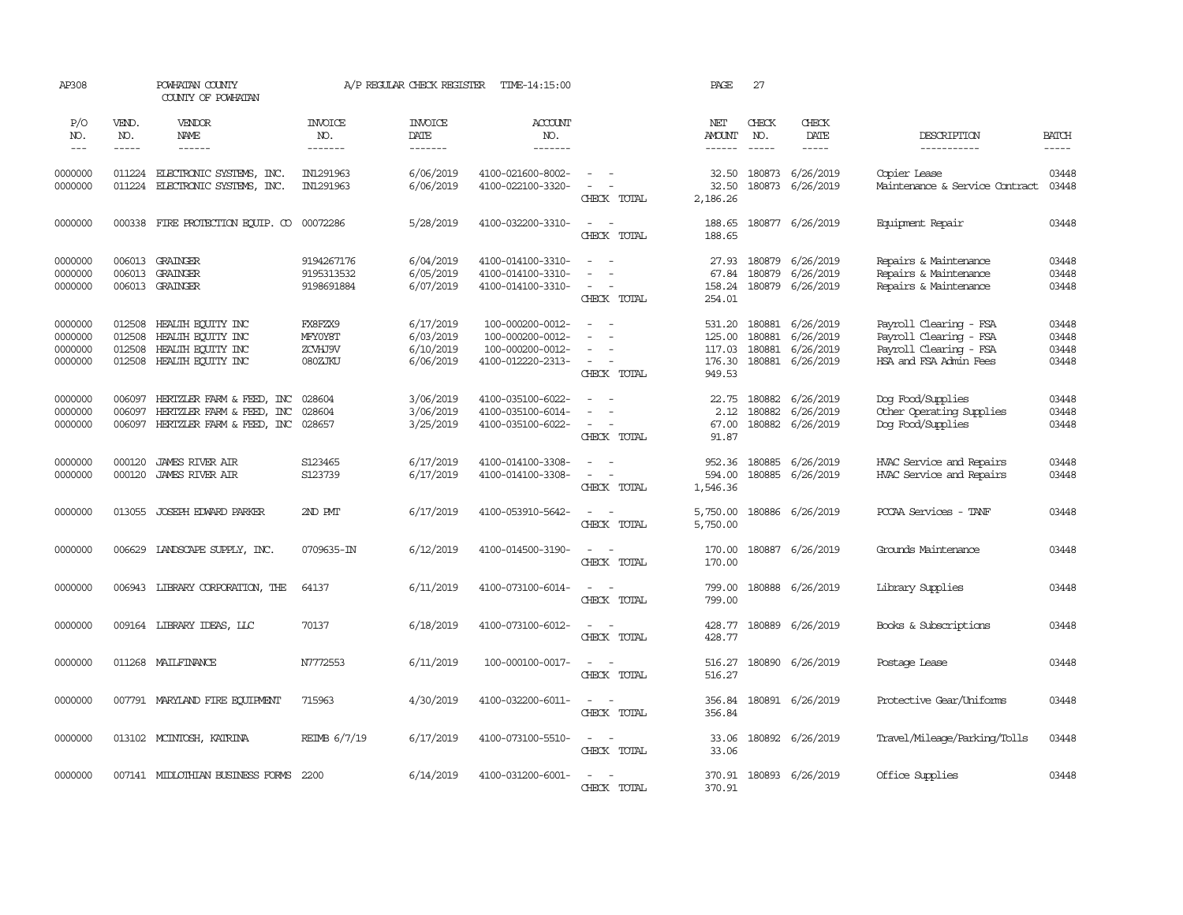| AP308                                    |                                      | POWHATAN COUNTY<br>COUNTY OF POWHATAN                                               |                                          | A/P REGULAR CHECK REGISTER                       | TIME-14:15:00                                                                 |                                                                                                               | PAGE                                                  | 27               |                                                         |                                                                                                      |                                  |
|------------------------------------------|--------------------------------------|-------------------------------------------------------------------------------------|------------------------------------------|--------------------------------------------------|-------------------------------------------------------------------------------|---------------------------------------------------------------------------------------------------------------|-------------------------------------------------------|------------------|---------------------------------------------------------|------------------------------------------------------------------------------------------------------|----------------------------------|
| P/O<br>NO.<br>$\frac{1}{2}$              | VEND.<br>NO.<br>-----                | VENDOR<br>NAME<br>$- - - - - -$                                                     | <b>INVOICE</b><br>NO.<br>-------         | <b>INVOICE</b><br>DATE<br>-------                | <b>ACCOUNT</b><br>NO.<br>$- - - - - - -$                                      |                                                                                                               | NET<br>AMOUNT<br>$- - - - - -$                        | CHECK<br>NO.     | CHECK<br>DATE<br>-----                                  | DESCRIPTION<br>-----------                                                                           | <b>BATCH</b><br>$- - - - -$      |
| 0000000<br>0000000                       | 011224                               | 011224 ELECTRONIC SYSTEMS, INC.<br>ELECTRONIC SYSTEMS, INC.                         | IN1291963<br>IN1291963                   | 6/06/2019<br>6/06/2019                           | 4100-021600-8002-<br>4100-022100-3320-                                        | $\overline{\phantom{a}}$<br>$\overline{\phantom{a}}$<br>$\sim$<br>CHECK TOTAL                                 | 32.50<br>32.50<br>2,186.26                            | 180873           | 6/26/2019<br>180873 6/26/2019                           | Copier Lease<br>Maintenance & Service Contract                                                       | 03448<br>03448                   |
| 0000000                                  |                                      | 000338 FIRE PROTECTION EQUIP. CO 00072286                                           |                                          | 5/28/2019                                        | 4100-032200-3310-                                                             | $\sim$ $\sim$<br>CHECK TOTAL                                                                                  | 188.65<br>188.65                                      |                  | 180877 6/26/2019                                        | Equipment Repair                                                                                     | 03448                            |
| 0000000<br>0000000<br>0000000            | 006013                               | 006013 GRAINGER<br>GRAINGER<br>006013 GRAINGER                                      | 9194267176<br>9195313532<br>9198691884   | 6/04/2019<br>6/05/2019<br>6/07/2019              | 4100-014100-3310-<br>4100-014100-3310-<br>4100-014100-3310-                   | $\equiv$<br>$\equiv$<br>$\sim$<br>CHECK TOTAL                                                                 | 27.93<br>67.84<br>158.24<br>254.01                    | 180879<br>180879 | 6/26/2019<br>6/26/2019<br>180879 6/26/2019              | Repairs & Maintenance<br>Repairs & Maintenance<br>Repairs & Maintenance                              | 03448<br>03448<br>03448          |
| 0000000<br>0000000<br>0000000<br>0000000 | 012508<br>012508<br>012508<br>012508 | HEALTH ECUTTY INC<br>HEALTH EQUITY INC<br>HEALTH ECUTTY INC<br>HEALTH EQUITY INC    | FX8FZX9<br>MFY0Y8T<br>ZCVHJ9V<br>080ZJKU | 6/17/2019<br>6/03/2019<br>6/10/2019<br>6/06/2019 | 100-000200-0012-<br>100-000200-0012-<br>100-000200-0012-<br>4100-012220-2313- | $\sim$<br>$\sim$<br>$\equiv$<br>$\overline{\phantom{a}}$<br>CHECK TOTAL                                       | 531.20 180881<br>125.00<br>117.03<br>176.30<br>949.53 | 180881<br>180881 | 6/26/2019<br>6/26/2019<br>6/26/2019<br>180881 6/26/2019 | Payroll Clearing - FSA<br>Payroll Clearing - FSA<br>Payroll Clearing - FSA<br>HSA and FSA Admin Fees | 03448<br>03448<br>03448<br>03448 |
| 0000000<br>0000000<br>0000000            | 006097<br>006097<br>006097           | HERTZLER FARM & FEED, INC<br>HERTZLER FARM & FEED, INC<br>HERTZLER FARM & FEED, INC | 028604<br>028604<br>028657               | 3/06/2019<br>3/06/2019<br>3/25/2019              | 4100-035100-6022-<br>4100-035100-6014-<br>4100-035100-6022-                   | $\sim$<br>$\sim$<br>$\equiv$<br>$\sim$<br>$\sim$<br>CHECK TOTAL                                               | 22.75<br>2.12<br>67.00<br>91.87                       | 180882<br>180882 | 6/26/2019<br>6/26/2019<br>180882 6/26/2019              | Dog Food/Supplies<br>Other Operating Supplies<br>Dog Food/Supplies                                   | 03448<br>03448<br>03448          |
| 0000000<br>0000000                       | 000120<br>000120                     | <b>JAMES RIVER AIR</b><br><b>JAMES RIVER AIR</b>                                    | S123465<br>S123739                       | 6/17/2019<br>6/17/2019                           | 4100-014100-3308-<br>4100-014100-3308-                                        | $\overline{\phantom{a}}$<br>$\sim$<br>$\sim$<br>$\sim$ $-$<br>CHECK TOTAL                                     | 952.36<br>594.00<br>1,546.36                          |                  | 180885 6/26/2019<br>180885 6/26/2019                    | HVAC Service and Repairs<br>HVAC Service and Repairs                                                 | 03448<br>03448                   |
| 0000000                                  | 013055                               | JOSEPH EDWARD PARKER                                                                | 2ND PMT                                  | 6/17/2019                                        | 4100-053910-5642-                                                             | $\frac{1}{2} \left( \frac{1}{2} \right) \left( \frac{1}{2} \right) \left( \frac{1}{2} \right)$<br>CHECK TOTAL | 5,750.00<br>5,750.00                                  |                  | 180886 6/26/2019                                        | PCCAA Services - TANF                                                                                | 03448                            |
| 0000000                                  |                                      | 006629 LANDSCAPE SUPPLY, INC.                                                       | 0709635-IN                               | 6/12/2019                                        | 4100-014500-3190-                                                             | $\sim$ $\sim$<br>CHECK TOTAL                                                                                  | 170.00<br>170.00                                      |                  | 180887 6/26/2019                                        | Grounds Maintenance                                                                                  | 03448                            |
| 0000000                                  |                                      | 006943 LIBRARY CORPORATION, THE                                                     | 64137                                    | 6/11/2019                                        | 4100-073100-6014-                                                             | $\overline{\phantom{a}}$<br>$\sim$<br>CHECK TOTAL                                                             | 799.00<br>799.00                                      |                  | 180888 6/26/2019                                        | Library Supplies                                                                                     | 03448                            |
| 0000000                                  |                                      | 009164 LIBRARY IDEAS, LLC                                                           | 70137                                    | 6/18/2019                                        | 4100-073100-6012-                                                             | $\sim$ $\sim$<br>CHECK TOTAL                                                                                  | 428.77<br>428.77                                      |                  | 180889 6/26/2019                                        | Books & Subscriptions                                                                                | 03448                            |
| 0000000                                  |                                      | 011268 MAILFINANCE                                                                  | N7772553                                 | 6/11/2019                                        | 100-000100-0017-                                                              | $\sim$ $ \sim$<br>CHECK TOTAL                                                                                 | 516.27<br>516.27                                      |                  | 180890 6/26/2019                                        | Postage Lease                                                                                        | 03448                            |
| 0000000                                  |                                      | 007791 MARYLAND FIRE ECUIPMENT                                                      | 715963                                   | 4/30/2019                                        | 4100-032200-6011-                                                             | $\sim$<br>$\sim$<br>CHECK TOTAL                                                                               | 356.84<br>356.84                                      |                  | 180891 6/26/2019                                        | Protective Gear/Uniforms                                                                             | 03448                            |
| 0000000                                  |                                      | 013102 MCINTOSH, KATRINA                                                            | REIMB 6/7/19                             | 6/17/2019                                        | 4100-073100-5510-                                                             | $\frac{1}{2} \left( \frac{1}{2} \right) \left( \frac{1}{2} \right) \left( \frac{1}{2} \right)$<br>CHECK TOTAL | 33.06<br>33.06                                        |                  | 180892 6/26/2019                                        | Travel/Mileage/Parking/Tolls                                                                         | 03448                            |
| 0000000                                  |                                      | 007141 MIDIOTHIAN BUSINESS FORMS                                                    | 2200                                     | 6/14/2019                                        | 4100-031200-6001-                                                             | $\frac{1}{2} \left( \frac{1}{2} \right) \left( \frac{1}{2} \right) \left( \frac{1}{2} \right)$<br>CHECK TOTAL | 370.91                                                |                  | 370.91 180893 6/26/2019                                 | Office Supplies                                                                                      | 03448                            |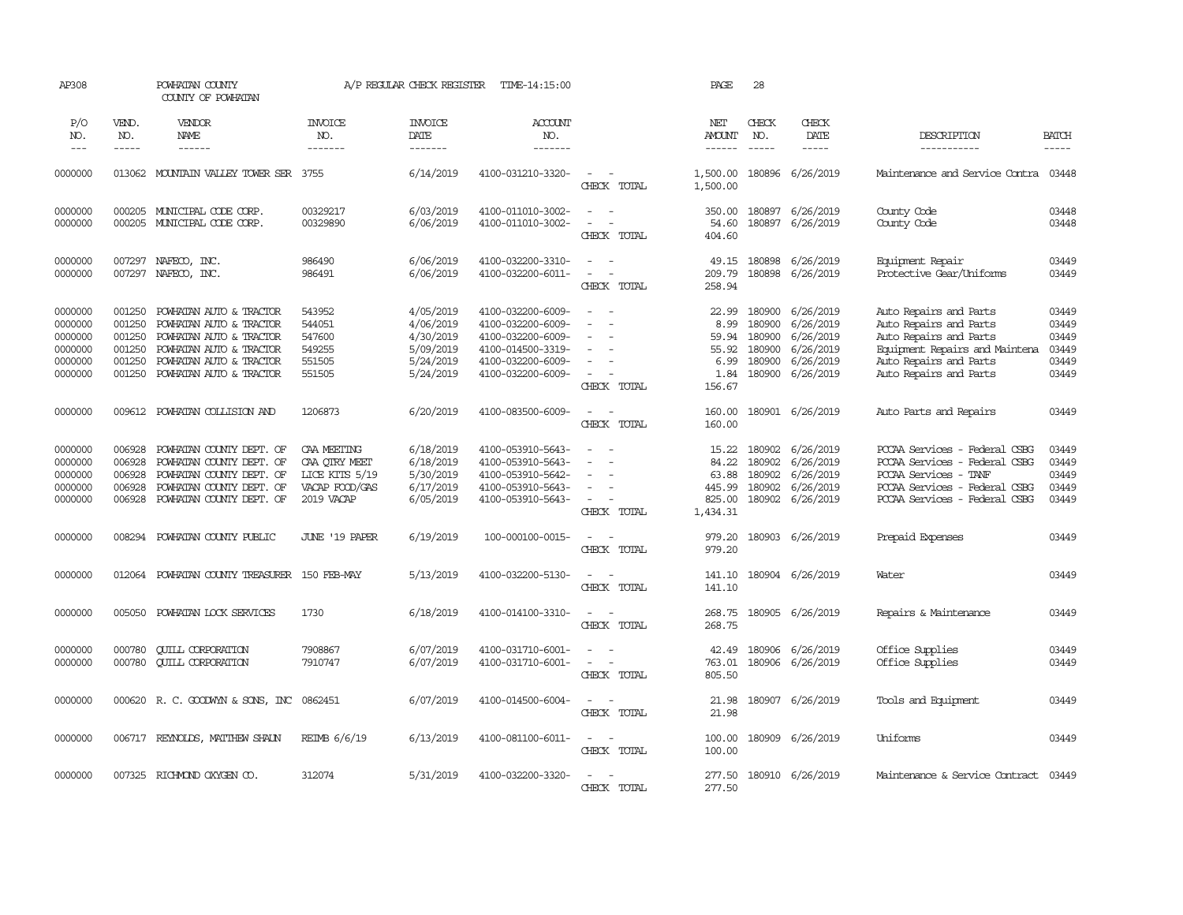| AP308                                                          |                                                          | POWHATAN COUNTY<br>COUNTY OF POWHATAN                                                                                                                          |                                                                                | A/P REGULAR CHECK REGISTER                                                 | TIME-14:15:00                                                                                                              |                                                                                                                             | PAGE                                                      | 28                                                       |                                                                            |                                                                                                                                                                  |                                                    |
|----------------------------------------------------------------|----------------------------------------------------------|----------------------------------------------------------------------------------------------------------------------------------------------------------------|--------------------------------------------------------------------------------|----------------------------------------------------------------------------|----------------------------------------------------------------------------------------------------------------------------|-----------------------------------------------------------------------------------------------------------------------------|-----------------------------------------------------------|----------------------------------------------------------|----------------------------------------------------------------------------|------------------------------------------------------------------------------------------------------------------------------------------------------------------|----------------------------------------------------|
| P/O<br>NO.<br>$\frac{1}{2}$                                    | VEND.<br>NO.<br>-----                                    | VENDOR<br>NAME<br>$- - - - - -$                                                                                                                                | <b>INVOICE</b><br>NO.<br>-------                                               | INVOICE<br>DATE<br>-------                                                 | ACCOUNT<br>NO.<br>-------                                                                                                  |                                                                                                                             | NET<br><b>AMOUNT</b><br>$- - - - - -$                     | CHECK<br>NO.<br>$- - - - -$                              | CHECK<br>DATE<br>$- - - - -$                                               | DESCRIPTION<br>-----------                                                                                                                                       | <b>BATCH</b><br>$- - - - -$                        |
| 0000000                                                        |                                                          | 013062 MOUNTAIN VALLEY TOWER SER 3755                                                                                                                          |                                                                                | 6/14/2019                                                                  | 4100-031210-3320-                                                                                                          | $\overline{\phantom{a}}$<br>CHECK TOTAL                                                                                     | 1,500.00<br>1,500.00                                      | 180896                                                   | 6/26/2019                                                                  | Maintenance and Service Contra                                                                                                                                   | 03448                                              |
| 0000000<br>0000000                                             |                                                          | 000205 MUNICIPAL CODE CORP.<br>000205 MUNICIPAL CODE CORP.                                                                                                     | 00329217<br>00329890                                                           | 6/03/2019<br>6/06/2019                                                     | 4100-011010-3002-<br>4100-011010-3002-                                                                                     | $\sim$<br>$\sim$<br>$\equiv$<br>$\overline{\phantom{a}}$<br>CHECK TOTAL                                                     | 350.00<br>54.60<br>404.60                                 | 180897                                                   | 6/26/2019<br>180897 6/26/2019                                              | County Code<br>County Code                                                                                                                                       | 03448<br>03448                                     |
| 0000000<br>0000000                                             | 007297<br>007297                                         | NAFECO, INC.<br>NAFECO, INC.                                                                                                                                   | 986490<br>986491                                                               | 6/06/2019<br>6/06/2019                                                     | 4100-032200-3310-<br>4100-032200-6011-                                                                                     | $\sim$<br>$\overline{a}$<br>CHECK TOTAL                                                                                     | 49.15<br>209.79<br>258.94                                 | 180898<br>180898                                         | 6/26/2019<br>6/26/2019                                                     | Equipment Repair<br>Protective Gear/Uniforms                                                                                                                     | 03449<br>03449                                     |
| 0000000<br>0000000<br>0000000<br>0000000<br>0000000<br>0000000 | 001250<br>001250<br>001250<br>001250<br>001250<br>001250 | POWHATAN AUTO & TRACTOR<br>POWHATAN AUTO & TRACTOR<br>POWHATAN AUTO & TRACTOR<br>POWHATAN AUTO & TRACTOR<br>POWHATAN AUTO & TRACTOR<br>POWHATAN AUTO & TRACTOR | 543952<br>544051<br>547600<br>549255<br>551505<br>551505                       | 4/05/2019<br>4/06/2019<br>4/30/2019<br>5/09/2019<br>5/24/2019<br>5/24/2019 | 4100-032200-6009-<br>4100-032200-6009-<br>4100-032200-6009-<br>4100-014500-3319-<br>4100-032200-6009-<br>4100-032200-6009- | $\sim$<br>CHECK TOTAL                                                                                                       | 22.99<br>8.99<br>59.94<br>55.92<br>6.99<br>1.84<br>156.67 | 180900<br>180900<br>180900<br>180900<br>180900<br>180900 | 6/26/2019<br>6/26/2019<br>6/26/2019<br>6/26/2019<br>6/26/2019<br>6/26/2019 | Auto Repairs and Parts<br>Auto Repairs and Parts<br>Auto Repairs and Parts<br>Equipment Repairs and Maintena<br>Auto Repairs and Parts<br>Auto Repairs and Parts | 03449<br>03449<br>03449<br>03449<br>03449<br>03449 |
| 0000000                                                        |                                                          | 009612 POWHATAN COLLISION AND                                                                                                                                  | 1206873                                                                        | 6/20/2019                                                                  | 4100-083500-6009-                                                                                                          | $\sim$<br>$\sim$<br>CHECK TOTAL                                                                                             | 160.00<br>160.00                                          |                                                          | 180901 6/26/2019                                                           | Auto Parts and Repairs                                                                                                                                           | 03449                                              |
| 0000000<br>0000000<br>0000000<br>0000000<br>0000000            | 006928<br>006928<br>006928<br>006928<br>006928           | POWHATAN COUNTY DEPT. OF<br>POWHATAN COUNTY DEPT. OF<br>POWHATAN COUNTY DEPT. OF<br>POWHATAN COUNTY DEPT. OF<br>POWHATAN COUNTY DEPT. OF                       | CAA MEETING<br>CAA QIRY MEET<br>LICE KITS 5/19<br>VACAP FOOD/GAS<br>2019 VACAP | 6/18/2019<br>6/18/2019<br>5/30/2019<br>6/17/2019<br>6/05/2019              | 4100-053910-5643-<br>4100-053910-5643-<br>4100-053910-5642-<br>4100-053910-5643-<br>4100-053910-5643-                      | $\equiv$<br>CHECK TOTAL                                                                                                     | 15.22<br>84.22<br>63.88<br>445.99<br>825.00<br>1,434.31   | 180902<br>180902<br>180902<br>180902<br>180902           | 6/26/2019<br>6/26/2019<br>6/26/2019<br>6/26/2019<br>6/26/2019              | PCCAA Services - Federal CSBG<br>PCCAA Services - Federal CSBG<br>PCCAA Services - TANF<br>PCCAA Services - Federal CSBG<br>PCCAA Services - Federal CSBG        | 03449<br>03449<br>03449<br>03449<br>03449          |
| 0000000                                                        |                                                          | 008294 POWHATAN COUNTY PUBLIC                                                                                                                                  | JUNE '19 PAPER                                                                 | 6/19/2019                                                                  | 100-000100-0015-                                                                                                           | $\sim$<br>$\sim$<br>CHECK TOTAL                                                                                             | 979.20<br>979.20                                          |                                                          | 180903 6/26/2019                                                           | Prepaid Expenses                                                                                                                                                 | 03449                                              |
| 0000000                                                        |                                                          | 012064 POWHATAN COUNTY TREASURER 150 FEB-MAY                                                                                                                   |                                                                                | 5/13/2019                                                                  | 4100-032200-5130-                                                                                                          | $\sim$<br>$\sim$<br>CHECK TOTAL                                                                                             | 141.10<br>141.10                                          |                                                          | 180904 6/26/2019                                                           | Water                                                                                                                                                            | 03449                                              |
| 0000000                                                        | 005050                                                   | POWHATAN LOCK SERVICES                                                                                                                                         | 1730                                                                           | 6/18/2019                                                                  | 4100-014100-3310-                                                                                                          | $\sim$<br>$\sim$<br>CHECK TOTAL                                                                                             | 268.75<br>268.75                                          |                                                          | 180905 6/26/2019                                                           | Repairs & Maintenance                                                                                                                                            | 03449                                              |
| 0000000<br>0000000                                             | 000780<br>000780                                         | <b>CUILL CORPORATION</b><br><b>CUILL CORPORATION</b>                                                                                                           | 7908867<br>7910747                                                             | 6/07/2019<br>6/07/2019                                                     | 4100-031710-6001-<br>4100-031710-6001-                                                                                     | $\equiv$<br>$\overline{\phantom{a}}$<br>CHECK TOTAL                                                                         | 42.49<br>763.01<br>805.50                                 |                                                          | 180906 6/26/2019<br>180906 6/26/2019                                       | Office Supplies<br>Office Supplies                                                                                                                               | 03449<br>03449                                     |
| 0000000                                                        |                                                          | 000620 R. C. GOODWYN & SONS, INC 0862451                                                                                                                       |                                                                                | 6/07/2019                                                                  | 4100-014500-6004-                                                                                                          | $\overline{\phantom{a}}$<br>$\sim$<br>CHECK TOTAL                                                                           | 21.98<br>21.98                                            |                                                          | 180907 6/26/2019                                                           | Tools and Equipment                                                                                                                                              | 03449                                              |
| 0000000                                                        |                                                          | 006717 REYNOLDS, MATTHEW SHAUN                                                                                                                                 | REIMB 6/6/19                                                                   | 6/13/2019                                                                  | 4100-081100-6011-                                                                                                          | $\frac{1}{2} \left( \frac{1}{2} \right) \left( \frac{1}{2} \right) = \frac{1}{2} \left( \frac{1}{2} \right)$<br>CHECK TOTAL | 100.00<br>100.00                                          |                                                          | 180909 6/26/2019                                                           | Uniforms                                                                                                                                                         | 03449                                              |
| 0000000                                                        |                                                          | 007325 RICHMOND OXYGEN CO.                                                                                                                                     | 312074                                                                         | 5/31/2019                                                                  | 4100-032200-3320-                                                                                                          | CHECK TOTAL                                                                                                                 | 277.50<br>277.50                                          |                                                          | 180910 6/26/2019                                                           | Maintenance & Service Contract                                                                                                                                   | 03449                                              |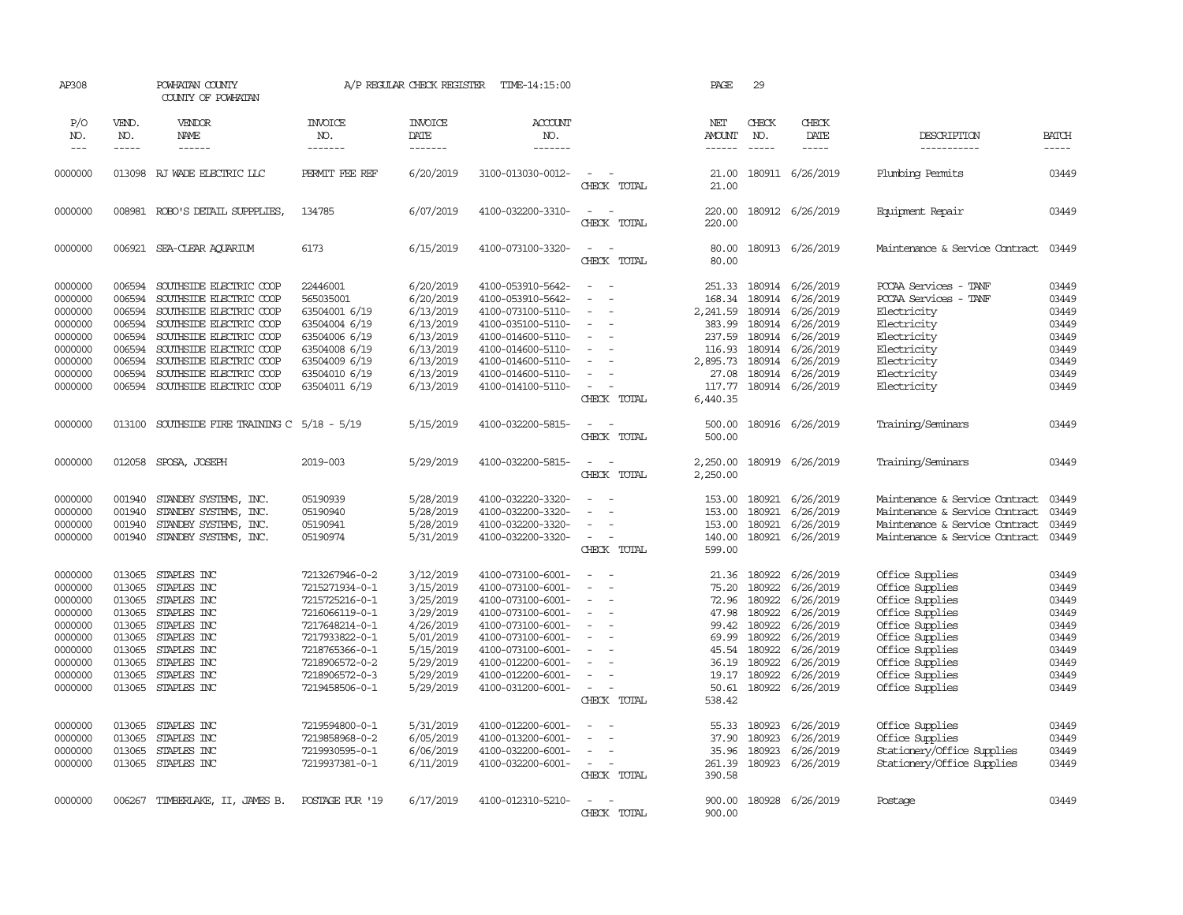| AP308                                                                                                      |                                                                                                  | POWHATAN COUNTY<br>COUNTY OF POWHATAN                                                                                                                                                                                                           |                                                                                                                                                                                  | A/P REGULAR CHECK REGISTER                                                                                                     | TIME-14:15:00                                                                                                                                                                                                  |                                                                                             | PAGE                                                                                        | 29                                                                                                     |                                                                                                                                                                                                                                                                                                                                                                                                                                                                          |                                                                                                                                                                                            |                                                                                        |
|------------------------------------------------------------------------------------------------------------|--------------------------------------------------------------------------------------------------|-------------------------------------------------------------------------------------------------------------------------------------------------------------------------------------------------------------------------------------------------|----------------------------------------------------------------------------------------------------------------------------------------------------------------------------------|--------------------------------------------------------------------------------------------------------------------------------|----------------------------------------------------------------------------------------------------------------------------------------------------------------------------------------------------------------|---------------------------------------------------------------------------------------------|---------------------------------------------------------------------------------------------|--------------------------------------------------------------------------------------------------------|--------------------------------------------------------------------------------------------------------------------------------------------------------------------------------------------------------------------------------------------------------------------------------------------------------------------------------------------------------------------------------------------------------------------------------------------------------------------------|--------------------------------------------------------------------------------------------------------------------------------------------------------------------------------------------|----------------------------------------------------------------------------------------|
| P/O<br>NO.<br>$---$                                                                                        | VEND.<br>NO.<br>-----                                                                            | VENDOR<br>NAME<br>$- - - - - -$                                                                                                                                                                                                                 | <b>INVOICE</b><br>NO.<br>-------                                                                                                                                                 | <b>INVOICE</b><br>DATE<br>$- - - - - - -$                                                                                      | <b>ACCOUNT</b><br>NO.<br>-------                                                                                                                                                                               |                                                                                             | NET<br>AMOUNT<br>$- - - - - -$                                                              | CHECK<br>NO.<br>$\frac{1}{2}$                                                                          | CHECK<br>DATE<br>$\begin{tabular}{ccccc} \multicolumn{2}{c }{\multicolumn{2}{c }{\multicolumn{2}{c }{\multicolumn{2}{c}}{\hspace{-2.2cm}}}} \multicolumn{2}{c }{\multicolumn{2}{c }{\hspace{-2.2cm}}\hline} \multicolumn{2}{c }{\hspace{-2.2cm}}\hline \multicolumn{2}{c }{\hspace{-2.2cm}}\hline \multicolumn{2}{c }{\hspace{-2.2cm}}\hline \multicolumn{2}{c }{\hspace{-2.2cm}}\hline \multicolumn{2}{c }{\hspace{-2.2cm}}\hline \multicolumn{2}{c }{\hspace{-2.2cm}}$ | DESCRIPTION<br>-----------                                                                                                                                                                 | <b>BATCH</b><br>-----                                                                  |
| 0000000                                                                                                    |                                                                                                  | 013098 RJ WADE ELECTRIC LLC                                                                                                                                                                                                                     | PERMIT FEE REF                                                                                                                                                                   | 6/20/2019                                                                                                                      | 3100-013030-0012-                                                                                                                                                                                              | CHECK TOTAL                                                                                 | 21.00<br>21.00                                                                              |                                                                                                        | 180911 6/26/2019                                                                                                                                                                                                                                                                                                                                                                                                                                                         | Plumbing Permits                                                                                                                                                                           | 03449                                                                                  |
| 0000000                                                                                                    |                                                                                                  | 008981 ROBO'S DETAIL SUPPPLIES,                                                                                                                                                                                                                 | 134785                                                                                                                                                                           | 6/07/2019                                                                                                                      | 4100-032200-3310-                                                                                                                                                                                              | $\sim$<br>$\sim$<br>CHECK TOTAL                                                             | 220.00<br>220.00                                                                            |                                                                                                        | 180912 6/26/2019                                                                                                                                                                                                                                                                                                                                                                                                                                                         | Equipment Repair                                                                                                                                                                           | 03449                                                                                  |
| 0000000                                                                                                    | 006921                                                                                           | SEA-CLEAR AOUARIUM                                                                                                                                                                                                                              | 6173                                                                                                                                                                             | 6/15/2019                                                                                                                      | 4100-073100-3320-                                                                                                                                                                                              | $\sim$<br>$\sim$<br>CHECK TOTAL                                                             | 80.00<br>80.00                                                                              |                                                                                                        | 180913 6/26/2019                                                                                                                                                                                                                                                                                                                                                                                                                                                         | Maintenance & Service Contract                                                                                                                                                             | 03449                                                                                  |
| 0000000<br>0000000<br>0000000<br>0000000<br>0000000<br>0000000<br>0000000<br>0000000<br>0000000            | 006594<br>006594<br>006594<br>006594<br>006594<br>006594<br>006594<br>006594<br>006594           | SOUTHSIDE ELECTRIC COOP<br>SOUTHSIDE ELECTRIC COOP<br>SOUTHSIDE ELECTRIC COOP<br>SOUTHSIDE ELECTRIC COOP<br>SOUTHSIDE ELECTRIC COOP<br>SOUTHSIDE ELECTRIC COOP<br>SOUTHSIDE ELECTRIC COOP<br>SOUTHSIDE ELECTRIC COOP<br>SOUTHSIDE ELECTRIC COOP | 22446001<br>565035001<br>63504001 6/19<br>63504004 6/19<br>63504006 6/19<br>63504008 6/19<br>63504009 6/19<br>63504010 6/19<br>63504011 6/19                                     | 6/20/2019<br>6/20/2019<br>6/13/2019<br>6/13/2019<br>6/13/2019<br>6/13/2019<br>6/13/2019<br>6/13/2019<br>6/13/2019              | 4100-053910-5642-<br>4100-053910-5642-<br>4100-073100-5110-<br>4100-035100-5110-<br>4100-014600-5110-<br>4100-014600-5110-<br>4100-014600-5110-<br>4100-014600-5110-<br>4100-014100-5110-                      | $\sim$<br>$\overline{a}$<br>$\sim$<br>$\sim$<br>$\equiv$<br>$\equiv$<br>CHECK TOTAL         | 168.34<br>2,241.59<br>383.99<br>237.59<br>116.93<br>2,895.73<br>27.08<br>117.77<br>6,440.35 | 251.33 180914<br>180914<br>180914<br>180914<br>180914<br>180914<br>180914<br>180914                    | 6/26/2019<br>6/26/2019<br>6/26/2019<br>6/26/2019<br>6/26/2019<br>6/26/2019<br>6/26/2019<br>6/26/2019<br>180914 6/26/2019                                                                                                                                                                                                                                                                                                                                                 | PCCAA Services<br>- TANF<br>PCCAA Services - TANF<br>Electricity<br>Electricity<br>Electricity<br>Electricity<br>Electricity<br>Electricity<br>Electricity                                 | 03449<br>03449<br>03449<br>03449<br>03449<br>03449<br>03449<br>03449<br>03449          |
| 0000000                                                                                                    | 013100                                                                                           | SOUTHSIDE FIRE TRAINING $C$ 5/18 - 5/19                                                                                                                                                                                                         |                                                                                                                                                                                  | 5/15/2019                                                                                                                      | 4100-032200-5815-                                                                                                                                                                                              | $\sim$<br>$\sim$<br>CHECK TOTAL                                                             | 500.00<br>500.00                                                                            |                                                                                                        | 180916 6/26/2019                                                                                                                                                                                                                                                                                                                                                                                                                                                         | Training/Seminars                                                                                                                                                                          | 03449                                                                                  |
| 0000000                                                                                                    | 012058                                                                                           | SPOSA, JOSEPH                                                                                                                                                                                                                                   | 2019-003                                                                                                                                                                         | 5/29/2019                                                                                                                      | 4100-032200-5815-                                                                                                                                                                                              | $\sim$<br>$\overline{\phantom{a}}$<br>CHECK TOTAL                                           | 2,250.00<br>2,250.00                                                                        |                                                                                                        | 180919 6/26/2019                                                                                                                                                                                                                                                                                                                                                                                                                                                         | Training/Seminars                                                                                                                                                                          | 03449                                                                                  |
| 0000000<br>0000000<br>0000000<br>0000000                                                                   | 001940<br>001940<br>001940<br>001940                                                             | STANDBY SYSTEMS, INC.<br>STANDBY SYSTEMS, INC.<br>STANDBY SYSTEMS, INC.<br>STANDBY SYSTEMS, INC.                                                                                                                                                | 05190939<br>05190940<br>05190941<br>05190974                                                                                                                                     | 5/28/2019<br>5/28/2019<br>5/28/2019<br>5/31/2019                                                                               | 4100-032220-3320-<br>4100-032200-3320-<br>4100-032200-3320-<br>4100-032200-3320-                                                                                                                               | $\sim$<br>CHECK TOTAL                                                                       | 153.00<br>153.00<br>153.00<br>140.00<br>599.00                                              | 180921<br>180921<br>180921                                                                             | 6/26/2019<br>6/26/2019<br>6/26/2019<br>180921 6/26/2019                                                                                                                                                                                                                                                                                                                                                                                                                  | Maintenance & Service Contract<br>Maintenance & Service Contract<br>Maintenance & Service Contract<br>Maintenance & Service Contract                                                       | 03449<br>03449<br>03449<br>03449                                                       |
| 0000000<br>0000000<br>0000000<br>0000000<br>0000000<br>0000000<br>0000000<br>0000000<br>0000000<br>0000000 | 013065<br>013065<br>013065<br>013065<br>013065<br>013065<br>013065<br>013065<br>013065<br>013065 | STAPLES INC<br>STAPLES INC<br>STAPLES INC<br>STAPLES INC<br>STAPLES INC<br>STAPLES INC<br>STAPLES INC<br>STAPLES INC<br>STAPLES INC<br>STAPLES INC                                                                                              | 7213267946-0-2<br>7215271934-0-1<br>7215725216-0-1<br>7216066119-0-1<br>7217648214-0-1<br>7217933822-0-1<br>7218765366-0-1<br>7218906572-0-2<br>7218906572-0-3<br>7219458506-0-1 | 3/12/2019<br>3/15/2019<br>3/25/2019<br>3/29/2019<br>4/26/2019<br>5/01/2019<br>5/15/2019<br>5/29/2019<br>5/29/2019<br>5/29/2019 | 4100-073100-6001-<br>4100-073100-6001-<br>4100-073100-6001-<br>4100-073100-6001-<br>4100-073100-6001-<br>4100-073100-6001-<br>4100-073100-6001-<br>4100-012200-6001-<br>4100-012200-6001-<br>4100-031200-6001- | $\sim$<br>$\sim$<br>$\sim$<br>$\sim$<br>$\equiv$<br>$\equiv$<br>÷.<br>$\sim$<br>CHECK TOTAL | 21.36<br>75.20<br>72.96<br>47.98<br>99.42<br>69.99<br>45.54<br>36.19<br>50.61<br>538.42     | 180922<br>180922<br>180922<br>180922<br>180922<br>180922<br>180922<br>180922<br>19.17 180922<br>180922 | 6/26/2019<br>6/26/2019<br>6/26/2019<br>6/26/2019<br>6/26/2019<br>6/26/2019<br>6/26/2019<br>6/26/2019<br>6/26/2019<br>6/26/2019                                                                                                                                                                                                                                                                                                                                           | Office Supplies<br>Office Supplies<br>Office Supplies<br>Office Supplies<br>Office Supplies<br>Office Supplies<br>Office Supplies<br>Office Supplies<br>Office Supplies<br>Office Supplies | 03449<br>03449<br>03449<br>03449<br>03449<br>03449<br>03449<br>03449<br>03449<br>03449 |
| 0000000<br>0000000<br>0000000<br>0000000                                                                   | 013065<br>013065<br>013065                                                                       | STAPLES INC<br>STAPLES INC<br>STAPLES INC<br>013065 STAPLES INC                                                                                                                                                                                 | 7219594800-0-1<br>7219858968-0-2<br>7219930595-0-1<br>7219937381-0-1                                                                                                             | 5/31/2019<br>6/05/2019<br>6/06/2019<br>6/11/2019                                                                               | 4100-012200-6001-<br>4100-013200-6001-<br>4100-032200-6001-<br>4100-032200-6001-                                                                                                                               | $\overline{\phantom{a}}$<br>$\sim$<br>$\sim$<br>CHECK TOTAL                                 | 55.33<br>37.90<br>35.96<br>261.39<br>390.58                                                 | 180923<br>180923<br>180923<br>180923                                                                   | 6/26/2019<br>6/26/2019<br>6/26/2019<br>6/26/2019                                                                                                                                                                                                                                                                                                                                                                                                                         | Office Supplies<br>Office Supplies<br>Stationery/Office Supplies<br>Stationery/Office Supplies                                                                                             | 03449<br>03449<br>03449<br>03449                                                       |
| 0000000                                                                                                    |                                                                                                  | 006267 TIMBERLAKE, II, JAMES B.                                                                                                                                                                                                                 | POSTAGE PUR '19                                                                                                                                                                  | 6/17/2019                                                                                                                      | 4100-012310-5210-                                                                                                                                                                                              | CHECK<br>TOTAL                                                                              | 900.00<br>900.00                                                                            |                                                                                                        | 180928 6/26/2019                                                                                                                                                                                                                                                                                                                                                                                                                                                         | Postage                                                                                                                                                                                    | 03449                                                                                  |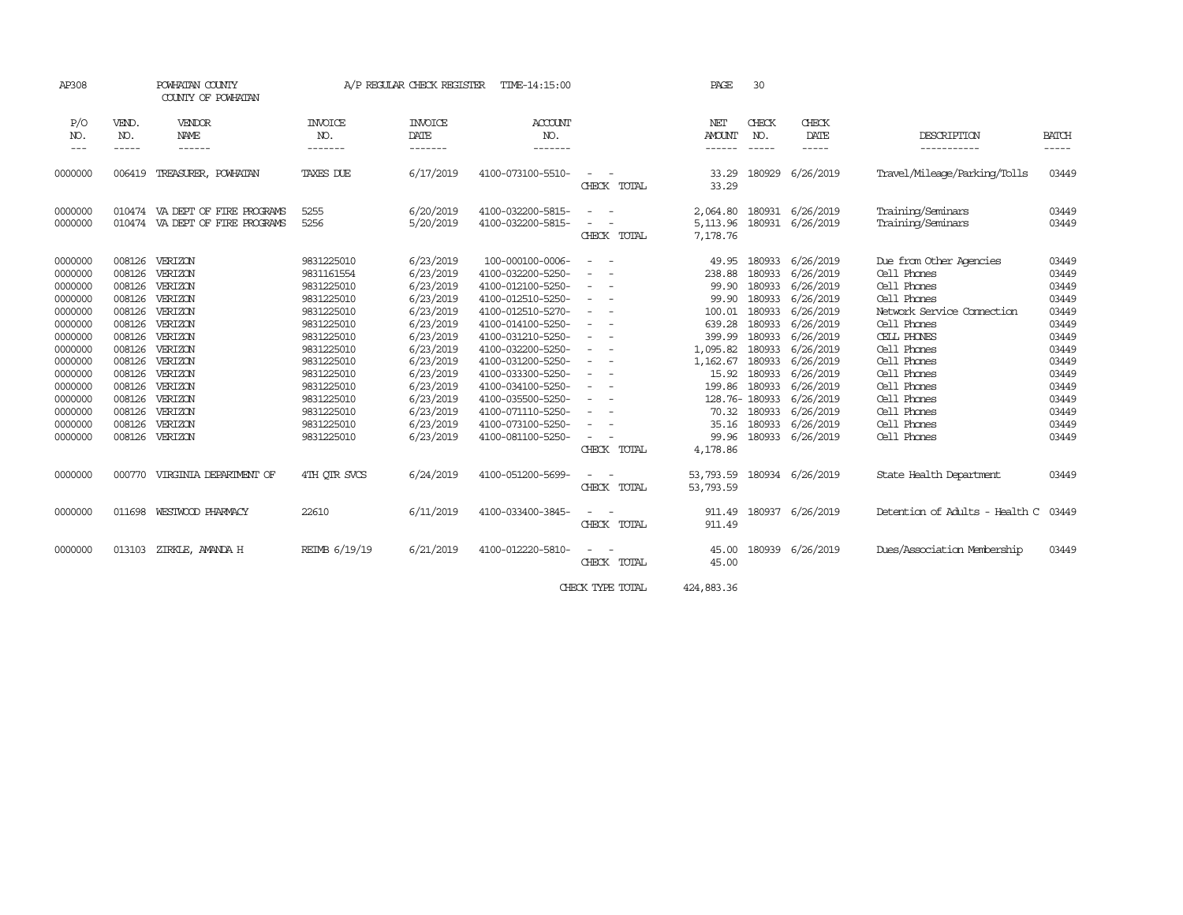| AP308                                                                                                                                                             |                                                                                                                                          | POWHATAN COUNTY<br>COUNTY OF POWHATAN                                                                                                                                    |                                                                                                                                                                                                                | A/P REGULAR CHECK REGISTER                                                                                                                                                                      | TIME-14:15:00                                                                                                                                                                                                                                                                                                          |                                                                                                                                                                                                    | PAGE                                                                                                                                                   | 30                                                                                                                                       |                                                                                                                                                                                                 |                                                                                                                                                                                                                                                          |                                                                                                                                                                                                                                                                                                                                                                                                                                                                                            |
|-------------------------------------------------------------------------------------------------------------------------------------------------------------------|------------------------------------------------------------------------------------------------------------------------------------------|--------------------------------------------------------------------------------------------------------------------------------------------------------------------------|----------------------------------------------------------------------------------------------------------------------------------------------------------------------------------------------------------------|-------------------------------------------------------------------------------------------------------------------------------------------------------------------------------------------------|------------------------------------------------------------------------------------------------------------------------------------------------------------------------------------------------------------------------------------------------------------------------------------------------------------------------|----------------------------------------------------------------------------------------------------------------------------------------------------------------------------------------------------|--------------------------------------------------------------------------------------------------------------------------------------------------------|------------------------------------------------------------------------------------------------------------------------------------------|-------------------------------------------------------------------------------------------------------------------------------------------------------------------------------------------------|----------------------------------------------------------------------------------------------------------------------------------------------------------------------------------------------------------------------------------------------------------|--------------------------------------------------------------------------------------------------------------------------------------------------------------------------------------------------------------------------------------------------------------------------------------------------------------------------------------------------------------------------------------------------------------------------------------------------------------------------------------------|
| P/O<br>NO.<br>$---$                                                                                                                                               | VEND.<br>NO.<br>-----                                                                                                                    | VENDOR<br>NAME<br>------                                                                                                                                                 | <b>INVOICE</b><br>NO.<br>-------                                                                                                                                                                               | <b>INVOICE</b><br>DATE<br>-------                                                                                                                                                               | <b>ACCOUNT</b><br>NO.<br>-------                                                                                                                                                                                                                                                                                       |                                                                                                                                                                                                    | <b>NET</b><br><b>AMOUNT</b><br>------                                                                                                                  | CHECK<br>NO.<br>$\frac{1}{2}$                                                                                                            | CHECK<br>DATE<br>-----                                                                                                                                                                          | DESCRIPTION<br>-----------                                                                                                                                                                                                                               | <b>BATCH</b><br>$\frac{1}{2} \left( \frac{1}{2} \right) \left( \frac{1}{2} \right) \left( \frac{1}{2} \right) \left( \frac{1}{2} \right) \left( \frac{1}{2} \right) \left( \frac{1}{2} \right) \left( \frac{1}{2} \right) \left( \frac{1}{2} \right) \left( \frac{1}{2} \right) \left( \frac{1}{2} \right) \left( \frac{1}{2} \right) \left( \frac{1}{2} \right) \left( \frac{1}{2} \right) \left( \frac{1}{2} \right) \left( \frac{1}{2} \right) \left( \frac{1}{2} \right) \left( \frac$ |
| 0000000                                                                                                                                                           | 006419                                                                                                                                   | TREASURER, POWHATAN                                                                                                                                                      | TAXES DUE                                                                                                                                                                                                      | 6/17/2019                                                                                                                                                                                       | 4100-073100-5510-                                                                                                                                                                                                                                                                                                      | CHECK TOTAL                                                                                                                                                                                        | 33.29<br>33.29                                                                                                                                         | 180929                                                                                                                                   | 6/26/2019                                                                                                                                                                                       | Travel/Mileage/Parking/Tolls                                                                                                                                                                                                                             | 03449                                                                                                                                                                                                                                                                                                                                                                                                                                                                                      |
| 0000000<br>0000000                                                                                                                                                |                                                                                                                                          | 010474 VA DEPT OF FIRE PROGRAMS<br>010474 VA DEPT OF FIRE PROGRAMS                                                                                                       | 5255<br>5256                                                                                                                                                                                                   | 6/20/2019<br>5/20/2019                                                                                                                                                                          | 4100-032200-5815-<br>4100-032200-5815-                                                                                                                                                                                                                                                                                 | CHECK TOTAL                                                                                                                                                                                        | 2,064.80<br>5,113.96<br>7,178.76                                                                                                                       | 180931<br>180931                                                                                                                         | 6/26/2019<br>6/26/2019                                                                                                                                                                          | Training/Seminars<br>Training/Seminars                                                                                                                                                                                                                   | 03449<br>03449                                                                                                                                                                                                                                                                                                                                                                                                                                                                             |
| 0000000<br>0000000<br>0000000<br>0000000<br>0000000<br>0000000<br>0000000<br>0000000<br>0000000<br>0000000<br>0000000<br>0000000<br>0000000<br>0000000<br>0000000 | 008126<br>008126<br>008126<br>008126<br>008126<br>008126<br>008126<br>008126<br>008126<br>008126<br>008126<br>008126<br>008126<br>008126 | VERIZON<br>VERIZON<br>VERIZON<br>VERIZON<br>VERIZON<br>VERIZON<br>VERIZON<br>VERIZON<br>VERIZON<br>VERIZON<br>VERIZON<br>VERIZON<br>VERIZON<br>VERIZON<br>008126 VERIZON | 9831225010<br>9831161554<br>9831225010<br>9831225010<br>9831225010<br>9831225010<br>9831225010<br>9831225010<br>9831225010<br>9831225010<br>9831225010<br>9831225010<br>9831225010<br>9831225010<br>9831225010 | 6/23/2019<br>6/23/2019<br>6/23/2019<br>6/23/2019<br>6/23/2019<br>6/23/2019<br>6/23/2019<br>6/23/2019<br>6/23/2019<br>6/23/2019<br>6/23/2019<br>6/23/2019<br>6/23/2019<br>6/23/2019<br>6/23/2019 | 100-000100-0006-<br>4100-032200-5250-<br>4100-012100-5250-<br>4100-012510-5250-<br>4100-012510-5270-<br>4100-014100-5250-<br>4100-031210-5250-<br>4100-032200-5250-<br>4100-031200-5250-<br>4100-033300-5250-<br>4100-034100-5250-<br>4100-035500-5250-<br>4100-071110-5250-<br>4100-073100-5250-<br>4100-081100-5250- | $\overline{\phantom{a}}$<br>$\overline{\phantom{a}}$<br>$\overline{\phantom{a}}$<br>$\overline{\phantom{a}}$<br>$\overline{\phantom{a}}$<br>$\overline{\phantom{a}}$<br>$\overline{a}$<br><b>.</b> | 49.95<br>238.88<br>99.90<br>99.90<br>100.01<br>639.28<br>399.99<br>1,095.82<br>1,162.67<br>15.92<br>199.86<br>128.76-180933<br>70.32<br>35.16<br>99.96 | 180933<br>180933<br>180933<br>180933<br>180933<br>180933<br>180933<br>180933<br>180933<br>180933<br>180933<br>180933<br>180933<br>180933 | 6/26/2019<br>6/26/2019<br>6/26/2019<br>6/26/2019<br>6/26/2019<br>6/26/2019<br>6/26/2019<br>6/26/2019<br>6/26/2019<br>6/26/2019<br>6/26/2019<br>6/26/2019<br>6/26/2019<br>6/26/2019<br>6/26/2019 | Due from Other Agencies<br>Cell Phones<br>Cell Phones<br>Cell Phones<br>Network Service Connection<br>Cell Phones<br>CELL PHONES<br>Cell Phones<br>Cell Phones<br>Cell Phones<br>Cell Phones<br>Cell Phones<br>Cell Phones<br>Cell Phones<br>Cell Phones | 03449<br>03449<br>03449<br>03449<br>03449<br>03449<br>03449<br>03449<br>03449<br>03449<br>03449<br>03449<br>03449<br>03449<br>03449                                                                                                                                                                                                                                                                                                                                                        |
| 0000000                                                                                                                                                           | 000770                                                                                                                                   | VIRGINIA DEPARIMENT OF                                                                                                                                                   | 4TH QTR SVCS                                                                                                                                                                                                   | 6/24/2019                                                                                                                                                                                       | 4100-051200-5699-                                                                                                                                                                                                                                                                                                      | CHECK TOTAL<br>CHECK TOTAL                                                                                                                                                                         | 4,178.86<br>53,793.59<br>53,793.59                                                                                                                     |                                                                                                                                          | 180934 6/26/2019                                                                                                                                                                                | State Health Department                                                                                                                                                                                                                                  | 03449                                                                                                                                                                                                                                                                                                                                                                                                                                                                                      |
| 0000000                                                                                                                                                           | 011698                                                                                                                                   | WESTWOOD PHARMACY                                                                                                                                                        | 22610                                                                                                                                                                                                          | 6/11/2019                                                                                                                                                                                       | 4100-033400-3845-                                                                                                                                                                                                                                                                                                      | $\sim$<br>$\overline{\phantom{a}}$<br>CHECK TOTAL                                                                                                                                                  | 911.49<br>911.49                                                                                                                                       | 180937                                                                                                                                   | 6/26/2019                                                                                                                                                                                       | Detention of Adults - Health C                                                                                                                                                                                                                           | 03449                                                                                                                                                                                                                                                                                                                                                                                                                                                                                      |
| 0000000                                                                                                                                                           | 013103                                                                                                                                   | ZIRKLE, AMANDA H                                                                                                                                                         | REIMB 6/19/19                                                                                                                                                                                                  | 6/21/2019                                                                                                                                                                                       | 4100-012220-5810-                                                                                                                                                                                                                                                                                                      | CHECK TOTAL                                                                                                                                                                                        | 45.00<br>45.00                                                                                                                                         | 180939                                                                                                                                   | 6/26/2019                                                                                                                                                                                       | Dues/Association Membership                                                                                                                                                                                                                              | 03449                                                                                                                                                                                                                                                                                                                                                                                                                                                                                      |

CHECK TYPE TOTAL 424,883.36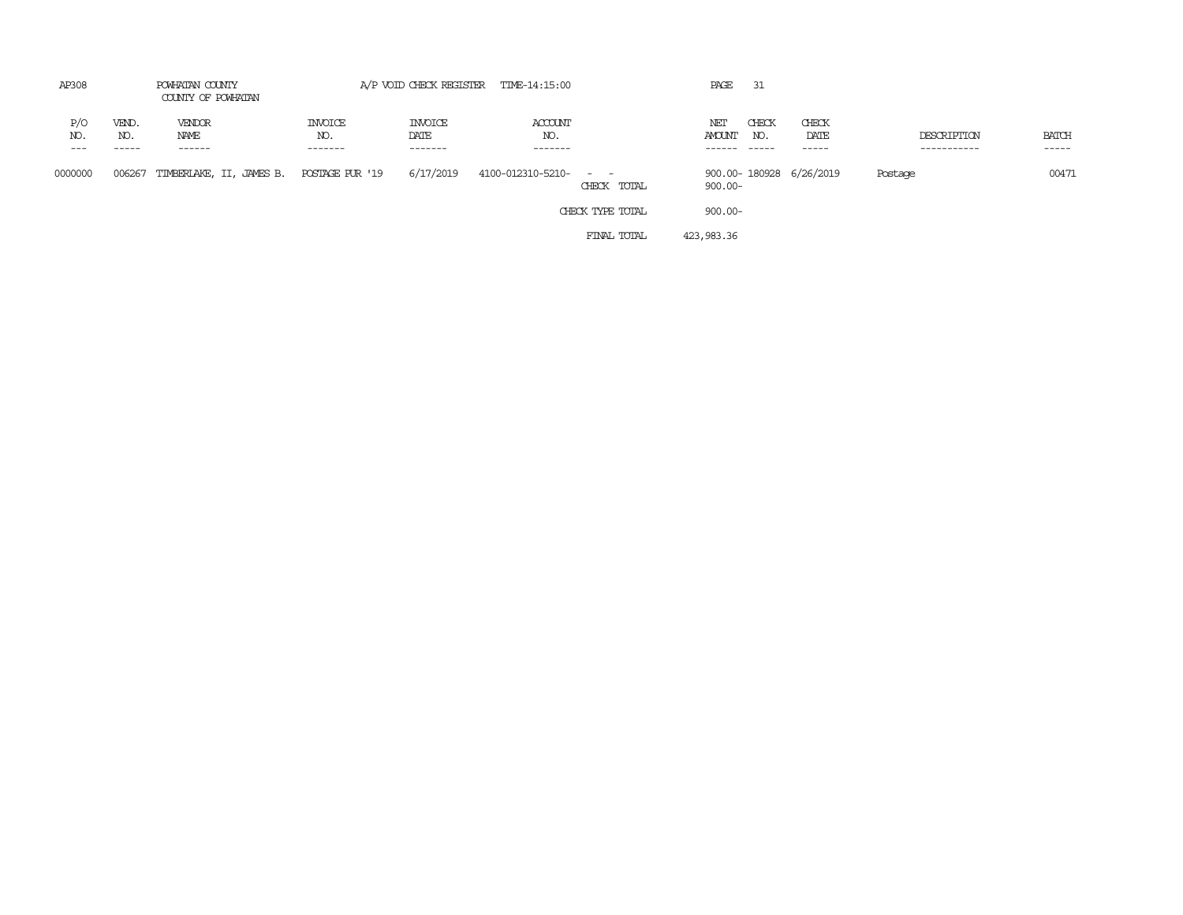| AP308                 |                       | POWHATAN COUNTY<br>COUNTY OF POWHATAN |                                  |                                   | A/P VOID CHECK REGISTER TIME-14:15:00 |                                                                                                                             | PAGE                 | - 31         |                         |                            |                             |
|-----------------------|-----------------------|---------------------------------------|----------------------------------|-----------------------------------|---------------------------------------|-----------------------------------------------------------------------------------------------------------------------------|----------------------|--------------|-------------------------|----------------------------|-----------------------------|
| P/O<br>NO.<br>$- - -$ | VEND.<br>NO.<br>----- | VENDOR<br>NAME<br>------              | <b>INVOICE</b><br>NO.<br>------- | <b>INVOICE</b><br>DATE<br>------- | ACCOUNT<br>NO.<br>-------             |                                                                                                                             | NET<br><b>AMOUNT</b> | CHECK<br>NO. | CHECK<br>DATE<br>-----  | DESCRIPTION<br>----------- | <b>BATCH</b><br>$- - - - -$ |
| 0000000               | 006267                | TIMBERLAKE, II, JAMES B.              | POSTAGE PUR '19                  | 6/17/2019                         | 4100-012310-5210-                     | $\frac{1}{2} \left( \frac{1}{2} \right) \left( \frac{1}{2} \right) = \frac{1}{2} \left( \frac{1}{2} \right)$<br>CHECK TOTAL | $900.00 -$           |              | 900.00-180928 6/26/2019 | Postage                    | 00471                       |
|                       |                       |                                       |                                  |                                   |                                       | CHECK TYPE TOTAL                                                                                                            | $900.00 -$           |              |                         |                            |                             |
|                       |                       |                                       |                                  |                                   |                                       | FINAL TOTAL                                                                                                                 | 423,983.36           |              |                         |                            |                             |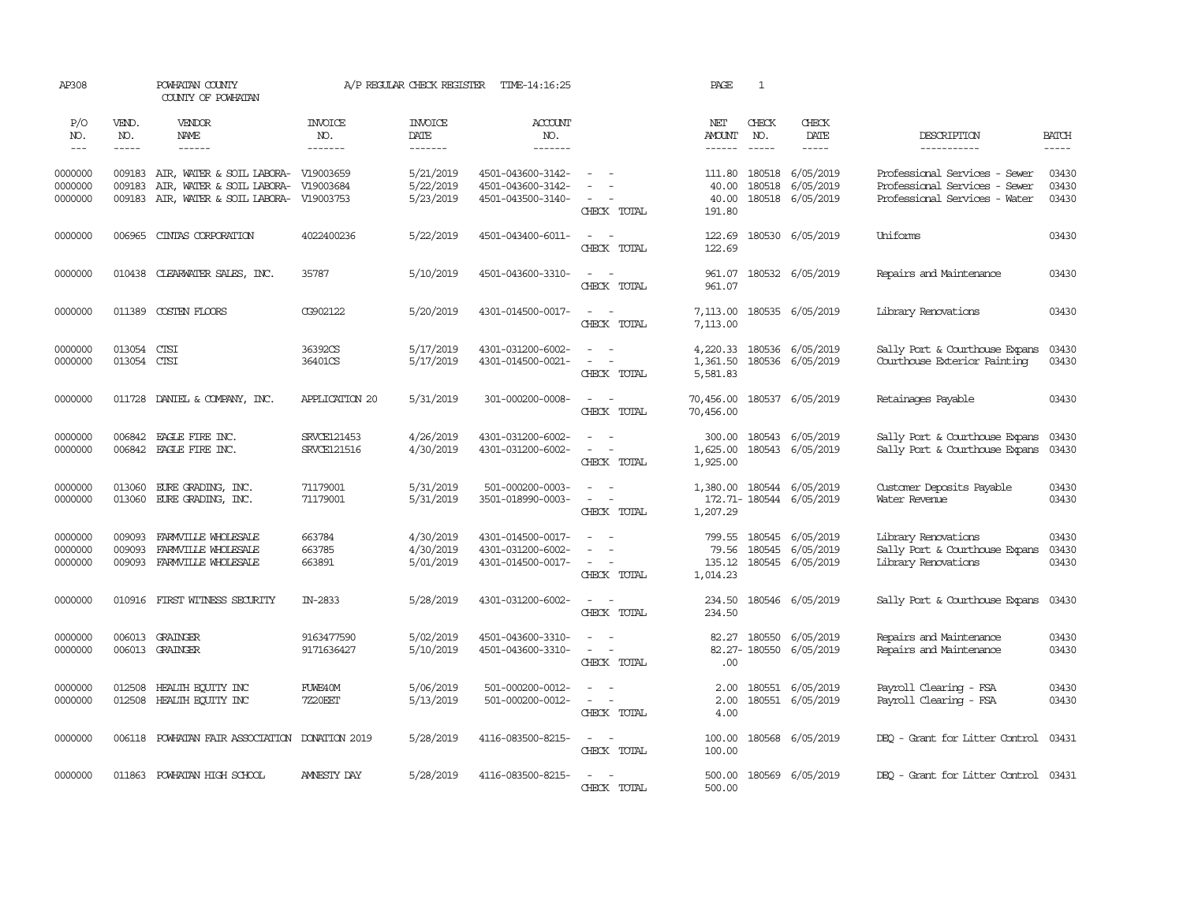| AP308                         |                             | POWHATAN COUNTY<br>COUNTY OF POWHATAN                                                         |                                  | A/P REGULAR CHECK REGISTER          | TIME-14:16:25                                               |                                                                                         | PAGE                                  | $\mathbf{1}$                  |                                                          |                                                                                                 |                             |
|-------------------------------|-----------------------------|-----------------------------------------------------------------------------------------------|----------------------------------|-------------------------------------|-------------------------------------------------------------|-----------------------------------------------------------------------------------------|---------------------------------------|-------------------------------|----------------------------------------------------------|-------------------------------------------------------------------------------------------------|-----------------------------|
| P/O<br>NO.<br>$---$           | VEND.<br>NO.<br>$- - - - -$ | VENDOR<br>NAME<br>------                                                                      | <b>INVOICE</b><br>NO.<br>------- | <b>INVOICE</b><br>DATE<br>-------   | <b>ACCOUNT</b><br>NO.<br>-------                            |                                                                                         | NET<br>AMOUNT<br>$- - - - - -$        | CHECK<br>NO.<br>$\frac{1}{2}$ | CHECK<br>DATE<br>-----                                   | DESCRIPTION<br>-----------                                                                      | <b>BATCH</b><br>$- - - - -$ |
| 0000000<br>0000000<br>0000000 | 009183<br>009183<br>009183  | AIR, WATER & SOIL LABORA-<br>AIR, WATER & SOIL LABORA-<br>AIR, WATER & SOIL LABORA- V19003753 | V19003659<br>V19003684           | 5/21/2019<br>5/22/2019<br>5/23/2019 | 4501-043600-3142-<br>4501-043600-3142-<br>4501-043500-3140- | $\equiv$<br>$\sim$<br>CHECK TOTAL                                                       | 111.80<br>40.00<br>40.00<br>191.80    | 180518                        | 180518 6/05/2019<br>6/05/2019<br>180518 6/05/2019        | Professional Services - Sewer<br>Professional Services - Sewer<br>Professional Services - Water | 03430<br>03430<br>03430     |
| 0000000                       | 006965                      | CINIAS CORPORATION                                                                            | 4022400236                       | 5/22/2019                           | 4501-043400-6011-                                           | $\sim$<br>$\sim$<br>CHECK TOTAL                                                         | 122.69<br>122.69                      |                               | 180530 6/05/2019                                         | Uniforms                                                                                        | 03430                       |
| 0000000                       | 010438                      | CLEARWATER SALES, INC.                                                                        | 35787                            | 5/10/2019                           | 4501-043600-3310-                                           | $\sim$ $\sim$<br>CHECK TOTAL                                                            | 961.07<br>961.07                      |                               | 180532 6/05/2019                                         | Repairs and Maintenance                                                                         | 03430                       |
| 0000000                       | 011389                      | COSTEN FLOORS                                                                                 | CG902122                         | 5/20/2019                           | 4301-014500-0017-                                           | $\overline{\phantom{a}}$<br>$\sim$<br>CHECK TOTAL                                       | 7,113.00<br>7,113.00                  |                               | 180535 6/05/2019                                         | Library Renovations                                                                             | 03430                       |
| 0000000<br>0000000            | 013054<br>013054 CTSI       | <b>CTSI</b>                                                                                   | 36392CS<br>36401CS               | 5/17/2019<br>5/17/2019              | 4301-031200-6002-<br>4301-014500-0021-                      | $\sim$<br>$\sim$<br>$\sim$<br>CHECK TOTAL                                               | 4,220.33<br>1,361.50<br>5,581.83      |                               | 180536 6/05/2019<br>180536 6/05/2019                     | Sally Port & Courthouse Expans<br>Courthouse Exterior Painting                                  | 03430<br>03430              |
| 0000000                       |                             | 011728 DANIEL & COMPANY, INC.                                                                 | APPLICATION 20                   | 5/31/2019                           | 301-000200-0008-                                            | $\sim$ $\sim$<br>CHECK TOTAL                                                            | 70,456.00<br>70,456.00                |                               | 180537 6/05/2019                                         | Retainages Payable                                                                              | 03430                       |
| 0000000<br>0000000            | 006842<br>006842            | EAGLE FIRE INC.<br>EAGLE FIRE INC.                                                            | SRVCE121453<br>SRVCE121516       | 4/26/2019<br>4/30/2019              | 4301-031200-6002-<br>4301-031200-6002-                      | $\equiv$<br>$\equiv$<br>CHECK TOTAL                                                     | 300.00<br>1,625.00<br>1,925.00        |                               | 180543 6/05/2019<br>180543 6/05/2019                     | Sally Port & Courthouse Expans<br>Sally Port & Courthouse Expans                                | 03430<br>03430              |
| 0000000<br>0000000            | 013060<br>013060            | EURE GRADING, INC.<br>EURE GRADING, INC.                                                      | 71179001<br>71179001             | 5/31/2019<br>5/31/2019              | 501-000200-0003-<br>3501-018990-0003-                       | $\overline{\phantom{a}}$<br>$\sim$<br>CHECK TOTAL                                       | 1,380.00<br>1,207.29                  |                               | 180544 6/05/2019<br>172.71-180544 6/05/2019              | Customer Deposits Payable<br>Water Revenue                                                      | 03430<br>03430              |
| 0000000<br>0000000<br>0000000 | 009093<br>009093<br>009093  | FARMVILLE WHOLESALE<br>FARMVILLE WHOLESALE<br>FARMVILLE WHOLESALE                             | 663784<br>663785<br>663891       | 4/30/2019<br>4/30/2019<br>5/01/2019 | 4301-014500-0017-<br>4301-031200-6002-<br>4301-014500-0017- | $\equiv$<br>$\overline{\phantom{a}}$<br>CHECK TOTAL                                     | 799.55<br>79.56<br>135.12<br>1,014.23 |                               | 180545 6/05/2019<br>180545 6/05/2019<br>180545 6/05/2019 | Library Renovations<br>Sally Port & Courthouse Expans<br>Library Renovations                    | 03430<br>03430<br>03430     |
| 0000000                       | 010916                      | FIRST WITNESS SECURITY                                                                        | IN-2833                          | 5/28/2019                           | 4301-031200-6002-                                           | $\sim$<br>$\sim$<br>CHECK TOTAL                                                         | 234.50<br>234.50                      |                               | 180546 6/05/2019                                         | Sally Port & Courthouse Expans                                                                  | 03430                       |
| 0000000<br>0000000            | 006013                      | GRAINGER<br>006013 GRAINGER                                                                   | 9163477590<br>9171636427         | 5/02/2019<br>5/10/2019              | 4501-043600-3310-<br>4501-043600-3310-                      | $\sim$<br>$\sim$ $-$<br>CHECK TOTAL                                                     | 82.27<br>.00                          |                               | 180550 6/05/2019<br>82.27-180550 6/05/2019               | Repairs and Maintenance<br>Repairs and Maintenance                                              | 03430<br>03430              |
| 0000000<br>0000000            | 012508<br>012508            | HEALTH EQUITY INC<br>HEALTH ECUTTY INC                                                        | FUWE40M<br><b>7Z20EET</b>        | 5/06/2019<br>5/13/2019              | 501-000200-0012-<br>501-000200-0012-                        | $\overline{\phantom{a}}$<br>$\sim$<br>$\sim$<br>$\overline{\phantom{a}}$<br>CHECK TOTAL | 2.00<br>2.00<br>4.00                  |                               | 180551 6/05/2019<br>180551 6/05/2019                     | Payroll Clearing - FSA<br>Payroll Clearing - FSA                                                | 03430<br>03430              |
| 0000000                       |                             | 006118 POWHATAN FAIR ASSOCIATION DONATION 2019                                                |                                  | 5/28/2019                           | 4116-083500-8215-                                           | $\sim$<br>$\sim$<br>CHECK TOTAL                                                         | 100.00<br>100.00                      |                               | 180568 6/05/2019                                         | DEQ - Grant for Litter Control                                                                  | 03431                       |
| 0000000                       |                             | 011863 POWHATAN HIGH SCHOOL                                                                   | AMNESTY DAY                      | 5/28/2019                           | 4116-083500-8215-                                           | $\sim$<br>$\sim$<br>CHECK TOTAL                                                         | 500.00<br>500.00                      |                               | 180569 6/05/2019                                         | DEO - Grant for Litter Control 03431                                                            |                             |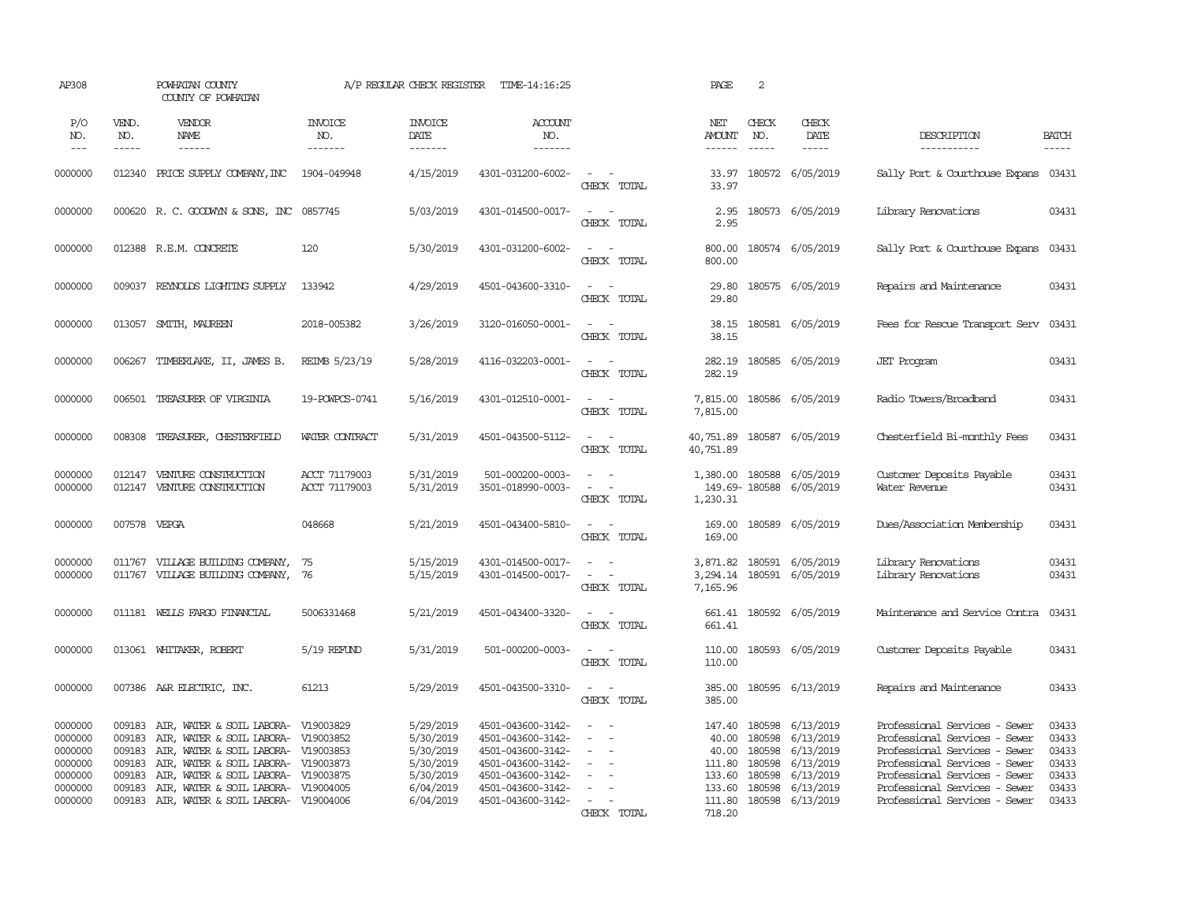| AP308                                               |                                      | POWHATAN COUNTY<br>COUNTY OF POWHATAN                                                                                                                                                                  |                                  | A/P REGULAR CHECK REGISTER                                    | TIME-14:16:25                                                                                         |                                                                                                                                               | PAGE                               | 2                                    |                                                                             |                                                                                                                                                                   |                                           |
|-----------------------------------------------------|--------------------------------------|--------------------------------------------------------------------------------------------------------------------------------------------------------------------------------------------------------|----------------------------------|---------------------------------------------------------------|-------------------------------------------------------------------------------------------------------|-----------------------------------------------------------------------------------------------------------------------------------------------|------------------------------------|--------------------------------------|-----------------------------------------------------------------------------|-------------------------------------------------------------------------------------------------------------------------------------------------------------------|-------------------------------------------|
| P/O<br>NO.<br>$\frac{1}{2}$                         | VEND.<br>NO.<br>$- - - - -$          | VENDOR<br>NAME<br>$- - - - - -$                                                                                                                                                                        | <b>INVOICE</b><br>NO.<br>------- | <b>INVOICE</b><br>DATE<br>-------                             | <b>ACCOUNT</b><br>NO.<br>-------                                                                      |                                                                                                                                               | NET<br>AMOUNT<br>$- - - - - -$     | CHECK<br>NO.<br>$\frac{1}{2}$        | CHECK<br>DATE<br>-----                                                      | DESCRIPTION<br>-----------                                                                                                                                        | <b>BATCH</b><br>$- - - - -$               |
|                                                     |                                      |                                                                                                                                                                                                        |                                  |                                                               |                                                                                                       |                                                                                                                                               |                                    |                                      |                                                                             |                                                                                                                                                                   |                                           |
| 0000000                                             | 012340                               | PRICE SUPPLY COMPANY, INC                                                                                                                                                                              | 1904-049948                      | 4/15/2019                                                     | 4301-031200-6002-                                                                                     | $\sim$<br>CHECK TOTAL                                                                                                                         | 33.97<br>33.97                     |                                      | 180572 6/05/2019                                                            | Sally Port & Courthouse Expans 03431                                                                                                                              |                                           |
| 0000000                                             |                                      | 000620 R. C. GOODWYN & SONS, INC 0857745                                                                                                                                                               |                                  | 5/03/2019                                                     | 4301-014500-0017-                                                                                     | $\sim$ $ \sim$<br>CHECK TOTAL                                                                                                                 | 2.95<br>2.95                       |                                      | 180573 6/05/2019                                                            | Library Renovations                                                                                                                                               | 03431                                     |
| 0000000                                             |                                      | 012388 R.E.M. CONCRETE                                                                                                                                                                                 | 120                              | 5/30/2019                                                     | 4301-031200-6002-                                                                                     | $\sim$<br>$\sim$<br>CHECK TOTAL                                                                                                               | 800.00<br>800.00                   |                                      | 180574 6/05/2019                                                            | Sally Port & Courthouse Expans                                                                                                                                    | 03431                                     |
| 0000000                                             |                                      | 009037 REYNOLDS LIGHTING SUPPLY                                                                                                                                                                        | 133942                           | 4/29/2019                                                     | 4501-043600-3310-                                                                                     | $\sim$<br>CHECK TOTAL                                                                                                                         | 29.80<br>29.80                     |                                      | 180575 6/05/2019                                                            | Repairs and Maintenance                                                                                                                                           | 03431                                     |
| 0000000                                             | 013057                               | SMITH, MAUREEN                                                                                                                                                                                         | 2018-005382                      | 3/26/2019                                                     | 3120-016050-0001-                                                                                     | $\sim$<br>$\sim$<br>CHECK TOTAL                                                                                                               | 38.15<br>38.15                     |                                      | 180581 6/05/2019                                                            | Fees for Rescue Transport Serv                                                                                                                                    | 03431                                     |
| 0000000                                             | 006267                               | TIMBERLAKE, II, JAMES B.                                                                                                                                                                               | REIMB 5/23/19                    | 5/28/2019                                                     | 4116-032203-0001-                                                                                     | $\sim$<br>$\sim$<br>CHECK TOTAL                                                                                                               | 282.19<br>282.19                   |                                      | 180585 6/05/2019                                                            | <b>JET</b> Program                                                                                                                                                | 03431                                     |
| 0000000                                             |                                      | 006501 TREASURER OF VIRGINIA                                                                                                                                                                           | 19-POWPCS-0741                   | 5/16/2019                                                     | 4301-012510-0001-                                                                                     | $\sim$<br>$\sim$<br>CHECK TOTAL                                                                                                               | 7,815.00<br>7,815.00               |                                      | 180586 6/05/2019                                                            | Radio Towers/Broadband                                                                                                                                            | 03431                                     |
| 0000000                                             | 008308                               | TREASURER, CHESTERFIELD                                                                                                                                                                                | WATER CONTRACT                   | 5/31/2019                                                     | 4501-043500-5112-                                                                                     | $\omega_{\rm{max}}$ and $\omega_{\rm{max}}$<br>CHECK TOTAL                                                                                    | 40,751.89                          |                                      | 40,751.89 180587 6/05/2019                                                  | Chesterfield Bi-monthly Fees                                                                                                                                      | 03431                                     |
| 0000000<br>0000000                                  | 012147<br>012147                     | VENTURE CONSTRUCTION<br>VENTURE CONSTRUCTION                                                                                                                                                           | ACCT 71179003<br>ACCT 71179003   | 5/31/2019<br>5/31/2019                                        | 501-000200-0003-<br>3501-018990-0003-                                                                 | $\frac{1}{2} \left( \frac{1}{2} \right) \left( \frac{1}{2} \right) = \frac{1}{2} \left( \frac{1}{2} \right)$<br>$\sim$ $ \sim$<br>CHECK TOTAL | 1,230.31                           |                                      | 1,380.00 180588 6/05/2019<br>149.69-180588 6/05/2019                        | Customer Deposits Payable<br>Water Revenue                                                                                                                        | 03431<br>03431                            |
| 0000000                                             | 007578                               | VEPGA                                                                                                                                                                                                  | 048668                           | 5/21/2019                                                     | 4501-043400-5810-                                                                                     | $\sim$ $\sim$<br>CHECK TOTAL                                                                                                                  | 169.00<br>169.00                   |                                      | 180589 6/05/2019                                                            | Dues/Association Membership                                                                                                                                       | 03431                                     |
| 0000000<br>0000000                                  | 011767                               | VILLAGE BUILDING COMPANY,<br>011767 VILLAGE BUILDING COMPANY, 76                                                                                                                                       | 75                               | 5/15/2019<br>5/15/2019                                        | 4301-014500-0017-<br>4301-014500-0017-                                                                | CHECK TOTAL                                                                                                                                   | 7,165.96                           |                                      | 3,871.82 180591 6/05/2019<br>3,294.14 180591 6/05/2019                      | Library Renovations<br>Library Renovations                                                                                                                        | 03431<br>03431                            |
| 0000000                                             |                                      | 011181 WELLS FARGO FINANCIAL                                                                                                                                                                           | 5006331468                       | 5/21/2019                                                     | 4501-043400-3320-                                                                                     | CHECK TOTAL                                                                                                                                   | 661.41                             |                                      | 661.41 180592 6/05/2019                                                     | Maintenance and Service Contra                                                                                                                                    | 03431                                     |
| 0000000                                             |                                      | 013061 WHITAKER, ROBERT                                                                                                                                                                                | 5/19 REFUND                      | 5/31/2019                                                     | 501-000200-0003-                                                                                      | $\overline{\phantom{a}}$<br>CHECK TOTAL                                                                                                       | 110.00<br>110.00                   |                                      | 180593 6/05/2019                                                            | Customer Deposits Payable                                                                                                                                         | 03431                                     |
| 0000000                                             |                                      | 007386 A&R ELECTRIC, INC.                                                                                                                                                                              | 61213                            | 5/29/2019                                                     | 4501-043500-3310-                                                                                     | $\sim$<br>$\sim$<br>CHECK TOTAL                                                                                                               | 385.00<br>385.00                   |                                      | 180595 6/13/2019                                                            | Repairs and Maintenance                                                                                                                                           | 03433                                     |
| 0000000<br>0000000<br>0000000<br>0000000<br>0000000 | 009183<br>009183<br>009183<br>009183 | 009183 AIR, WATER & SOIL LABORA- V19003829<br>AIR, WATER & SOIL LABORA- V19003852<br>AIR, WATER & SOIL LABORA- V19003853<br>AIR, WATER & SOIL LABORA- V19003873<br>AIR, WATER & SOIL LABORA- V19003875 |                                  | 5/29/2019<br>5/30/2019<br>5/30/2019<br>5/30/2019<br>5/30/2019 | 4501-043600-3142-<br>4501-043600-3142-<br>4501-043600-3142-<br>4501-043600-3142-<br>4501-043600-3142- | $\sim$<br>$\sim$<br>$\sim$<br>$\equiv$<br>$\equiv$                                                                                            | 40.00<br>40.00<br>111.80<br>133.60 | 180598<br>180598<br>180598<br>180598 | 147.40 180598 6/13/2019<br>6/13/2019<br>6/13/2019<br>6/13/2019<br>6/13/2019 | Professional Services - Sewer<br>Professional Services - Sewer<br>Professional Services - Sewer<br>Professional Services - Sewer<br>Professional Services - Sewer | 03433<br>03433<br>03433<br>03433<br>03433 |
| 0000000<br>0000000                                  | 009183<br>009183                     | AIR, WATER & SOIL LABORA- V19004005<br>AIR, WATER & SOIL LABORA- V19004006                                                                                                                             |                                  | 6/04/2019<br>6/04/2019                                        | 4501-043600-3142-<br>4501-043600-3142-                                                                | $\sim$<br>CHECK TOTAL                                                                                                                         | 718.20                             | 133.60 180598                        | 6/13/2019<br>111.80 180598 6/13/2019                                        | Professional Services - Sewer<br>Professional Services - Sewer                                                                                                    | 03433<br>03433                            |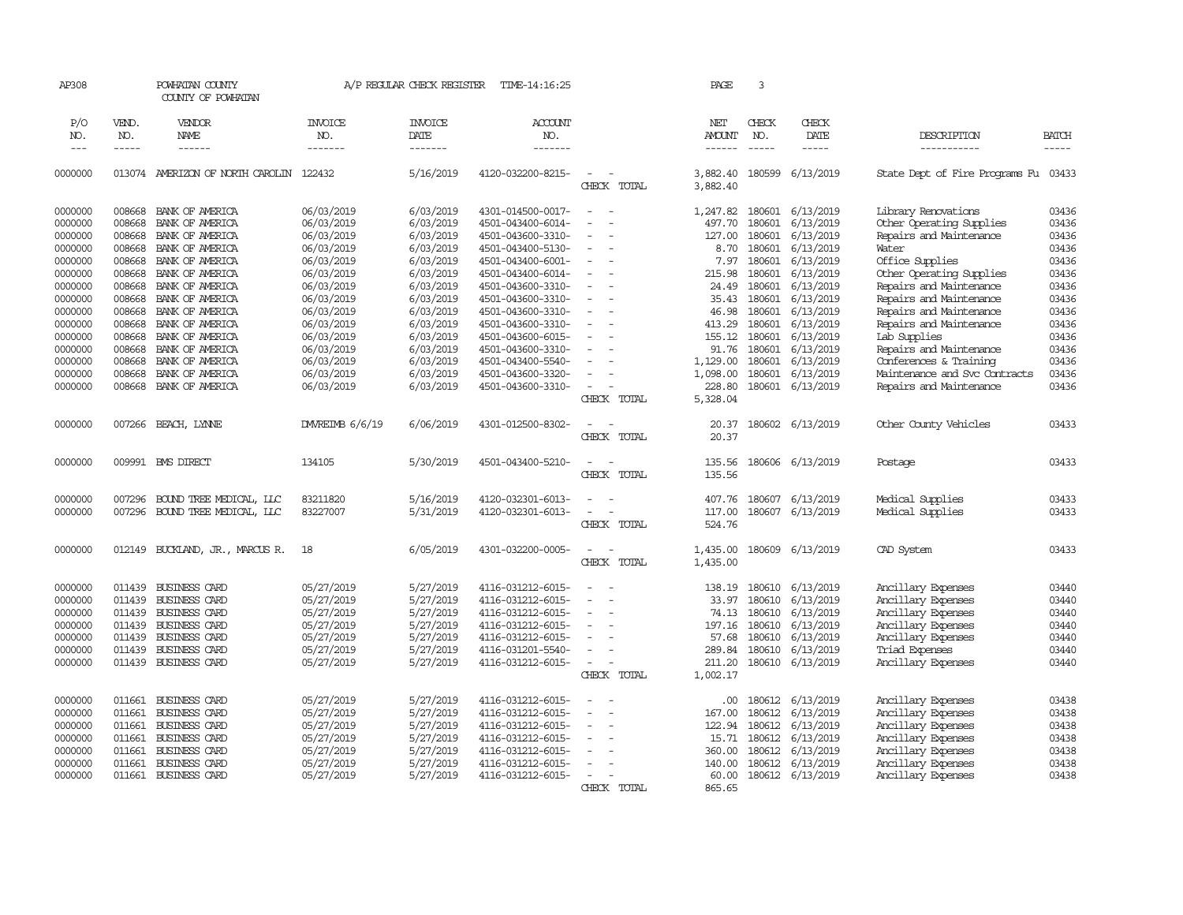| AP308              |                  | POWHATAN COUNTY<br>COUNTY OF POWHATAN |                          | A/P REGULAR CHECK REGISTER | TIME-14:16:25                          |                                      | PAGE                 | 3                |                           |                                                     |                |
|--------------------|------------------|---------------------------------------|--------------------------|----------------------------|----------------------------------------|--------------------------------------|----------------------|------------------|---------------------------|-----------------------------------------------------|----------------|
| P/O                | VEND.            | VENDOR                                | <b>INVOICE</b>           | <b>INVOICE</b>             | <b>ACCOUNT</b>                         |                                      | NET                  | CHECK            | CHECK                     |                                                     |                |
| NO.                | NO.              | NAME                                  | NO.                      | DATE                       | NO.                                    |                                      | <b>AMOUNT</b>        | NO.              | DATE                      | DESCRIPTION                                         | <b>BATCH</b>   |
| $---$              | -----            | $- - - - - -$                         | -------                  | -------                    | -------                                |                                      | ------               |                  | -----                     | -----------                                         | $\frac{1}{2}$  |
|                    |                  |                                       |                          |                            |                                        |                                      |                      |                  |                           |                                                     |                |
| 0000000            | 013074           | AMERIZON OF NORTH CAROLIN             | 122432                   | 5/16/2019                  | 4120-032200-8215-                      | CHECK TOTAL                          | 3,882.40<br>3,882.40 | 180599           | 6/13/2019                 | State Dept of Fire Programs Fu                      | 03433          |
|                    |                  |                                       |                          |                            |                                        |                                      |                      |                  |                           |                                                     |                |
| 0000000            | 008668           | BANK OF AMERICA                       | 06/03/2019               | 6/03/2019                  | 4301-014500-0017-                      | $\equiv$                             | 1,247.82             |                  | 180601 6/13/2019          | Library Renovations                                 | 03436          |
| 0000000            | 008668           | BANK OF AMERICA                       | 06/03/2019               | 6/03/2019                  | 4501-043400-6014-                      |                                      | 497.70               | 180601           | 6/13/2019                 | Other Operating Supplies                            | 03436          |
| 0000000            | 008668           | BANK OF AMERICA                       | 06/03/2019               | 6/03/2019                  | 4501-043600-3310-                      |                                      | 127.00               | 180601           | 6/13/2019                 | Repairs and Maintenance                             | 03436          |
| 0000000<br>0000000 | 008668<br>008668 | BANK OF AMERICA                       | 06/03/2019<br>06/03/2019 | 6/03/2019<br>6/03/2019     | 4501-043400-5130-                      |                                      | 8.70<br>7.97         | 180601<br>180601 | 6/13/2019<br>6/13/2019    | Water<br>Office Supplies                            | 03436<br>03436 |
|                    | 008668           | BANK OF AMERICA                       |                          | 6/03/2019                  | 4501-043400-6001-                      |                                      | 215.98               | 180601           |                           |                                                     | 03436          |
| 0000000<br>0000000 | 008668           | BANK OF AMERICA<br>BANK OF AMERICA    | 06/03/2019<br>06/03/2019 | 6/03/2019                  | 4501-043400-6014-                      |                                      | 24.49                | 180601           | 6/13/2019<br>6/13/2019    | Other Operating Supplies<br>Repairs and Maintenance | 03436          |
| 0000000            | 008668           | BANK OF AMERICA                       | 06/03/2019               | 6/03/2019                  | 4501-043600-3310-<br>4501-043600-3310- |                                      | 35.43                | 180601           | 6/13/2019                 | Repairs and Maintenance                             | 03436          |
| 0000000            | 008668           | BANK OF AMERICA                       | 06/03/2019               | 6/03/2019                  | 4501-043600-3310-                      |                                      | 46.98                | 180601           | 6/13/2019                 | Repairs and Maintenance                             | 03436          |
| 0000000            | 008668           | BANK OF AMERICA                       | 06/03/2019               | 6/03/2019                  | 4501-043600-3310-                      |                                      | 413.29               | 180601           | 6/13/2019                 | Repairs and Maintenance                             | 03436          |
| 0000000            | 008668           | BANK OF AMERICA                       | 06/03/2019               | 6/03/2019                  | 4501-043600-6015-                      |                                      | 155.12               | 180601           | 6/13/2019                 | Lab Supplies                                        | 03436          |
| 0000000            | 008668           | BANK OF AMERICA                       | 06/03/2019               | 6/03/2019                  | 4501-043600-3310-                      |                                      | 91.76                | 180601           | 6/13/2019                 | Repairs and Maintenance                             | 03436          |
| 0000000            | 008668           | BANK OF AMERICA                       | 06/03/2019               | 6/03/2019                  | 4501-043400-5540-                      |                                      | 1,129.00             | 180601           | 6/13/2019                 | Conferences & Training                              | 03436          |
| 0000000            | 008668           | BANK OF AMERICA                       | 06/03/2019               | 6/03/2019                  | 4501-043600-3320-                      |                                      | 1,098.00             | 180601           | 6/13/2019                 | Maintenance and Svc Contracts                       | 03436          |
| 0000000            | 008668           | BANK OF AMERICA                       | 06/03/2019               | 6/03/2019                  | 4501-043600-3310-                      |                                      | 228.80               |                  | 180601 6/13/2019          | Repairs and Maintenance                             | 03436          |
|                    |                  |                                       |                          |                            |                                        | CHECK TOTAL                          | 5,328.04             |                  |                           |                                                     |                |
|                    |                  |                                       |                          |                            |                                        |                                      |                      |                  |                           |                                                     |                |
| 0000000            | 007266           | BEACH, LYNNE                          | <b>IMVREIMB 6/6/19</b>   | 6/06/2019                  | 4301-012500-8302-                      |                                      | 20.37                |                  | 180602 6/13/2019          | Other County Vehicles                               | 03433          |
|                    |                  |                                       |                          |                            |                                        | CHECK TOTAL                          | 20.37                |                  |                           |                                                     |                |
|                    |                  |                                       |                          |                            |                                        |                                      |                      |                  |                           |                                                     |                |
| 0000000            |                  | 009991 BMS DIRECT                     | 134105                   | 5/30/2019                  | 4501-043400-5210-                      | CHECK TOTAL                          | 135.56<br>135.56     |                  | 180606 6/13/2019          | Postage                                             | 03433          |
|                    |                  |                                       |                          |                            |                                        |                                      |                      |                  |                           |                                                     |                |
| 0000000            | 007296           | BOUND TREE MEDICAL, LLC               | 83211820                 | 5/16/2019                  | 4120-032301-6013-                      |                                      | 407.76               |                  | 180607 6/13/2019          | Medical Supplies                                    | 03433          |
| 0000000            | 007296           | BOUND TREE MEDICAL, LLC               | 83227007                 | 5/31/2019                  | 4120-032301-6013-                      | $\blacksquare$                       | 117.00               |                  | 180607 6/13/2019          | Medical Supplies                                    | 03433          |
|                    |                  |                                       |                          |                            |                                        | CHECK TOTAL                          | 524.76               |                  |                           |                                                     |                |
| 0000000            |                  | 012149 BUCKLAND, JR., MARCUS R.       | 18                       | 6/05/2019                  | 4301-032200-0005-                      | $\sim$<br>$\sim$                     |                      |                  | 1,435.00 180609 6/13/2019 | CAD System                                          | 03433          |
|                    |                  |                                       |                          |                            |                                        | CHECK TOTAL                          | 1,435.00             |                  |                           |                                                     |                |
|                    |                  |                                       |                          |                            |                                        |                                      |                      |                  |                           |                                                     |                |
| 0000000            | 011439           | <b>BUSINESS CARD</b>                  | 05/27/2019               | 5/27/2019                  | 4116-031212-6015-                      |                                      | 138.19               |                  | 180610 6/13/2019          | Ancillary Expenses                                  | 03440          |
| 0000000            | 011439           | <b>BUSINESS CARD</b>                  | 05/27/2019               | 5/27/2019                  | 4116-031212-6015-                      | $\equiv$<br>$\overline{\phantom{a}}$ | 33.97                |                  | 180610 6/13/2019          | Ancillary Expenses                                  | 03440          |
| 0000000            | 011439           | <b>BUSINESS CARD</b>                  | 05/27/2019               | 5/27/2019                  | 4116-031212-6015-                      |                                      | 74.13                |                  | 180610 6/13/2019          | Ancillary Expenses                                  | 03440          |
| 0000000            | 011439           | <b>BUSINESS CARD</b>                  | 05/27/2019               | 5/27/2019                  | 4116-031212-6015-                      |                                      | 197.16               |                  | 180610 6/13/2019          | Ancillary Expenses                                  | 03440          |
| 0000000            | 011439           | BUSINESS CARD                         | 05/27/2019               | 5/27/2019                  | 4116-031212-6015-                      |                                      | 57.68                |                  | 180610 6/13/2019          | Ancillary Expenses                                  | 03440          |
| 0000000            | 011439           | BUSINESS CARD                         | 05/27/2019               | 5/27/2019                  | 4116-031201-5540-                      |                                      | 289.84               | 180610           | 6/13/2019                 | Triad Expenses                                      | 03440          |
| 0000000            |                  | 011439 BUSINESS CARD                  | 05/27/2019               | 5/27/2019                  | 4116-031212-6015-                      | $\equiv$                             | 211.20               |                  | 180610 6/13/2019          | Ancillary Expenses                                  | 03440          |
|                    |                  |                                       |                          |                            |                                        | CHECK TOTAL                          | 1,002.17             |                  |                           |                                                     |                |
| 0000000            | 011661           | BUSINESS CARD                         | 05/27/2019               | 5/27/2019                  | 4116-031212-6015-                      |                                      | .00                  |                  | 180612 6/13/2019          | Ancillary Expenses                                  | 03438          |
| 0000000            | 011661           | BUSINESS CARD                         | 05/27/2019               | 5/27/2019                  | 4116-031212-6015-                      |                                      | 167.00               | 180612           | 6/13/2019                 | Ancillary Expenses                                  | 03438          |
| 0000000            | 011661           | <b>BUSINESS CARD</b>                  | 05/27/2019               | 5/27/2019                  | 4116-031212-6015-                      |                                      | 122.94               | 180612           | 6/13/2019                 | Ancillary Expenses                                  | 03438          |
| 0000000            | 011661           | BUSINESS CARD                         | 05/27/2019               | 5/27/2019                  | 4116-031212-6015-                      |                                      | 15.71                | 180612           | 6/13/2019                 | Ancillary Expenses                                  | 03438          |
| 0000000            | 011661           | BUSINESS CARD                         | 05/27/2019               | 5/27/2019                  | 4116-031212-6015-                      |                                      | 360.00               |                  | 180612 6/13/2019          | Ancillary Expenses                                  | 03438          |
| 0000000            | 011661           | <b>BUSINESS CARD</b>                  | 05/27/2019               | 5/27/2019                  | 4116-031212-6015-                      |                                      | 140.00               |                  | 180612 6/13/2019          | Ancillary Expenses                                  | 03438          |
| 0000000            |                  | 011661 BUSINESS CARD                  | 05/27/2019               | 5/27/2019                  | 4116-031212-6015-                      | $\overline{\phantom{a}}$             | 60.00                |                  | 180612 6/13/2019          | Ancillary Expenses                                  | 03438          |
|                    |                  |                                       |                          |                            |                                        | CHECK TOTAL                          | 865.65               |                  |                           |                                                     |                |
|                    |                  |                                       |                          |                            |                                        |                                      |                      |                  |                           |                                                     |                |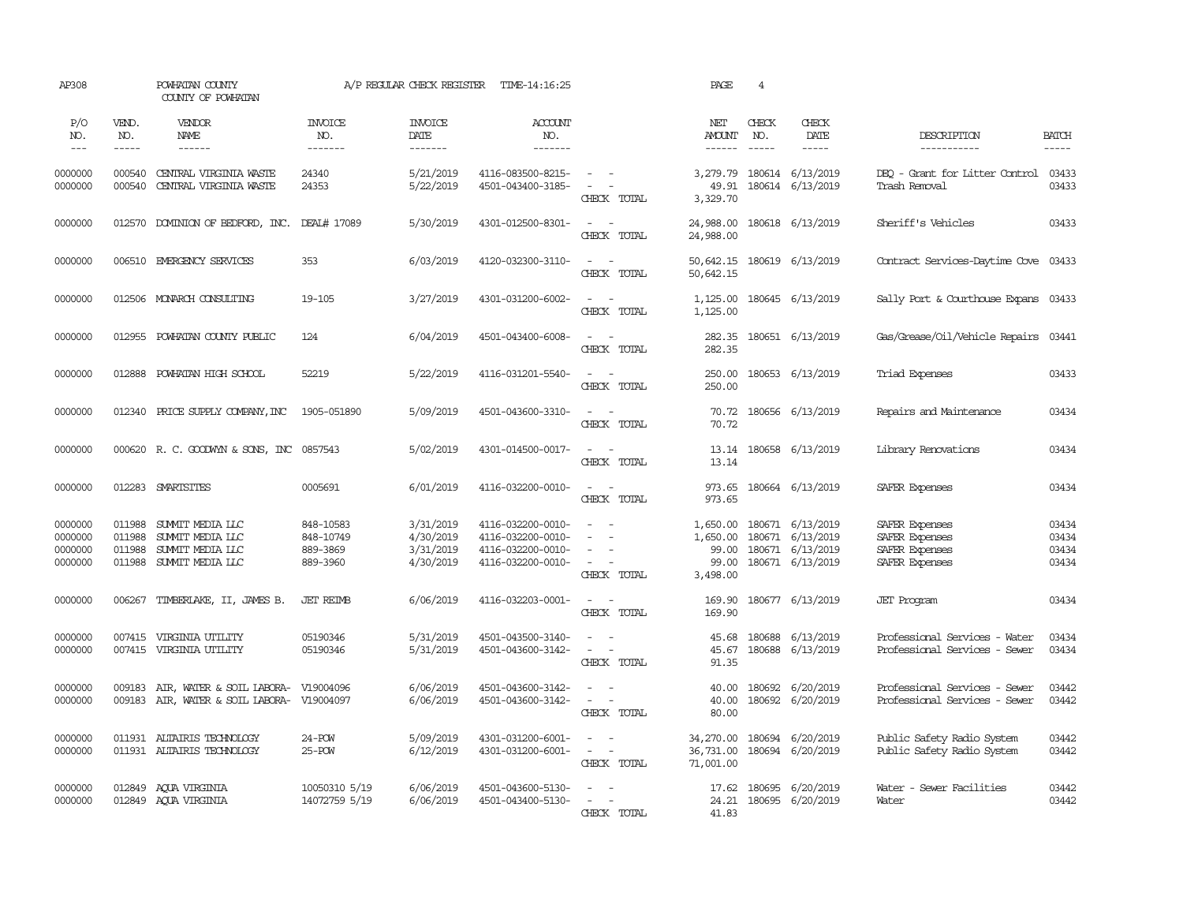| AP308                                    |                                      | POWHATAN COUNTY<br>COUNTY OF POWHATAN                                        |                                                |                                                  | A/P REGULAR CHECK REGISTER TIME-14:16:25                                         |                                                                                                 | PAGE                                               | $\overline{4}$                         |                                                                              |                                                                      |                                  |
|------------------------------------------|--------------------------------------|------------------------------------------------------------------------------|------------------------------------------------|--------------------------------------------------|----------------------------------------------------------------------------------|-------------------------------------------------------------------------------------------------|----------------------------------------------------|----------------------------------------|------------------------------------------------------------------------------|----------------------------------------------------------------------|----------------------------------|
| P/O<br>NO.<br>$  -$                      | VEND.<br>NO.<br>$- - - - -$          | VENDOR<br>NAME<br>------                                                     | <b>INVOICE</b><br>NO.<br>-------               | <b>INVOICE</b><br>DATE<br>-------                | ACCOUNT<br>NO.<br>-------                                                        |                                                                                                 | NET<br>AMOUNT<br>------                            | CHECK<br>NO.<br>$\cdots \cdots \cdots$ | CHECK<br>DATE<br>-----                                                       | DESCRIPTION<br>-----------                                           | <b>BATCH</b><br>-----            |
| 0000000<br>0000000                       | 000540<br>000540                     | CENTRAL VIRGINIA WASTE<br>CENTRAL VIRGINIA WASTE                             | 24340<br>24353                                 | 5/21/2019<br>5/22/2019                           | 4116-083500-8215-<br>4501-043400-3185-                                           | $\omega_{\rm{max}}$ and $\omega_{\rm{max}}$<br>$\sim$ $ \sim$<br>CHECK TOTAL                    | 3,279.79<br>49.91<br>3,329.70                      |                                        | 180614 6/13/2019<br>180614 6/13/2019                                         | DEO - Grant for Litter Control<br>Trash Removal                      | 03433<br>03433                   |
| 0000000                                  |                                      | 012570 DOMINION OF BEDFORD, INC. DEAL# 17089                                 |                                                | 5/30/2019                                        | 4301-012500-8301-                                                                | $\sim$ $ \sim$<br>CHECK TOTAL                                                                   | 24,988.00<br>24,988.00                             |                                        | 180618 6/13/2019                                                             | Sheriff's Vehicles                                                   | 03433                            |
| 0000000                                  |                                      | 006510 EMERGENCY SERVICES                                                    | 353                                            | 6/03/2019                                        | 4120-032300-3110-                                                                | $\sim$ $ \sim$<br>CHECK TOTAL                                                                   | 50,642.15<br>50,642.15                             |                                        | 180619 6/13/2019                                                             | Contract Services-Daytime Cove                                       | 03433                            |
| 0000000                                  |                                      | 012506 MONARCH CONSULTING                                                    | 19-105                                         | 3/27/2019                                        | 4301-031200-6002-                                                                | $\omega_{\rm{max}}$ and $\omega_{\rm{max}}$<br>CHECK TOTAL                                      | 1,125.00<br>1,125.00                               |                                        | 180645 6/13/2019                                                             | Sally Port & Courthouse Expans 03433                                 |                                  |
| 0000000                                  |                                      | 012955 POWHATAN COUNTY PUBLIC                                                | 124                                            | 6/04/2019                                        | 4501-043400-6008-                                                                | $\sim$ 100 $\sim$<br>CHECK TOTAL                                                                | 282.35<br>282.35                                   |                                        | 180651 6/13/2019                                                             | Gas/Grease/Oil/Vehicle Repairs                                       | 03441                            |
| 0000000                                  | 012888                               | POWHATAN HIGH SCHOOL                                                         | 52219                                          | 5/22/2019                                        | 4116-031201-5540-                                                                | $\sim$ $ \sim$<br>CHECK TOTAL                                                                   | 250.00<br>250.00                                   |                                        | 180653 6/13/2019                                                             | Triad Expenses                                                       | 03433                            |
| 0000000                                  |                                      | 012340 PRICE SUPPLY COMPANY, INC                                             | 1905-051890                                    | 5/09/2019                                        | 4501-043600-3310-                                                                | $\sim$ $ \sim$<br>CHECK TOTAL                                                                   | 70.72<br>70.72                                     |                                        | 180656 6/13/2019                                                             | Repairs and Maintenance                                              | 03434                            |
| 0000000                                  |                                      | 000620 R. C. GOODWYN & SONS, INC 0857543                                     |                                                | 5/02/2019                                        | 4301-014500-0017-                                                                | $\omega_{\rm{max}}$ and $\omega_{\rm{max}}$<br>CHECK TOTAL                                      | 13.14                                              |                                        | 13.14 180658 6/13/2019                                                       | Library Renovations                                                  | 03434                            |
| 0000000                                  |                                      | 012283 SMARTSITES                                                            | 0005691                                        | 6/01/2019                                        | 4116-032200-0010-                                                                | $\sim$ $\sim$<br>CHECK TOTAL                                                                    | 973.65                                             |                                        | 973.65 180664 6/13/2019                                                      | SAFER Expenses                                                       | 03434                            |
| 0000000<br>0000000<br>0000000<br>0000000 | 011988<br>011988<br>011988<br>011988 | SUMMIT MEDIA LLC<br>SUMMIT MEDIA LLC<br>SUMMIT MEDIA LLC<br>SUMMIT MEDIA LLC | 848-10583<br>848-10749<br>889-3869<br>889-3960 | 3/31/2019<br>4/30/2019<br>3/31/2019<br>4/30/2019 | 4116-032200-0010-<br>4116-032200-0010-<br>4116-032200-0010-<br>4116-032200-0010- | $\overline{\phantom{a}}$<br>$\overline{\phantom{a}}$<br>$\sim$<br>$\sim$ $ \sim$<br>CHECK TOTAL | 1,650,00<br>1,650.00<br>99.00<br>99.00<br>3,498.00 |                                        | 180671 6/13/2019<br>180671 6/13/2019<br>180671 6/13/2019<br>180671 6/13/2019 | SAFER Expenses<br>SAFER Expenses<br>SAFER Expenses<br>SAFER Expenses | 03434<br>03434<br>03434<br>03434 |
| 0000000                                  | 006267                               | TIMBERLAKE, II, JAMES B.                                                     | <b>JET REIMB</b>                               | 6/06/2019                                        | 4116-032203-0001-                                                                | $\sim$ $ \sim$<br>CHECK TOTAL                                                                   | 169.90<br>169.90                                   |                                        | 180677 6/13/2019                                                             | <b>JET</b> Program                                                   | 03434                            |
| 0000000<br>0000000                       | 007415                               | VIRGINIA UTILITY<br>007415 VIRGINIA UTILITY                                  | 05190346<br>05190346                           | 5/31/2019<br>5/31/2019                           | 4501-043500-3140-<br>4501-043600-3142-                                           | $\sim$<br>$\sim$ $-$<br>$\sim$<br>$\sim$<br>CHECK TOTAL                                         | 45.68<br>45.67<br>91.35                            | 180688                                 | 6/13/2019<br>180688 6/13/2019                                                | Professional Services - Water<br>Professional Services - Sewer       | 03434<br>03434                   |
| 0000000<br>0000000                       | 009183<br>009183                     | AIR, WATER & SOIL LABORA- V19004096<br>AIR, WATER & SOIL LABORA- V19004097   |                                                | 6/06/2019<br>6/06/2019                           | 4501-043600-3142-<br>4501-043600-3142-                                           | $\sim$ $ \sim$<br>$\omega_{\rm{max}}$ and $\omega_{\rm{max}}$<br>CHECK TOTAL                    | 40.00<br>40.00<br>80.00                            |                                        | 180692 6/20/2019<br>180692 6/20/2019                                         | Professional Services - Sewer<br>Professional Services - Sewer       | 03442<br>03442                   |
| 0000000<br>0000000                       |                                      | 011931 ALTAIRIS TECHNOLOGY<br>011931 ALTAIRIS TECHNOLOGY                     | $24 - POW$<br>$25 - POW$                       | 5/09/2019<br>6/12/2019                           | 4301-031200-6001-<br>4301-031200-6001-                                           | $\sim$<br>$\sim$<br>$\sim$ $-$<br>$\sim$<br>CHECK TOTAL                                         | 34,270.00<br>36,731.00<br>71,001.00                |                                        | 180694 6/20/2019<br>180694 6/20/2019                                         | Public Safety Radio System<br>Public Safety Radio System             | 03442<br>03442                   |
| 0000000<br>0000000                       |                                      | 012849 ACUA VIRGINIA<br>012849 AQUA VIRGINIA                                 | 10050310 5/19<br>14072759 5/19                 | 6/06/2019<br>6/06/2019                           | 4501-043600-5130-<br>4501-043400-5130-                                           | $\overline{\phantom{a}}$<br>$\sim$ $-$<br>CHECK TOTAL                                           | 17.62<br>41.83                                     |                                        | 180695 6/20/2019<br>24.21 180695 6/20/2019                                   | Water - Sewer Facilities<br>Water                                    | 03442<br>03442                   |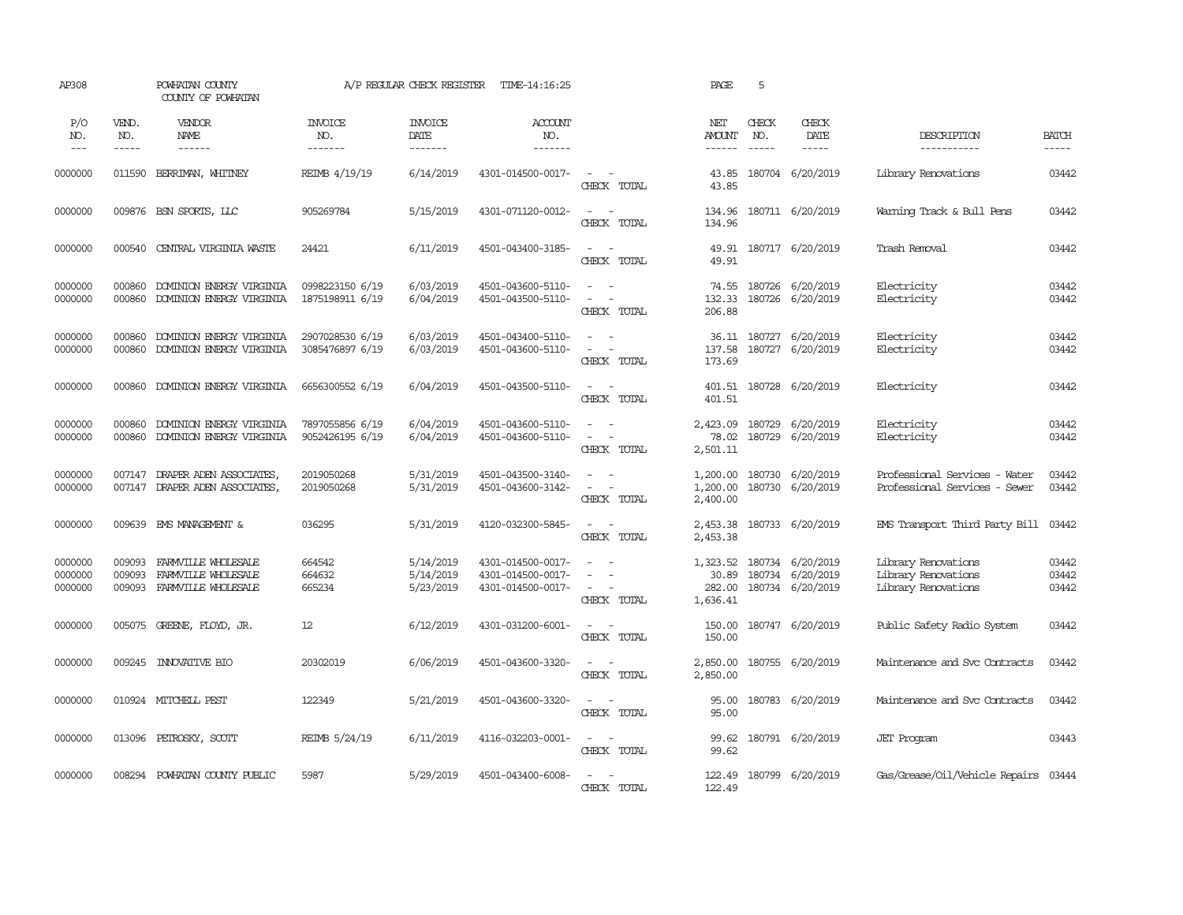| AP308                         |                             | POWHATAN COUNTY<br>COUNTY OF POWHATAN                             |                                    | A/P REGULAR CHECK REGISTER          | TIME-14:16:25                                               |                                                                               | PAGE                                    | 5                             |                                                          |                                                                   |                          |
|-------------------------------|-----------------------------|-------------------------------------------------------------------|------------------------------------|-------------------------------------|-------------------------------------------------------------|-------------------------------------------------------------------------------|-----------------------------------------|-------------------------------|----------------------------------------------------------|-------------------------------------------------------------------|--------------------------|
| P/O<br>NO.<br>$---$           | VEND.<br>NO.<br>$- - - - -$ | VENDOR<br>NAME<br>$- - - - - -$                                   | <b>INVOICE</b><br>NO.<br>-------   | <b>INVOICE</b><br>DATE<br>-------   | ACCOUNT<br>NO.<br>$- - - - - - -$                           |                                                                               | NET<br><b>AMOUNT</b><br>$- - - - - -$   | CHECK<br>NO.<br>$\frac{1}{2}$ | CHECK<br>DATE<br>$\frac{1}{2}$                           | DESCRIPTION<br>-----------                                        | <b>BATCH</b><br>$\cdots$ |
| 0000000                       | 011590                      | BERRIMAN, WHITNEY                                                 | REIMB 4/19/19                      | 6/14/2019                           | 4301-014500-0017-                                           | $\sim$ $-$<br>$\sim$<br>CHECK TOTAL                                           | 43.85<br>43.85                          |                               | 180704 6/20/2019                                         | Library Renovations                                               | 03442                    |
| 0000000                       | 009876                      | BSN SPORTS, LLC                                                   | 905269784                          | 5/15/2019                           | 4301-071120-0012-                                           | $\sim$<br>$\sim$<br>CHECK TOTAL                                               | 134.96<br>134.96                        |                               | 180711 6/20/2019                                         | Warning Track & Bull Pens                                         | 03442                    |
| 0000000                       | 000540                      | CENTRAL VIRGINIA WASTE                                            | 24421                              | 6/11/2019                           | 4501-043400-3185-                                           | $\sim$<br>$\sim$<br>CHECK TOTAL                                               | 49.91<br>49.91                          |                               | 180717 6/20/2019                                         | Trash Removal                                                     | 03442                    |
| 0000000<br>0000000            | 000860<br>000860            | DOMINION ENERGY VIRGINIA<br>DOMINION ENERGY VIRGINIA              | 0998223150 6/19<br>1875198911 6/19 | 6/03/2019<br>6/04/2019              | 4501-043600-5110-<br>4501-043500-5110-                      | $\sim$ $\sim$<br>$\sim$<br>$\sim$<br>CHECK TOTAL                              | 74.55<br>132.33<br>206.88               |                               | 180726 6/20/2019<br>180726 6/20/2019                     | Electricity<br>Electricity                                        | 03442<br>03442           |
| 0000000<br>0000000            | 000860<br>000860            | DOMINION ENERGY VIRGINIA<br>DOMINION ENERGY VIRGINIA              | 2907028530 6/19<br>3085476897 6/19 | 6/03/2019<br>6/03/2019              | 4501-043400-5110-<br>4501-043600-5110-                      | $\sim$<br>$\overline{\phantom{a}}$<br>$\overline{\phantom{a}}$<br>CHECK TOTAL | 137.58<br>173.69                        |                               | 36.11 180727 6/20/2019<br>180727 6/20/2019               | Electricity<br>Electricity                                        | 03442<br>03442           |
| 0000000                       | 000860                      | DOMINION ENERGY VIRGINIA                                          | 6656300552 6/19                    | 6/04/2019                           | 4501-043500-5110-                                           | $\sim$<br>$\sim$ $-$<br>CHECK TOTAL                                           | 401.51                                  |                               | 401.51 180728 6/20/2019                                  | Electricity                                                       | 03442                    |
| 0000000<br>0000000            | 000860<br>000860            | DOMINION ENERGY VIRGINIA<br>DOMINION ENERGY VIRGINIA              | 7897055856 6/19<br>9052426195 6/19 | 6/04/2019<br>6/04/2019              | 4501-043600-5110-<br>4501-043600-5110-                      | $\sim$<br>$\sim$<br>$\sim$<br>$\sim$ $-$<br>CHECK TOTAL                       | 2,423.09<br>78.02<br>2,501.11           |                               | 180729 6/20/2019<br>180729 6/20/2019                     | Electricity<br>Electricity                                        | 03442<br>03442           |
| 0000000<br>0000000            |                             | 007147 DRAPER ADEN ASSOCIATES,<br>007147 DRAPER ADEN ASSOCIATES,  | 2019050268<br>2019050268           | 5/31/2019<br>5/31/2019              | 4501-043500-3140-<br>4501-043600-3142-                      | $\sim$ $ \sim$<br>$\overline{\phantom{a}}$<br>CHECK TOTAL                     | 1,200.00<br>2,400.00                    |                               | 1,200.00 180730 6/20/2019<br>180730 6/20/2019            | Professional Services - Water<br>Professional Services - Sewer    | 03442<br>03442           |
| 0000000                       | 009639                      | EMS MANAGEMENT &                                                  | 036295                             | 5/31/2019                           | 4120-032300-5845-                                           | $\sim$<br>$\sim$<br>CHECK TOTAL                                               | 2,453.38<br>2,453.38                    |                               | 180733 6/20/2019                                         | EMS Transport Third Party Bill                                    | 03442                    |
| 0000000<br>0000000<br>0000000 | 009093<br>009093<br>009093  | FARMVILLE WHOLESALE<br>FARMVILLE WHOLESALE<br>FARMVILLE WHOLESALE | 664542<br>664632<br>665234         | 5/14/2019<br>5/14/2019<br>5/23/2019 | 4301-014500-0017-<br>4301-014500-0017-<br>4301-014500-0017- | $\sim$<br>$\sim$<br>$\equiv$<br>$\sim$<br>$\sim$<br>CHECK TOTAL               | 1,323.52<br>30.89<br>282.00<br>1,636.41 |                               | 180734 6/20/2019<br>180734 6/20/2019<br>180734 6/20/2019 | Library Renovations<br>Library Renovations<br>Library Renovations | 03442<br>03442<br>03442  |
| 0000000                       | 005075                      | GREENE, FLOYD, JR.                                                | 12                                 | 6/12/2019                           | 4301-031200-6001-                                           | $\sim$<br>$\sim$<br>CHECK TOTAL                                               | 150.00<br>150.00                        |                               | 180747 6/20/2019                                         | Public Safety Radio System                                        | 03442                    |
| 0000000                       | 009245                      | <b>INOVATIVE BIO</b>                                              | 20302019                           | 6/06/2019                           | 4501-043600-3320-                                           | $\sim$ $ -$<br>CHECK TOTAL                                                    | 2,850.00<br>2,850.00                    |                               | 180755 6/20/2019                                         | Maintenance and Svc Contracts                                     | 03442                    |
| 0000000                       |                             | 010924 MITCHELL PEST                                              | 122349                             | 5/21/2019                           | 4501-043600-3320-                                           | $\sim$ $\sim$<br>CHECK TOTAL                                                  | 95.00<br>95.00                          |                               | 180783 6/20/2019                                         | Maintenance and Svc Contracts                                     | 03442                    |
| 0000000                       | 013096                      | PETROSKY, SCOTT                                                   | REIMB 5/24/19                      | 6/11/2019                           | 4116-032203-0001-                                           | $\sim$ $\sim$<br>CHECK TOTAL                                                  | 99.62<br>99.62                          |                               | 180791 6/20/2019                                         | <b>JET</b> Program                                                | 03443                    |
| 0000000                       |                             | 008294 POWHATAN COUNTY PUBLIC                                     | 5987                               | 5/29/2019                           | 4501-043400-6008-                                           | $\sim$<br>CHECK TOTAL                                                         | 122.49                                  |                               | 122.49 180799 6/20/2019                                  | Gas/Grease/Oil/Vehicle Repairs 03444                              |                          |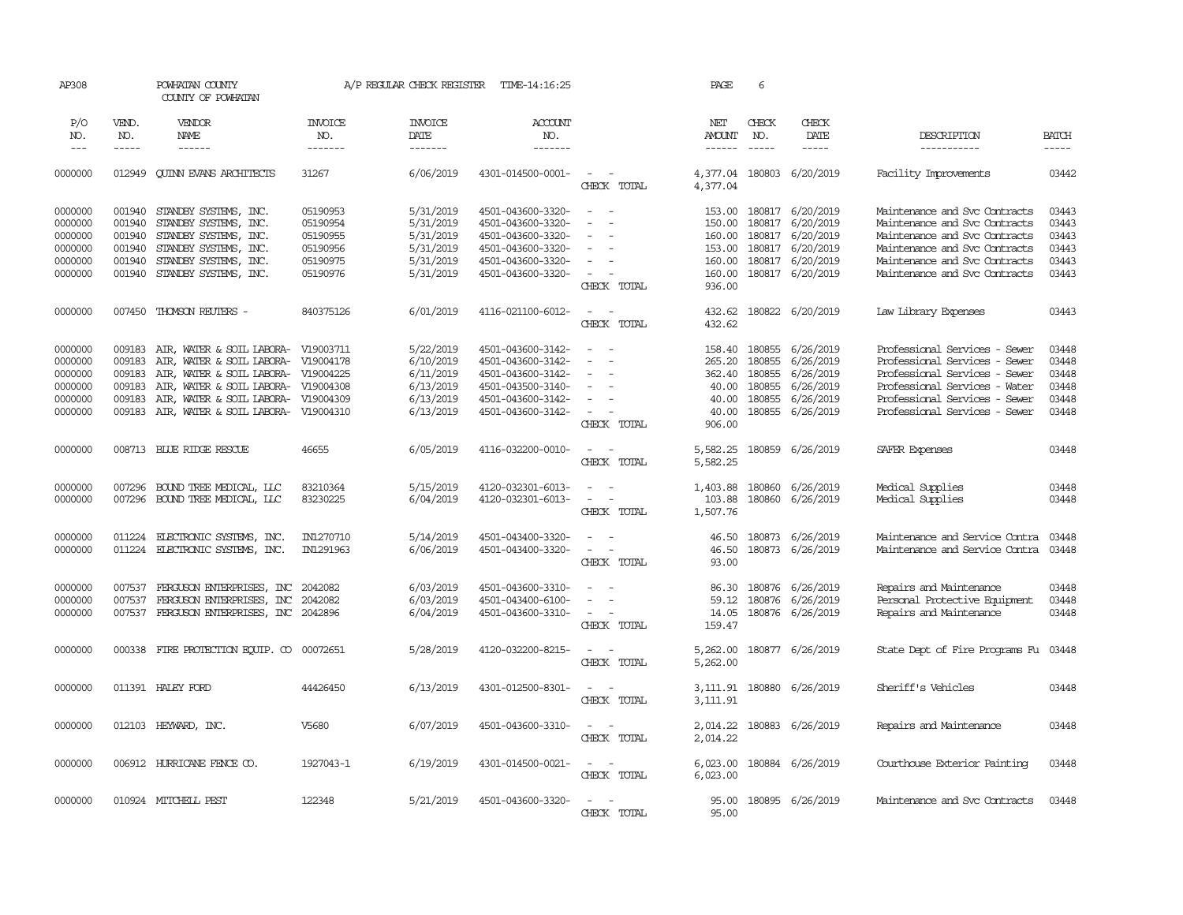| AP308                                                          |                                                          | POWHATAN COUNTY<br>COUNTY OF POWHATAN                                                                                                                                                                                                  | A/P REGULAR CHECK REGISTER<br>TIME-14:16:25                          |                                                                            |                                                                                                                            | PAGE                                                                                    |                                                                 | 6                                                        |                                                                                                        |                                                                                                                                                                                                    |                                                    |
|----------------------------------------------------------------|----------------------------------------------------------|----------------------------------------------------------------------------------------------------------------------------------------------------------------------------------------------------------------------------------------|----------------------------------------------------------------------|----------------------------------------------------------------------------|----------------------------------------------------------------------------------------------------------------------------|-----------------------------------------------------------------------------------------|-----------------------------------------------------------------|----------------------------------------------------------|--------------------------------------------------------------------------------------------------------|----------------------------------------------------------------------------------------------------------------------------------------------------------------------------------------------------|----------------------------------------------------|
| P/O<br>NO.<br>$---$                                            | VEND.<br>NO.<br>$- - - - -$                              | VENDOR<br><b>NAME</b><br>$- - - - - -$                                                                                                                                                                                                 | <b>INVOICE</b><br>NO.<br>-------                                     | <b>INVOICE</b><br>DATE<br>$- - - - - - -$                                  | <b>ACCOUNT</b><br>NO.<br>-------                                                                                           |                                                                                         | NET<br><b>AMOUNT</b><br>$- - - - - -$                           | CHECK<br>NO.                                             | CHECK<br>DATE<br>$- - - - -$                                                                           | DESCRIPTION<br>-----------                                                                                                                                                                         | <b>BATCH</b><br>$- - - - -$                        |
| 0000000                                                        | 012949                                                   | <b>CUINN EVANS ARCHITECTS</b>                                                                                                                                                                                                          | 31267                                                                | 6/06/2019                                                                  | 4301-014500-0001-                                                                                                          | $\sim$<br>$\sim$<br>CHECK TOTAL                                                         | 4,377.04                                                        |                                                          | 4,377.04 180803 6/20/2019                                                                              | Facility Improvements                                                                                                                                                                              | 03442                                              |
| 0000000<br>0000000<br>0000000<br>0000000<br>0000000<br>0000000 | 001940<br>001940<br>001940<br>001940<br>001940<br>001940 | STANDBY SYSTEMS, INC.<br>STANDBY SYSTEMS, INC.<br>STANDBY SYSTEMS, INC.<br>STANDBY SYSTEMS, INC.<br>STANDBY SYSTEMS, INC.<br>STANDBY SYSTEMS, INC.                                                                                     | 05190953<br>05190954<br>05190955<br>05190956<br>05190975<br>05190976 | 5/31/2019<br>5/31/2019<br>5/31/2019<br>5/31/2019<br>5/31/2019<br>5/31/2019 | 4501-043600-3320-<br>4501-043600-3320-<br>4501-043600-3320-<br>4501-043600-3320-<br>4501-043600-3320-<br>4501-043600-3320- | $\overline{\phantom{a}}$<br>$\sim$<br>$\sim$<br>$\sim$<br>CHECK TOTAL                   | 150.00<br>160.00<br>153.00<br>160.00<br>160.00<br>936.00        | 180817<br>180817<br>180817                               | 153.00 180817 6/20/2019<br>6/20/2019<br>6/20/2019<br>6/20/2019<br>180817 6/20/2019<br>180817 6/20/2019 | Maintenance and Svc Contracts<br>Maintenance and Svc Contracts<br>Maintenance and Svc Contracts<br>Maintenance and Svc Contracts<br>Maintenance and Svc Contracts<br>Maintenance and Svc Contracts | 03443<br>03443<br>03443<br>03443<br>03443<br>03443 |
| 0000000                                                        |                                                          | 007450 THOMSON REUTERS -                                                                                                                                                                                                               | 840375126                                                            | 6/01/2019                                                                  | 4116-021100-6012-                                                                                                          | $\sim$<br>$\sim$<br>CHECK TOTAL                                                         | 432.62<br>432.62                                                |                                                          | 180822 6/20/2019                                                                                       | Law Library Expenses                                                                                                                                                                               | 03443                                              |
| 0000000<br>0000000<br>0000000<br>0000000<br>0000000<br>0000000 | 009183<br>009183<br>009183<br>009183<br>009183<br>009183 | AIR, WATER & SOIL LABORA- V19003711<br>AIR, WATER & SOIL LABORA- V19004178<br>AIR, WATER & SOIL LABORA- V19004225<br>AIR, WATER & SOIL LABORA- V19004308<br>AIR, WATER & SOIL LABORA- V19004309<br>AIR, WATER & SOIL LABORA- V19004310 |                                                                      | 5/22/2019<br>6/10/2019<br>6/11/2019<br>6/13/2019<br>6/13/2019<br>6/13/2019 | 4501-043600-3142-<br>4501-043600-3142-<br>4501-043600-3142-<br>4501-043500-3140-<br>4501-043600-3142-<br>4501-043600-3142- | $\sim$<br>$\sim$<br>$\overline{\phantom{a}}$<br>$\overline{\phantom{a}}$<br>CHECK TOTAL | 158.40<br>265.20<br>362.40<br>40.00<br>40.00<br>40.00<br>906.00 | 180855<br>180855<br>180855<br>180855<br>180855<br>180855 | 6/26/2019<br>6/26/2019<br>6/26/2019<br>6/26/2019<br>6/26/2019<br>6/26/2019                             | Professional Services - Sewer<br>Professional Services - Sewer<br>Professional Services - Sewer<br>Professional Services - Water<br>Professional Services - Sewer<br>Professional Services - Sewer | 03448<br>03448<br>03448<br>03448<br>03448<br>03448 |
| 0000000                                                        |                                                          | 008713 BLUE RIDGE RESCUE                                                                                                                                                                                                               | 46655                                                                | 6/05/2019                                                                  | 4116-032200-0010-                                                                                                          | $\sim$<br>$\sim$<br>CHECK TOTAL                                                         | 5,582.25<br>5,582.25                                            |                                                          | 180859 6/26/2019                                                                                       | SAFER Expenses                                                                                                                                                                                     | 03448                                              |
| 0000000<br>0000000                                             | 007296<br>007296                                         | BOUND TREE MEDICAL, LLC<br>BOUND TREE MEDICAL, LLC                                                                                                                                                                                     | 83210364<br>83230225                                                 | 5/15/2019<br>6/04/2019                                                     | 4120-032301-6013-<br>4120-032301-6013-                                                                                     | $\equiv$<br>$\sim$<br>$\sim$<br>$\overline{a}$<br>CHECK TOTAL                           | 1,403.88<br>103.88<br>1,507.76                                  | 180860                                                   | 180860 6/26/2019<br>6/26/2019                                                                          | Medical Supplies<br>Medical Supplies                                                                                                                                                               | 03448<br>03448                                     |
| 0000000<br>0000000                                             | 011224                                                   | ELECTRONIC SYSTEMS, INC.<br>011224 ELECTRONIC SYSTEMS, INC.                                                                                                                                                                            | IN1270710<br>IN1291963                                               | 5/14/2019<br>6/06/2019                                                     | 4501-043400-3320-<br>4501-043400-3320-                                                                                     | $\overline{\phantom{a}}$<br>$\sim$<br>$\sim$<br>CHECK TOTAL                             | 46.50<br>46.50<br>93.00                                         |                                                          | 180873 6/26/2019<br>180873 6/26/2019                                                                   | Maintenance and Service Contra<br>Maintenance and Service Contra                                                                                                                                   | 03448<br>03448                                     |
| 0000000<br>0000000<br>0000000                                  | 007537<br>007537<br>007537                               | FERGUSON ENTERPRISES, INC 2042082<br>FERGUSON ENTERPRISES, INC<br>FERGUSON ENTERPRISES, INC 2042896                                                                                                                                    | 2042082                                                              | 6/03/2019<br>6/03/2019<br>6/04/2019                                        | 4501-043600-3310-<br>4501-043400-6100-<br>4501-043600-3310-                                                                | $\sim$<br>$\sim$<br>$\sim$<br>$\sim$<br>CHECK TOTAL                                     | 14.05<br>159.47                                                 |                                                          | 86.30 180876 6/26/2019<br>59.12 180876 6/26/2019<br>180876 6/26/2019                                   | Repairs and Maintenance<br>Personal Protective Equipment<br>Repairs and Maintenance                                                                                                                | 03448<br>03448<br>03448                            |
| 0000000                                                        | 000338                                                   | FIRE PROTECTION EQUIP. CO                                                                                                                                                                                                              | 00072651                                                             | 5/28/2019                                                                  | 4120-032200-8215-                                                                                                          | $\sim$<br>CHECK TOTAL                                                                   | 5,262.00<br>5,262,00                                            |                                                          | 180877 6/26/2019                                                                                       | State Dept of Fire Programs Fu                                                                                                                                                                     | 03448                                              |
| 0000000                                                        |                                                          | 011391 HALEY FORD                                                                                                                                                                                                                      | 44426450                                                             | 6/13/2019                                                                  | 4301-012500-8301-                                                                                                          | $\overline{\phantom{a}}$<br>CHECK TOTAL                                                 | 3,111.91<br>3,111.91                                            |                                                          | 180880 6/26/2019                                                                                       | Sheriff's Vehicles                                                                                                                                                                                 | 03448                                              |
| 0000000                                                        |                                                          | 012103 HEYWARD, INC.                                                                                                                                                                                                                   | V5680                                                                | 6/07/2019                                                                  | 4501-043600-3310-                                                                                                          | $\overline{\phantom{a}}$<br>$\sim$<br>CHECK TOTAL                                       | 2,014.22<br>2,014.22                                            |                                                          | 180883 6/26/2019                                                                                       | Repairs and Maintenance                                                                                                                                                                            | 03448                                              |
| 0000000                                                        |                                                          | 006912 HURRICANE FENCE CO.                                                                                                                                                                                                             | 1927043-1                                                            | 6/19/2019                                                                  | 4301-014500-0021-                                                                                                          | $\overline{\phantom{a}}$<br>$\sim$<br>CHECK TOTAL                                       | 6,023.00<br>6,023.00                                            |                                                          | 180884 6/26/2019                                                                                       | Courthouse Exterior Painting                                                                                                                                                                       | 03448                                              |
| 0000000                                                        |                                                          | 010924 MITCHELL PEST                                                                                                                                                                                                                   | 122348                                                               | 5/21/2019                                                                  | 4501-043600-3320-                                                                                                          | $\sim$<br>$\sim$<br>CHECK TOTAL                                                         | 95.00<br>95.00                                                  |                                                          | 180895 6/26/2019                                                                                       | Maintenance and Svc Contracts                                                                                                                                                                      | 03448                                              |